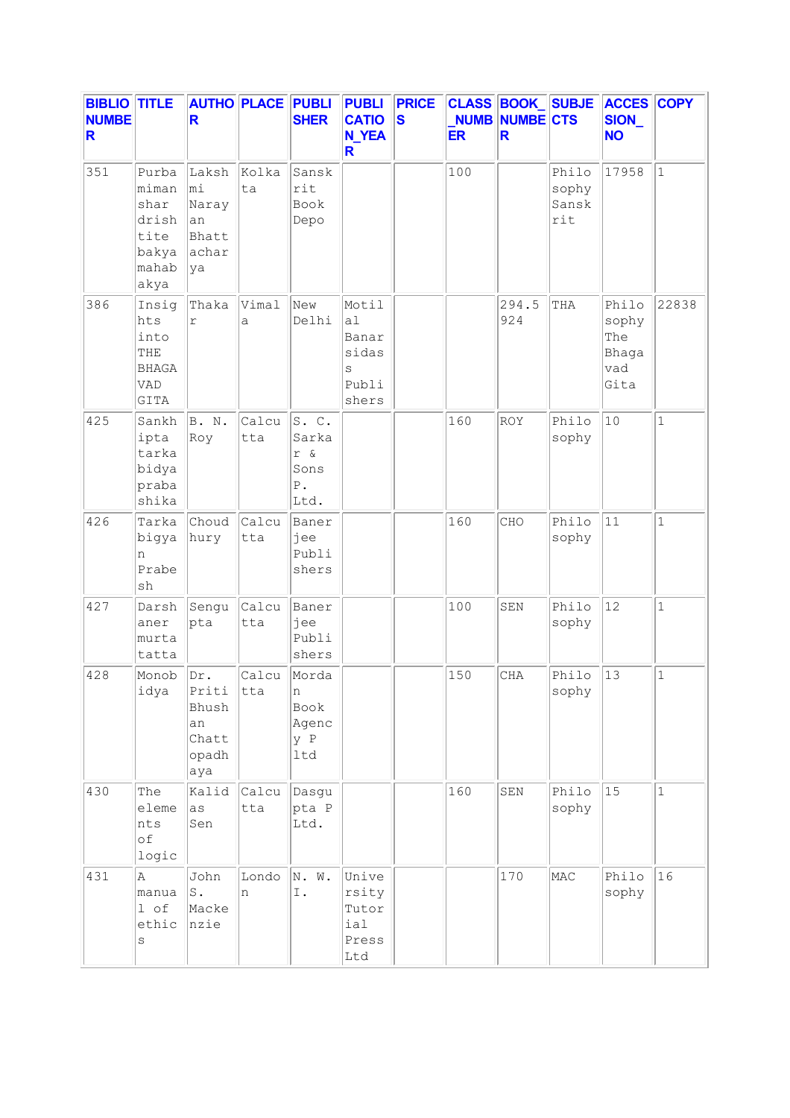| <b>BIBLIO TITLE</b><br><b>NUMBE</b><br>R |                                                                   | R                                                    | <b>AUTHO PLACE PUBLI</b> | <b>SHER</b>                                         | <b>PUBLI</b><br><b>CATIO</b><br><b>N_YEA</b><br>R.   | <b>PRICE</b><br>$\overline{\mathbf{s}}$ | <b>ER</b> | <b>CLASS BOOK SUBJE</b><br><b>NUMB NUMBE CTS</b><br>R. |                                | <b>ACCES COPY</b><br>SION_<br><b>NO</b>       |              |
|------------------------------------------|-------------------------------------------------------------------|------------------------------------------------------|--------------------------|-----------------------------------------------------|------------------------------------------------------|-----------------------------------------|-----------|--------------------------------------------------------|--------------------------------|-----------------------------------------------|--------------|
| 351                                      | Purba<br>miman<br>shar<br>drish<br>tite<br>bakya<br>mahab<br>akya | Laksh<br>∣mi<br>Naray<br>an<br>Bhatt<br>achar<br>ya  | Kolka<br>ta              | Sansk<br>rit<br>Book<br>Depo                        |                                                      |                                         | 100       |                                                        | Philo<br>sophy<br>Sansk<br>rit | 17958                                         | $\mathbf{1}$ |
| 386                                      | Insig<br>hts<br>into<br>THE<br><b>BHAGA</b><br>VAD<br>GITA        | Thaka<br>$\Upsilon$                                  | Vimal<br>a               | New<br>Delhi                                        | Motil<br>a1<br>Banar<br>sidas<br>S<br>Publi<br>shers |                                         |           | 294.5<br>924                                           | THA                            | Philo<br>sophy<br>The<br>Bhaga<br>vad<br>Gita | 22838        |
| 425                                      | Sankh<br>ipta<br>tarka<br>bidya<br>praba<br>shika                 | B. N.<br>Roy                                         | Calcu<br>tta             | S.C.<br>Sarka<br>r &<br>Sons<br>${\bf P}$ .<br>Ltd. |                                                      |                                         | 160       | ROY                                                    | Philo<br>sophy                 | 10                                            | $\mathbf 1$  |
| 426                                      | Tarka<br>bigya<br>n<br>Prabe<br>sh                                | Choud<br>hury                                        | Calcu<br>tta             | Baner<br>jee<br>Publi<br>shers                      |                                                      |                                         | 160       | CHO                                                    | Philo<br>sophy                 | 11                                            | $\mathbf 1$  |
| 427                                      | Darsh<br>aner<br>murta<br>tatta                                   | Sengu<br>pta                                         | Calcu<br>tta             | Baner<br>jee<br>Publi<br>shers                      |                                                      |                                         | 100       | SEN                                                    | Philo<br>sophy                 | 12                                            | $\mathbf{1}$ |
| 428                                      | Monob<br>idya                                                     | Dr.<br>Priti<br>Bhush<br>an<br>Chatt<br>opadh<br>aya | Calcu<br>tta             | Morda<br>n<br>Book<br>Agenc<br>y P<br>ltd           |                                                      |                                         | 150       | CHA                                                    | Philo<br>sophy                 | 13                                            | $\mathbf{1}$ |
| 430                                      | The<br>eleme<br>nts<br>оf<br>logic                                | Kalid<br>as<br>Sen                                   | Calcu<br>tta             | Dasgu<br>pta P<br>Ltd.                              |                                                      |                                         | 160       | SEN                                                    | Philo<br>sophy                 | 15                                            | $1\,$        |
| 431                                      | Α<br>manua<br>1 of<br>ethic<br>S                                  | John<br>$\texttt{S}$ .<br>Macke<br>nzie              | Londo<br>n               | N. W.<br>Ι.                                         | Unive<br>rsity<br>Tutor<br>ial<br>Press<br>Ltd       |                                         |           | 170                                                    | MAC                            | Philo<br>sophy                                | 16           |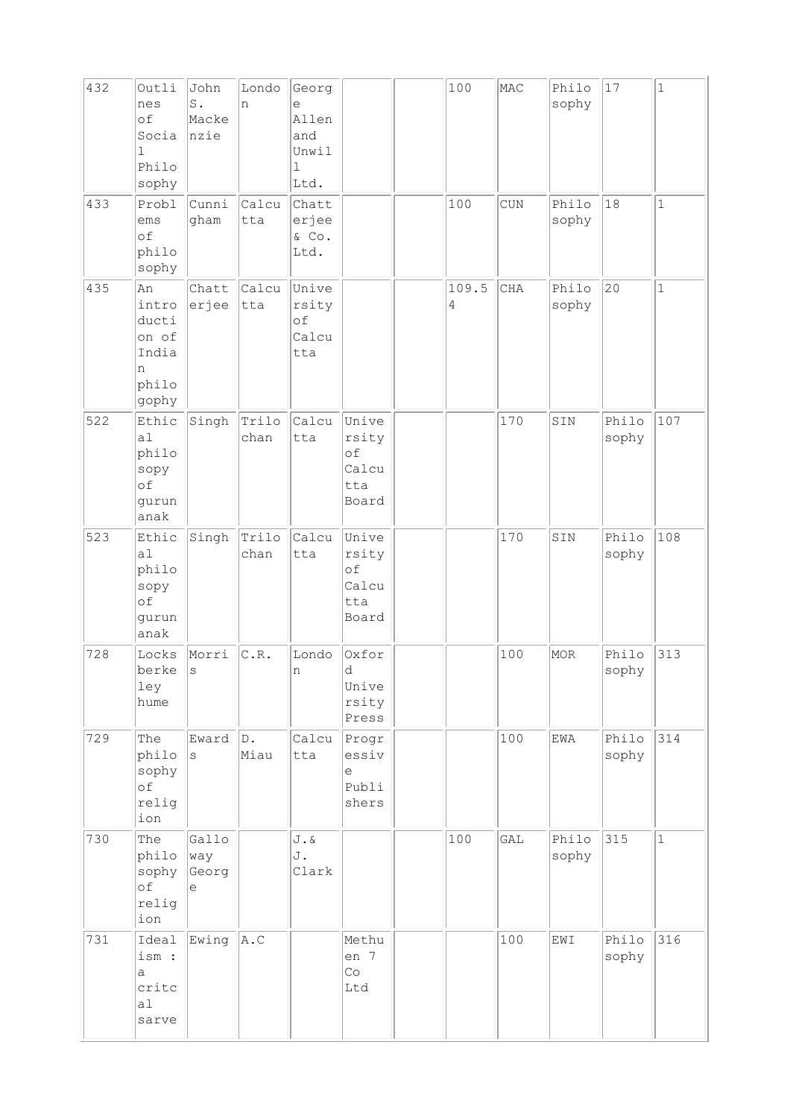| 432 | Outli<br>nes<br>of<br>Socia<br>$\mathbf{1}$<br>Philo<br>sophy   | John<br>S.<br>Macke<br>nzie | Londo<br>n    | Georg<br>e<br>Allen<br>and<br>Unwil<br>1<br>Ltd. |                                               | 100        | MAC       | Philo<br>sophy | 17             | $\vert$ 1    |
|-----|-----------------------------------------------------------------|-----------------------------|---------------|--------------------------------------------------|-----------------------------------------------|------------|-----------|----------------|----------------|--------------|
| 433 | Probl<br>ems<br>of<br>philo<br>sophy                            | Cunni<br>gham               | Calcu<br>tta  | Chatt<br>erjee<br>& Co.<br>Ltd.                  |                                               | 100        | $\rm CUN$ | Philo<br>sophy | 18             | $\mathbf{1}$ |
| 435 | An<br>intro<br>ducti<br>on of<br>India<br>n<br>philo<br>gophy   | Chatt<br>erjee              | Calcu<br>tta  | Unive<br>rsity<br>of<br>Calcu<br>tta             |                                               | 109.5<br>4 | CHA       | Philo<br>sophy | $ 20\rangle$   | $1\,$        |
| 522 | Ethic<br>a1<br>philo<br>sopy<br>of<br>gurun<br>anak             | Singh                       | Trilo<br>chan | Calcu<br>tta                                     | Unive<br>rsity<br>of<br>Calcu<br>tta<br>Board |            | 170       | SIN            | Philo<br>sophy | 107          |
| 523 | Ethic<br>a <sub>1</sub><br>philo<br>sopy<br>of<br>gurun<br>anak | Singh                       | Trilo<br>chan | Calcu<br>tta                                     | Unive<br>rsity<br>of<br>Calcu<br>tta<br>Board |            | 170       | SIN            | Philo<br>sophy | 108          |
| 728 | Locks<br>berke<br>ley<br>hume                                   | Morri<br>$\rm s$            | C.R.          | Londo<br>n                                       | Oxfor<br>d<br>Unive<br>rsity<br>Press         |            | 100       | MOR            | Philo<br>sophy | 313          |
| 729 | The<br>philo<br>sophy<br>of<br>relig<br>ion                     | Eward<br>S                  | D.<br>Miau    | Calcu<br>tta                                     | Progr<br>essiv<br>e<br>Publi<br>shers         |            | 100       | EWA            | Philo<br>sophy | 314          |
| 730 | The<br>philo<br>sophy<br>of<br>relig<br>ion                     | Gallo<br>way<br>Georg<br>e  |               | J.&<br>J.<br>Clark                               |                                               | 100        | GAL       | Philo<br>sophy | 315            | $\mathbf 1$  |
| 731 | Ideal<br>ism :<br>a<br>critc<br>a1<br>sarve                     | Ewing                       | A.C           |                                                  | Methu<br>en 7<br>Co<br>Ltd                    |            | 100       | EWI            | Philo<br>sophy | 316          |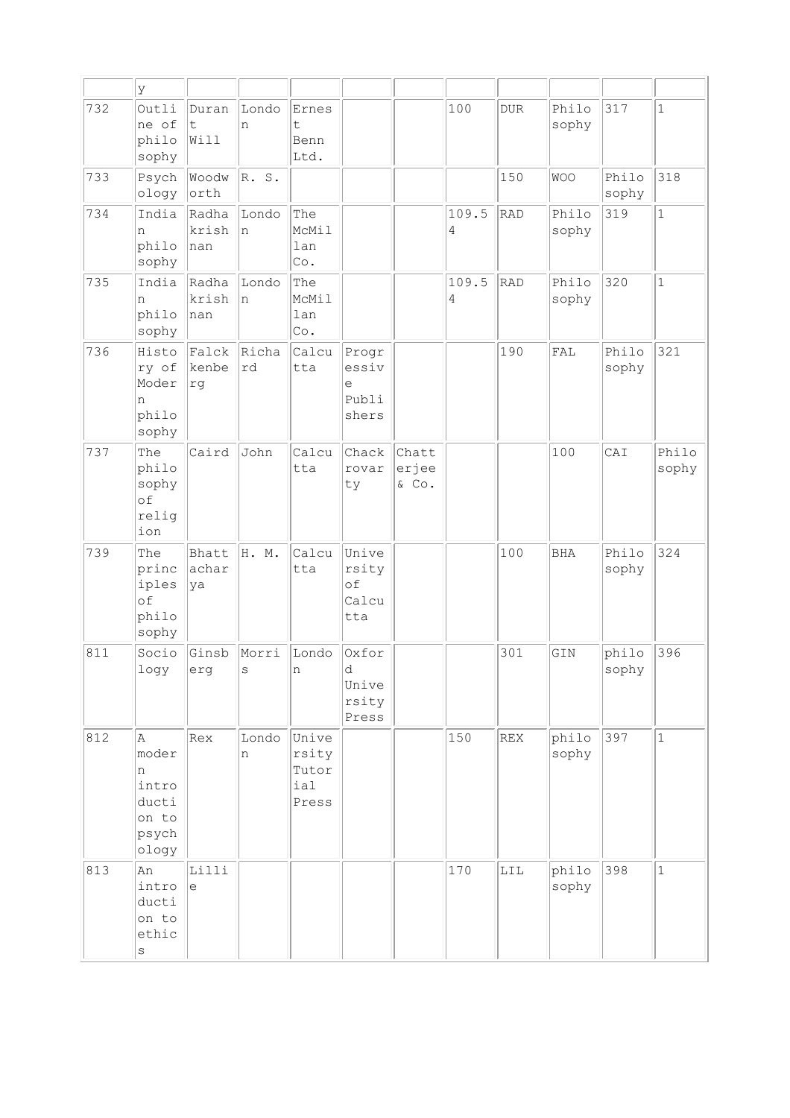|     | У                                                            |                       |                       |                                            |                                       |                         |            |              |                |                |                |
|-----|--------------------------------------------------------------|-----------------------|-----------------------|--------------------------------------------|---------------------------------------|-------------------------|------------|--------------|----------------|----------------|----------------|
| 732 | Outli<br>ne of<br>philo<br>sophy                             | Duran<br>t<br>Will    | Londo<br>n            | Ernes<br>t.<br>Benn<br>Ltd.                |                                       |                         | 100        | <b>DUR</b>   | Philo<br>sophy | 317            | $\mathbf{1}$   |
| 733 | Psych<br>ology                                               | Woodw<br>orth         | R. S.                 |                                            |                                       |                         |            | 150          | <b>WOO</b>     | Philo<br>sophy | 318            |
| 734 | India<br>n<br>philo<br>sophy                                 | Radha<br>krish<br>nan | Londo<br>ln.          | The<br>McMil<br>lan<br>Co.                 |                                       |                         | 109.5<br>4 | <b>RAD</b>   | Philo<br>sophy | 319            | $\mathbf 1$    |
| 735 | India<br>n<br>philo<br>sophy                                 | Radha<br>krish<br>nan | Londo<br>n            | The<br>McMil<br>lan<br>$\mathbb{C}\circ$ . |                                       |                         | 109.5<br>4 | RAD          | Philo<br>sophy | 320            | $\mathbf{1}$   |
| 736 | Histo<br>ry of<br>Moder<br>n<br>philo<br>sophy               | Falck<br>kenbe<br>rg  | Richa<br>rd           | Calcu<br>tta                               | Progr<br>essiv<br>е<br>Publi<br>shers |                         |            | 190          | FAL            | Philo<br>sophy | 321            |
| 737 | The<br>philo<br>sophy<br>of<br>relig<br>ion                  | Caird                 | John                  | Calcu<br>tta                               | Chack<br>rovar<br>ty                  | Chatt<br>erjee<br>& Co. |            |              | 100            | CAI            | Philo<br>sophy |
| 739 | The<br>princ<br>iples<br>of<br>philo<br>sophy                | Bhatt<br>achar<br>ya  | H. M.                 | Calcu<br>tta                               | Unive<br>rsity<br>of<br>Calcu<br>tta  |                         |            | 100          | <b>BHA</b>     | Philo<br>sophy | 324            |
| 811 | Socio<br>logy                                                | Ginsb<br>erg          | Morri<br>$\mathbf{s}$ | Londo<br>n                                 | Oxfor<br>d<br>Unive<br>rsity<br>Press |                         |            | 301          | GIN            | philo<br>sophy | 396            |
| 812 | A<br>moder<br>n<br>intro<br>ducti<br>on to<br>psych<br>ology | Rex                   | Londo<br>n            | Unive<br>rsity<br>Tutor<br>ial<br>Press    |                                       |                         | 150        | REX          | philo<br>sophy | 397            | $\mathbf{1}$   |
| 813 | An<br>intro<br>ducti<br>on to<br>ethic<br>$\rm s$            | Lilli<br>e            |                       |                                            |                                       |                         | 170        | $_{\rm LIL}$ | philo<br>sophy | 398            | $\mathbf{1}$   |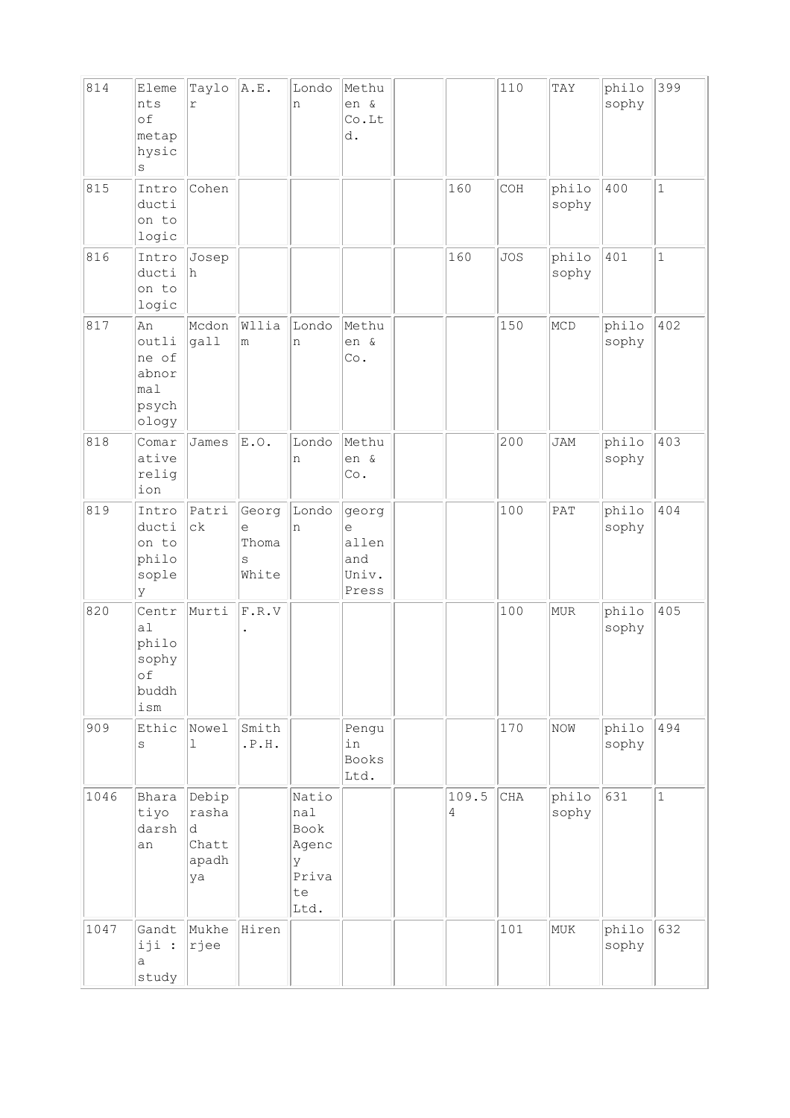| 814  | Eleme<br>nts<br>of<br>metap<br>hysic<br>$\rm s$                  | Taylo<br>r                                  | A.E.                              | Londo<br>n                                                | Methu<br>en &<br>Co.Lt<br>d.                 |                         | 110        | TAY            | philo<br>sophy | 399          |
|------|------------------------------------------------------------------|---------------------------------------------|-----------------------------------|-----------------------------------------------------------|----------------------------------------------|-------------------------|------------|----------------|----------------|--------------|
| 815  | Intro<br>ducti<br>on to<br>logic                                 | Cohen                                       |                                   |                                                           |                                              | 160                     | COH        | philo<br>sophy | 400            | $\mathbf{1}$ |
| 816  | Intro<br>ducti<br>on to<br>logic                                 | Josep<br>h                                  |                                   |                                                           |                                              | 160                     | <b>JOS</b> | philo<br>sophy | 401            | $\mathbf{1}$ |
| 817  | An<br>outli<br>ne of<br>abnor<br>mal<br>psych<br>ology           | Mcdon<br>gall                               | Wllia<br>m                        | Londo<br>n                                                | Methu<br>en &<br>Co.                         |                         | 150        | MCD            | philo<br>sophy | 402          |
| 818  | Comar<br>ative<br>relig<br>ion                                   | James                                       | E.0.                              | Londo<br>n                                                | Methu<br>en &<br>$\mathbb{C}\circ$ .         |                         | 200        | <b>JAM</b>     | philo<br>sophy | 403          |
| 819  | Intro<br>ducti<br>on to<br>philo<br>sople<br>У                   | Patri<br>сk                                 | Georg<br>e<br>Thoma<br>S<br>White | Londo<br>n                                                | georg<br>e<br>allen<br>and<br>Univ.<br>Press |                         | 100        | PAT            | philo<br>sophy | 404          |
| 820  | Centr<br>a1<br>philo<br>sophy<br>оf<br>buddh<br>$i\,\mathrm{sm}$ | Murti                                       | F.R.V                             |                                                           |                                              |                         | 100        | MUR            | philo<br>sophy | 405          |
| 909  | Ethic<br>$\mathtt{s}$                                            | Nowel<br>$\mathbf{1}$                       | Smith<br>.P.H.                    |                                                           | Pengu<br>in<br><b>Books</b><br>Ltd.          |                         | 170        | NOW            | philo<br>sophy | 494          |
| 1046 | Bhara<br>tiyo<br>darsh<br>an                                     | Debip<br>rasha<br>d<br>Chatt<br>apadh<br>ya |                                   | Natio<br>nal<br>Book<br>Agenc<br>У<br>Priva<br>te<br>Ltd. |                                              | 109.5<br>$\overline{4}$ | CHA        | philo<br>sophy | 631            | $\mathbf{1}$ |
| 1047 | Gandt<br>iji :<br>а<br>study                                     | Mukhe<br>rjee                               | Hiren                             |                                                           |                                              |                         | 101        | MUK            | philo<br>sophy | 632          |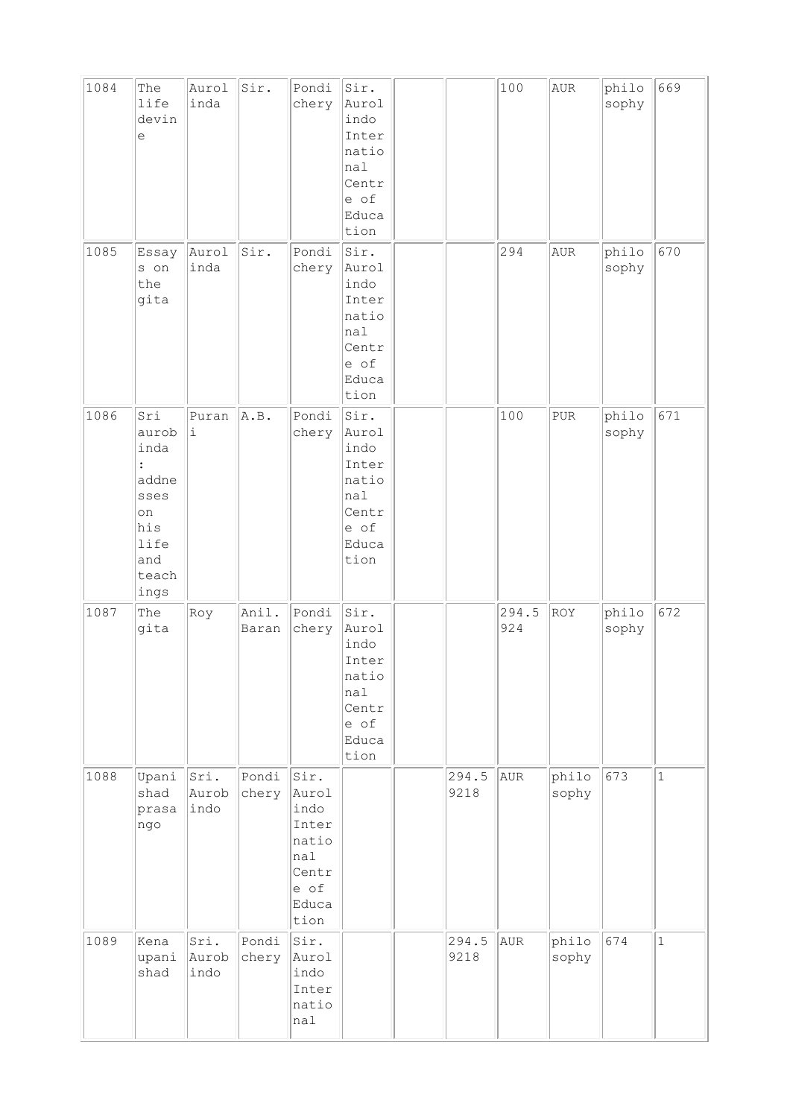| 1084 | The<br>life<br>devin<br>$\in$                                                                        | Aurol<br>inda         | Sir.           | Pondi<br>chery                                                                       | Sir.<br>Aurol<br>indo<br>Inter<br>natio<br>nal<br>Centr<br>e of<br>Educa<br>tion     |               | 100          | AUR            | philo<br>sophy | 669          |
|------|------------------------------------------------------------------------------------------------------|-----------------------|----------------|--------------------------------------------------------------------------------------|--------------------------------------------------------------------------------------|---------------|--------------|----------------|----------------|--------------|
| 1085 | Essay<br>s on<br>the<br>gita                                                                         | Aurol<br>inda         | Sir.           | Pondi<br>chery                                                                       | Sir.<br>Aurol<br>indo<br>Inter<br>natio<br>nal<br>Centr<br>e of<br>Educa<br>tion     |               | 294          | AUR            | philo<br>sophy | 670          |
| 1086 | Sri<br>aurob<br>inda<br>$\ddot{\cdot}$<br>addne<br>sses<br>on<br>his<br>life<br>and<br>teach<br>ings | Puran<br>i            | A.B.           | Pondi<br>chery                                                                       | Sir.<br>Aurol<br>indo<br>Inter<br>natio<br>nal<br>Centr<br>e of<br>Educa<br>tion     |               | 100          | <b>PUR</b>     | philo<br>sophy | 671          |
| 1087 | The<br>gita                                                                                          | Roy                   | Anil.<br>Baran | Pondi<br>chery                                                                       | Sir.<br>Aurol<br>indo<br>Inter<br>natio<br>$ $ nal<br>Centr<br>e of<br>Educa<br>tion |               | 294.5<br>924 | ROY            | philo<br>sophy | 672          |
| 1088 | Upani<br>shad<br>prasa<br>ngo                                                                        | Sri.<br>Aurob<br>indo | Pondi<br>chery | Sir.<br>Aurol<br>indo<br>Inter<br>natio<br>$ $ nal<br>Centr<br>e of<br>Educa<br>tion |                                                                                      | 294.5<br>9218 | AUR          | philo<br>sophy | 673            | $\mathbf{1}$ |
| 1089 | Kena<br>upani<br>shad                                                                                | Sri.<br>Aurob<br>indo | Pondi<br>chery | Sir.<br>Aurol<br>indo<br>Inter<br>natio<br>nal                                       |                                                                                      | 294.5<br>9218 | AUR          | philo<br>sophy | 674            | $\mathbf{1}$ |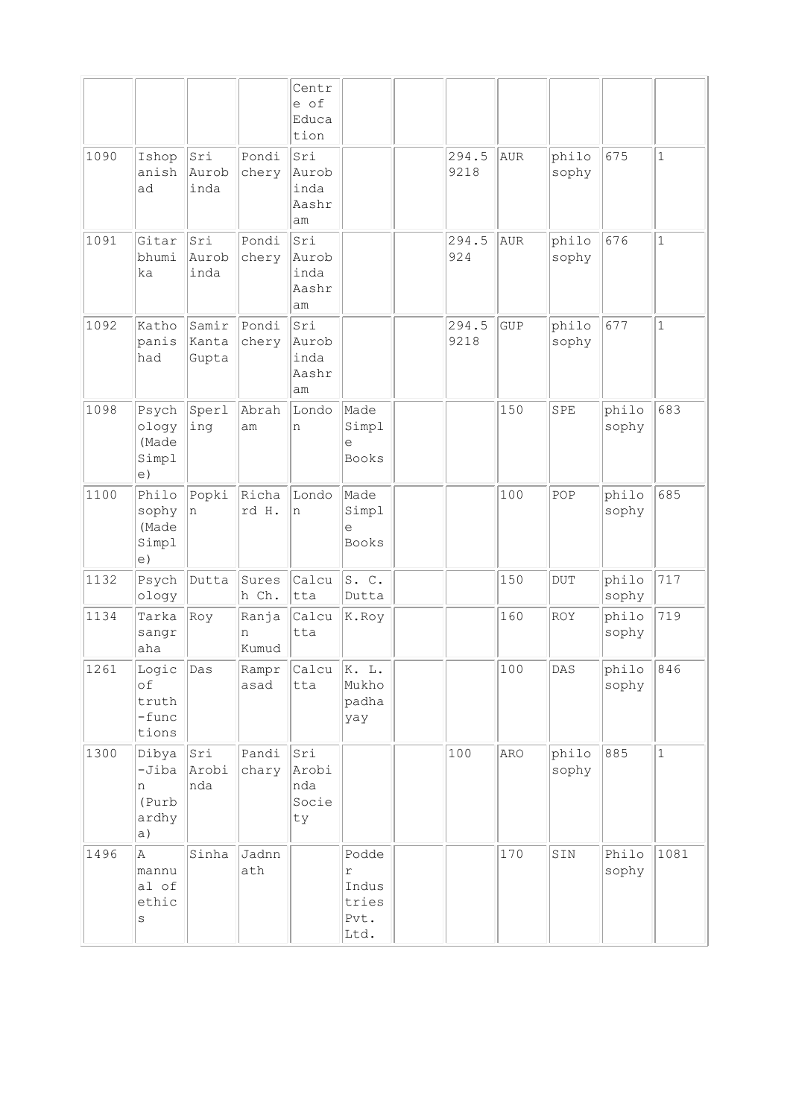|      |                                                      |                         |                     | Centr<br>e of<br>Educa<br>tion      |                                                         |               |            |                |                |              |
|------|------------------------------------------------------|-------------------------|---------------------|-------------------------------------|---------------------------------------------------------|---------------|------------|----------------|----------------|--------------|
| 1090 | Ishop<br>anish<br>ad                                 | Sri<br>Aurob<br>inda    | Pondi<br>chery      | Sri<br>Aurob<br>inda<br>Aashr<br>am |                                                         | 294.5<br>9218 | AUR        | philo<br>sophy | 675            | $\mathbf 1$  |
| 1091 | Gitar<br>bhumi<br>ka                                 | Sri<br>Aurob<br>inda    | Pondi<br>chery      | Sri<br>Aurob<br>inda<br>Aashr<br>am |                                                         | 294.5<br>924  | AUR        | philo<br>sophy | 676            | $\mathbf{1}$ |
| 1092 | Katho<br>panis<br>had                                | Samir<br>Kanta<br>Gupta | Pondi<br>chery      | Sri<br>Aurob<br>inda<br>Aashr<br>am |                                                         | 294.5<br>9218 | <b>GUP</b> | philo<br>sophy | 677            | $\mathbf{1}$ |
| 1098 | Psych<br>ology<br>(Made<br>Simpl<br>e)               | Sperl<br>ing            | Abrah<br>am         | Londo<br>n                          | Made<br>Simpl<br>e<br><b>Books</b>                      |               | 150        | SPE            | philo<br>sophy | 683          |
| 1100 | Philo<br>sophy<br>(Made<br>Simpl<br> e)              | Popki<br>n              | Richa<br>rd H.      | Londo<br>n                          | Made<br>Simpl<br>e<br><b>Books</b>                      |               | 100        | POP            | philo<br>sophy | 685          |
| 1132 | Psych<br>ology                                       | Dutta                   | Sures<br>h Ch.      | Calcu<br>tta                        | S.C.<br>Dutta                                           |               | 150        | <b>DUT</b>     | philo<br>sophy | 717          |
| 1134 | Tarka<br>sangr<br>aha                                | Roy                     | Ranja<br>n<br>Kumud | Calcu<br>tta                        | K.Roy                                                   |               | 160        | <b>ROY</b>     | philo<br>sophy | 719          |
| 1261 | Logic $\vert$ Das<br>оf<br>truth<br>$-func$<br>tions |                         | asad                | Rampr Calcu<br>tta                  | K. L.<br>Mukho<br>padha<br>yay                          |               | 100        | DAS            | philo<br>sophy | 846          |
| 1300 | Dibya<br>$-Jiba$<br>n<br>(Purb<br>ardhy<br> a)       | Sri<br>Arobi<br>nda     | Pandi<br>chary      | Sri<br>Arobi<br>nda<br>Socie<br>ty  |                                                         | 100           | ARO        | philo<br>sophy | 885            | $\mathbf{1}$ |
| 1496 | A.<br>mannu<br>al of<br>ethic<br>S                   | Sinha                   | Jadnn<br>ath        |                                     | Podde<br>$\mathtt{r}$<br>Indus<br>tries<br>Pvt.<br>Ltd. |               | 170        | SIN            | Philo<br>sophy | 1081         |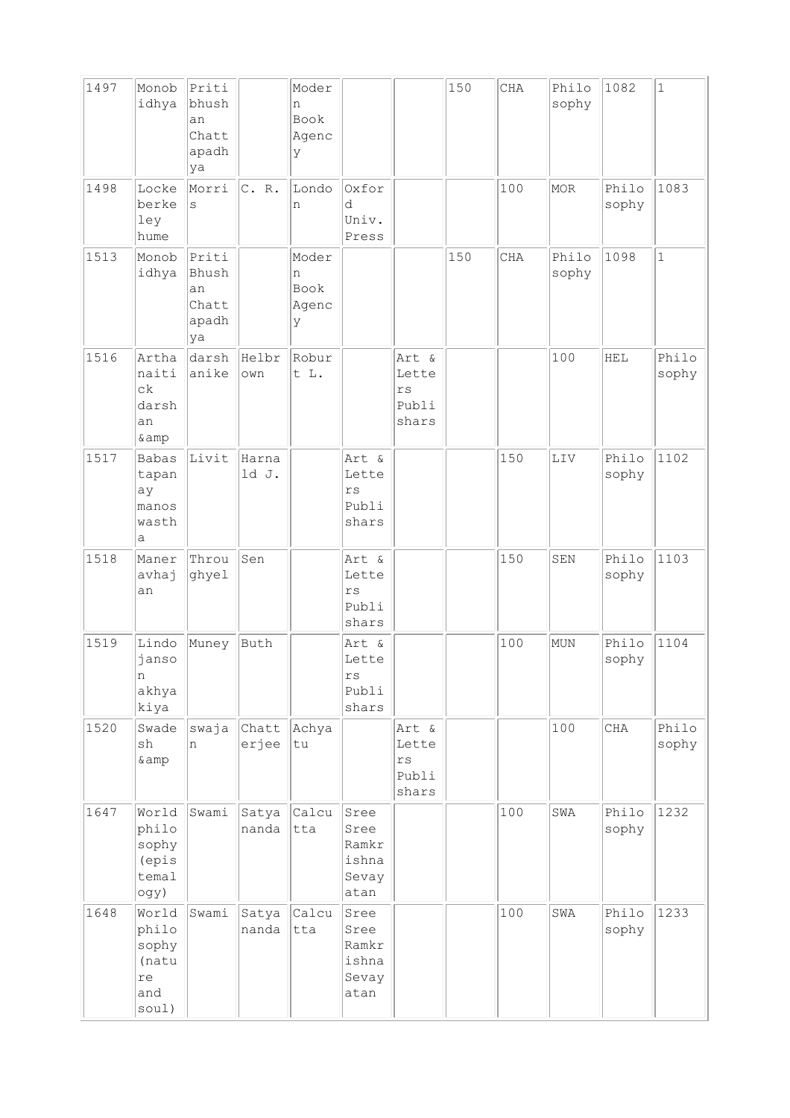| 1497 | Monob<br>idhya                                         | Priti<br>bhush<br>an<br>Chatt<br>apadh<br>ya |                | Moder<br>n<br>Book<br>Agenc<br>У |                                                              |                                                   | 150 | CHA | Philo<br>sophy | 1082           | $\mathbf{1}$   |
|------|--------------------------------------------------------|----------------------------------------------|----------------|----------------------------------|--------------------------------------------------------------|---------------------------------------------------|-----|-----|----------------|----------------|----------------|
| 1498 | Locke<br>berke<br>ley<br>hume                          | Morri<br>S                                   | C. R.          | Londo<br>n                       | Oxfor<br>d<br>Univ.<br>Press                                 |                                                   |     | 100 | MOR            | Philo<br>sophy | 1083           |
| 1513 | Monob<br>idhya                                         | Priti<br>Bhush<br>an<br>Chatt<br>apadh<br>ya |                | Moder<br>n<br>Book<br>Agenc<br>У |                                                              |                                                   | 150 | CHA | Philo<br>sophy | 1098           | $\mathbf{1}$   |
| 1516 | Artha<br>naiti<br>$c\,k$<br>darsh<br>an<br>& amp       | darsh<br>anike                               | Helbr<br>own   | Robur<br>t L.                    |                                                              | Art &<br>Lette<br>$\mathtt{rs}$<br>Publi<br>shars |     |     | 100            | <b>HEL</b>     | Philo<br>sophy |
| 1517 | <b>Babas</b><br>tapan<br>ay<br>manos<br>wasth<br>а     | Livit                                        | Harna<br>ld J. |                                  | Art &<br>Lette<br>$\mathbf{r}\,\mathbf{s}$<br>Publi<br>shars |                                                   |     | 150 | LIV            | Philo<br>sophy | 1102           |
| 1518 | Maner<br>avhaj<br>an                                   | Throu<br>ghyel                               | Sen            |                                  | Art &<br>Lette<br>$\mathbf{r}\,\mathbf{s}$<br>Publi<br>shars |                                                   |     | 150 | SEN            | Philo<br>sophy | 1103           |
| 1519 | Lindo<br>janso<br>n<br>akhya<br>kiya                   | Muney                                        | Buth           |                                  | Art &<br>Lette<br>$r\,s$<br>Publi<br>shars                   |                                                   |     | 100 | <b>MUN</b>     | Philo<br>sophy | 1104           |
| 1520 | Swade<br>sh<br>& amp                                   | swaja<br>n                                   | Chatt<br>erjee | Achya<br>tu                      |                                                              | Art &<br>Lette<br>$\mathtt{rs}$<br>Publi<br>shars |     |     | 100            | CHA            | Philo<br>sophy |
| 1647 | World<br>philo<br>sophy<br>(epis<br>temal<br>ogy)      | Swami                                        | Satya<br>nanda | Calcu<br>tta                     | Sree<br>Sree<br>Ramkr<br>ishna<br>Sevay<br>atan              |                                                   |     | 100 | SWA            | Philo<br>sophy | 1232           |
| 1648 | World<br>philo<br>sophy<br>(natu<br>re<br>and<br>soul) | Swami                                        | Satya<br>nanda | Calcu<br>tta                     | Sree<br>Sree<br>Ramkr<br>ishna<br>Sevay<br>atan              |                                                   |     | 100 | SWA            | Philo<br>sophy | 1233           |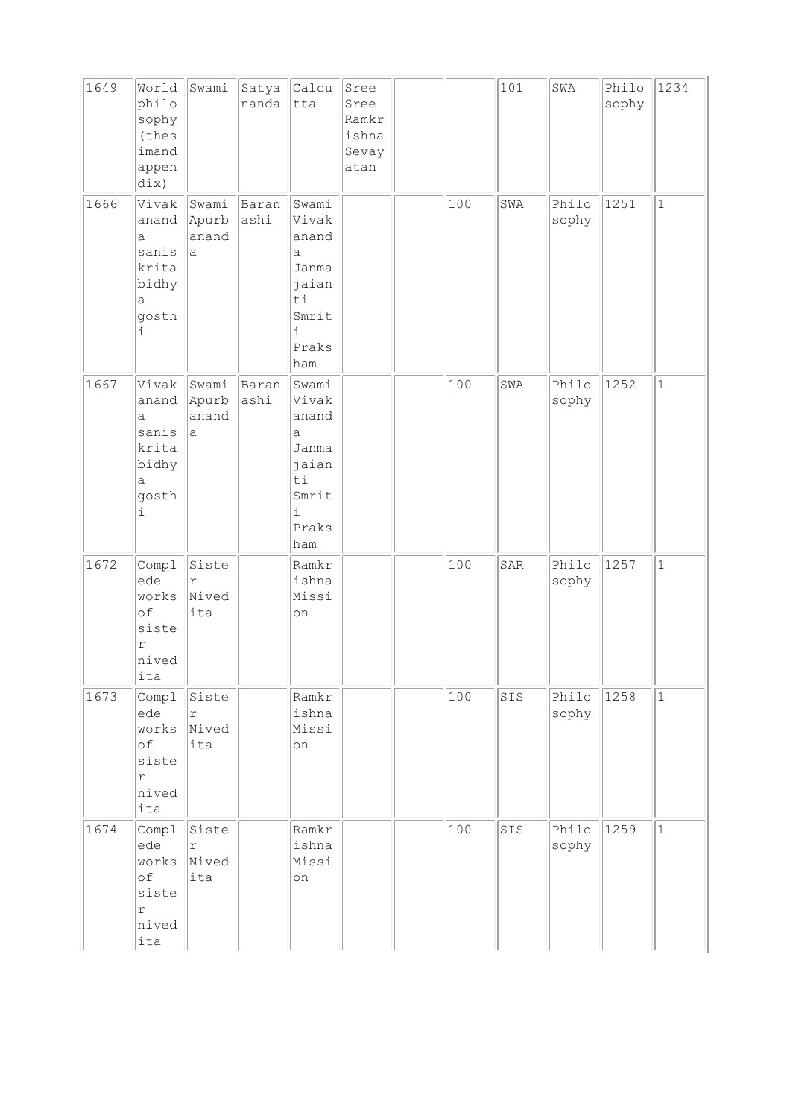| 1649 | World<br>philo<br>sophy<br>(thes<br>imand<br>appen<br>dix)        | Swami                                 | Satya<br>nanda | Calcu<br>tta                                                                                  | Sree<br>Sree<br>Ramkr<br>ishna<br>Sevay<br>atan |     | 101 | SWA            | Philo<br>sophy | 1234         |
|------|-------------------------------------------------------------------|---------------------------------------|----------------|-----------------------------------------------------------------------------------------------|-------------------------------------------------|-----|-----|----------------|----------------|--------------|
| 1666 | Vivak<br>anand<br>a<br>sanis<br>krita<br>bidhy<br>а<br>gosth<br>i | Swami<br>Apurb<br>anand<br>la.        | Baran<br>ashi  | Swami<br>Vivak<br>anand<br>a<br>Janma<br>jaian<br>$\rm{ti}$<br>Smrit<br>i<br>Praks<br>ham     |                                                 | 100 | SWA | Philo<br>sophy | 1251           | $\mathbf{1}$ |
| 1667 | Vivak<br>anand<br>a<br>sanis<br>krita<br>bidhy<br>а<br>gosth<br>i | Swami<br>Apurb<br>anand<br>la.        | Baran<br>ashi  | Swami<br>Vivak<br>anand<br>a<br>Janma<br>jaian<br>ti<br>Smrit<br>$\mathtt{i}$<br>Praks<br>ham |                                                 | 100 | SWA | Philo<br>sophy | 1252           | $1\,$        |
| 1672 | Compl<br>ede<br>works<br>of<br>siste<br>r<br>nived<br>ita         | Siste<br>$\mathtt{r}$<br>Nived<br>ita |                | Ramkr<br>ishna<br>Missi<br>on                                                                 |                                                 | 100 | SAR | Philo<br>sophy | 1257           | $\mathbf{1}$ |
| 1673 | Compl<br>ede<br>works<br>оf<br>siste<br>r<br>nived<br>ita         | Siste<br>$\Upsilon$<br>Nived<br>ita   |                | Ramkr<br>ishna<br>Missi<br>on                                                                 |                                                 | 100 | SIS | Philo<br>sophy | 1258           | $\mathbf{1}$ |
| 1674 | Compl<br>ede<br>works<br>оf<br>siste<br>r<br>nived<br>ita         | Siste<br>$\Upsilon$<br>Nived<br>ita   |                | Ramkr<br>ishna<br>Missi<br>on                                                                 |                                                 | 100 | SIS | Philo<br>sophy | 1259           | $\mathbf{1}$ |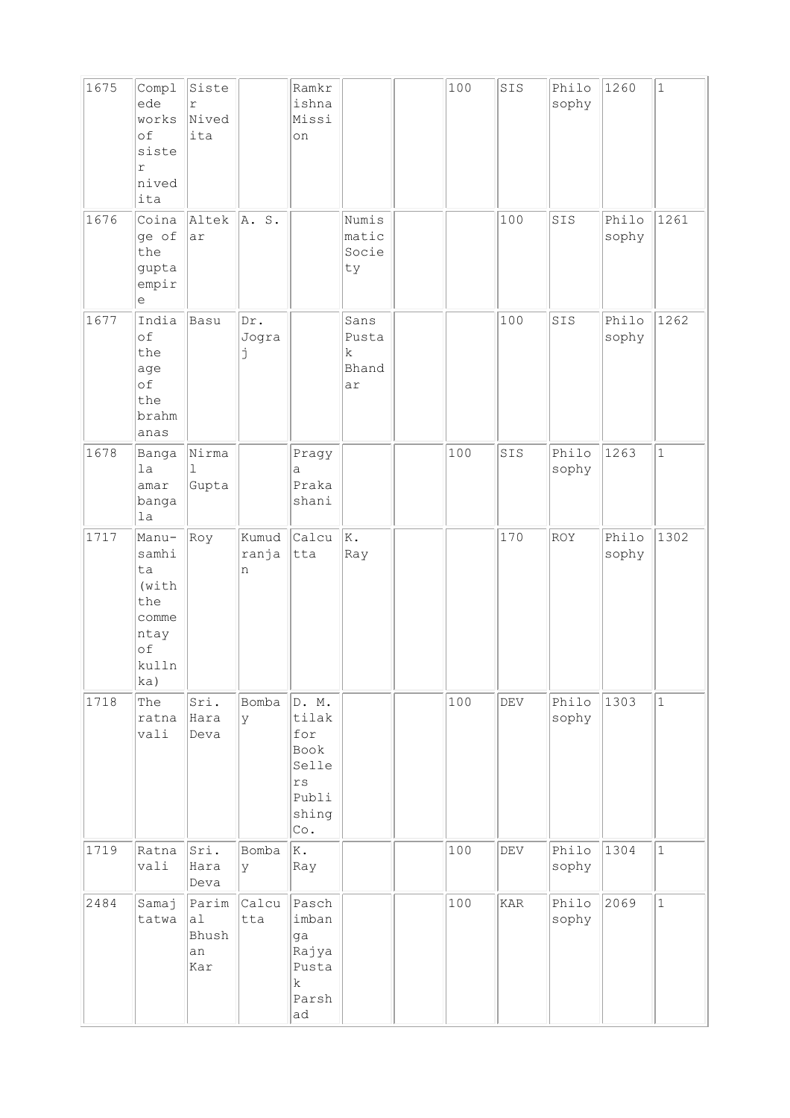| 1675 | Compl<br>ede<br>works<br>of<br>siste<br>$\Upsilon$<br>nived<br>ita                  | Siste<br>$\mathbf r$<br>Nived<br>ita |                     | Ramkr<br>ishna<br>Missi<br>on                                                             |                                    | 100 | SIS | Philo<br>sophy | 1260           | $\mathbf 1$  |
|------|-------------------------------------------------------------------------------------|--------------------------------------|---------------------|-------------------------------------------------------------------------------------------|------------------------------------|-----|-----|----------------|----------------|--------------|
| 1676 | Coina<br>ge of<br>the<br>gupta<br>empir<br>$\mathrel{\mathop{\mathrm{e}}\nolimits}$ | Altek<br>ar                          | A. S.               |                                                                                           | Numis<br>matic<br>Socie<br>ty      |     | 100 | SIS            | Philo<br>sophy | 1261         |
| 1677 | India<br>of<br>the<br>age<br>of<br>the<br>brahm<br>anas                             | Basu                                 | Dr.<br>Jogra<br>j   |                                                                                           | Sans<br>Pusta<br>k.<br>Bhand<br>ar |     | 100 | SIS            | Philo<br>sophy | 1262         |
| 1678 | Banga<br>1a<br>amar<br>banga<br>la                                                  | Nirma<br>1<br>Gupta                  |                     | Pragy<br>а<br>Praka<br>shani                                                              |                                    | 100 | SIS | Philo<br>sophy | 1263           | $\mathbf{1}$ |
| 1717 | Manu-<br>samhi<br>ta<br>(with<br>the<br>comme<br>ntay<br>of<br>kulln<br>ka)         | Roy                                  | Kumud<br>ranja<br>n | Calcu<br>tta                                                                              | K.<br>Ray                          |     | 170 | ROY            | Philo<br>sophy | 1302         |
| 1718 | The<br>ratna<br>vali                                                                | Sri.<br>Hara<br>Deva                 | Bomba<br>У          | D. M.<br>tilak<br>for<br>Book<br>Selle<br>$r\,s$<br>Publi<br>shing<br>$\mathbb{C}\circ$ . |                                    | 100 | DEV | Philo<br>sophy | 1303           | $\mathbf{1}$ |
| 1719 | Ratna<br>vali                                                                       | Sri.<br>Hara<br>Deva                 | Bomba<br>У          | K.<br>Ray                                                                                 |                                    | 100 | DEV | Philo<br>sophy | 1304           | $\mathbf 1$  |
| 2484 | Samaj<br>tatwa                                                                      | Parim<br> a1 <br>Bhush<br>an<br>Kar  | Calcu<br>tta        | Pasch<br>imban<br>ga<br>Rajya<br>Pusta<br>$\mathbf k$<br>Parsh<br>ad                      |                                    | 100 | KAR | Philo<br>sophy | 2069           | $\mathbf{1}$ |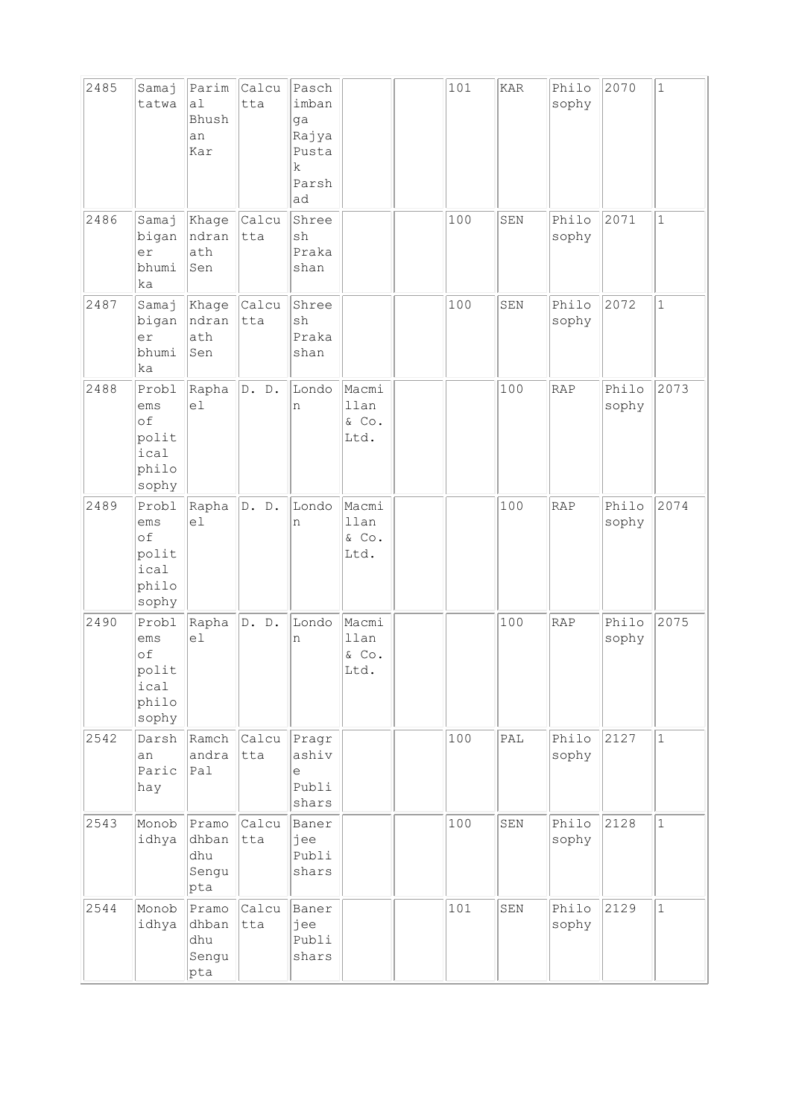| 2485 | Samaj<br>tatwa                                        | Parim<br>a1<br>Bhush<br>an<br>Kar     | Calcu<br>tta | Pasch<br>imban<br>ga<br>Rajya<br>Pusta<br>$\mathbf k$<br>Parsh<br>ad |                                | 101 | KAR                         | Philo<br>sophy | 2070           | $\mathbf{1}$ |
|------|-------------------------------------------------------|---------------------------------------|--------------|----------------------------------------------------------------------|--------------------------------|-----|-----------------------------|----------------|----------------|--------------|
| 2486 | Samaj<br>bigan<br>er<br>bhumi<br>ka                   | Khage<br>ndran<br>ath<br>Sen          | Calcu<br>tta | Shree<br>$\operatorname{sh}$<br>Praka<br>shan                        |                                | 100 | SEN                         | Philo<br>sophy | 2071           | $\mathbf{1}$ |
| 2487 | Samaj<br>bigan<br>er<br>bhumi<br>ka                   | Khage<br>ndran<br>ath<br>Sen          | Calcu<br>tta | Shree<br>sh<br>Praka<br>shan                                         |                                | 100 | SEN                         | Philo<br>sophy | 2072           | $\mathbf{1}$ |
| 2488 | Probl<br>ems<br>of<br>polit<br>ical<br>philo<br>sophy | Rapha<br>el                           | D. D.        | Londo<br>n                                                           | Macmi<br>llan<br>& Co.<br>Ltd. |     | 100                         | RAP            | Philo<br>sophy | 2073         |
| 2489 | Probl<br>ems<br>of<br>polit<br>ical<br>philo<br>sophy | Rapha<br>el                           | D. D.        | Londo<br>n                                                           | Macmi<br>llan<br>& Co.<br>Ltd. |     | 100                         | RAP            | Philo<br>sophy | 2074         |
| 2490 | Probl<br>ems<br>of<br>polit<br>ical<br>philo<br>sophy | Rapha<br>e1                           | D. D.        | Londo<br>n                                                           | Macmi<br>llan<br>& Co.<br>Ltd. |     | 100                         | <b>RAP</b>     | Philo<br>sophy | 2075         |
| 2542 | Darsh<br>an<br>Paric<br>hay                           | Ramch<br>andra<br>Pal                 | Calcu<br>tta | Pragr<br>ashiv<br>$\in$<br>Publi<br>shars                            |                                | 100 | $\ensuremath{\mathsf{PAL}}$ | Philo<br>sophy | 2127           | $\mathbf{1}$ |
| 2543 | Monob<br>idhya                                        | Pramo<br>dhban<br>dhu<br>Sengu<br>pta | Calcu<br>tta | Baner<br>jee<br>Publi<br>shars                                       |                                | 100 | SEN                         | Philo<br>sophy | 2128           | $\mathbf{1}$ |
| 2544 | Monob<br>idhya                                        | Pramo<br>dhban<br>dhu<br>Sengu<br>pta | Calcu<br>tta | Baner<br>jee<br>Publi<br>shars                                       |                                | 101 | SEN                         | Philo<br>sophy | 2129           | $\mathbf{1}$ |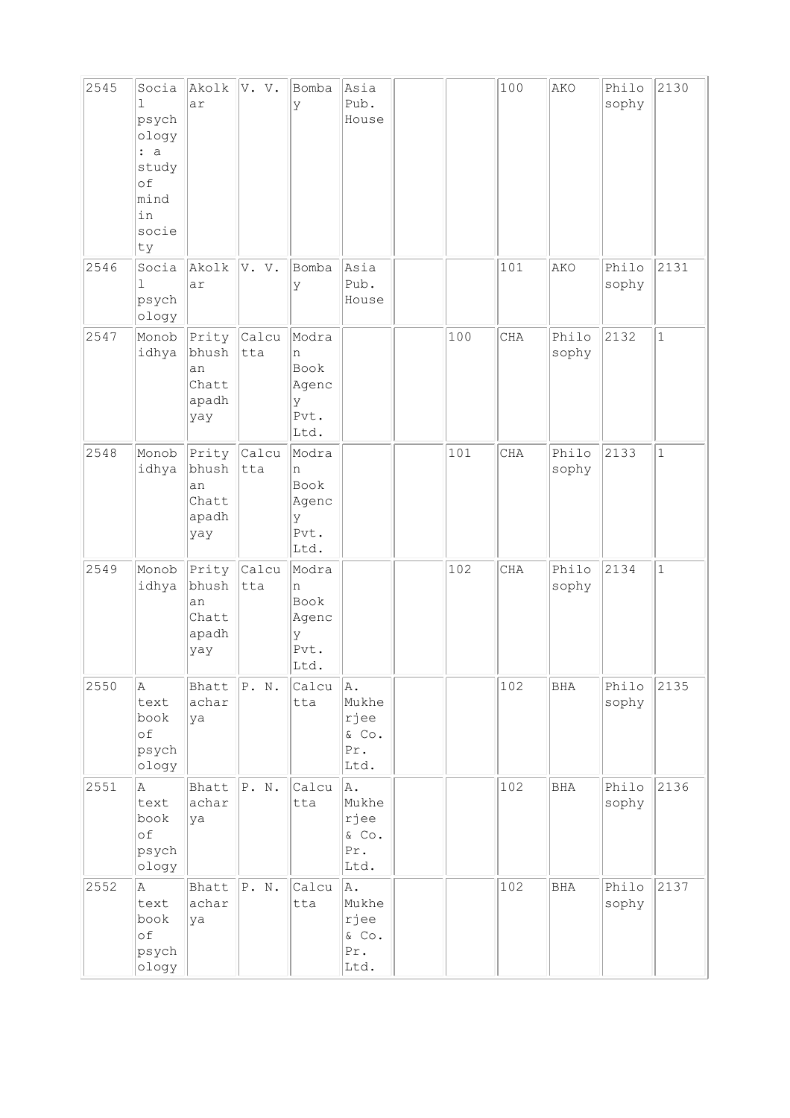| 2545 | Socia<br>$\mathbf{1}$<br>psych<br>ology<br>: a<br>study<br>of<br>mind<br>in<br>socie<br>ty | Akolk<br>ar                                   | V. V.               | Bomba<br>У                                       | Asia<br>Pub.<br>House                          |     | 100 | AKO            | Philo<br>sophy | 2130         |
|------|--------------------------------------------------------------------------------------------|-----------------------------------------------|---------------------|--------------------------------------------------|------------------------------------------------|-----|-----|----------------|----------------|--------------|
| 2546 | Socia<br>ı<br>psych<br>ology                                                               | Akolk<br>ar                                   | V. V.               | Bomba<br>У                                       | Asia<br>Pub.<br>House                          |     | 101 | AKO            | Philo<br>sophy | 2131         |
| 2547 | Monob<br>idhya                                                                             | Prity<br>bhush<br>an<br>Chatt<br>apadh<br>yay | Calcu<br>tta        | Modra<br>n<br>Book<br>Agenc<br>У<br>Pvt.<br>Ltd. |                                                | 100 | CHA | Philo<br>sophy | 2132           | $\mathbf{1}$ |
| 2548 | Monob<br>idhya                                                                             | Prity<br>bhush<br>an<br>Chatt<br>apadh<br>yay | <b>Calcu</b><br>tta | Modra<br>n<br>Book<br>Agenc<br>У<br>Pvt.<br>Ltd. |                                                | 101 | CHA | Philo<br>sophy | 2133           | $\mathbf{1}$ |
| 2549 | Monob<br>idhya                                                                             | Prity<br>bhush<br>an<br>Chatt<br>apadh<br>yay | Calcu<br>tta        | Modra<br>n<br>Book<br>Agenc<br>У<br>Pvt.<br>Ltd. |                                                | 102 | CHA | Philo<br>sophy | 2134           | $\mathbf{1}$ |
| 2550 | Α<br>text<br>book<br>of<br>psych<br>ology                                                  | Bhatt<br>achar<br>ya                          | P. N.               | Calcu<br>tta                                     | A.<br>Mukhe<br>rjee<br>& Co.<br>Pr.<br>Ltd.    |     | 102 | BHA            | Philo<br>sophy | 2135         |
| 2551 | Α<br>text<br>book<br>of<br>psych<br>ology                                                  | Bhatt<br>achar<br>ya                          | P. N.               | Calcu<br>tta                                     | A.<br>Mukhe<br>rjee<br>& Co.<br>Pr.<br>Ltd.    |     | 102 | <b>BHA</b>     | Philo<br>sophy | 2136         |
| 2552 | A<br>text<br>book<br>of<br>psych<br>ology                                                  | Bhatt<br>achar<br>ya                          | P. N.               | Calcu<br>tta                                     | A.<br>Mukhe<br>rjee<br>$\&$ Co.<br>Pr.<br>Ltd. |     | 102 | <b>BHA</b>     | Philo<br>sophy | 2137         |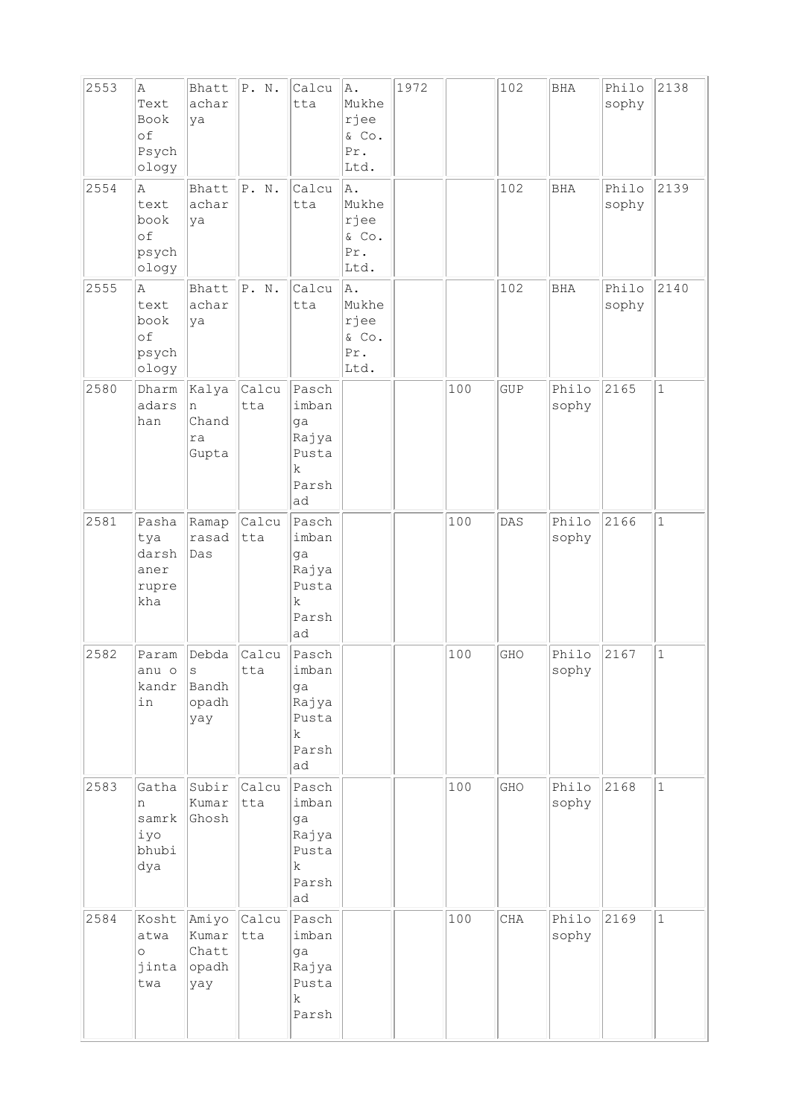| 2553<br>2554 | Α<br>Text<br>Book<br>of<br>Psych<br>ology<br>$\mathbb{A}$ | Bhatt<br>achar<br>ya<br>Bhatt               | P. N.<br> P. N. | Calcu<br>tta<br>Calcu                                                | A.<br>Mukhe<br>rjee<br>& Co.<br>Pr.<br>Ltd.<br>A. | 1972 |     | 102<br>102 | <b>BHA</b><br><b>BHA</b> | Philo<br>sophy<br>Philo | 2138<br>2139 |
|--------------|-----------------------------------------------------------|---------------------------------------------|-----------------|----------------------------------------------------------------------|---------------------------------------------------|------|-----|------------|--------------------------|-------------------------|--------------|
|              | text<br>book<br>of<br>psych<br>ology                      | achar<br>ya                                 |                 | tta                                                                  | Mukhe<br>rjee<br>& Co.<br>Pr.<br>Ltd.             |      |     |            |                          | sophy                   |              |
| 2555         | Α<br>text<br>book<br>of<br>psych<br>ology                 | Bhatt<br>achar<br>ya                        | P. N.           | Calcu<br>tta                                                         | A.<br>Mukhe<br>rjee<br>& Co.<br>Pr.<br>Ltd.       |      |     | 102        | <b>BHA</b>               | Philo<br>sophy          | 2140         |
| 2580         | Dharm<br>adars<br>han                                     | Kalya<br>n<br>Chand<br>ra<br>Gupta          | Calcu<br>tta    | Pasch<br>imban<br>ga<br>Rajya<br>Pusta<br>k<br>Parsh<br>ad           |                                                   |      | 100 | GUP        | Philo<br>sophy           | 2165                    | $\mathbf{1}$ |
| 2581         | Pasha<br>tya<br>darsh<br>aner<br>rupre<br>kha             | Ramap<br>rasad<br>Das                       | Calcu<br>tta    | Pasch<br>imban<br>ga<br>Rajya<br>Pusta<br>$\mathbf k$<br>Parsh<br>ad |                                                   |      | 100 | DAS        | Philo<br>sophy           | 2166                    | $\mathbf{1}$ |
| 2582         | Param<br>anu o<br>kandr<br>in                             | Debda<br>S<br>Bandh<br>opadh<br>yay         | Calcu<br>tta    | Pasch<br>imban<br>ga<br>Rajya<br>Pusta<br>k<br>Parsh<br>ad           |                                                   |      | 100 | GHO        | Philo<br>sophy           | 2167                    | $\mathbf 1$  |
| 2583         | Gatha<br>n<br>samrk<br>iyo<br>bhubi<br>dya                | Subir<br>Kumar<br>Ghosh                     | Calcu<br>tta    | Pasch<br>imban<br>ga<br>Rajya<br>Pusta<br>$\mathbf k$<br>Parsh<br>ad |                                                   |      | 100 | GHO        | Philo<br>sophy           | 2168                    | $\mathbf{1}$ |
| 2584         | Kosht<br>atwa<br>$\circ$<br>jinta<br>twa                  | Amiyo<br>Kumar<br>Chatt<br>$ $ opadh<br>yay | Calcu<br>tta    | Pasch<br>imban<br>ga<br>Rajya<br>Pusta<br>k<br>Parsh                 |                                                   |      | 100 | CHA        | Philo<br>sophy           | 2169                    | $1\,$        |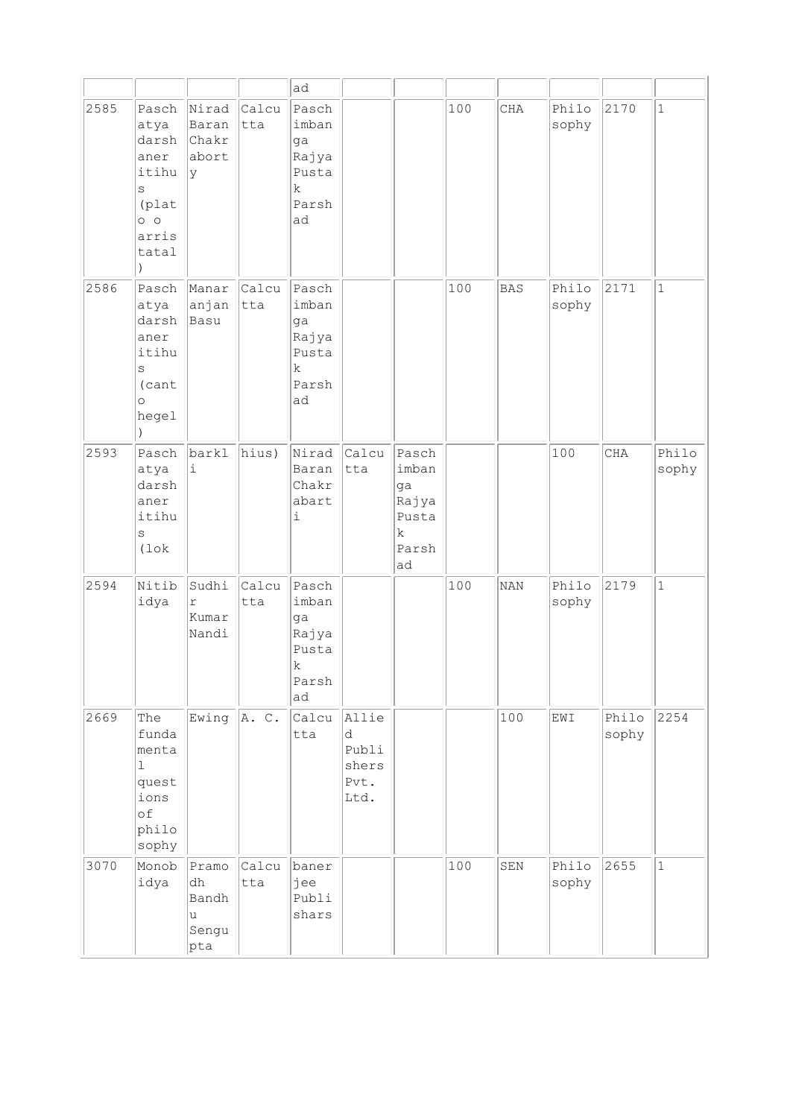|      |                                                                                            |                                           |              | ad                                                                   |                                              |                                                            |     |            |                |                |                |
|------|--------------------------------------------------------------------------------------------|-------------------------------------------|--------------|----------------------------------------------------------------------|----------------------------------------------|------------------------------------------------------------|-----|------------|----------------|----------------|----------------|
| 2585 | Pasch<br>atya<br>darsh<br>aner<br>itihu<br>S<br>(plat<br>$\circ$ $\circ$<br>arris<br>tatal | Nirad<br>Baran<br>Chakr<br>abort<br>Ιy    | Calcu<br>tta | Pasch<br>imban<br>ga<br>Rajya<br>Pusta<br>$\rm k$<br>Parsh<br>ad     |                                              |                                                            | 100 | CHA        | Philo<br>sophy | 2170           | $\mathbf{1}$   |
| 2586 | Pasch<br>atya<br>darsh<br>aner<br>itihu<br>S<br>(cant<br>$\circ$<br>hegel                  | Manar<br>anjan<br>Basu                    | Calcu<br>tta | Pasch<br>imban<br>ga<br>Rajya<br>Pusta<br>$\mathbf k$<br>Parsh<br>ad |                                              |                                                            | 100 | <b>BAS</b> | Philo<br>sophy | 2171           | $1\,$          |
| 2593 | Pasch<br>atya<br>darsh<br>aner<br>itihu<br>S<br>$(1 \circ k)$                              | barkl<br>i                                | hius)        | Nirad<br>Baran<br>Chakr<br>abart<br>i                                | Calcu<br>tta                                 | Pasch<br>imban<br>ga<br>Rajya<br>Pusta<br>k<br>Parsh<br>ad |     |            | 100            | CHA            | Philo<br>sophy |
| 2594 | Nitib<br>idya                                                                              | Sudhi<br>$\mathtt{r}$<br>Kumar<br>Nandi   | Calcu<br>tta | Pasch<br>imban<br>ga<br>Rajya<br>Pusta<br>$\mathbf k$<br>Parsh<br>ad |                                              |                                                            | 100 | <b>NAN</b> | Philo<br>sophy | 2179           | $\mathbf{1}$   |
| 2669 | The<br>funda<br>menta<br>$\mathbf{1}$<br>quest<br>ions<br>of<br>philo<br>sophy             | Ewing $ A. C.$                            |              | Calcu<br>tta                                                         | Allie<br>d<br>Publi<br>shers<br>Pvt.<br>Ltd. |                                                            |     | 100        | EWI            | Philo<br>sophy | 2254           |
| 3070 | Monob<br>idya                                                                              | Pramo<br>dh<br>Bandh<br>u<br>Sengu<br>pta | Calcu<br>tta | baner<br>jee<br>Publi<br>shars                                       |                                              |                                                            | 100 | SEN        | Philo<br>sophy | 2655           | $1\,$          |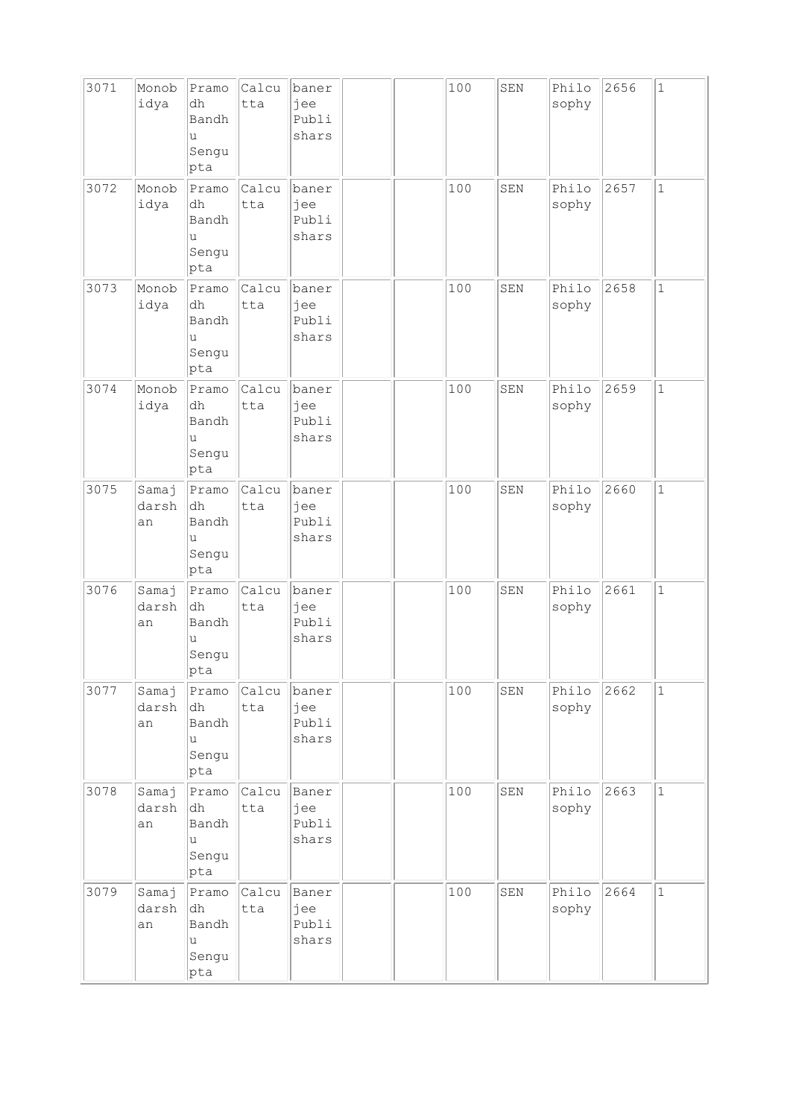| 3071 | Monob<br>idya        | Pramo<br>dh<br>Bandh<br>u<br>Sengu<br>pta  | Calcu<br>tta | baner<br>jee<br>Publi<br>shars | 100 | SEN | Philo<br>sophy | 2656 | $\mathbf{1}$ |
|------|----------------------|--------------------------------------------|--------------|--------------------------------|-----|-----|----------------|------|--------------|
| 3072 | Monob<br>idya        | Pramo<br>dh<br>Bandh<br>u<br>Sengu<br>pta  | Calcu<br>tta | baner<br>jee<br>Publi<br>shars | 100 | SEN | Philo<br>sophy | 2657 | $\mathbf{1}$ |
| 3073 | Monob<br>idya        | Pramo<br>dh<br>Bandh<br>u<br>Sengu<br>pta  | Calcu<br>tta | baner<br>jee<br>Publi<br>shars | 100 | SEN | Philo<br>sophy | 2658 | $\mathbf{1}$ |
| 3074 | Monob<br>idya        | Pramo<br>dh<br>Bandh<br>u<br>Sengu<br>pta  | Calcu<br>tta | baner<br>jee<br>Publi<br>shars | 100 | SEN | Philo<br>sophy | 2659 | $\mathbf{1}$ |
| 3075 | Samaj<br>darsh<br>an | Pramo<br> dh<br>Bandh<br>u<br>Sengu<br>pta | Calcu<br>tta | baner<br>jee<br>Publi<br>shars | 100 | SEN | Philo<br>sophy | 2660 | $\mathbf{1}$ |
| 3076 | Samaj<br>darsh<br>an | Pramo<br>dh<br>Bandh<br>u<br>Sengu<br> pta | Calcu<br>tta | baner<br>jee<br>Publi<br>shars | 100 | SEN | Philo<br>sophy | 2661 | $\mathbf{1}$ |
| 3077 | Samaj<br>darsh<br>an | Pramo<br>dh<br>Bandh<br>u<br>Sengu<br>pta  | Calcu<br>tta | baner<br>jee<br>Publi<br>shars | 100 | SEN | Philo<br>sophy | 2662 | $\mathbf 1$  |
| 3078 | Samaj<br>darsh<br>an | Pramo<br>dh<br>Bandh<br>u<br>Sengu<br>pta  | Calcu<br>tta | Baner<br>jee<br>Publi<br>shars | 100 | SEN | Philo<br>sophy | 2663 | $\mathbf 1$  |
| 3079 | Samaj<br>darsh<br>an | Pramo<br>dh<br>Bandh<br>u<br>Sengu<br>pta  | Calcu<br>tta | Baner<br>jee<br>Publi<br>shars | 100 | SEN | Philo<br>sophy | 2664 | $\mathbf{1}$ |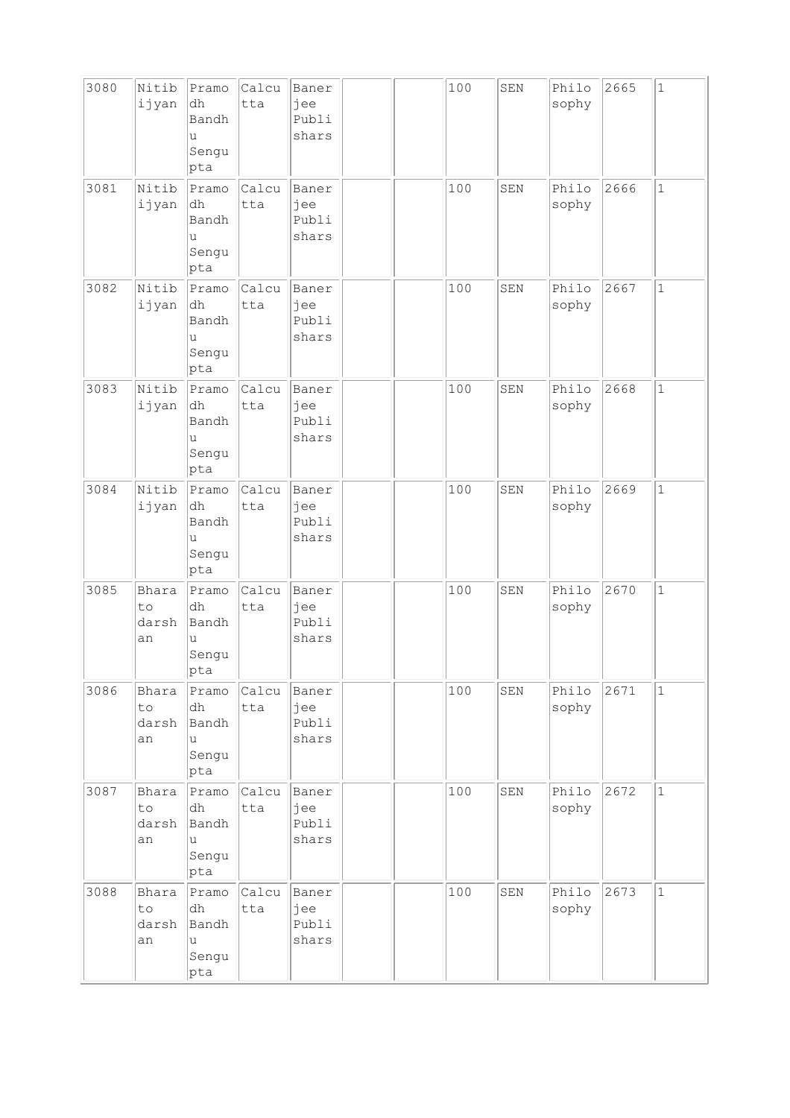| 3080 | Nitib<br>ijyan             | Pramo<br>dh<br>Bandh<br>u<br>Sengu<br>pta  | Calcu<br>tta | Baner<br>jee<br>Publi<br>shars |  | 100 | SEN | Philo<br>sophy | 2665 | $\mathbf{1}$ |
|------|----------------------------|--------------------------------------------|--------------|--------------------------------|--|-----|-----|----------------|------|--------------|
| 3081 | Nitib<br>ijyan             | Pramo<br>dh<br>Bandh<br>u<br>Sengu<br>pta  | Calcu<br>tta | Baner<br>jee<br>Publi<br>shars |  | 100 | SEN | Philo<br>sophy | 2666 | $\mathbf 1$  |
| 3082 | Nitib<br>ijyan             | Pramo<br>dh<br>Bandh<br>u<br>Sengu<br>pta  | Calcu<br>tta | Baner<br>jee<br>Publi<br>shars |  | 100 | SEN | Philo<br>sophy | 2667 | $\mathbf{1}$ |
| 3083 | Nitib<br>ijyan             | Pramo<br>dh<br>Bandh<br>u<br>Sengu<br>pta  | Calcu<br>tta | Baner<br>jee<br>Publi<br>shars |  | 100 | SEN | Philo<br>sophy | 2668 | $\mathbf{1}$ |
| 3084 | Nitib<br>ijyan             | Pramo<br>dh<br>Bandh<br>u<br>Sengu<br>pta  | Calcu<br>tta | Baner<br>jee<br>Publi<br>shars |  | 100 | SEN | Philo<br>sophy | 2669 | $\mathbf 1$  |
| 3085 | Bhara<br>to<br>darsh<br>an | Pramo<br>dh<br>Bandh<br>u<br>Sengu<br> pta | Calcu<br>tta | Baner<br>jee<br>Publi<br>shars |  | 100 | SEN | Philo<br>sophy | 2670 | $\mathbf 1$  |
| 3086 | Bhara<br>to<br>darsh<br>an | Pramo<br>dh<br>Bandh<br>u<br>Sengu<br>pta  | Calcu<br>tta | Baner<br>jee<br>Publi<br>shars |  | 100 | SEN | Philo<br>sophy | 2671 | $\mathbf 1$  |
| 3087 | Bhara<br>to<br>darsh<br>an | Pramo<br>dh<br>Bandh<br>u<br>Sengu<br>pta  | Calcu<br>tta | Baner<br>jee<br>Publi<br>shars |  | 100 | SEN | Philo<br>sophy | 2672 | $\mathbf 1$  |
| 3088 | Bhara<br>to<br>darsh<br>an | Pramo<br>dh<br>Bandh<br>u<br>Sengu<br>pta  | Calcu<br>tta | Baner<br>jee<br>Publi<br>shars |  | 100 | SEN | Philo<br>sophy | 2673 | $\mathbf{1}$ |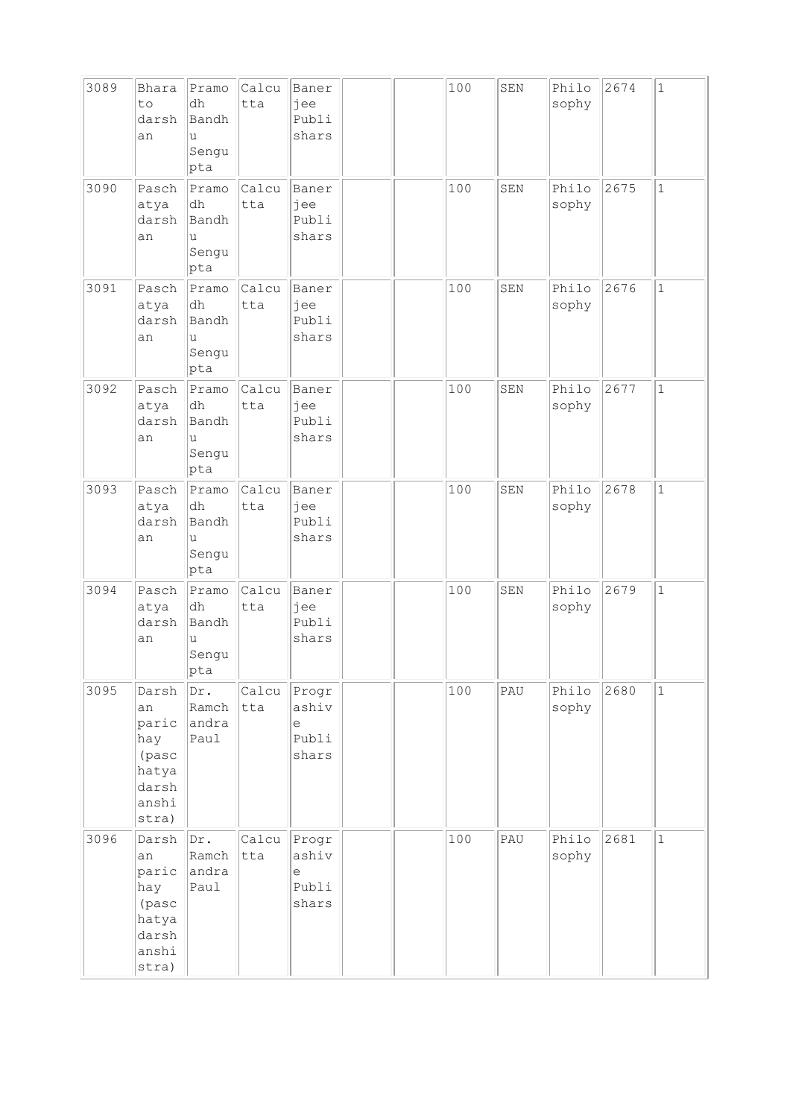| 3089 | Bhara<br>to<br>darsh<br>an                                               | Pramo<br>dh<br>Bandh<br>u<br>Sengu<br>pta  | Calcu<br>tta | Baner<br>jee<br>Publi<br>shars                 |  | 100 | SEN | Philo<br>sophy | 2674 | $\mathbf{1}$ |
|------|--------------------------------------------------------------------------|--------------------------------------------|--------------|------------------------------------------------|--|-----|-----|----------------|------|--------------|
| 3090 | Pasch<br>atya<br>darsh<br>an                                             | Pramo<br>dh<br>Bandh<br>u<br>Sengu<br>pta  | Calcu<br>tta | Baner<br>jee<br>Publi<br>shars                 |  | 100 | SEN | Philo<br>sophy | 2675 | $\mathbf 1$  |
| 3091 | Pasch<br>atya<br>darsh<br>an                                             | Pramo<br>dh<br>Bandh<br>u<br>Sengu<br>pta  | Calcu<br>tta | Baner<br>jee<br>Publi<br>shars                 |  | 100 | SEN | Philo<br>sophy | 2676 | $\mathbf{1}$ |
| 3092 | Pasch<br>atya<br>darsh<br>an                                             | Pramo<br>dh<br>Bandh<br>u<br>Sengu<br>pta  | Calcu<br>tta | Baner<br>jee<br>Publi<br>shars                 |  | 100 | SEN | Philo<br>sophy | 2677 | $\mathbf{1}$ |
| 3093 | Pasch<br>atya<br>darsh<br>an                                             | Pramo<br>dh<br>Bandh<br>u<br>Sengu<br>pta  | Calcu<br>tta | Baner<br>jee<br>Publi<br>shars                 |  | 100 | SEN | Philo<br>sophy | 2678 | $\mathbf{1}$ |
| 3094 | Pasch<br>atya<br>darsh<br>an                                             | Pramo<br>dh<br>Bandh<br>u<br>Sengu<br> pta | Calcu<br>tta | Baner<br>jee<br>Publi<br>shars                 |  | 100 | SEN | Philo<br>sophy | 2679 | $\mathbf 1$  |
| 3095 | Darsh<br>an<br>paric<br>hay<br>(pasc<br>hatya<br>darsh<br>anshi<br>stra) | Dr.<br>Ramch<br>andra<br>Paul              | Calcu<br>tta | Progr<br>ashiv<br>e<br>Publi<br>shars          |  | 100 | PAU | Philo<br>sophy | 2680 | $\mathbf{1}$ |
| 3096 | Darsh<br>an<br>paric<br>hay<br>(pasc<br>hatya<br>darsh<br>anshi<br>stra) | Dr.<br>Ramch<br>andra<br>Paul              | Calcu<br>tta | Progr<br>ashiv<br>$\epsilon$<br>Publi<br>shars |  | 100 | PAU | Philo<br>sophy | 2681 | $\mathbf{1}$ |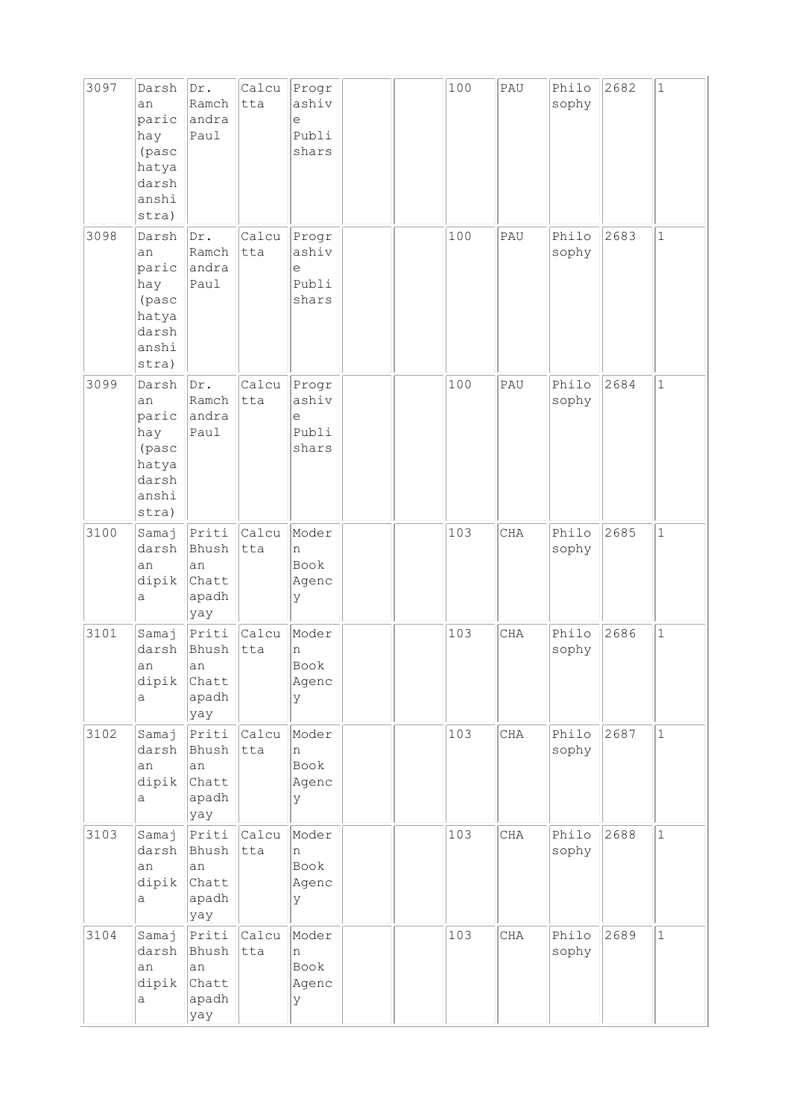| 3097 | Darsh<br>an<br>paric<br>hay<br>(pasc<br>hatya<br>darsh<br>anshi<br>stra) | Dr.<br>Ramch<br>andra<br>Paul                  | Calcu<br>tta | Progr<br>ashiv<br>e<br>Publi<br>shars |  | 100 | PAU        | Philo<br>sophy | 2682 | $\mathbf{1}$ |
|------|--------------------------------------------------------------------------|------------------------------------------------|--------------|---------------------------------------|--|-----|------------|----------------|------|--------------|
| 3098 | Darsh<br>an<br>paric<br>hay<br>(pasc<br>hatya<br>darsh<br>anshi<br>stra) | Dr.<br>Ramch<br>andra<br>Paul                  | Calcu<br>tta | Progr<br>ashiv<br>е<br>Publi<br>shars |  | 100 | PAU        | Philo<br>sophy | 2683 | $\mathbf{1}$ |
| 3099 | Darsh<br>an<br>paric<br>hay<br>(pasc<br>hatya<br>darsh<br>anshi<br>stra) | Dr.<br>Ramch<br>andra<br>Paul                  | Calcu<br>tta | Progr<br>ashiv<br>e<br>Publi<br>shars |  | 100 | PAU        | Philo<br>sophy | 2684 | $\mathbf{1}$ |
| 3100 | Samaj<br>darsh<br>an<br>dipik<br>а                                       | Priti<br>Bhush<br>an<br>Chatt<br>apadh<br> yay | Calcu<br>tta | Moder<br>n<br>Book<br>Agenc<br>У      |  | 103 | <b>CHA</b> | Philo<br>sophy | 2685 | $\mathbf{1}$ |
| 3101 | Samaj<br>darsh<br>an<br>dipik<br>a                                       | Priti<br>Bhush<br>an<br>Chatt<br>apadh<br>yay  | Calcu<br>tta | Moder<br>n<br>Book<br>Agenc<br>У      |  | 103 | CHA        | Philo<br>sophy | 2686 | $\mathbf 1$  |
| 3102 | Samaj<br>darsh<br>an<br>dipik<br>а                                       | Priti<br>Bhush<br>an<br>Chatt<br>apadh<br>yay  | Calcu<br>tta | Moder<br>n<br>Book<br>Agenc<br>У      |  | 103 | CHA        | Philo<br>sophy | 2687 | $\mathbf{1}$ |
| 3103 | Samaj<br>darsh<br>an<br>dipik<br>а                                       | Priti<br>Bhush<br>an<br>Chatt<br>apadh<br>yay  | Calcu<br>tta | Moder<br>n<br>Book<br>Agenc<br>У      |  | 103 | $\rm CHA$  | Philo<br>sophy | 2688 | $\mathbf{1}$ |
| 3104 | Samaj<br>darsh<br>an<br>dipik<br>а                                       | Priti<br>Bhush<br>lan<br>Chatt<br>apadh<br>yay | Calcu<br>tta | Moder<br>n<br>Book<br>Agenc<br>У      |  | 103 | CHA        | Philo<br>sophy | 2689 | $\mathbf{1}$ |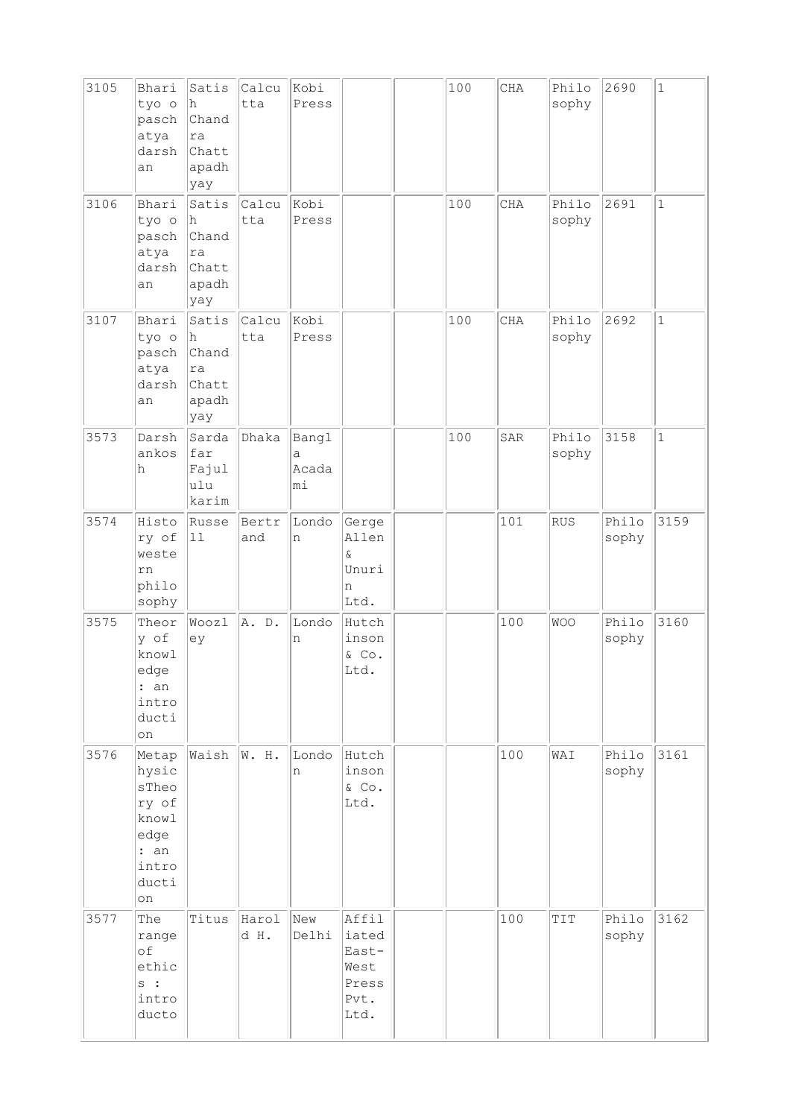| 3105 | Bhari<br>tyo o<br>pasch<br>atya<br>darsh<br>an                                    | Satis<br>h<br>Chand<br>ra<br>Chatt<br>apadh<br>yay | Calcu<br>tta  | Kobi<br>Press             |                                                          | 100 | CHA | Philo<br>sophy | 2690           | $1\,$        |
|------|-----------------------------------------------------------------------------------|----------------------------------------------------|---------------|---------------------------|----------------------------------------------------------|-----|-----|----------------|----------------|--------------|
| 3106 | Bhari<br>tyo o<br>pasch<br>atya<br>darsh<br>an                                    | Satis<br>h<br>Chand<br>ra<br>Chatt<br>apadh<br>yay | Calcu<br>tta  | Kobi<br>Press             |                                                          | 100 | CHA | Philo<br>sophy | 2691           | $\mathbf{1}$ |
| 3107 | Bhari<br>tyo o<br>pasch<br>atya<br>darsh<br>an                                    | Satis<br>h<br>Chand<br>ra<br>Chatt<br>apadh<br>yay | Calcu<br>tta  | Kobi<br>Press             |                                                          | 100 | CHA | Philo<br>sophy | 2692           | $\mathbf{1}$ |
| 3573 | Darsh<br>ankos<br>h                                                               | Sarda<br>far<br>Fajul<br>ulu<br>karim              | Dhaka         | Bangl<br>а<br>Acada<br>mi |                                                          | 100 | SAR | Philo<br>sophy | 3158           | $\mathbf{1}$ |
| 3574 | Histo<br>ry of<br>weste<br>rn<br>philo<br>sophy                                   | Russe<br>$\boxed{11}$                              | Bertr<br>and  | Londo<br>n                | Gerge<br>Allen<br>$\&$<br>Unuri<br>n<br>Ltd.             |     | 101 | RUS            | Philo<br>sophy | 3159         |
| 3575 | Theor<br>y of<br>knowl<br>edge<br>: an<br>intro<br>ducti<br>on                    | Woozl<br>ey                                        | A. D.         | Londo<br>n                | Hutch<br>inson<br>& Co.<br>Ltd.                          |     | 100 | <b>WOO</b>     | Philo<br>sophy | 3160         |
| 3576 | Metap<br>hysic<br>sTheo<br>ry of<br>knowl<br>edge<br>: an<br>intro<br>ducti<br>on | Waish                                              | W. H.         | Londo<br>n                | Hutch<br>inson<br>& Co.<br>Ltd.                          |     | 100 | WAI            | Philo<br>sophy | 3161         |
| 3577 | The<br>range<br>of<br>ethic<br>$s$ :<br>intro<br>ducto                            | Titus                                              | Harol<br>d H. | New<br>Delhi              | Affil<br>iated<br>East-<br>West<br>Press<br>Pvt.<br>Ltd. |     | 100 | TIT            | Philo<br>sophy | 3162         |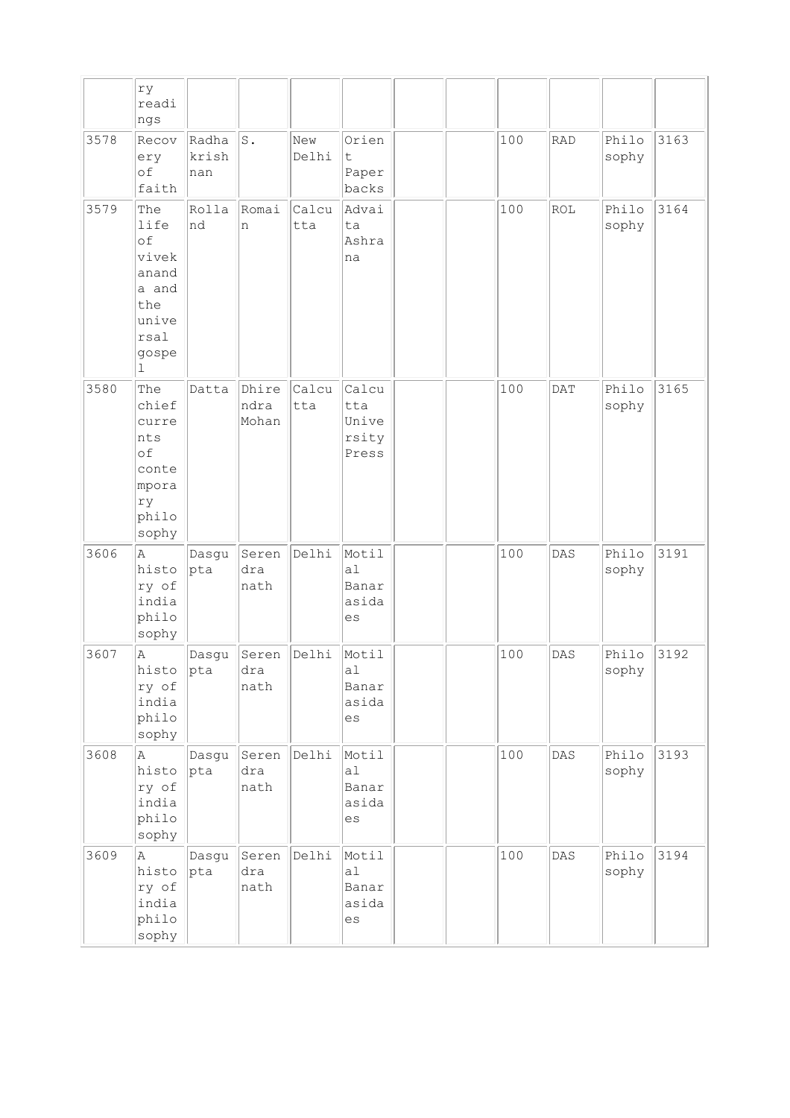|      | ry                                                                                           |                       |                        |              |                                         |  |     |                |                |      |
|------|----------------------------------------------------------------------------------------------|-----------------------|------------------------|--------------|-----------------------------------------|--|-----|----------------|----------------|------|
|      | readi<br>ngs                                                                                 |                       |                        |              |                                         |  |     |                |                |      |
| 3578 | Recov<br>ery<br>of<br>faith                                                                  | Radha<br>krish<br>nan | S.                     | New<br>Delhi | Orien<br>t<br>Paper<br>backs            |  | 100 | RAD            | Philo<br>sophy | 3163 |
| 3579 | The<br>life<br>of<br>vivek<br>anand<br>a and<br>the<br>unive<br>rsal<br>gospe<br>$\mathbf 1$ | Rolla<br>nd           | Romai<br>n             | Calcu<br>tta | Advai<br>ta<br>Ashra<br>na              |  | 100 | ROL            | Philo<br>sophy | 3164 |
| 3580 | The<br>chief<br>curre<br>nts<br>of<br>conte<br>mpora<br>ry<br>philo<br>sophy                 | Datta                 | Dhire<br>ndra<br>Mohan | Calcu<br>tta | Calcu<br>tta<br>Unive<br>rsity<br>Press |  | 100 | <b>DAT</b>     | Philo<br>sophy | 3165 |
| 3606 | $\mathbb{A}$<br>histo<br>ry of<br>india<br>philo<br>sophy                                    | Dasgu<br>pta          | Seren<br>dra<br>nath   | Delhi        | Motil<br>a1<br>Banar<br>asida<br>es     |  | 100 | DAS            | Philo<br>sophy | 3191 |
| 3607 | $\overline{A}$<br>histo<br>ry of<br>india<br>philo<br>sophy                                  | Dasgu<br>pta          | Seren<br>dra<br>nath   | Delhi        | Motil<br>al<br>Banar<br>asida<br>es     |  | 100 | DAS            | Philo<br>sophy | 3192 |
| 3608 | Α<br>histo<br>ry of<br>india<br>philo<br>sophy                                               | Dasgu<br>pta          | Seren<br>dra<br>nath   | Delhi        | Motil<br>a1<br>Banar<br>asida<br>es     |  | 100 | $\texttt{DAS}$ | Philo<br>sophy | 3193 |
| 3609 | Α<br>histo<br>ry of<br>india<br>philo<br>sophy                                               | Dasgu<br>pta          | Seren<br>dra<br>nath   | Delhi        | Motil<br>a1<br>Banar<br>asida<br>es     |  | 100 | DAS            | Philo<br>sophy | 3194 |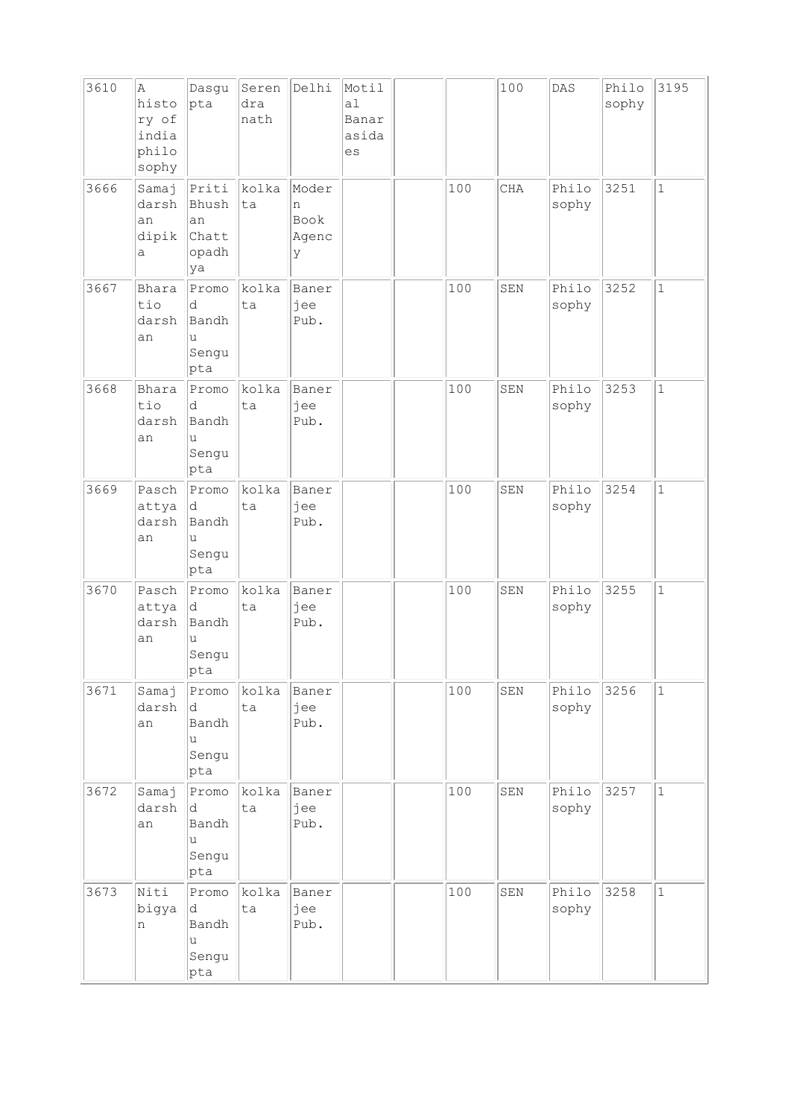| 3610 | A<br>histo<br>ry of<br>india<br>philo<br>sophy | Dasgu<br>pta                                        | Seren<br>dra<br>nath | Delhi                            | Motil<br>a1<br>Banar<br>asida<br>es |     | 100         | DAS            | Philo<br>sophy | 3195         |
|------|------------------------------------------------|-----------------------------------------------------|----------------------|----------------------------------|-------------------------------------|-----|-------------|----------------|----------------|--------------|
| 3666 | Samaj<br>darsh<br>an<br>dipik<br>а             | Priti<br>Bhush<br>an<br>Chatt<br>opadh<br>ya        | kolka<br>ta          | Moder<br>n<br>Book<br>Agenc<br>У |                                     | 100 | <b>CHA</b>  | Philo<br>sophy | 3251           | $\mathbf{1}$ |
| 3667 | Bhara<br>tio<br>darsh<br>an                    | Promo<br>d<br>Bandh<br>u<br>Sengu<br>pta            | kolka<br>ta          | Baner<br>jee<br>Pub.             |                                     | 100 | SEN         | Philo<br>sophy | 3252           | $\mathbf{1}$ |
| 3668 | Bhara<br>tio<br>darsh<br>an                    | Promo<br>d<br>Bandh<br>u<br>Sengu<br>pta            | kolka<br>ta          | Baner<br>jee<br>Pub.             |                                     | 100 | SEN         | Philo<br>sophy | 3253           | $\mathbf{1}$ |
| 3669 | Pasch<br>attya<br>darsh<br>an                  | Promo<br>d.<br>Bandh<br>u<br>Sengu<br>pta           | kolka<br>ta          | Baner<br>jee<br>Pub.             |                                     | 100 | SEN         | Philo<br>sophy | 3254           | $\mathbf{1}$ |
| 3670 | Pasch<br>attya<br>darsh<br>an                  | Promo<br>d<br>Bandh<br>u<br>Sengu<br> pta           | kolka<br>ta          | Baner<br>jee<br>Pub.             |                                     | 100 | SEN         | Philo<br>sophy | 3255           | $\mathbf{1}$ |
| 3671 | Samaj<br>darsh<br>an                           | Promo<br>d<br>Bandh<br>$\mathtt{u}$<br>Sengu<br>pta | kolka<br>ta          | Baner<br>jee<br>Pub.             |                                     | 100 | ${\tt SEM}$ | Philo<br>sophy | 3256           | $\mathbf 1$  |
| 3672 | Samaj<br>darsh<br>an                           | Promo<br>d<br>Bandh<br>u<br>Sengu<br>pta            | kolka<br>ta          | Baner<br>jee<br>Pub.             |                                     | 100 | ${\tt SEN}$ | Philo<br>sophy | 3257           | $\mathbf{1}$ |
| 3673 | Niti<br>bigya<br>n                             | Promo<br>d<br>Bandh<br>u<br>Sengu<br>pta            | kolka<br>ta          | Baner<br>jee<br>Pub.             |                                     | 100 | SEN         | Philo<br>sophy | 3258           | $\mathbf{1}$ |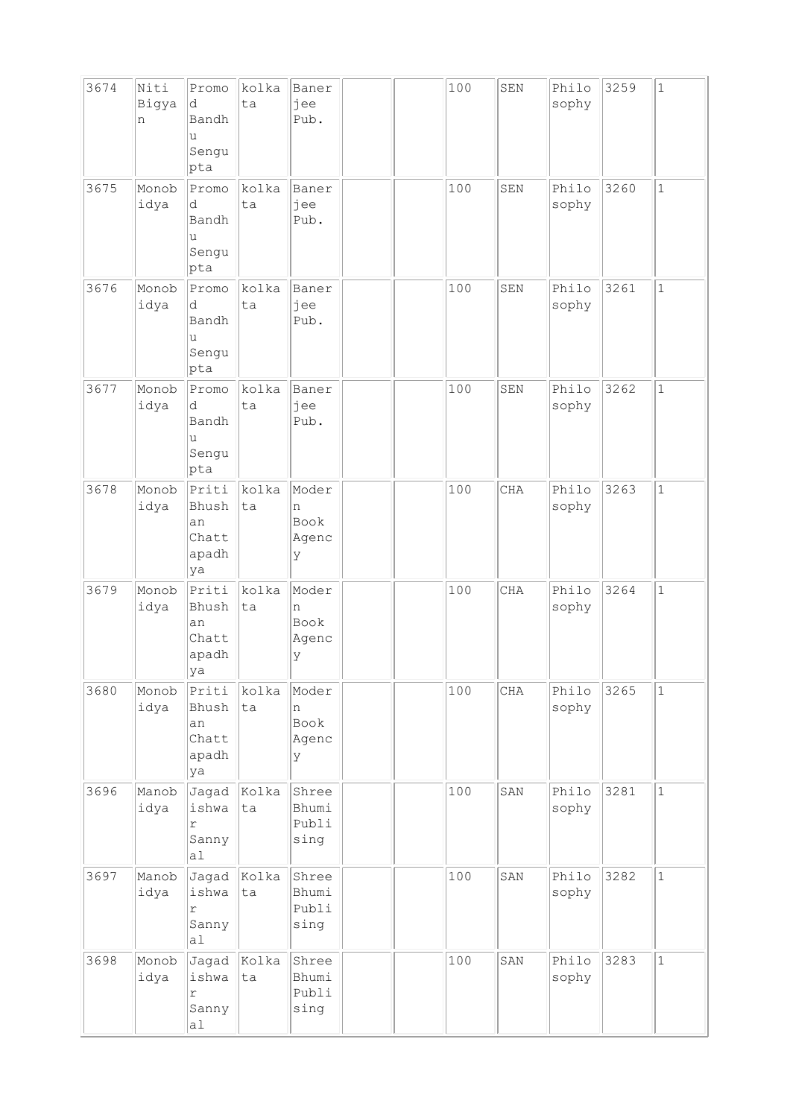| 3674 | Niti<br>Bigya<br>n | Promo<br>d<br>Bandh<br>u<br>Sengu<br>pta      | kolka<br>ta       | Baner<br>jee<br>Pub.             |  | 100 | SEN        | Philo<br>sophy | 3259 | $\mathbf 1$  |
|------|--------------------|-----------------------------------------------|-------------------|----------------------------------|--|-----|------------|----------------|------|--------------|
| 3675 | Monob<br>idya      | Promo<br>d<br>Bandh<br>u<br>Sengu<br>pta      | kolka<br>ta       | Baner<br>jee<br>Pub.             |  | 100 | SEN        | Philo<br>sophy | 3260 | $\mathbf{1}$ |
| 3676 | Monob<br>idya      | Promo<br>d<br>Bandh<br>u<br>Sengu<br>pta      | kolka<br>ta       | Baner<br>jee<br>Pub.             |  | 100 | SEN        | Philo<br>sophy | 3261 | $\mathbf{1}$ |
| 3677 | Monob<br>idya      | Promo<br>d<br>Bandh<br>u<br>Sengu<br>pta      | kolka<br>ta       | Baner<br>jee<br>Pub.             |  | 100 | SEN        | Philo<br>sophy | 3262 | $\mathbf{1}$ |
| 3678 | Monob<br>idya      | Priti<br>Bhush<br>an<br>Chatt<br>apadh<br>ya  | kolka<br>ta       | Moder<br>n<br>Book<br>Agenc<br>У |  | 100 | <b>CHA</b> | Philo<br>sophy | 3263 | $\mathbf 1$  |
| 3679 | Monob<br>idya      | Priti<br>Bhush<br>an<br>Chatt<br>apadh<br> ya | kolka<br>ta       | Moder<br>n<br>Book<br>Agenc<br>У |  | 100 | CHA        | Philo<br>sophy | 3264 | $\mathbf{1}$ |
| 3680 | Monob<br>idya      | Priti<br>Bhush<br>an<br>Chatt<br>apadh<br>ya  | kolka<br>ta       | Moder<br>n<br>Book<br>Agenc<br>У |  | 100 | CHA        | Philo<br>sophy | 3265 | $1\,$        |
| 3696 | Manob<br>idya      | Jagad<br>ishwa<br>$\Upsilon$<br>Sanny<br>a1   | Kolka<br> ta      | Shree<br>Bhumi<br>Publi<br>sing  |  | 100 | SAN        | Philo<br>sophy | 3281 | $\mathbf{1}$ |
| 3697 | Manob<br>idya      | ishwa<br>r<br>Sanny<br>a1                     | Jagad Kolka<br>ta | Shree<br>Bhumi<br>Publi<br>sing  |  | 100 | SAN        | Philo<br>sophy | 3282 | $\mathbf{1}$ |
| 3698 | Monob<br>idya      | Jagad<br>ishwa<br>r<br>Sanny<br>a1            | Kolka<br>ta       | Shree<br>Bhumi<br>Publi<br>sing  |  | 100 | SAN        | Philo<br>sophy | 3283 | $\mathbf{1}$ |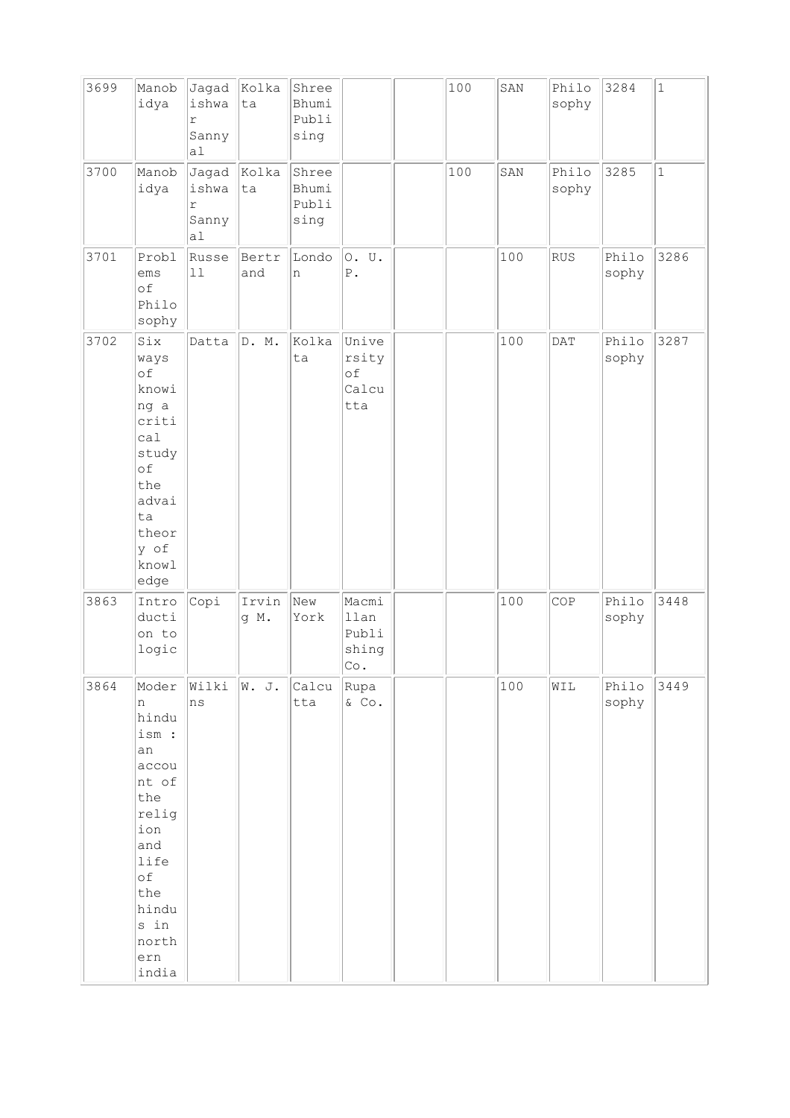| 3699 | Manob<br>idya                                                                                                                                     | Jagad Kolka<br>ishwa<br>r<br>Sanny<br>a1 | ta            | Shree<br>Bhumi<br>Publi<br>sing |                                                 | 100 | SAN | Philo<br>sophy | 3284           | $\mathbf{1}$ |
|------|---------------------------------------------------------------------------------------------------------------------------------------------------|------------------------------------------|---------------|---------------------------------|-------------------------------------------------|-----|-----|----------------|----------------|--------------|
| 3700 | Manob<br>idya                                                                                                                                     | Jagad<br>ishwa<br>r<br>Sanny<br>a1       | Kolka<br>ta   | Shree<br>Bhumi<br>Publi<br>sing |                                                 | 100 | SAN | Philo<br>sophy | 3285           | $\mathbf{1}$ |
| 3701 | Probl<br>ems<br>of<br>Philo<br>sophy                                                                                                              | Russe<br>11                              | Bertr<br>and  | Londo<br>n                      | 0. U.<br>${\mathbb P}$ .                        |     | 100 | RUS            | Philo<br>sophy | 3286         |
| 3702 | Six<br>ways<br>of<br>knowi<br>ng a<br>criti<br>cal<br>study<br>of<br>the<br>advai<br>ta<br>theor<br>y of<br>knowl<br>edge                         | Datta                                    | D. M.         | Kolka<br>ta                     | Unive<br>rsity<br>of<br>Calcu<br>tta            |     | 100 | DATA           | Philo<br>sophy | 3287         |
| 3863 | Intro<br>ducti<br>on to<br>logic                                                                                                                  | Copi                                     | Irvin<br>g M. | New<br>York                     | Macmi<br>llan<br>Publi<br>shing<br>${\rm Co}$ . |     | 100 | COP            | Philo<br>sophy | 3448         |
| 3864 | Moder<br>n<br>hindu<br>ism :<br>an<br>accou<br>nt of<br>the<br>relig<br>ion<br>and<br>life<br>оf<br>the<br>hindu<br>s in<br>north<br>ern<br>india | Wilki<br>ns                              | W. J.         | Calcu Rupa<br>tta               | $&$ Co.                                         |     | 100 | WIL            | Philo<br>sophy | 3449         |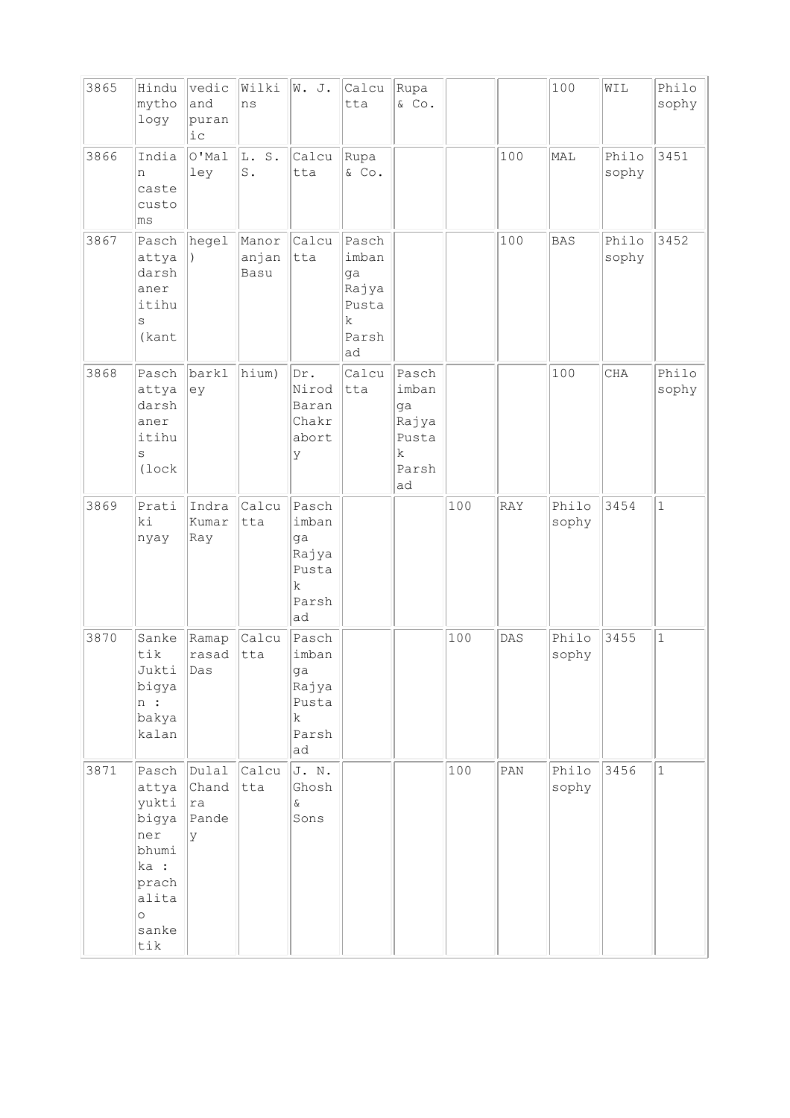| 3865 | Hindu<br>mytho<br>logy                                                                                      | vedic<br>and<br>puran<br>iс         | Wilki<br>ns             | W. J.                                                                | Calcu<br>tta                                                | Rupa<br>& Co.                                               |     |                | 100            | WIL            | Philo<br>sophy |
|------|-------------------------------------------------------------------------------------------------------------|-------------------------------------|-------------------------|----------------------------------------------------------------------|-------------------------------------------------------------|-------------------------------------------------------------|-----|----------------|----------------|----------------|----------------|
| 3866 | India<br>n<br>caste<br>custo<br>ms                                                                          | $\overline{O'$ Mal<br>ley           | L. S.<br>$\mathtt{S}$ . | Calcu<br>tta                                                         | Rupa<br>& Co.                                               |                                                             |     | 100            | MAL            | Philo<br>sophy | 3451           |
| 3867 | Pasch<br>attya<br>darsh<br>aner<br>itihu<br>S<br>(kant                                                      | hegel                               | Manor<br>anjan<br>Basu  | Calcu<br>tta                                                         | Pasch<br>imban<br>ga<br>Rajya<br>Pusta<br>k.<br>Parsh<br>ad |                                                             |     | 100            | BAS            | Philo<br>sophy | 3452           |
| 3868 | Pasch<br>attya<br>darsh<br>aner<br>itihu<br>$\rm s$<br>(lock                                                | barkl<br>ey                         | hium)                   | Dr.<br>Nirod<br>Baran<br>Chakr<br>abort<br>У                         | Calcu<br>tta                                                | Pasch<br>imban<br>ga<br>Rajya<br>Pusta<br>k.<br>Parsh<br>ad |     |                | 100            | CHA            | Philo<br>sophy |
| 3869 | Prati<br>ki<br>nyay                                                                                         | Indra<br>Kumar<br>Ray               | Calcu<br>tta            | Pasch<br>imban<br>ga<br>Rajya<br>Pusta<br>$\rm k$<br>Parsh<br>ad     |                                                             |                                                             | 100 | RAY            | Philo<br>sophy | 3454           | $\mathbf{1}$   |
| 3870 | Sanke<br>tik<br>Jukti<br>bigya<br>n:<br>bakya<br>kalan                                                      | Ramap<br>rasad<br>$\vert$ Das       | Calcu<br>tta            | Pasch<br>imban<br>ga<br>Rajya<br>Pusta<br>$\mathbf k$<br>Parsh<br>ad |                                                             |                                                             | 100 | $\texttt{DAS}$ | Philo<br>sophy | 3455           | $\mathbf{1}$   |
| 3871 | Pasch<br>attya<br>yukti<br>bigya<br>ner<br>bhumi<br>ka :<br>prach<br>alita<br>$\circ$<br>sanke<br>$\tt i k$ | Dulal<br>Chand<br> ra<br>Pande<br>У | Calcu<br>tta            | J. N.<br>Ghosh<br>$\&$<br>Sons                                       |                                                             |                                                             | 100 | $\texttt{PAN}$ | Philo<br>sophy | 3456           | $\mathbf{1}$   |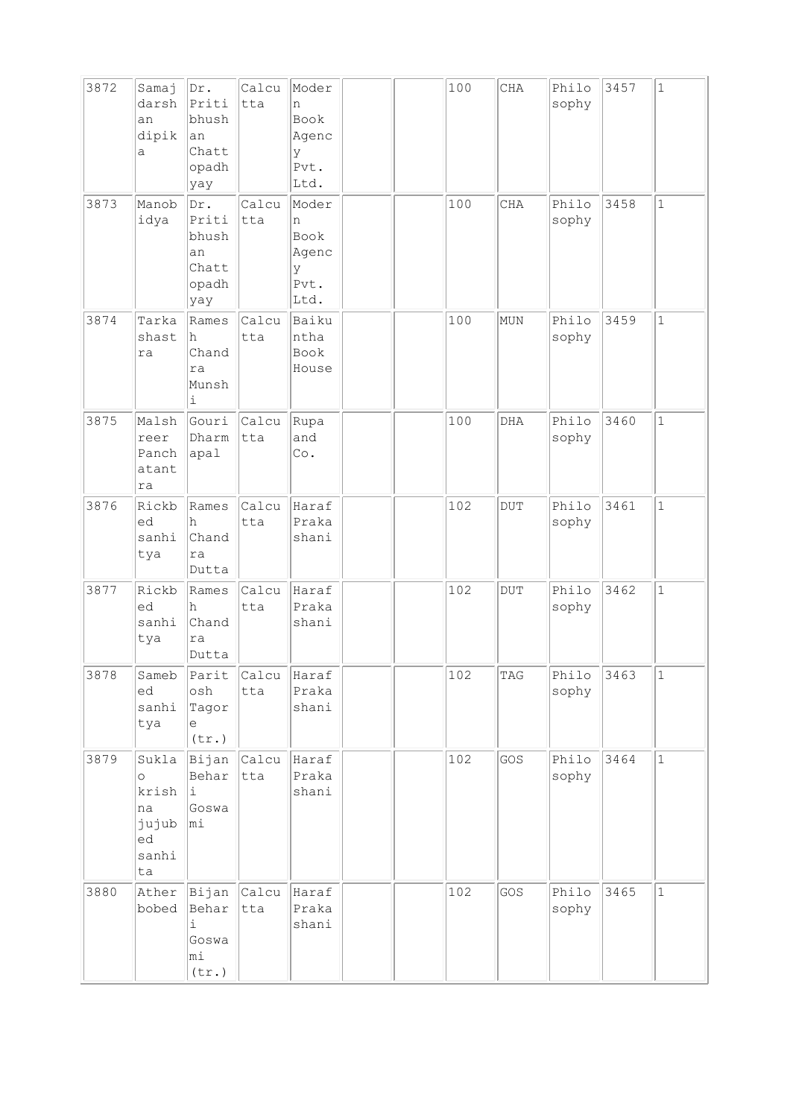| 3872 | Samaj<br>darsh<br>an<br>dipik<br>a                            | Dr.<br>Priti<br>bhush<br>an<br>Chatt<br>opadh<br>yay | Calcu<br>tta       | Moder<br>n<br><b>Book</b><br>Agenc<br>У<br>Pvt.<br>Ltd. |  | 100 | $\rm CHA$  | Philo<br>sophy | 3457 | $\mathbf{1}$ |
|------|---------------------------------------------------------------|------------------------------------------------------|--------------------|---------------------------------------------------------|--|-----|------------|----------------|------|--------------|
| 3873 | Manob<br>idya                                                 | Dr.<br>Priti<br>bhush<br>an<br>Chatt<br>opadh<br>yay | Calcu<br>tta       | Moder<br>n<br>Book<br>Agenc<br>У<br>Pvt.<br>Ltd.        |  | 100 | CHA        | Philo<br>sophy | 3458 | $\mathbf 1$  |
| 3874 | Tarka<br>shast<br>ra                                          | Rames<br>h<br>Chand<br>ra<br>Munsh<br>i              | Calcu<br>tta       | Baiku<br>ntha<br>Book<br>House                          |  | 100 | MUN        | Philo<br>sophy | 3459 | $\mathbf{1}$ |
| 3875 | Malsh<br>reer<br>Panch<br>atant<br>ra                         | Gouri<br>Dharm<br>apal                               | Calcu<br>tta       | Rupa<br>and<br>Co.                                      |  | 100 | DHA        | Philo<br>sophy | 3460 | $\mathbf{1}$ |
| 3876 | Rickb<br>led<br>sanhi<br>tya                                  | Rames<br>h<br>Chand<br>ra<br>Dutta                   | Calcu<br>tta       | Haraf<br>Praka<br>shani                                 |  | 102 | <b>DUT</b> | Philo<br>sophy | 3461 | $\mathbf{1}$ |
| 3877 | Rickb<br>ed<br>sanhi<br>tya                                   | Rames<br>h<br>Chand<br>ra<br>Dutta                   | Calcu<br>tta       | Haraf<br>Praka<br>shani                                 |  | 102 | <b>DUT</b> | Philo<br>sophy | 3462 | $\mathbf 1$  |
| 3878 | Sameb<br>ed<br>sanhi<br>tya                                   | Parit<br>osh<br>Tagor<br>e<br>(tr.)                  | Calcu<br>tta       | Haraf<br>Praka<br>shani                                 |  | 102 | TAG        | Philo<br>sophy | 3463 | 1            |
| 3879 | Sukla<br>$\circ$<br>krish<br>na<br>jujub<br>ed<br>sanhi<br>ta | Bijan<br>Behar<br>i<br>Goswa<br>mi                   | Calcu<br>tta       | Haraf<br>Praka<br>shani                                 |  | 102 | GOS        | Philo<br>sophy | 3464 | $\mathbf{1}$ |
| 3880 | Ather<br>bobed                                                | Behar<br>i.<br>Goswa<br>mi<br>(tr.)                  | Bijan Calcu<br>tta | Haraf<br>Praka<br>shani                                 |  | 102 | GOS        | Philo<br>sophy | 3465 | $\mathbf{1}$ |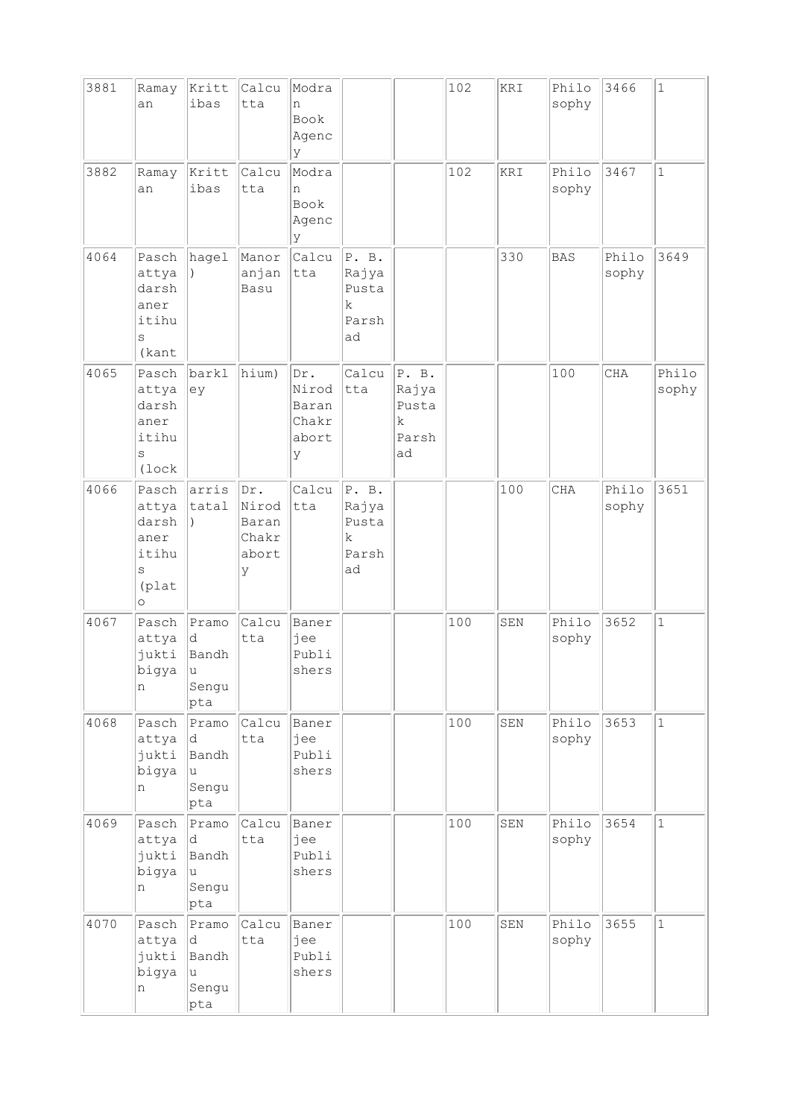| 3881 | Ramay<br>an                                                       | Kritt<br>ibas                             | Calcu<br>tta                                 | Modra<br>n<br>Book<br>Agenc<br>У             |                                             |                                             | 102 | KRI | Philo<br>sophy | 3466           | $\mathbf{1}$   |
|------|-------------------------------------------------------------------|-------------------------------------------|----------------------------------------------|----------------------------------------------|---------------------------------------------|---------------------------------------------|-----|-----|----------------|----------------|----------------|
| 3882 | Ramay<br>an                                                       | Kritt<br>ibas                             | Calcu<br>tta                                 | Modra<br>n<br>Book<br>Agenc<br>У             |                                             |                                             | 102 | KRI | Philo<br>sophy | 3467           | $\mathbf{1}$   |
| 4064 | Pasch<br>attya<br>darsh<br>aner<br>itihu<br>S<br>(kant            | hagel                                     | Manor<br>anjan<br>Basu                       | Calcu<br>tta                                 | P. B.<br>Rajya<br>Pusta<br>k<br>Parsh<br>ad |                                             |     | 330 | <b>BAS</b>     | Philo<br>sophy | 3649           |
| 4065 | Pasch<br>attya<br>darsh<br>aner<br>itihu<br>S<br>(lock            | barkl<br>ey                               | hium)                                        | Dr.<br>Nirod<br>Baran<br>Chakr<br>abort<br>У | Calcu<br>tta                                | P. B.<br>Rajya<br>Pusta<br>k<br>Parsh<br>ad |     |     | 100            | CHA            | Philo<br>sophy |
| 4066 | Pasch<br>attya<br>darsh<br>aner<br>itihu<br>S<br>(plat<br>$\circ$ | arris<br>tatal<br>$\lambda$               | Dr.<br>Nirod<br>Baran<br>Chakr<br>abort<br>У | Calcu<br>tta                                 | P. B.<br>Rajya<br>Pusta<br>k<br>Parsh<br>ad |                                             |     | 100 | <b>CHA</b>     | Philo<br>sophy | 3651           |
| 4067 | Pasch<br>attya<br>jukti<br>bigya<br>n                             | Pramo<br>d<br>Bandh<br> บ<br>Sengu<br>pta | Calcu<br>tta                                 | Baner<br>jee<br>Publi<br>shers               |                                             |                                             | 100 | SEN | Philo<br>sophy | 3652           | $\mathbf{1}$   |
| 4068 | Pasch<br>attya<br>jukti<br>bigya<br>n                             | Pramo<br>d<br>Bandh<br>u<br>Sengu<br>pta  | Calcu<br>tta                                 | Baner<br>jee<br>Publi<br>shers               |                                             |                                             | 100 | SEN | Philo<br>sophy | 3653           | $1\,$          |
| 4069 | Pasch<br>attya<br>jukti<br>bigya<br>n                             | Pramo<br>d.<br>Bandh<br>u<br>Sengu<br>pta | Calcu<br>tta                                 | Baner<br>jee<br>Publi<br>shers               |                                             |                                             | 100 | SEN | Philo<br>sophy | 3654           | $\mathbf{1}$   |
| 4070 | Pasch<br>attya<br>jukti<br>bigya<br>n                             | Pramo<br>d.<br>Bandh<br>u<br>Sengu<br>pta | Calcu<br>tta                                 | Baner<br>jee<br>Publi<br>shers               |                                             |                                             | 100 | SEN | Philo<br>sophy | 3655           | $\mathbf{1}$   |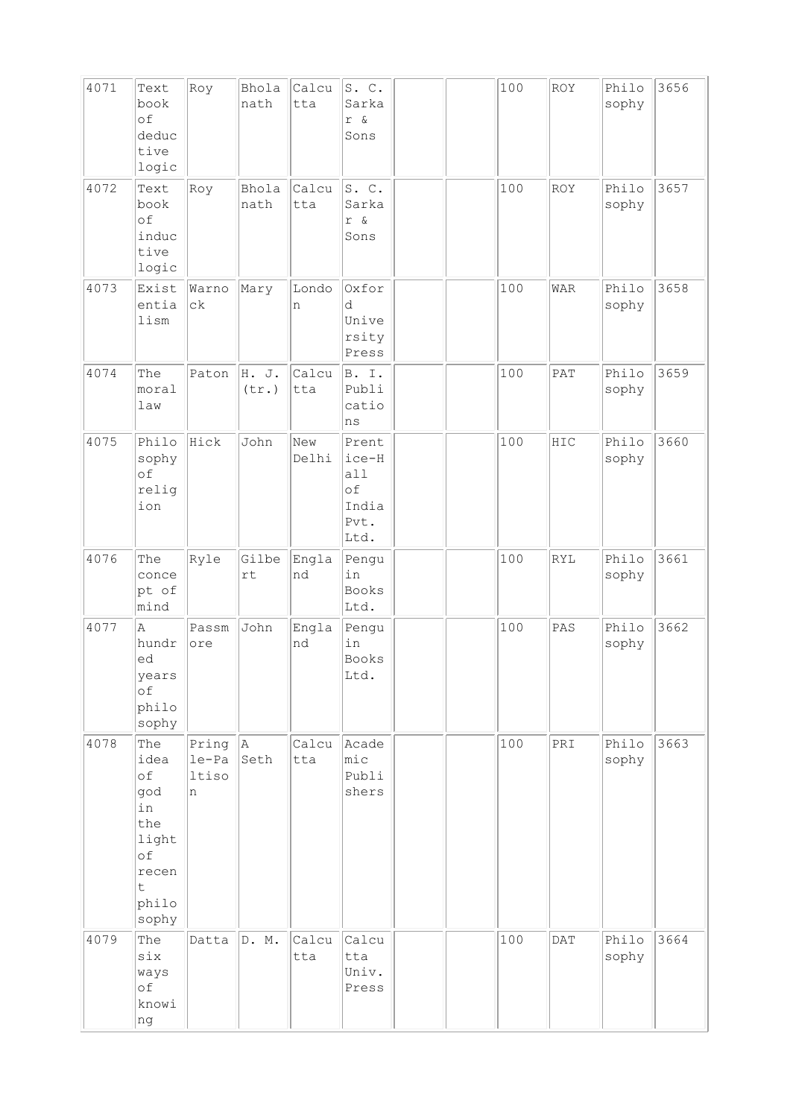| 4071 | Text<br>book<br>of<br>deduc<br>tive<br>logic                                         | Roy                            | Bhola<br>nath          | Calcu<br>tta | S. C.<br>Sarka<br>r &<br>Sons                        |  | 100 | ROY        | Philo<br>sophy | 3656 |
|------|--------------------------------------------------------------------------------------|--------------------------------|------------------------|--------------|------------------------------------------------------|--|-----|------------|----------------|------|
| 4072 | Text<br>book<br>of<br>induc<br>tive<br>logic                                         | Roy                            | Bhola<br>nath          | Calcu<br>tta | S. C.<br>Sarka<br>r &<br>Sons                        |  | 100 | ROY        | Philo<br>sophy | 3657 |
| 4073 | Exist<br>entia<br>lism                                                               | Warno<br>сk                    | Mary                   | Londo<br>n   | Oxfor<br>d<br>Unive<br>rsity<br>Press                |  | 100 | <b>WAR</b> | Philo<br>sophy | 3658 |
| 4074 | The<br>moral<br>law                                                                  | Paton                          | H. J.<br>(tr.)         | Calcu<br>tta | B. I.<br>Publi<br>catio<br>ns                        |  | 100 | PAT        | Philo<br>sophy | 3659 |
| 4075 | Philo<br>sophy<br>of<br>relig<br>ion                                                 | Hick                           | John                   | New<br>Delhi | Prent<br>ice-H<br>all<br>of<br>India<br>Pvt.<br>Ltd. |  | 100 | HIC        | Philo<br>sophy | 3660 |
| 4076 | The<br>conce<br>pt of<br>mind                                                        | Ryle                           | Gilbe<br>$\mathtt{rt}$ | Engla<br>nd  | Pengu<br>in<br><b>Books</b><br>Ltd.                  |  | 100 | <b>RYL</b> | Philo<br>sophy | 3661 |
| 4077 | Α<br>hundr<br>ed<br>years<br>of<br>philo<br>sophy                                    | Passm<br>ore                   | John                   | Engla<br>nd  | Pengu<br>in<br><b>Books</b><br>Ltd.                  |  | 100 | PAS        | Philo<br>sophy | 3662 |
| 4078 | The<br>idea<br>of<br>god<br>in<br>the<br>light<br>of<br>recen<br>t<br>philo<br>sophy | Pring<br>$le-Pa$<br>ltiso<br>n | A <br>Seth             | Calcu<br>tta | Acade<br>$ {\tt mic} $<br>Publi<br>shers             |  | 100 | PRI        | Philo<br>sophy | 3663 |
| 4079 | The<br>six<br>ways<br>оf<br>knowi<br>ng                                              | Datta                          | D. M.                  | Calcu<br>tta | Calcu<br>tta<br>Univ.<br>Press                       |  | 100 | <b>DAT</b> | Philo<br>sophy | 3664 |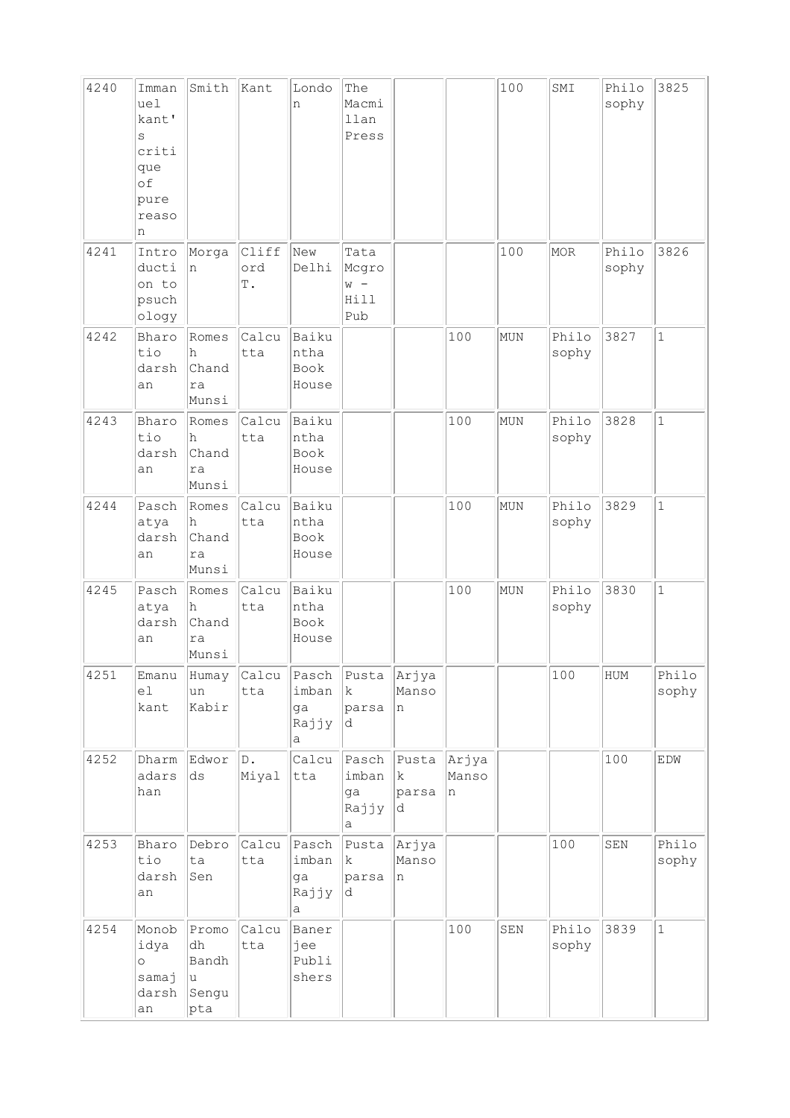| 4240 | Imman<br>uel<br>kant'<br>S<br>criti<br>que<br>of<br>pure<br>reaso<br>n | Smith                                                | Kant                   | Londo<br>n                         | The<br>Macmi<br>llan<br>Press         |                           |                     | 100 | SMI            | Philo<br>sophy | 3825           |
|------|------------------------------------------------------------------------|------------------------------------------------------|------------------------|------------------------------------|---------------------------------------|---------------------------|---------------------|-----|----------------|----------------|----------------|
| 4241 | Intro<br>ducti<br>on to<br>psuch<br>ology                              | Morga<br>n                                           | Cliff<br>ord<br>Τ.     | New<br>Delhi                       | Tata<br>Mcgro<br>$W -$<br>Hill<br>Pub |                           |                     | 100 | MOR            | Philo<br>sophy | 3826           |
| 4242 | Bharo<br>tio<br>darsh<br>an                                            | Romes<br>h<br>Chand<br>ra<br>Munsi                   | Calcu<br>tta           | Baiku<br>ntha<br>Book<br>House     |                                       |                           | 100                 | MUN | Philo<br>sophy | 3827           | $\mathbf{1}$   |
| 4243 | Bharo<br>tio<br>darsh<br>an                                            | Romes<br>h<br>Chand<br>ra<br>Munsi                   | Calcu<br>tta           | Baiku<br>ntha<br>Book<br>House     |                                       |                           | 100                 | MUN | Philo<br>sophy | 3828           | $\mathbf{1}$   |
| 4244 | Pasch<br>atya<br>darsh<br>an                                           | Romes<br>h<br>Chand<br>ra<br>Munsi                   | Calcu<br>tta           | Baiku<br>ntha<br>Book<br>House     |                                       |                           | 100                 | MUN | Philo<br>sophy | 3829           | $\mathbf{1}$   |
| 4245 | Pasch<br>atya<br>darsh<br>an                                           | Romes<br>h<br>Chand<br>ra<br>Munsi                   | Calcu<br>tta           | Baiku<br>ntha<br>Book<br>House     |                                       |                           | 100                 | MUN | Philo<br>sophy | 3830           | $\mathbf{1}$   |
| 4251 | Emanu<br>el<br>kant                                                    | Humay<br>un<br>Kabir                                 | Calcu<br>tta           | Pasch<br>imban<br>ga<br>Rajjy<br>а | Pusta<br>$\mathbf k$<br>parsa<br>d    | Arjya<br>Manso<br>n       |                     |     | 100            | HUM            | Philo<br>sophy |
| 4252 | Dharm<br>adars<br>han                                                  | Edwor<br>$\mathrm{d}\mathbf{s}$                      | $\mathbb D$ .<br>Miyal | Calcu<br> tta                      | Pasch<br>imban<br>ga<br>Rajjy<br>а    | Pusta<br>k<br>parsa<br>d. | Arjya<br>Manso<br>n |     |                | 100            | EDW            |
| 4253 | Bharo<br>tio<br>darsh<br>an                                            | Debro<br>ta<br>Sen                                   | Calcu<br>tta           | Pasch<br>imban<br>ga<br>Rajjy<br>а | Pusta<br>$\mathbf k$<br>parsa<br>d    | Arjya<br>Manso<br>n       |                     |     | 100            | SEN            | Philo<br>sophy |
| 4254 | Monob<br>idya<br>$\circ$<br>samaj<br>darsh<br>an                       | Promo<br>dh<br>Bandh<br>$\mathtt{u}$<br>Sengu<br>pta | Calcu<br>tta           | Baner<br>jee<br>Publi<br>shers     |                                       |                           | 100                 | SEN | Philo<br>sophy | 3839           | $\mathbf{1}$   |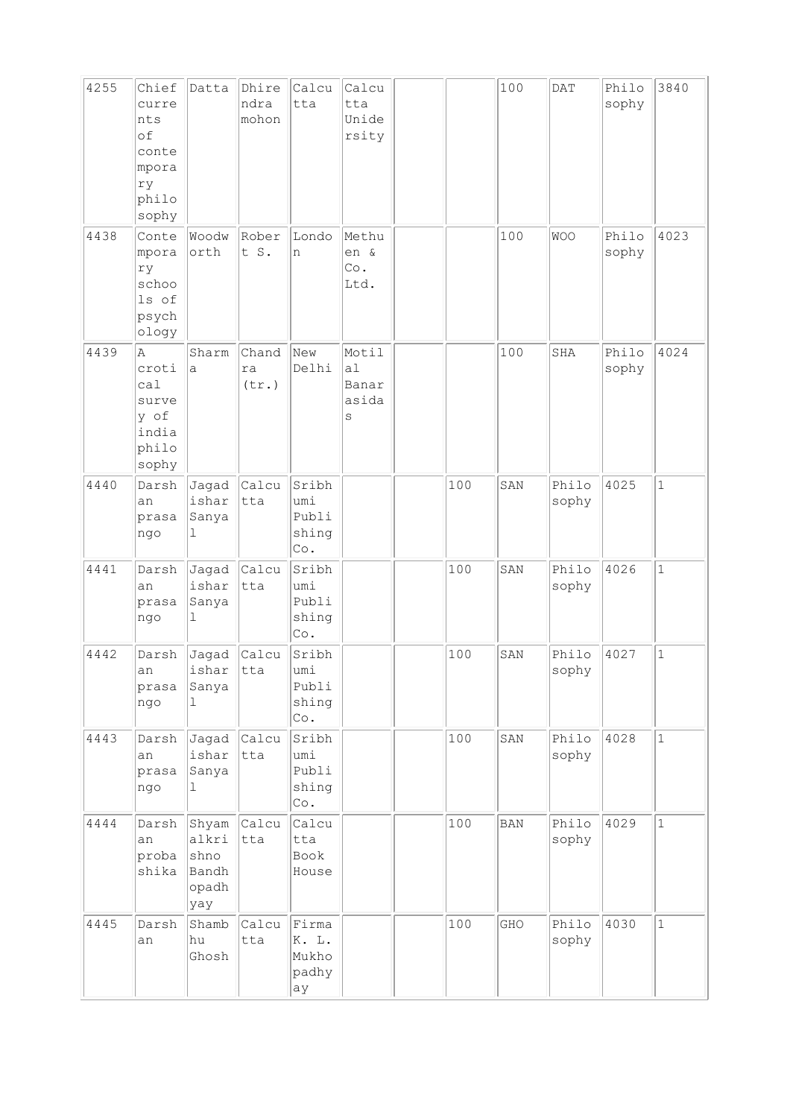| 4255 | Chief<br>curre<br>nts<br>of<br>conte<br>mpora<br>ry<br>philo<br>sophy | Datta                                           | Dhire<br>ndra<br>mohon | Calcu<br>tta                                          | Calcu<br>tta<br>Unide<br>rsity     |     | 100        | <b>DAT</b>     | Philo<br>sophy | 3840         |
|------|-----------------------------------------------------------------------|-------------------------------------------------|------------------------|-------------------------------------------------------|------------------------------------|-----|------------|----------------|----------------|--------------|
| 4438 | Conte<br>mpora<br>ry<br>schoo<br>ls of<br>psych<br>ology              | Woodw<br>orth                                   | Rober<br>t S.          | Londo<br>n                                            | Methu<br>en &<br>Co.<br>Ltd.       |     | 100        | <b>WOO</b>     | Philo<br>sophy | 4023         |
| 4439 | Α<br>croti<br>ca1<br>surve<br>y of<br>india<br>philo<br>sophy         | Sharm<br>a                                      | Chand<br>ra<br>(tr.)   | New<br>Delhi                                          | Motil<br>a1<br>Banar<br>asida<br>S |     | 100        | SHA            | Philo<br>sophy | 4024         |
| 4440 | Darsh<br>an<br>prasa<br>ngo                                           | Jagad<br>ishar<br>Sanya<br>ı                    | Calcu<br>tta           | Sribh<br>umi<br>Publi<br>shing<br>Co.                 |                                    | 100 | SAN        | Philo<br>sophy | 4025           | $\mathbf{1}$ |
| 4441 | Darsh<br>an<br>prasa<br>ngo                                           | Jagad<br>ishar<br>Sanya<br>ı                    | <b>Calcu</b><br>tta    | Sribh<br>umi<br>Publi<br>shing<br>$\mathbb{C}\circ$ . |                                    | 100 | SAN        | Philo<br>sophy | 4026           | $\mathbf 1$  |
| 4442 | Darsh<br>an<br>prasa<br>ngo                                           | Jagad Calcu<br>ishar<br>Sanya<br>ı.             | tta                    | Sribh<br>umi<br>Publi<br>shing<br>$\mathbb{C}\circ$ . |                                    | 100 | SAN        | Philo<br>sophy | 4027           | $\mathbf 1$  |
| 4443 | Darsh<br>an<br>prasa<br>ngo                                           | Jagad Calcu<br>ishar<br>Sanya<br>ı              | tta                    | Sribh<br>umi<br>Publi<br>shing<br>$\mathbb{C}\circ$ . |                                    | 100 | SAN        | Philo<br>sophy | 4028           | $\mathbf{1}$ |
| 4444 | Darsh<br>an<br>proba<br>shika                                         | Shyam<br>alkri<br>shno<br>Bandh<br>opadh<br>yay | <b>Calcu</b><br>tta    | Calcu<br>tta<br>Book<br>House                         |                                    | 100 | <b>BAN</b> | Philo<br>sophy | 4029           | $\mathbf{1}$ |
| 4445 | Darsh<br>an                                                           | Shamb<br>hu<br>Ghosh                            | Calcu<br>tta           | Firma<br>K. L.<br>Mukho<br>$ $ padhy<br>ay            |                                    | 100 | GHO        | Philo<br>sophy | 4030           | $\mathbf 1$  |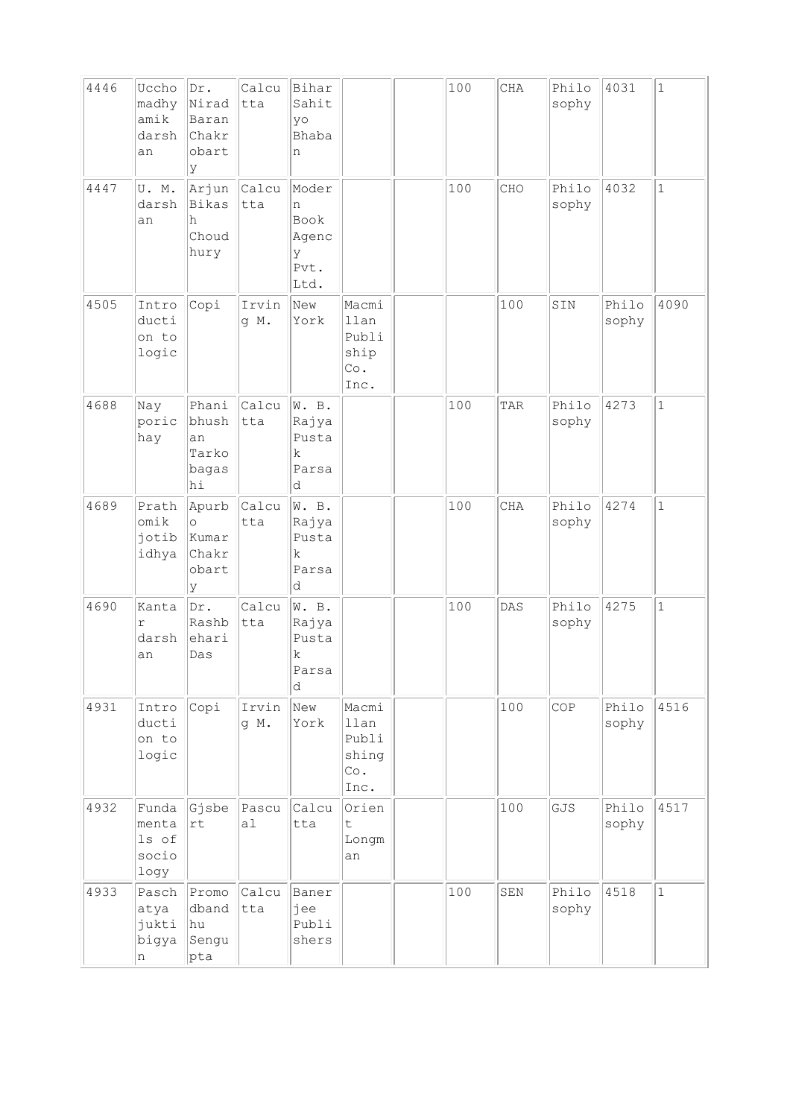| 4446 | Uccho<br>madhy<br>amik<br>darsh<br>an    | Dr.<br>Nirad<br>Baran<br>Chakr<br>obart<br>У     | Calcu<br>$ {\tt t}$ ta | Bihar<br>Sahit<br>yo<br>Bhaba<br>n               |                                                | 100 | CHA        | Philo<br>sophy | 4031           | $1\,$        |
|------|------------------------------------------|--------------------------------------------------|------------------------|--------------------------------------------------|------------------------------------------------|-----|------------|----------------|----------------|--------------|
| 4447 | U.M.<br>darsh<br>an                      | Arjun<br>Bikas<br>h<br>Choud<br>hury             | Calcu<br>tta           | Moder<br>n<br>Book<br>Agenc<br>У<br>Pvt.<br>Ltd. |                                                | 100 | CHO        | Philo<br>sophy | 4032           | $\mathbf{1}$ |
| 4505 | Intro<br>ducti<br>on to<br>logic         | Copi                                             | Irvin<br>g M.          | New<br>York                                      | Macmi<br>llan<br>Publi<br>ship<br>Co.<br>Inc.  |     | 100        | SIN            | Philo<br>sophy | 4090         |
| 4688 | Nay<br>poric<br>hay                      | Phani<br>bhush<br>an<br>Tarko<br>bagas<br>hi     | Calcu<br>tta           | W. B.<br>Rajya<br>Pusta<br>k<br>Parsa<br>d       |                                                | 100 | TAR        | Philo<br>sophy | 4273           | $\mathbf{1}$ |
| 4689 | Prath<br>omik<br>jotib<br>idhya          | Apurb<br>$\circ$<br>Kumar<br>Chakr<br>obart<br>У | Calcu<br>tta           | W. B.<br>Rajya<br>Pusta<br>k<br>Parsa<br>d       |                                                | 100 | <b>CHA</b> | Philo<br>sophy | 4274           | $\mathbf 1$  |
| 4690 | Kanta<br>r<br>darsh<br>an                | Dr.<br>Rashb<br>ehari<br>Das                     | Calcu<br>tta           | W. B.<br>Rajya<br>Pusta<br>$\rm k$<br>Parsa<br>d |                                                | 100 | DAS        | Philo<br>sophy | 4275           | $\mathbf{1}$ |
| 4931 | Intro<br>ducti<br>on to<br>logic         | Copi                                             | Irvin<br>g M.          | New<br>York                                      | Macmi<br>llan<br>Publi<br>shing<br>Co.<br>Inc. |     | 100        | COP            | Philo<br>sophy | 4516         |
| 4932 | Funda<br>menta<br>ls of<br>socio<br>logy | Gjsbe<br>$\mathtt{rt}$                           | Pascu<br>a1            | Calcu<br>tta                                     | Orien<br>$\mathsf t$<br>Longm<br>an            |     | 100        | GJS            | Philo<br>sophy | 4517         |
| 4933 | Pasch<br>atya<br>jukti<br>bigya<br>n     | Promo<br>dband<br>hu <br>Sengu<br>pta            | Calcu<br>tta           | Baner<br>jee<br>Publi<br>shers                   |                                                | 100 | SEN        | Philo<br>sophy | 4518           | $\mathbf{1}$ |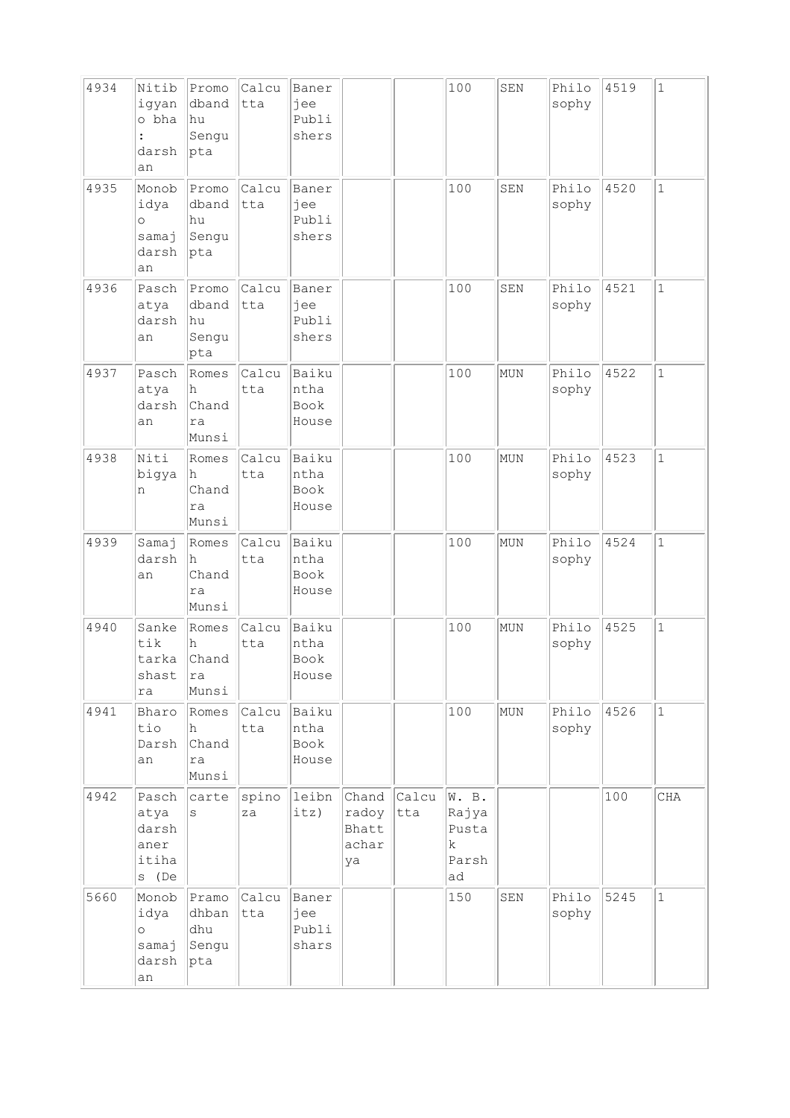| 4934 | Nitib<br>iqyan<br>o bha<br>darsh<br>an           | Promo<br>dband<br>hu!<br>Sengu<br>pta | Calcu<br>tta | Baner<br>jee<br>Publi<br>shers        |                                        |              | 100                                                   | SEN | Philo<br>sophy | 4519 | $\mathbf{1}$ |
|------|--------------------------------------------------|---------------------------------------|--------------|---------------------------------------|----------------------------------------|--------------|-------------------------------------------------------|-----|----------------|------|--------------|
| 4935 | Monob<br>idya<br>$\circ$<br>samaj<br>darsh<br>an | Promo<br>dband<br>hu<br>Sengu<br>pta  | Calcu<br>tta | Baner<br>jee<br>Publi<br>shers        |                                        |              | 100                                                   | SEN | Philo<br>sophy | 4520 | $\mathbf 1$  |
| 4936 | Pasch<br>atya<br>darsh<br>an                     | Promo<br>dband<br> hu<br>Sengu<br>pta | Calcu<br>tta | Baner<br>jee<br>Publi<br>shers        |                                        |              | 100                                                   | SEN | Philo<br>sophy | 4521 | $\mathbf 1$  |
| 4937 | Pasch<br>atya<br>darsh<br>an                     | Romes<br>h<br>Chand<br>ra<br>Munsi    | Calcu<br>tta | Baiku<br>ntha<br>Book<br>House        |                                        |              | 100                                                   | MUN | Philo<br>sophy | 4522 | $\mathbf 1$  |
| 4938 | Niti<br>bigya<br>n                               | Romes<br>h<br>Chand<br>ra<br>Munsi    | Calcu<br>tta | Baiku<br>ntha<br>Book<br>House        |                                        |              | 100                                                   | MUN | Philo<br>sophy | 4523 | $\mathbf{1}$ |
| 4939 | Samaj<br>darsh<br>an                             | Romes<br>h<br>Chand<br>ra<br>Munsi    | Calcu<br>tta | Baiku<br>ntha<br>Book<br>House        |                                        |              | 100                                                   | MUN | Philo<br>sophy | 4524 | $\mathbf 1$  |
| 4940 | Sanke<br>tik<br>tarka<br>shast<br>ra             | Romes<br>h<br>Chand<br>ra<br>Munsi    | Calcu<br>tta | Baiku<br>ntha<br>Book<br>House        |                                        |              | 100                                                   | MUN | Philo<br>sophy | 4525 | $\mathbf 1$  |
| 4941 | Bharo<br>tio<br>Darsh<br>an                      | Romes<br>h.<br>Chand<br>ra<br>Munsi   | Calcu<br>tta | Baiku<br>ntha<br><b>Book</b><br>House |                                        |              | 100                                                   | MUN | Philo<br>sophy | 4526 | $\mathbf{1}$ |
| 4942 | Pasch<br>atya<br>darsh<br>aner<br>itiha<br>s (De | carte<br>S                            | spino<br>za  | leibn<br>its)                         | Chand<br>radoy<br>Bhatt<br>achar<br>ya | Calcu<br>tta | W. B.<br>Rajya<br>Pusta<br>$\mathbf k$<br>Parsh<br>ad |     |                | 100  | CHA          |
| 5660 | Monob<br>idya<br>$\circ$<br>samaj<br>darsh<br>an | Pramo<br>dhban<br>dhu<br>Sengu<br>pta | Calcu<br>tta | Baner<br>jee<br>Publi<br>shars        |                                        |              | 150                                                   | SEN | Philo<br>sophy | 5245 | $\mathbf{1}$ |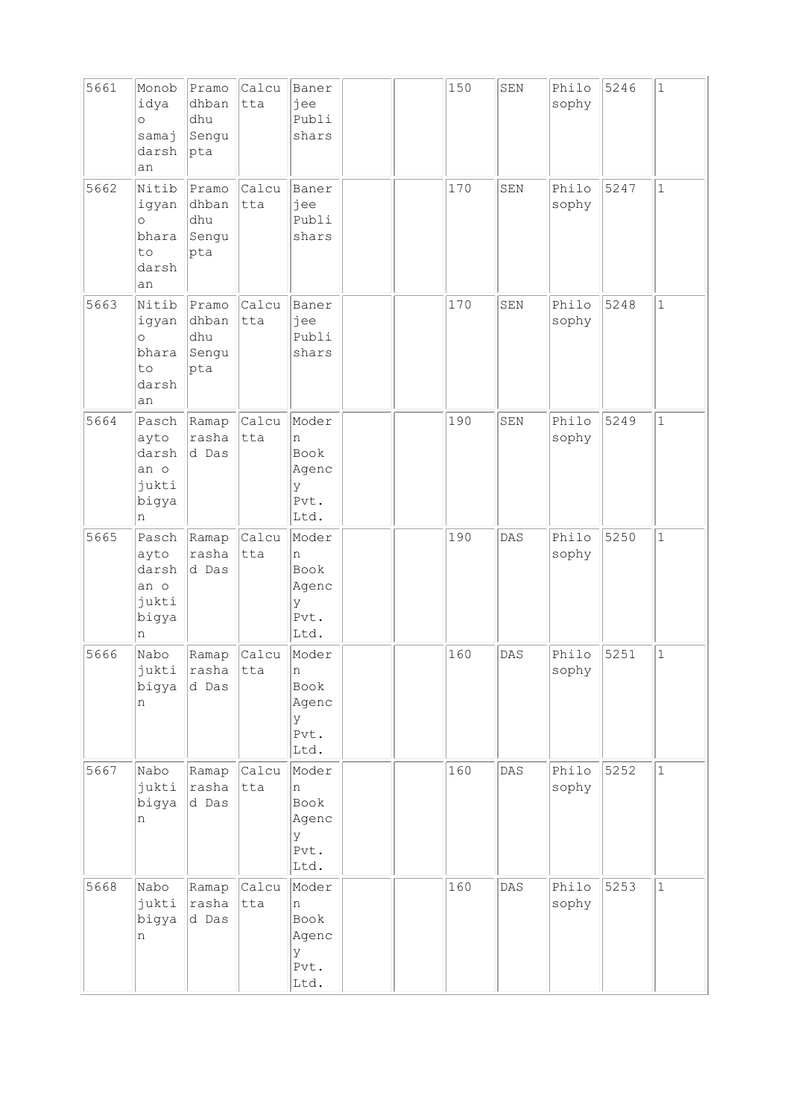| 5661 | Monob<br>idya<br>$\circ$<br>samaj<br>darsh<br>an        | Pramo<br>dhban<br>dhu<br>Sengu<br> pta | Calcu<br>tta | Baner<br>jee<br>Publi<br>shars                              |  | 150 | SEN | Philo<br>sophy | 5246 | $\mathbf{1}$ |
|------|---------------------------------------------------------|----------------------------------------|--------------|-------------------------------------------------------------|--|-----|-----|----------------|------|--------------|
| 5662 | Nitib<br>igyan<br>$\circ$<br>bhara<br>to<br>darsh<br>an | Pramo<br>dhban<br>dhu<br>Sengu<br>pta  | Calcu<br>tta | Baner<br>jee<br>Publi<br>shars                              |  | 170 | SEN | Philo<br>sophy | 5247 | $\mathbf{1}$ |
| 5663 | Nitib<br>igyan<br>$\circ$<br>bhara<br>to<br>darsh<br>an | Pramo<br>dhban<br>dhu<br>Sengu<br>pta  | Calcu<br>tta | Baner<br>jee<br>Publi<br>shars                              |  | 170 | SEN | Philo<br>sophy | 5248 | $\mathbf{1}$ |
| 5664 | Pasch<br>ayto<br>darsh<br>an o<br>jukti<br>bigya<br>n   | Ramap<br>rasha<br>d Das                | Calcu<br>tta | Moder<br>n<br>Book<br>Agenc<br>У<br>Pvt.<br>Ltd.            |  | 190 | SEN | Philo<br>sophy | 5249 | $\mathbf{1}$ |
| 5665 | Pasch<br>ayto<br>darsh<br>an o<br>jukti<br>bigya<br>n   | Ramap<br>rasha<br>d Das                | Calcu<br>tta | Moder<br>n<br>Book<br>Agenc<br>У<br>Pvt.<br>Ltd.            |  | 190 | DAS | Philo<br>sophy | 5250 | $\mathbf{1}$ |
| 5666 | Nabo<br>jukti<br>bigya<br>n                             | Ramap<br>rasha<br>d Das                | Calcu<br>tta | Moder<br>$\mathsf{n}$<br>Book<br>Agenc<br>У<br>Pvt.<br>Ltd. |  | 160 | DAS | Philo<br>sophy | 5251 | $\mathbf 1$  |
| 5667 | Nabo<br>jukti<br>bigya<br>n                             | Ramap<br>rasha<br>d Das                | Calcu<br>tta | Moder<br>n<br>Book<br>Agenc<br>У<br>Pvt.<br>Ltd.            |  | 160 | DAS | Philo<br>sophy | 5252 | $\mathbf{1}$ |
| 5668 | Nabo<br>jukti<br>bigya<br>n                             | Ramap<br>rasha<br>d Das                | Calcu<br>tta | Moder<br>n<br>Book<br>Agenc<br>У<br>Pvt.<br>Ltd.            |  | 160 | DAS | Philo<br>sophy | 5253 | $\mathbf{1}$ |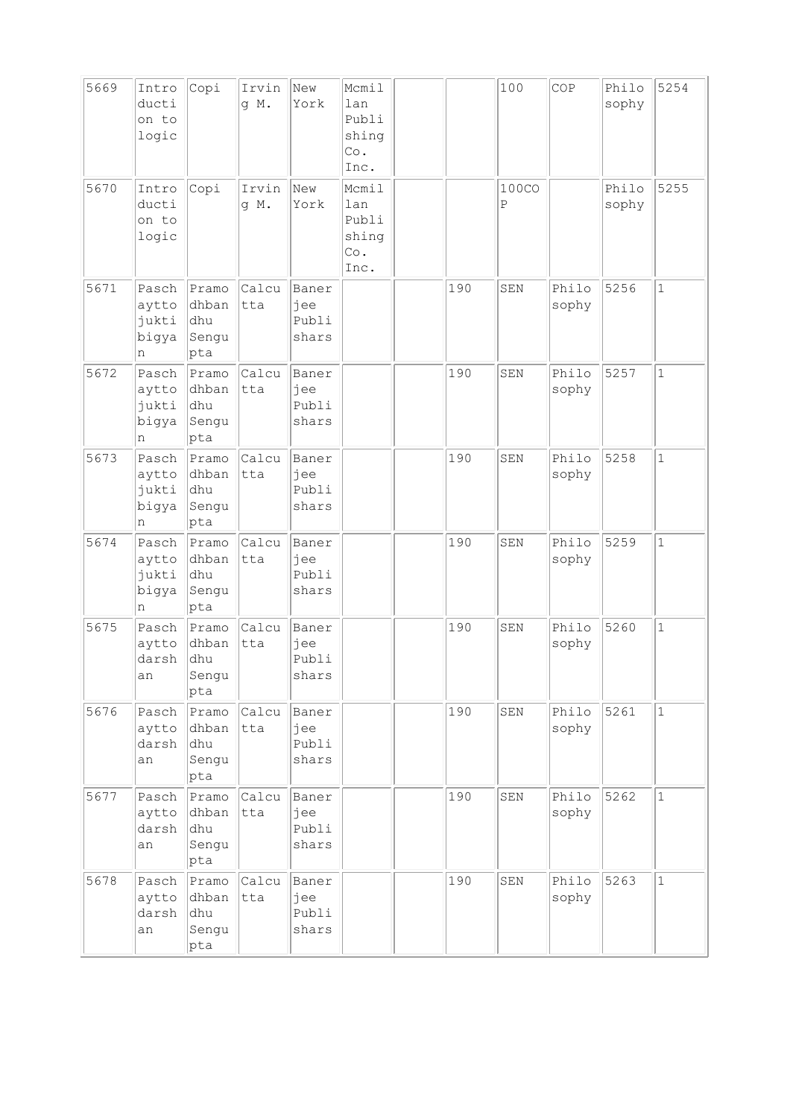| 5669 | Intro<br>ducti<br>on to<br>logic      | Copi                                    | Irvin<br>q M. | New<br>York                    | Mcmil<br>lan<br>Publi<br>shing<br>Co.<br>Inc. |     | 100               | COP            | Philo<br>sophy | 5254         |
|------|---------------------------------------|-----------------------------------------|---------------|--------------------------------|-----------------------------------------------|-----|-------------------|----------------|----------------|--------------|
| 5670 | Intro<br>ducti<br>on to<br>logic      | Copi                                    | Irvin<br>g M. | New<br>York                    | Mcmil<br>lan<br>Publi<br>shing<br>Co.<br>Inc. |     | <b>100CO</b><br>Ρ |                | Philo<br>sophy | 5255         |
| 5671 | Pasch<br>aytto<br>jukti<br>bigya<br>n | Pramo<br>dhban<br> dhu<br>Sengu<br>pta  | Calcu<br>tta  | Baner<br>jee<br>Publi<br>shars |                                               | 190 | SEN               | Philo<br>sophy | 5256           | $\mathbf{1}$ |
| 5672 | Pasch<br>aytto<br>jukti<br>bigya<br>n | Pramo<br>dhban<br>dhu<br>Sengu<br> pta  | Calcu<br>tta  | Baner<br>jee<br>Publi<br>shars |                                               | 190 | SEN               | Philo<br>sophy | 5257           | $\mathbf{1}$ |
| 5673 | Pasch<br>aytto<br>jukti<br>bigya<br>n | Pramo<br>dhban<br> dhu<br>Sengu<br>pta  | Calcu<br>tta  | Baner<br>jee<br>Publi<br>shars |                                               | 190 | SEN               | Philo<br>sophy | 5258           | $\mathbf{1}$ |
| 5674 | Pasch<br>aytto<br>jukti<br>bigya<br>n | Pramo<br>dhban<br> dhu<br>Sengu<br> pta | Calcu<br>tta  | Baner<br>jee<br>Publi<br>shars |                                               | 190 | SEN               | Philo<br>sophy | 5259           | $\mathbf 1$  |
| 5675 | Pasch<br>aytto<br>darsh<br>an         | Pramo<br>dhban<br>dhu<br>Sengu<br>pta   | Calcu<br>tta  | Baner<br>jee<br>Publi<br>shars |                                               | 190 | SEN               | Philo<br>sophy | 5260           | $\mathbf{1}$ |
| 5676 | Pasch<br>aytto<br>darsh<br>an         | Pramo<br>dhban<br>dhu<br>Sengu<br>pta   | Calcu<br>tta  | Baner<br>jee<br>Publi<br>shars |                                               | 190 | SEN               | Philo<br>sophy | 5261           | $\mathbf{1}$ |
| 5677 | Pasch<br>aytto<br>darsh<br>an         | Pramo<br>dhban<br>dhu<br>Sengu<br>pta   | Calcu<br>tta  | Baner<br>jee<br>Publi<br>shars |                                               | 190 | SEN               | Philo<br>sophy | 5262           | $\mathbf 1$  |
| 5678 | Pasch<br>aytto<br>darsh<br>an         | Pramo<br>dhban<br>dhu<br>Sengu<br>pta   | Calcu<br>tta  | Baner<br>jee<br>Publi<br>shars |                                               | 190 | SEN               | Philo<br>sophy | 5263           | $\mathbf{1}$ |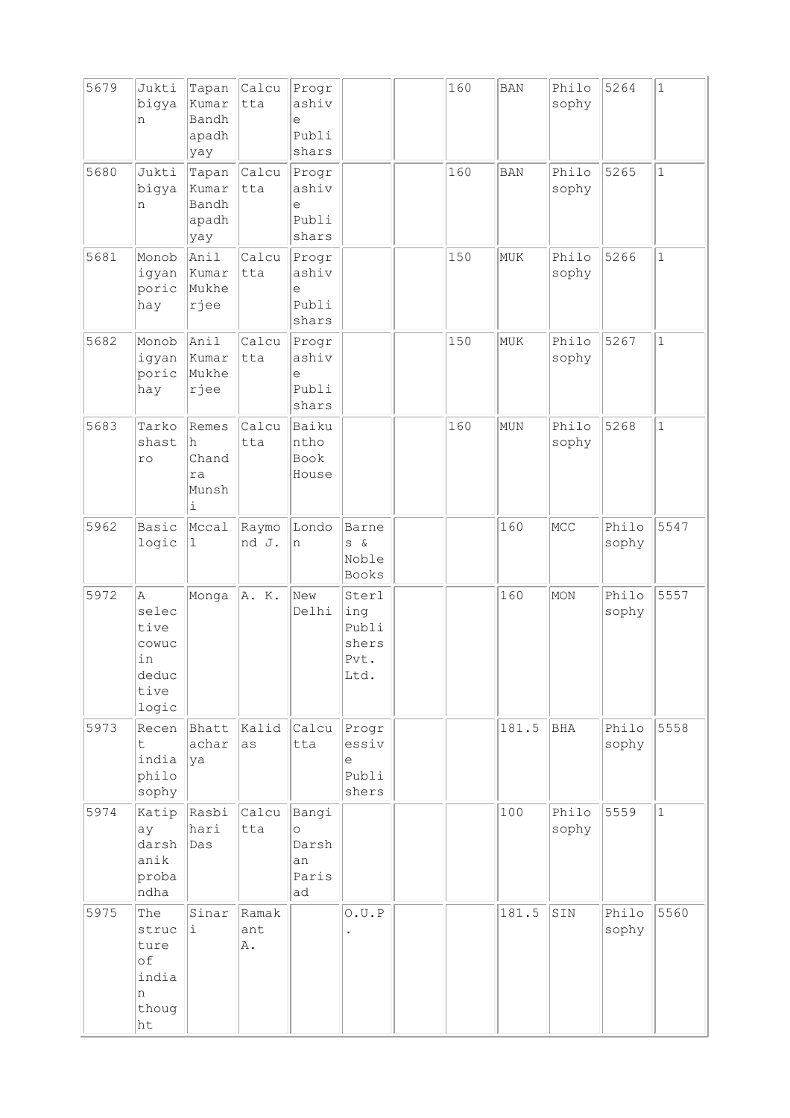| 5679 | Jukti<br>bigya<br>n                                         | Tapan<br>Kumar<br>Bandh<br>apadh<br>yay                  | Calcu<br>tta       | Progr<br>ashiv<br>e<br>Publi<br>shars          |                                                | 160 | <b>BAN</b> | Philo<br>sophy | 5264           | $\mathbf 1$  |
|------|-------------------------------------------------------------|----------------------------------------------------------|--------------------|------------------------------------------------|------------------------------------------------|-----|------------|----------------|----------------|--------------|
| 5680 | Jukti<br>bigya<br>n                                         | Tapan<br>Kumar<br>Bandh<br>apadh<br>yay                  | Calcu<br>tta       | Progr<br>ashiv<br>e<br>Publi<br>shars          |                                                | 160 | <b>BAN</b> | Philo<br>sophy | 5265           | $\mathbf{1}$ |
| 5681 | Monob<br>igyan<br>poric<br>hay                              | Anil<br>Kumar<br>Mukhe<br>rjee                           | Calcu<br>tta       | Progr<br>ashiv<br>e<br>Publi<br>shars          |                                                | 150 | MUK        | Philo<br>sophy | 5266           | $\mathbf{1}$ |
| 5682 | Monob<br>igyan<br>poric<br>hay                              | Anil<br>Kumar<br>Mukhe<br>rjee                           | Calcu<br>tta       | Progr<br>ashiv<br>e<br>Publi<br>shars          |                                                | 150 | MUK        | Philo<br>sophy | 5267           | $\mathbf{1}$ |
| 5683 | Tarko<br>shast<br>ro                                        | Remes<br>h<br>Chand<br>ra<br>Munsh<br>$\dot{\mathtt{l}}$ | Calcu<br>tta       | Baiku<br>ntho<br><b>Book</b><br>House          |                                                | 160 | MUN        | Philo<br>sophy | 5268           | $\mathbf 1$  |
| 5962 | Basic<br>logic                                              | Mccal<br>1                                               | Raymo<br>nd J.     | Londo<br>n                                     | Barne<br>$S \&$<br>Noble<br>Books              |     | 160        | MCC            | Philo<br>sophy | 5547         |
| 5972 | Α<br>selec<br>tive<br>cowuc<br>in<br>deduc<br>tive<br>logic | Monga                                                    | A. K.              | New<br>Delhi                                   | Sterl<br>ing<br>Publi<br>shers<br>Pvt.<br>Ltd. |     | 160        | MON            | Philo<br>sophy | 5557         |
| 5973 | Recen<br>$\mathsf{t}$<br>india<br>philo<br>sophy            | Bhatt<br>achar<br>ya                                     | Kalid<br>as        | Calcu<br>tta                                   | Progr<br>essiv<br>e<br>Publi<br>shers          |     | 181.5      | BHA            | Philo<br>sophy | 5558         |
| 5974 | Katip<br>ay<br>darsh<br>anik<br>proba<br>ndha               | Rasbi<br>hari<br>Das                                     | Calcu<br>tta       | Bangi<br>$\circ$<br>Darsh<br>an<br>Paris<br>ad |                                                |     | 100        | Philo<br>sophy | 5559           | $\mathbf{1}$ |
| 5975 | The<br>struc<br>ture<br>of<br>india<br>n<br>thoug<br>ht     | Sinar<br>i.                                              | Ramak<br>ant<br>Α. |                                                | 0.U.P                                          |     | 181.5      | SIN            | Philo<br>sophy | 5560         |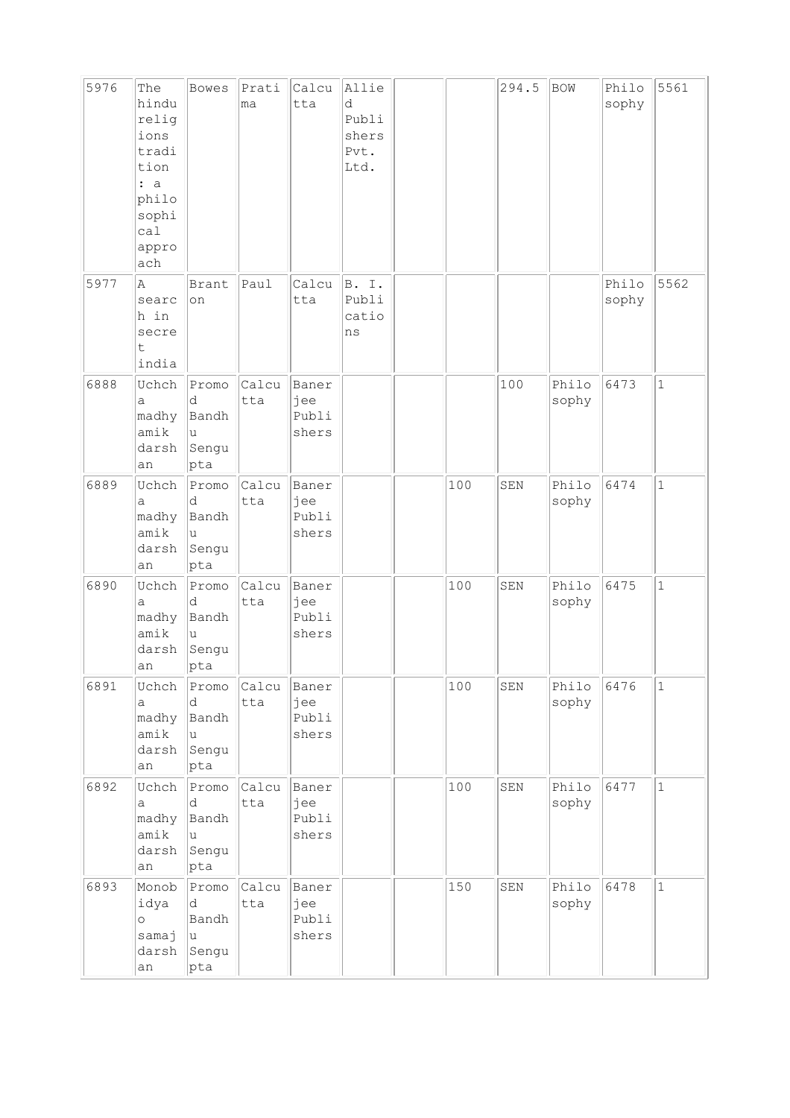| 5976 | The<br>hindu<br>relig<br>ions<br>tradi<br>tion<br>: a<br>philo<br>sophi<br>ca1<br>appro<br>ach | <b>Bowes</b>                                       | Prati<br>ma        | Calcu<br>tta                   | Allie<br>d<br>Publi<br>shers<br>Pvt.<br>Ltd. |     | 294.5 | BOW            | Philo<br>sophy | 5561         |
|------|------------------------------------------------------------------------------------------------|----------------------------------------------------|--------------------|--------------------------------|----------------------------------------------|-----|-------|----------------|----------------|--------------|
| 5977 | Α<br>searc<br>h in<br>secre<br>t<br>india                                                      | Brant<br>on                                        | Paul               | Calcu<br>tta                   | <b>B.</b><br>Ι.<br>Publi<br>catio<br>ns      |     |       |                | Philo<br>sophy | 5562         |
| 6888 | Uchch<br>a<br>madhy<br>amik<br>darsh<br>an                                                     | Promo<br>d<br>Bandh<br>u<br>Sengu<br>pta           | Calcu<br>tta       | Baner<br>jee<br>Publi<br>shers |                                              |     | 100   | Philo<br>sophy | 6473           | $\mathbf{1}$ |
| 6889 | Uchch<br>а<br>madhy<br>amik<br>darsh<br>an                                                     | Promo<br>d<br>Bandh<br>u<br>Sengu<br> pta          | Calcu<br>tta       | Baner<br>jee<br>Publi<br>shers |                                              | 100 | SEN   | Philo<br>sophy | 6474           | $\mathbf{1}$ |
| 6890 | Uchch<br>a<br>madhy<br>amik<br>darsh<br>an                                                     | Promo<br>d<br>Bandh<br>u<br>Sengu<br>pta           | Calcu<br>tta       | Baner<br>jee<br>Publi<br>shers |                                              | 100 | SEN   | Philo<br>sophy | 6475           | $\mathbf 1$  |
| 6891 | Uchch<br>a<br>madhy<br>amik<br>darsh<br>an                                                     | Promo<br>d<br>Bandh<br>u<br>Sengu<br>$ {\rm pta} $ | Calcu Baner<br>tta | jee<br>Publi<br>shers          |                                              | 100 | SEN   | Philo<br>sophy | 6476           | $\mathbf{1}$ |
| 6892 | Uchch<br>а<br>madhy<br>amik<br>darsh<br>an                                                     | Promo<br>d<br>Bandh<br>u<br>Sengu<br>pta           | Calcu<br>tta       | Baner<br>jee<br>Publi<br>shers |                                              | 100 | SEN   | Philo<br>sophy | 6477           | $\mathbf{1}$ |
| 6893 | Monob<br>idya<br>$\circ$<br>samaj<br>darsh<br>an                                               | Promo<br>d<br>Bandh<br>u<br>Sengu<br>pta           | Calcu<br>tta       | Baner<br>jee<br>Publi<br>shers |                                              | 150 | SEN   | Philo<br>sophy | 6478           | $\mathbf{1}$ |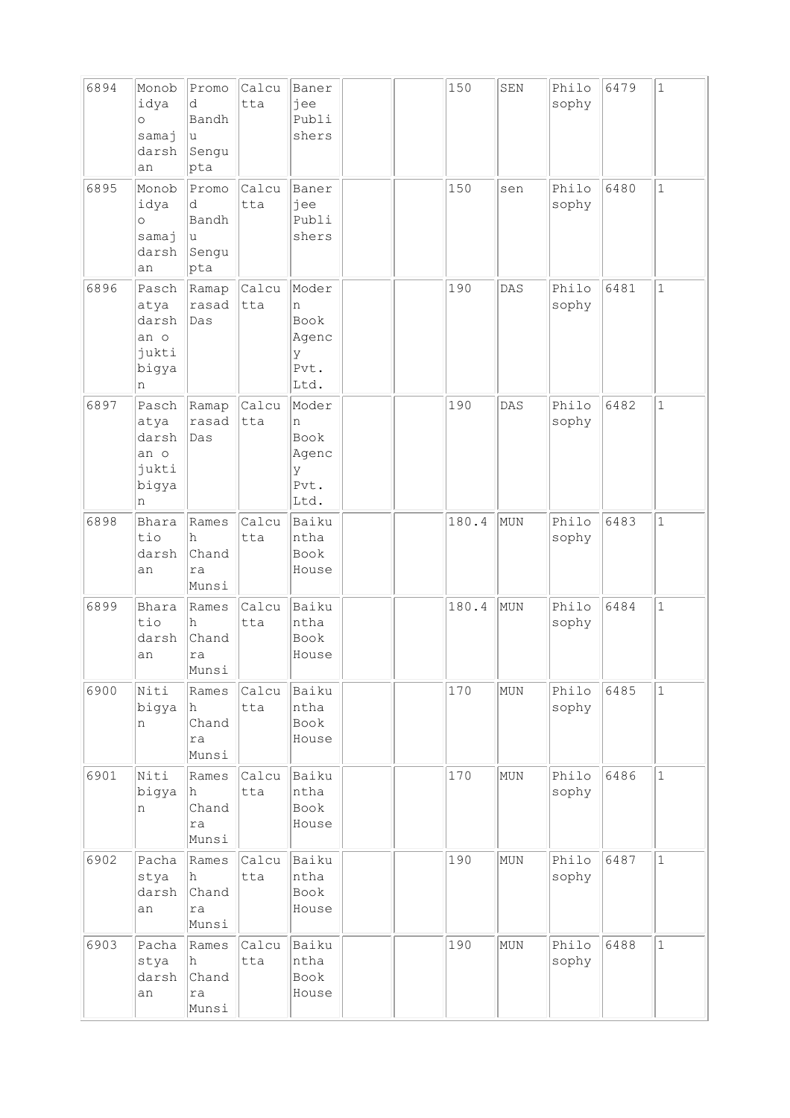| 6894 | Monob<br>idya<br>$\circ$<br>samaj<br>darsh<br>an      | Promo<br>d<br>Bandh<br>u<br>Sengu<br>pta | Calcu<br>tta       | Baner<br>jee<br>Publi<br>shers                   |  | 150   | SEN | Philo<br>sophy | 6479 | $\mathbf{1}$ |
|------|-------------------------------------------------------|------------------------------------------|--------------------|--------------------------------------------------|--|-------|-----|----------------|------|--------------|
| 6895 | Monob<br>idya<br>$\circ$<br>samaj<br>darsh<br>an      | Promo<br>d<br>Bandh<br>u<br>Sengu<br>pta | Calcu<br>tta       | Baner<br>jee<br>Publi<br>shers                   |  | 150   | sen | Philo<br>sophy | 6480 | $\mathbf 1$  |
| 6896 | Pasch<br>atya<br>darsh<br>an o<br>jukti<br>bigya<br>n | Ramap<br>rasad<br>Das                    | Calcu<br>tta       | Moder<br>n<br>Book<br>Agenc<br>У<br>Pvt.<br>Ltd. |  | 190   | DAS | Philo<br>sophy | 6481 | $\mathbf 1$  |
| 6897 | Pasch<br>atya<br>darsh<br>an o<br>jukti<br>bigya<br>n | Ramap<br>rasad<br>Das                    | Calcu<br>tta       | Moder<br>n<br>Book<br>Agenc<br>У<br>Pvt.<br>Ltd. |  | 190   | DAS | Philo<br>sophy | 6482 | $\mathbf 1$  |
| 6898 | Bhara<br>tio<br>darsh<br>an                           | Rames<br>h<br>Chand<br>ra<br>Munsi       | Calcu<br>tta       | Baiku<br>ntha<br>Book<br>House                   |  | 180.4 | MUN | Philo<br>sophy | 6483 | $\mathbf 1$  |
| 6899 | Bhara<br>tio<br>darsh<br>an                           | Rames<br>h<br>Chand<br>ra<br>Munsi       | Calcu<br>tta       | Baiku<br>ntha<br>Book<br>House                   |  | 180.4 | MUN | Philo<br>sophy | 6484 | $\mathbf 1$  |
| 6900 | Niti<br>bigya<br>n                                    | Rames<br>h.<br>Chand<br>ra<br>Munsi      | Calcu Baiku<br>tta | ntha<br>Book<br>House                            |  | 170   | MUN | Philo<br>sophy | 6485 | $\mathbf{1}$ |
| 6901 | Niti<br>bigya<br>n                                    | Rames<br>lh.<br>Chand<br>ra<br>Munsi     | Calcu<br>tta       | Baiku<br>ntha<br>Book<br>House                   |  | 170   | MUN | Philo<br>sophy | 6486 | $\mathbf{1}$ |
| 6902 | Pacha<br>stya<br>darsh<br>an                          | Rames<br>h.<br>Chand<br>ra<br>Munsi      | Calcu<br>tta       | Baiku<br>ntha<br>Book<br>House                   |  | 190   | MUN | Philo<br>sophy | 6487 | $\mathbf 1$  |
| 6903 | Pacha<br>stya<br>darsh<br>an                          | Rames<br>h<br>Chand<br>ra<br>Munsi       | Calcu<br>tta       | Baiku<br>ntha<br>Book<br>House                   |  | 190   | MUN | Philo<br>sophy | 6488 | $\mathbf 1$  |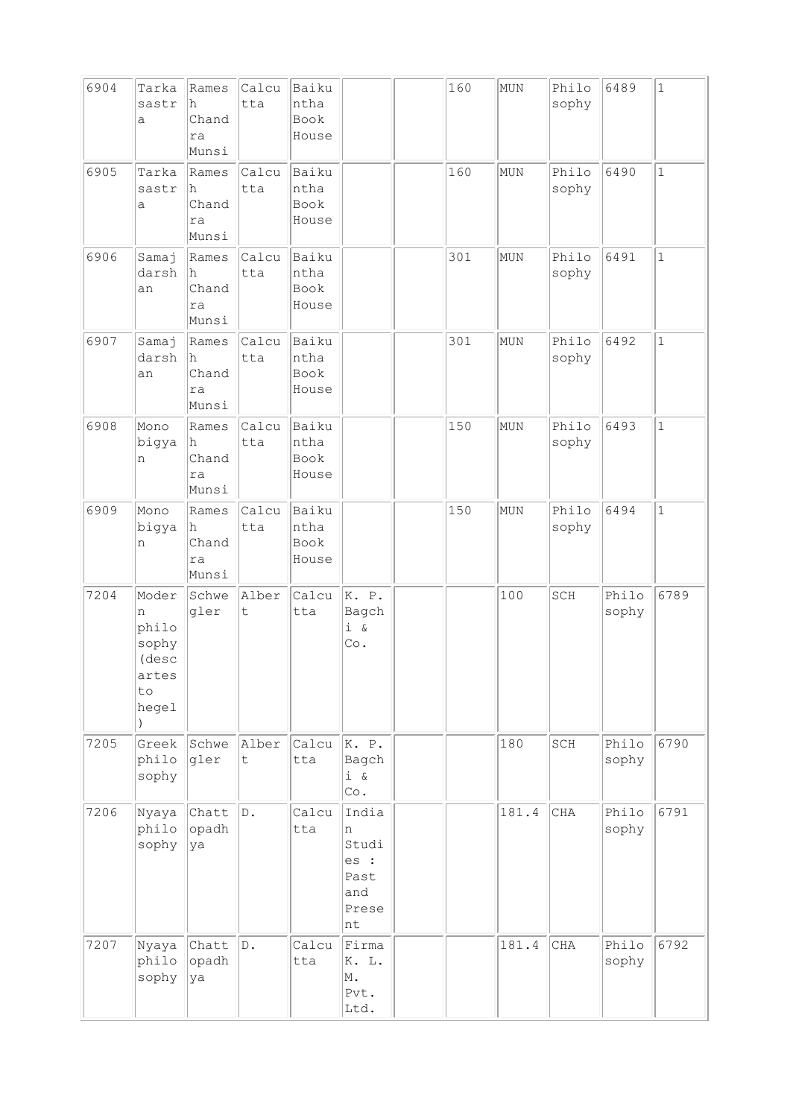| 6904 | Tarka<br>sastr<br>a                                           | Rames<br>h<br>Chand<br>ra<br>Munsi   | Calcu<br>tta         | Baiku<br>ntha<br>Book<br>House |                                                           | 160 | MUN   | Philo<br>sophy | 6489           | $\mathbf{1}$ |
|------|---------------------------------------------------------------|--------------------------------------|----------------------|--------------------------------|-----------------------------------------------------------|-----|-------|----------------|----------------|--------------|
| 6905 | Tarka<br>sastr<br>a                                           | Rames<br>h<br>Chand<br>ra<br>Munsi   | Calcu<br>tta         | Baiku<br>ntha<br>Book<br>House |                                                           | 160 | MUN   | Philo<br>sophy | 6490           | $\mathbf{1}$ |
| 6906 | Samaj<br>darsh<br>an                                          | Rames<br>lh.<br>Chand<br>ra<br>Munsi | Calcu<br>tta         | Baiku<br>ntha<br>Book<br>House |                                                           | 301 | MUN   | Philo<br>sophy | 6491           | $\mathbf{1}$ |
| 6907 | Samaj<br>darsh<br>an                                          | Rames<br>h<br>Chand<br>ra<br>Munsi   | Calcu<br>tta         | Baiku<br>ntha<br>Book<br>House |                                                           | 301 | MUN   | Philo<br>sophy | 6492           | $\mathbf{1}$ |
| 6908 | Mono<br>bigya<br>n                                            | Rames<br>h<br>Chand<br>ra<br>Munsi   | Calcu<br>tta         | Baiku<br>ntha<br>Book<br>House |                                                           | 150 | MUN   | Philo<br>sophy | 6493           | $\mathbf{1}$ |
| 6909 | Mono<br>bigya<br>n                                            | Rames<br>h<br>Chand<br>ra<br>Munsi   | Calcu<br>tta         | Baiku<br>ntha<br>Book<br>House |                                                           | 150 | MUN   | Philo<br>sophy | 6494           | $\mathbf{1}$ |
| 7204 | Moder<br>n<br>philo<br>sophy<br>(desc<br>artes<br>to<br>hegel | Schwe<br>gler                        | Alber<br>t           | Calcu<br>tta                   | K. P.<br>Bagch<br>$i \&$<br>Co.                           |     | 100   | SCH            | Philo<br>sophy | 6789         |
| 7205 | Greek<br>philo<br>sophy                                       | Schwe<br>gler                        | Alber<br>$\mathsf t$ | Calcu<br>tta                   | K. P.<br>Bagch<br>$i \alpha$<br>Co.                       |     | 180   | SCH            | Philo<br>sophy | 6790         |
| 7206 | Nyaya<br>philo<br>sophy                                       | Chatt<br>opadh<br>ya                 | D.                   | Calcu<br>tta                   | India<br>n<br>Studi<br>es :<br>Past<br>and<br>Prese<br>nt |     | 181.4 | $\rm CHA$      | Philo<br>sophy | 6791         |
| 7207 | Nyaya<br>philo<br>sophy                                       | Chatt<br>opadh<br>ya                 | D.                   | Calcu<br>tta                   | Firma<br>K. L.<br>M.<br>Pvt.<br>Ltd.                      |     | 181.4 | CHA            | Philo<br>sophy | 6792         |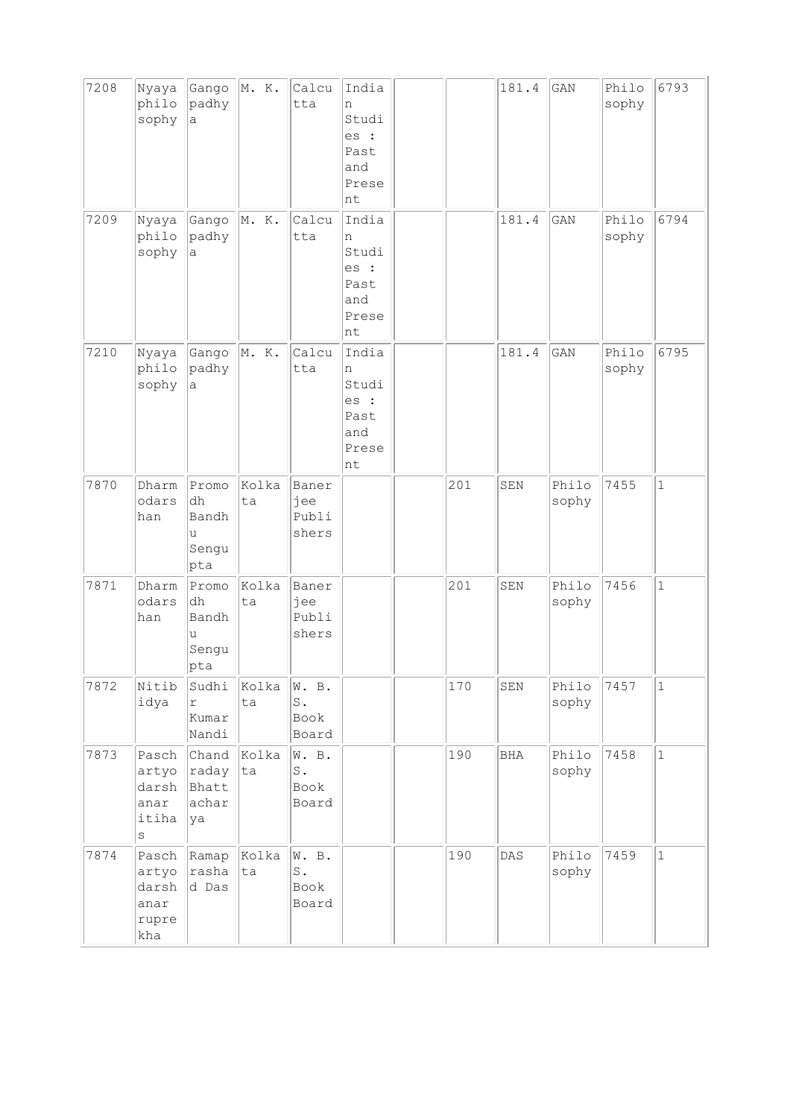| 7208 | Nyaya<br>philo<br>sophy                             | Gango<br>padhy<br>a                       | M. K.       | Calcu<br>tta                             | India<br>n<br>Studi<br>es :<br>Past<br>and<br>Prese<br>nt |     | 181.4      | GAN            | Philo<br>sophy | 6793         |
|------|-----------------------------------------------------|-------------------------------------------|-------------|------------------------------------------|-----------------------------------------------------------|-----|------------|----------------|----------------|--------------|
| 7209 | Nyaya<br>philo<br>sophy                             | Gango<br>padhy<br>а                       | M. K.       | Calcu<br>tta                             | India<br>n<br>Studi<br>es :<br>Past<br>and<br>Prese<br>nt |     | 181.4      | GAN            | Philo<br>sophy | 6794         |
| 7210 | Nyaya<br>philo<br>sophy                             | Gango<br>padhy<br>а                       | M. K.       | Calcu<br>tta                             | India<br>n<br>Studi<br>es :<br>Past<br>and<br>Prese<br>nt |     | 181.4      | GAN            | Philo<br>sophy | 6795         |
| 7870 | Dharm<br>odars<br>han                               | Promo<br>dh<br>Bandh<br>u<br>Sengu<br>pta | Kolka<br>ta | Baner<br>jee<br>Publi<br>shers           |                                                           | 201 | SEN        | Philo<br>sophy | 7455           | $\mathbf{1}$ |
| 7871 | Dharm<br>odars<br>han                               | Promo<br>dh<br>Bandh<br>u<br>Sengu<br>pta | Kolka<br>ta | Baner<br>jee<br>Publi<br>shers           |                                                           | 201 | SEN        | Philo<br>sophy | 7456           | $\mathbf{1}$ |
| 7872 | Nitib<br>idya                                       | Sudhi<br>$\Gamma$<br>Kumar<br>Nandi       | Kolka<br>ta | W. B.<br>$\texttt{S}$ .<br>Book<br>Board |                                                           | 170 | SEN        | Philo<br>sophy | 7457           | $\mathbf 1$  |
| 7873 | Pasch<br>artyo<br>darsh<br>anar<br>itiha<br>$\rm s$ | Chand<br>raday<br>Bhatt<br>achar<br>ya    | Kolka<br>ta | W. B.<br>$\mathbb S$ .<br>Book<br>Board  |                                                           | 190 | <b>BHA</b> | Philo<br>sophy | 7458           | $\mathbf{1}$ |
| 7874 | Pasch<br>artyo<br>darsh<br>anar<br>rupre<br>kha     | Ramap<br>rasha<br>d Das                   | Kolka<br>ta | W. B.<br>${\tt S}$ .<br>Book<br>Board    |                                                           | 190 | DAS        | Philo<br>sophy | 7459           | $1\,$        |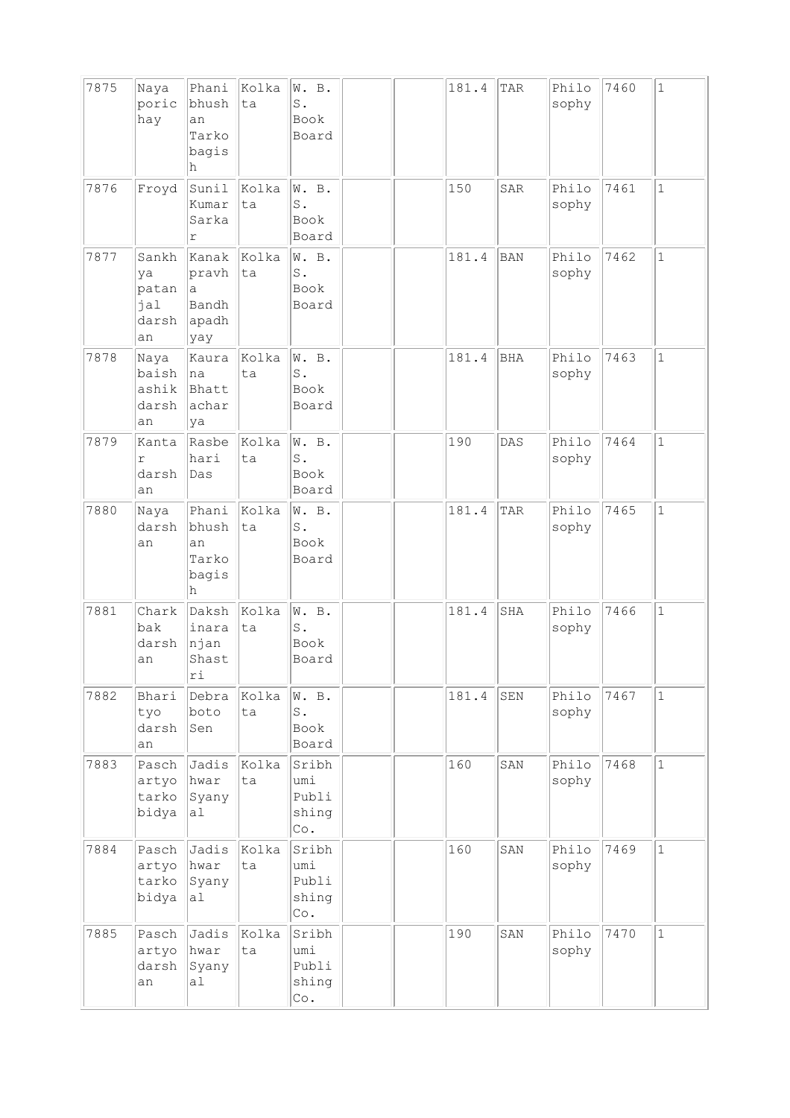| 7875 | Naya<br>poric<br>hay                       | Phani<br>bhush<br>an<br>Tarko<br>bagis<br>h  | Kolka<br>ta | W. B.<br>S.<br><b>Book</b><br>Board                   |  | 181.4 | TAR        | Philo<br>sophy | 7460 | $\mathbf{1}$ |
|------|--------------------------------------------|----------------------------------------------|-------------|-------------------------------------------------------|--|-------|------------|----------------|------|--------------|
| 7876 | Froyd                                      | Sunil<br>Kumar<br>Sarka<br>r                 | Kolka<br>ta | W. B.<br>S.<br>Book<br>Board                          |  | 150   | SAR        | Philo<br>sophy | 7461 | $\mathbf{1}$ |
| 7877 | Sankh<br>ya<br>patan<br>jal<br>darsh<br>an | Kanak<br>pravh<br>a<br>Bandh<br>apadh<br>yay | Kolka<br>ta | W. B.<br>$\texttt{S}$ .<br>Book<br>Board              |  | 181.4 | <b>BAN</b> | Philo<br>sophy | 7462 | $\mathbf 1$  |
| 7878 | Naya<br>baish<br>ashik<br>darsh<br>an      | Kaura<br> na<br>Bhatt<br>achar<br>ya         | Kolka<br>ta | W. B.<br>$S$ .<br>Book<br>Board                       |  | 181.4 | <b>BHA</b> | Philo<br>sophy | 7463 | $\mathbf{1}$ |
| 7879 | Kanta<br>r<br>darsh<br>an                  | Rasbe<br>hari<br>Das                         | Kolka<br>ta | W. B.<br>$\texttt{S}$ .<br>Book<br>Board              |  | 190   | DAS        | Philo<br>sophy | 7464 | $\mathbf{1}$ |
| 7880 | Naya<br>darsh<br>an                        | Phani<br>bhush<br>an<br>Tarko<br>bagis<br>h  | Kolka<br>ta | W. B.<br>$\texttt{S}$ .<br>Book<br>Board              |  | 181.4 | TAR        | Philo<br>sophy | 7465 | $\mathbf 1$  |
| 7881 | Chark<br>bak<br>darsh<br>an                | Daksh<br>inara<br>njan<br>Shast<br>rı        | Kolka<br>ta | W. B.<br>$S$ .<br><b>Book</b><br>Board                |  | 181.4 | SHA        | Philo<br>sophy | 7466 | $\mathbf 1$  |
| 7882 | Bhari<br>tyo<br>darsh<br>an                | Debra<br>boto<br>Sen                         | Kolka<br>ta | W. B.<br>$\texttt{S}$ .<br>Book<br>Board              |  | 181.4 | SEN        | Philo<br>sophy | 7467 | $\mathbf{1}$ |
| 7883 | Pasch<br>artyo<br>tarko<br>bidya           | Jadis<br>hwar<br>Syany<br>al                 | Kolka<br>ta | Sribh<br>umi<br>Publi<br>shing<br>Co.                 |  | 160   | SAN        | Philo<br>sophy | 7468 | $\mathbf{1}$ |
| 7884 | Pasch<br>artyo<br>tarko<br>bidya           | Jadis<br>hwar<br>Syany<br>a <sub>l</sub>     | Kolka<br>ta | Sribh<br>umi<br>Publi<br>shing<br>$\mathbb{C}\circ$ . |  | 160   | SAN        | Philo<br>sophy | 7469 | $\mathbf{1}$ |
| 7885 | Pasch<br>artyo<br>darsh<br>an              | Jadis<br>hwar<br>Syany<br>al                 | Kolka<br>ta | Sribh<br>umi<br>Publi<br>shing<br>$\mathbb{C}\circ$ . |  | 190   | SAN        | Philo<br>sophy | 7470 | $\mathbf{1}$ |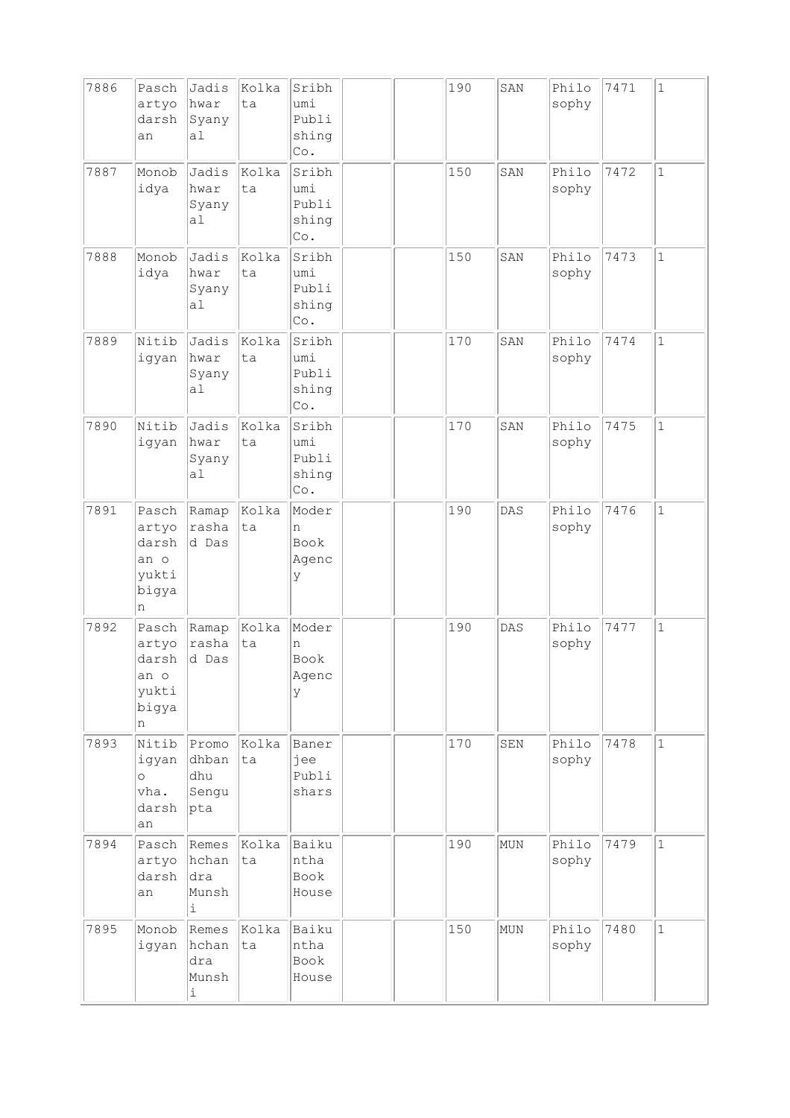| 7886 | Pasch<br>artyo<br>darsh<br>an                          | Jadis<br>hwar<br>Syany<br>al                         | Kolka<br>ta | Sribh<br>umi<br>Publi<br>shing<br>$\mathbb{C}\circ$ . |  | 190 | SAN | Philo<br>sophy | 7471 | $\mathbf{1}$ |
|------|--------------------------------------------------------|------------------------------------------------------|-------------|-------------------------------------------------------|--|-----|-----|----------------|------|--------------|
| 7887 | Monob<br>idya                                          | Jadis<br>hwar<br>Syany<br>a1                         | Kolka<br>ta | Sribh<br>umi<br>Publi<br>shing<br>$\mathbb{C}\circ$ . |  | 150 | SAN | Philo<br>sophy | 7472 | $\mathbf 1$  |
| 7888 | Monob<br>idya                                          | Jadis<br>hwar<br>Syany<br>a1                         | Kolka<br>ta | Sribh<br>umi<br>Publi<br>shing<br>$\mathbb{C}\circ$ . |  | 150 | SAN | Philo<br>sophy | 7473 | $\mathbf{1}$ |
| 7889 | Nitib<br>igyan                                         | Jadis<br>hwar<br>Syany<br>a <sub>1</sub>             | Kolka<br>ta | Sribh<br>umi<br>Publi<br>shing<br>Co.                 |  | 170 | SAN | Philo<br>sophy | 7474 | $\mathbf 1$  |
| 7890 | Nitib<br>igyan                                         | Jadis<br>hwar<br>Syany<br>al                         | Kolka<br>ta | Sribh<br>umi<br>Publi<br>shing<br>Co.                 |  | 170 | SAN | Philo<br>sophy | 7475 | $\mathbf{1}$ |
| 7891 | Pasch<br>artyo<br>darsh<br>an o<br>yukti<br>bigya<br>n | Ramap<br>rasha<br>d Das                              | Kolka<br>ta | Moder<br>n<br>Book<br>Agenc<br>У                      |  | 190 | DAS | Philo<br>sophy | 7476 | $\mathbf 1$  |
| 7892 | Pasch<br>artyo<br>darsh<br>an o<br>yukti<br>bigya<br>n | Ramap<br>rasha<br>d Das                              | Kolka<br>ta | Moder<br>n<br>Book<br>Agenc<br>У                      |  | 190 | DAS | Philo<br>sophy | 7477 | $\mathbf 1$  |
| 7893 | Nitib<br>igyan<br>$\circ$<br>vha.<br>darsh<br>an       | Promo<br>dhban<br>dhu<br>Sengu<br>pta                | kolka<br>ta | Baner<br>jee<br>Publi<br>shars                        |  | 170 | SEN | Philo<br>sophy | 7478 | $\mathbf{1}$ |
| 7894 | Pasch<br>artyo<br>darsh<br>an                          | Remes<br>hchan<br>dra<br>Munsh<br>i                  | Kolka<br>ta | Baiku<br>ntha<br>Book<br>House                        |  | 190 | MUN | Philo<br>sophy | 7479 | $\mathbf{1}$ |
| 7895 | Monob<br>igyan                                         | Remes<br>hchan<br>dra<br>Munsh<br>$\dot{\mathtt{l}}$ | Kolka<br>ta | Baiku<br>ntha<br>Book<br>House                        |  | 150 | MUN | Philo<br>sophy | 7480 | $\mathbf{1}$ |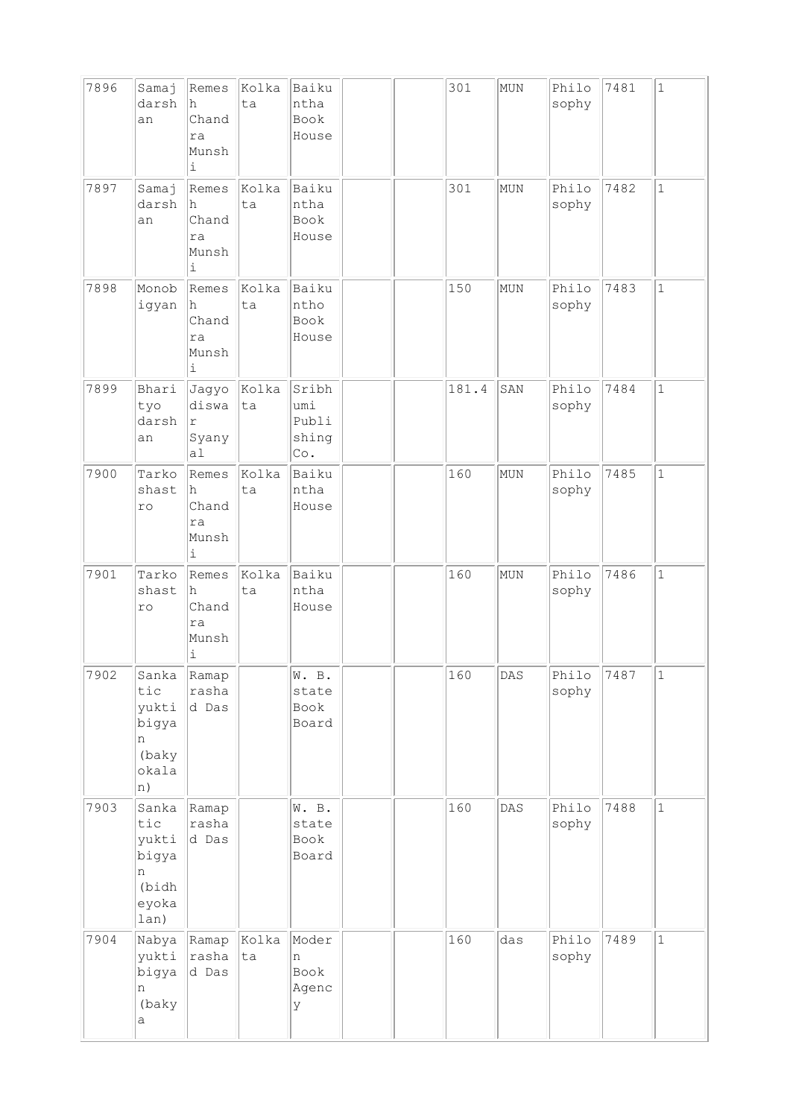| 7896 | Samaj<br>darsh<br>an                                          | Remes<br>h<br>Chand<br>ra<br>Munsh<br>i                   | Kolka<br>ta | Baiku<br>ntha<br>Book<br>House                        |  | 301   | MUN        | Philo<br>sophy | 7481 | $\mathbf{1}$ |
|------|---------------------------------------------------------------|-----------------------------------------------------------|-------------|-------------------------------------------------------|--|-------|------------|----------------|------|--------------|
| 7897 | Samaj<br>darsh<br>an                                          | Remes<br>h<br>Chand<br>ra<br>Munsh<br>$\dot{\mathtt{l}}$  | Kolka<br>ta | Baiku<br>ntha<br>Book<br>House                        |  | 301   | MUN        | Philo<br>sophy | 7482 | $\mathbf{1}$ |
| 7898 | Monob<br>igyan                                                | Remes<br>h<br>Chand<br>ra<br>Munsh<br>i                   | Kolka<br>ta | Baiku<br>ntho<br>Book<br>House                        |  | 150   | <b>MUN</b> | Philo<br>sophy | 7483 | $\mathbf 1$  |
| 7899 | Bhari<br>tyo<br>darsh<br>an                                   | Jagyo<br>diswa<br>r<br>Syany<br>a1                        | Kolka<br>ta | Sribh<br>umi<br>Publi<br>shing<br>$\mathbb{C}\circ$ . |  | 181.4 | SAN        | Philo<br>sophy | 7484 | $\mathbf 1$  |
| 7900 | Tarko<br>shast<br>$\verb r $                                  | Remes<br>h<br>Chand<br>ra<br>Munsh<br>$\dot{\mathbbm{1}}$ | Kolka<br>ta | Baiku<br>ntha<br>House                                |  | 160   | MUN        | Philo<br>sophy | 7485 | $\mathbf 1$  |
| 7901 | Tarko<br>shast<br>ro                                          | Remes<br>h<br>Chand<br>ra<br>Munsh<br>i                   | Kolka<br>ta | Baiku<br>ntha<br>House                                |  | 160   | MUN        | Philo<br>sophy | 7486 | $\mathbf{1}$ |
| 7902 | Sanka<br>tic<br>yukti<br>bigya<br>n<br>(baky<br>okala<br> n)  | Ramap<br>rasha<br>d Das                                   |             | W. B.<br>state<br>Book<br>Board                       |  | 160   | DAS        | Philo<br>sophy | 7487 | $\mathbf 1$  |
| 7903 | Sanka<br>tic<br>yukti<br>bigya<br>n<br>(bidh<br>eyoka<br>lan) | Ramap<br>rasha<br>d Das                                   |             | W. B.<br>state<br>Book<br>Board                       |  | 160   | DAS        | Philo<br>sophy | 7488 | $\mathbf 1$  |
| 7904 | Nabya<br>yukti<br>bigya<br>n<br>(baky<br>а                    | Ramap<br>rasha<br>d Das                                   | Kolka<br>ta | Moder<br>n<br>Book<br>Agenc<br>У                      |  | 160   | das        | Philo<br>sophy | 7489 | $\mathbf{1}$ |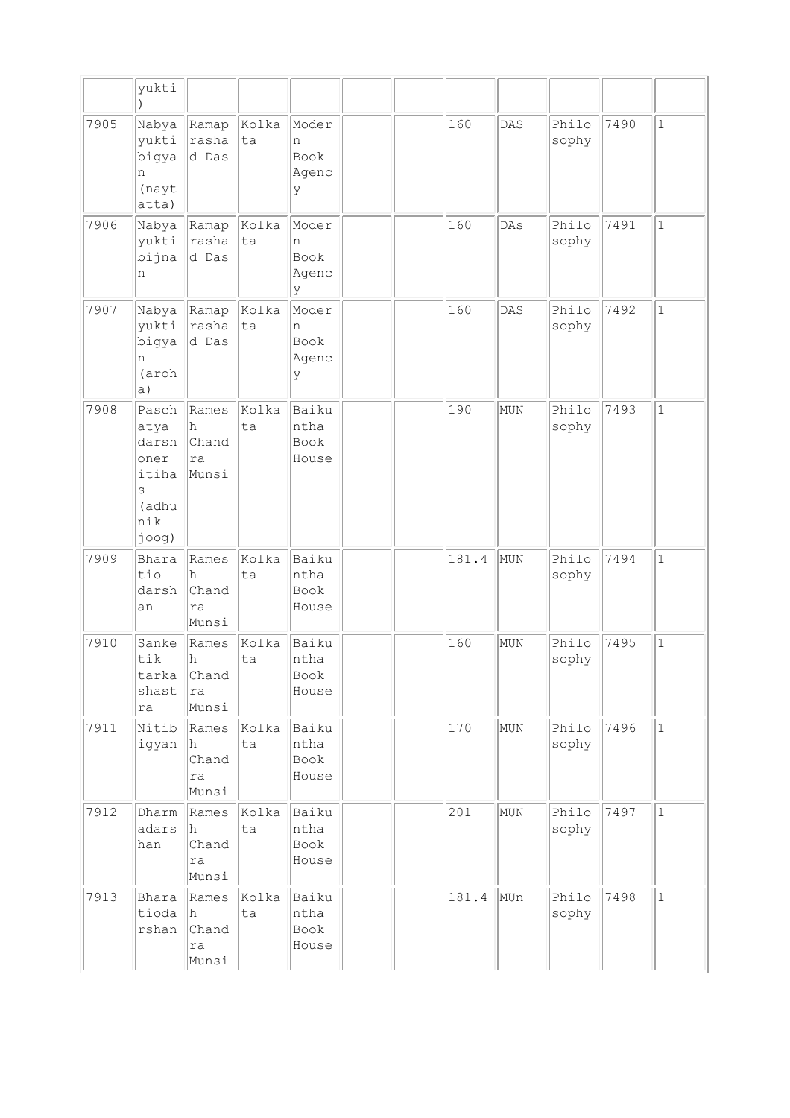|      | yukti                                                                    |                                     |             |                                   |  |       |     |                |      |              |
|------|--------------------------------------------------------------------------|-------------------------------------|-------------|-----------------------------------|--|-------|-----|----------------|------|--------------|
| 7905 | Nabya<br>yukti<br>bigya<br>n<br>(nayt<br>atta)                           | Ramap<br>rasha<br>d Das             | Kolka<br>ta | Moder<br>n<br>Book<br>Agenc<br>У  |  | 160   | DAS | Philo<br>sophy | 7490 | $\mathbf{1}$ |
| 7906 | Nabya<br>yukti<br>bijna<br>n                                             | Ramap<br>rasha<br>d Das             | Kolka<br>ta | Moder<br>n<br>Book<br>Agenc<br>lУ |  | 160   | DAs | Philo<br>sophy | 7491 | $\mathbf{1}$ |
| 7907 | Nabya<br>yukti<br>bigya<br>n<br>(aroh<br> a)                             | Ramap<br>rasha<br>d Das             | Kolka<br>ta | Moder<br>n<br>Book<br>Agenc<br>У  |  | 160   | DAS | Philo<br>sophy | 7492 | $\mathbf{1}$ |
| 7908 | Pasch<br>atya<br>darsh<br>oner<br>itiha<br>S<br>(adhu<br>nik<br>$j$ oog) | Rames<br>h<br>Chand<br>ra<br>Munsi  | kolka<br>ta | Baiku<br>ntha<br>Book<br>House    |  | 190   | MUN | Philo<br>sophy | 7493 | $\mathbf{1}$ |
| 7909 | Bhara<br>tio<br>darsh<br>an                                              | Rames<br>h<br>Chand<br>ra<br>Munsi  | Kolka<br>ta | Baiku<br>ntha<br>Book<br>House    |  | 181.4 | MUN | Philo<br>sophy | 7494 | $\mathbf{1}$ |
| 7910 | Sanke<br>tik<br>tarka<br>shast<br>ra                                     | Rames<br>h<br>Chand<br>ra<br>Munsi  | Kolka<br>ta | Baiku<br>ntha<br>Book<br>House    |  | 160   | MUN | Philo<br>sophy | 7495 | $\mathbf 1$  |
| 7911 | Nitib<br>igyan                                                           | Rames<br>h.<br>Chand<br>ra<br>Munsi | Kolka<br>ta | Baiku<br>ntha<br>Book<br>House    |  | 170   | MUN | Philo<br>sophy | 7496 | $\mathbf{1}$ |
| 7912 | Dharm<br>adars<br>han                                                    | Rames<br>h<br>Chand<br>ra<br>Munsi  | Kolka<br>ta | Baiku<br>ntha<br>Book<br>House    |  | 201   | MUN | Philo<br>sophy | 7497 | $\mathbf{1}$ |
| 7913 | Bhara<br>tioda<br>rshan                                                  | Rames<br>h<br>Chand<br>ra<br>Munsi  | Kolka<br>ta | Baiku<br>ntha<br>Book<br>House    |  | 181.4 | MUn | Philo<br>sophy | 7498 | $\mathbf{1}$ |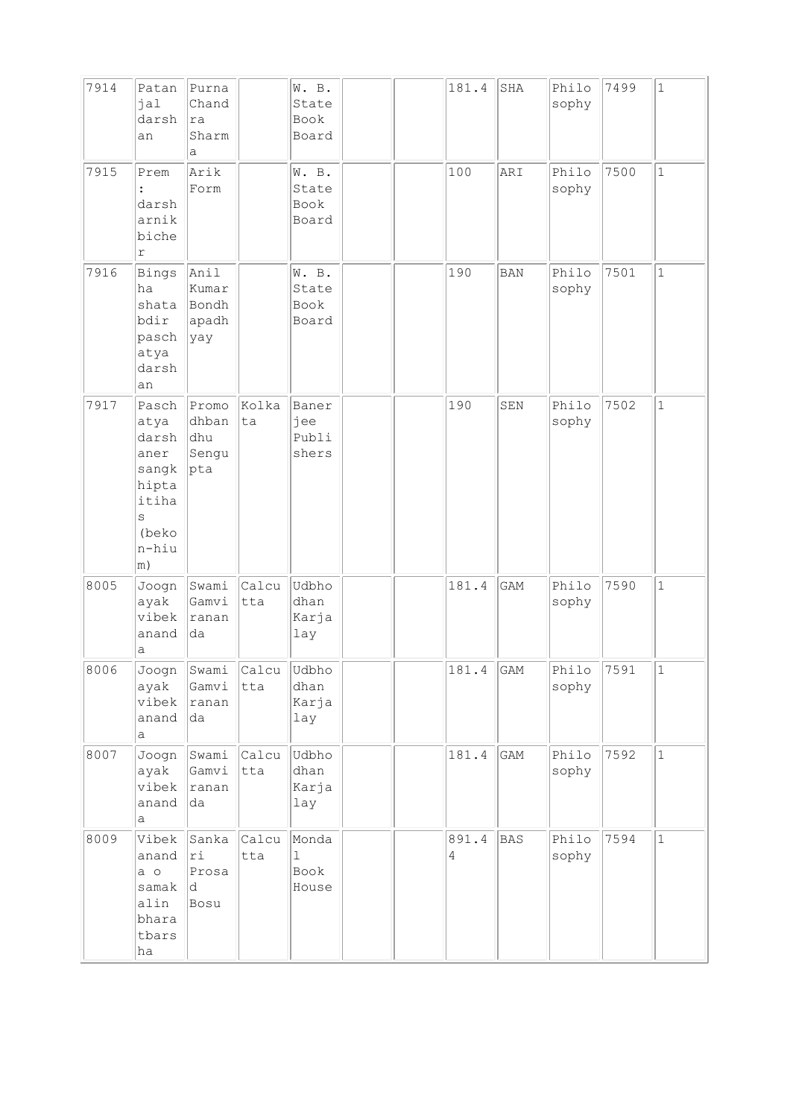| 7914 | Patan<br>jal<br>darsh<br>an                                                             | Purna<br>Chand<br>ra<br>Sharm<br>a      |                          | W. B.<br>State<br>Book<br>Board        |  | 181.4                   | $_{\rm SHA}$ | Philo<br>sophy | 7499 | $\mathbf{1}$ |
|------|-----------------------------------------------------------------------------------------|-----------------------------------------|--------------------------|----------------------------------------|--|-------------------------|--------------|----------------|------|--------------|
| 7915 | Prem<br>darsh<br>arnik<br>biche<br>$\Upsilon$                                           | Arik<br>Form                            |                          | W. B.<br>State<br>Book<br>Board        |  | 100                     | ARI          | Philo<br>sophy | 7500 | $\mathbf 1$  |
| 7916 | <b>Bings</b><br>ha<br>shata<br>bdir<br>pasch<br>atya<br>darsh<br>an                     | Anil<br>Kumar<br>Bondh<br>apadh<br> yay |                          | W. B.<br>State<br>Book<br>Board        |  | 190                     | BAN          | Philo<br>sophy | 7501 | $\mathbf{1}$ |
| 7917 | Pasch<br>atya<br>darsh<br>aner<br>sangk<br>hipta<br>itiha<br>S<br>(beko<br>n-hiu<br> m) | Promo<br>dhban<br>dhu<br>Sengu<br> pta  | Kolka<br>ta              | Baner<br>jee<br>Publi<br>shers         |  | 190                     | SEN          | Philo<br>sophy | 7502 | $\mathbf{1}$ |
| 8005 | Joogn<br>ayak<br>vibek<br>anand<br>а                                                    | Swami<br>Gamvi<br> ranan<br>da          | Calcu<br>tta             | Udbho<br>dhan<br>Karja<br>lay          |  | 181.4                   | GAM          | Philo<br>sophy | 7590 | $\mathbf{1}$ |
| 8006 | Joogn<br>ayak<br>vibek<br>anand<br>a                                                    | Gamvi<br> ranan<br>da                   | Swami Calcu Udbho<br>tta | dhan<br>Karja<br>lay                   |  | 181.4                   | GAM          | Philo<br>sophy | 7591 | 1            |
| 8007 | Joogn<br>ayak<br>vibek<br>anand<br>а                                                    | Swami<br>Gamvi<br>ranan<br>da           | Calcu<br>tta             | Udbho<br>dhan<br>Karja<br>lay          |  | 181.4                   | GAM          | Philo<br>sophy | 7592 | $\mathbf{1}$ |
| 8009 | Vibek<br>anand<br>$a$ o<br>samak<br>alin<br>bhara<br>tbars<br>ha                        | Sanka<br>ri<br>Prosa<br> d<br>Bosu      | Calcu<br>tta             | Monda<br>$\mathbf{1}$<br>Book<br>House |  | 891.4<br>$\overline{4}$ | <b>BAS</b>   | Philo<br>sophy | 7594 | $\mathbf 1$  |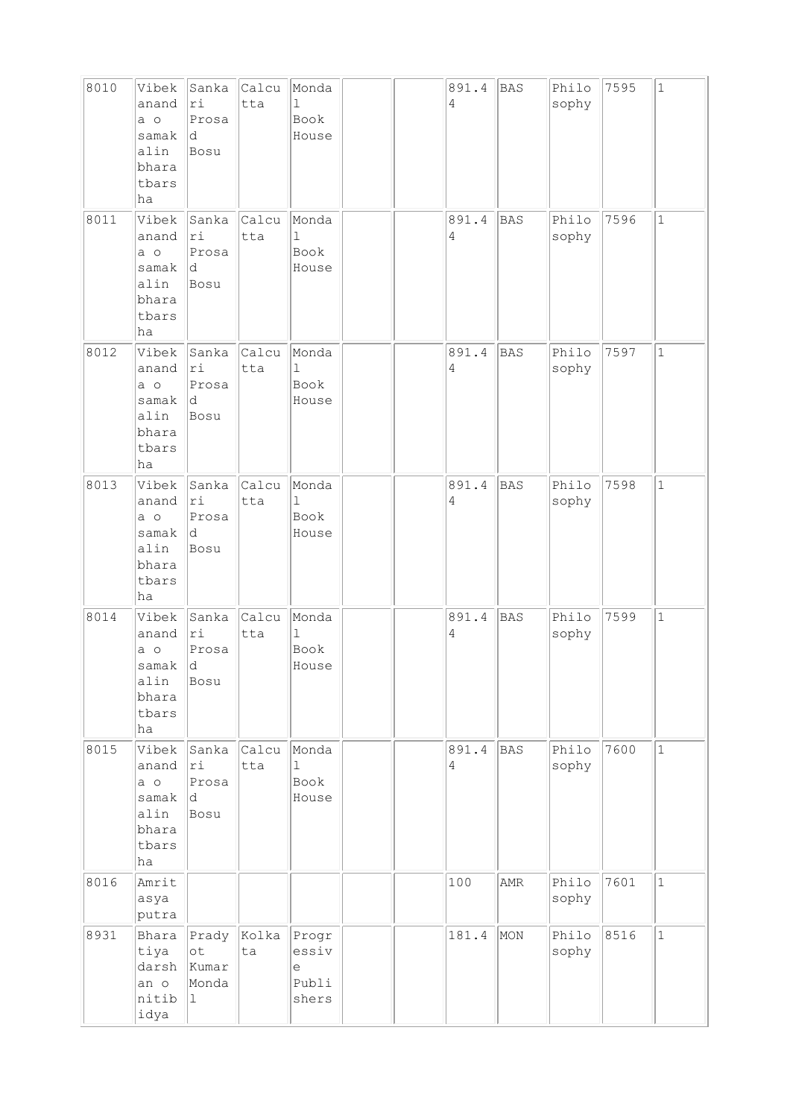| 8010 | Vibek<br>anand<br>$a$ o<br>samak<br>alin<br>bhara<br>tbars<br>ha     | Sanka<br>ri<br>Prosa<br>ld.<br>Bosu        | Calcu<br>tta | Monda<br>$\mathbf{1}$<br>Book<br>House |  | 891.4<br>4 | <b>BAS</b> | Philo<br>sophy | 7595 | $\mathbf{1}$ |
|------|----------------------------------------------------------------------|--------------------------------------------|--------------|----------------------------------------|--|------------|------------|----------------|------|--------------|
| 8011 | Vibek<br>anand<br>a o<br>samak<br>alin<br>bhara<br>tbars<br>ha       | Sanka<br>ri<br>Prosa<br> d<br>Bosu         | Calcu<br>tta | Monda<br>ı<br>Book<br>House            |  | 891.4<br>4 | <b>BAS</b> | Philo<br>sophy | 7596 | $\mathbf 1$  |
| 8012 | Vibek<br>anand<br>a o<br>samak<br>alin<br>bhara<br>tbars<br>ha       | Sanka<br> ri<br>Prosa<br> d<br>Bosu        | Calcu<br>tta | Monda<br>$\mathbf{1}$<br>Book<br>House |  | 891.4<br>4 | <b>BAS</b> | Philo<br>sophy | 7597 | $\mathbf{1}$ |
| 8013 | Vibek<br>anand<br>a o<br>samak<br>alin<br>bhara<br>tbars<br>ha       | Sanka<br>ri<br>Prosa<br>d.<br>Bosu         | Calcu<br>tta | Monda<br>ı<br>Book<br>House            |  | 891.4<br>4 | <b>BAS</b> | Philo<br>sophy | 7598 | $\mathbf{1}$ |
| 8014 | Vibek<br>anand<br>a o<br>samak<br>alin<br>bhara<br>tbars<br>ha       | Sanka<br>ri<br>Prosa<br> d<br>Bosu         | Calcu<br>tta | Monda<br>$\mathbf 1$<br>Book<br>House  |  | 891.4<br>4 | <b>BAS</b> | Philo<br>sophy | 7599 | $\mathbf 1$  |
| 8015 | Vibek<br>anand<br>$a \circ$<br>samak<br>alin<br>bhara<br>tbars<br>ha | Sanka<br>ri<br>Prosa<br>ld.<br>Bosu        | Calcu<br>tta | Monda<br>$\mathbf{1}$<br>Book<br>House |  | 891.4<br>4 | <b>BAS</b> | Philo<br>sophy | 7600 | $\mathbf{1}$ |
| 8016 | Amrit<br>asya<br>putra                                               |                                            |              |                                        |  | 100        | AMR        | Philo<br>sophy | 7601 | $\mathbf{1}$ |
| 8931 | Bhara<br>tiya<br>darsh<br>an o<br>nitib<br>idya                      | Prady<br>$\circ t$<br>Kumar<br>Monda<br>11 | Kolka<br>ta  | Progr<br>essiv<br>е<br>Publi<br>shers  |  | 181.4      | MON        | Philo<br>sophy | 8516 | $\mathbf{1}$ |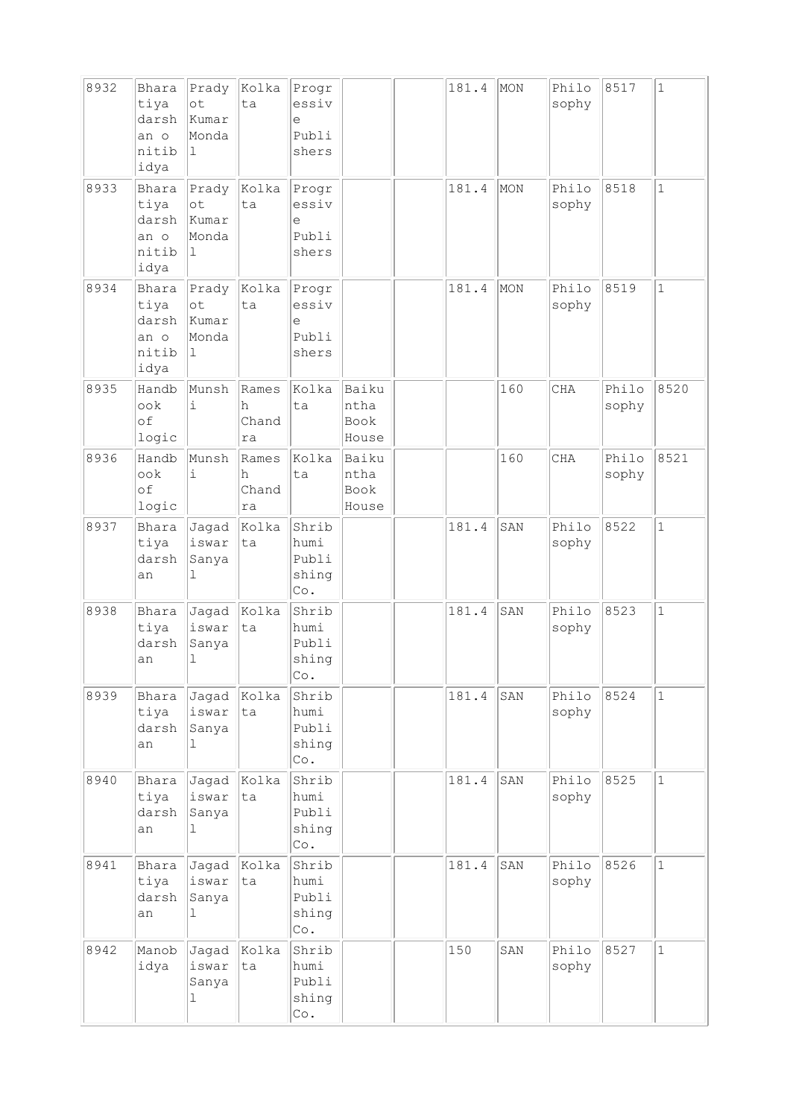| 8932 | Bhara<br>tiya<br>darsh<br>an o<br>nitib<br>idya | Prady<br>ot<br>kumar<br>Monda<br>1            | Kolka<br>ta               | Progr<br>essiv<br>e<br>Publi<br>shers                  |                                       | 181.4 | MON | Philo<br>sophy | 8517           | $\mathbf{1}$ |
|------|-------------------------------------------------|-----------------------------------------------|---------------------------|--------------------------------------------------------|---------------------------------------|-------|-----|----------------|----------------|--------------|
| 8933 | Bhara<br>tiya<br>darsh<br>an o<br>nitib<br>idya | Prady<br>ot<br>Kumar<br>Monda<br>$\perp$      | Kolka<br>ta               | Progr<br>essiv<br>е<br>Publi<br>shers                  |                                       | 181.4 | MON | Philo<br>sophy | 8518           | $\mathbf{1}$ |
| 8934 | Bhara<br>tiya<br>darsh<br>an o<br>nitib<br>idya | Prady<br>ot<br>kumar<br>Monda<br>$\mathbf{1}$ | Kolka<br>ta               | Progr<br>essiv<br>e<br>Publi<br>shers                  |                                       | 181.4 | MON | Philo<br>sophy | 8519           | $\mathbf 1$  |
| 8935 | Handb<br>ook<br>of<br>logic                     | Munsh<br>i                                    | Rames<br>h<br>Chand<br>ra | Kolka<br>ta                                            | Baiku<br>ntha<br><b>Book</b><br>House |       | 160 | CHA            | Philo<br>sophy | 8520         |
| 8936 | Handb<br>ook<br>of<br>logic                     | Munsh<br>$\dot{1}$                            | Rames<br>h<br>Chand<br>ra | Kolka<br>ta                                            | Baiku<br>ntha<br><b>Book</b><br>House |       | 160 | <b>CHA</b>     | Philo<br>sophy | 8521         |
| 8937 | Bhara<br>tiya<br>darsh<br>an                    | Jagad<br>iswar<br>Sanya<br>1                  | Kolka<br>ta               | Shrib<br>humi<br>Publi<br>shing<br>Co.                 |                                       | 181.4 | SAN | Philo<br>sophy | 8522           | $\mathbf{1}$ |
| 8938 | Bhara<br>tiya<br>darsh<br>an                    | Jagad<br>iswar<br>Sanya<br>1                  | Kolka<br>ta               | Shrib<br>humi<br>Publi<br>shing<br>Co.                 |                                       | 181.4 | SAN | Philo<br>sophy | 8523           | $\mathbf 1$  |
| 8939 | Bhara<br>tiya<br>darsh<br>an                    | Jaqad<br>iswar<br>Sanya<br>1                  | Kolka<br>ta               | Shrib<br>humi<br>Publi<br>shing<br>$\mathbb{C}\circ$ . |                                       | 181.4 | SAN | Philo<br>sophy | 8524           | $\mathbf{1}$ |
| 8940 | Bhara<br>tiya<br>darsh<br>an                    | Jagad<br>iswar<br>Sanya<br>1                  | kolka<br>ta               | Shrib<br>humi<br>Publi<br>shing<br>Co.                 |                                       | 181.4 | SAN | Philo<br>sophy | 8525           | $\mathbf{1}$ |
| 8941 | Bhara<br>tiya<br>darsh<br>an                    | Jagad<br>iswar<br>Sanya<br>$\mathbf{1}$       | Kolka<br>ta               | Shrib<br>humi<br>Publi<br>shing<br>$\mathbb{C}\circ$ . |                                       | 181.4 | SAN | Philo<br>sophy | 8526           | $\mathbf{1}$ |
| 8942 | Manob<br>idya                                   | Jagad<br>iswar<br>Sanya<br>1                  | Kolka<br>ta               | Shrib<br>humi<br>Publi<br>shing<br>Co.                 |                                       | 150   | SAN | Philo<br>sophy | 8527           | $\mathbf{1}$ |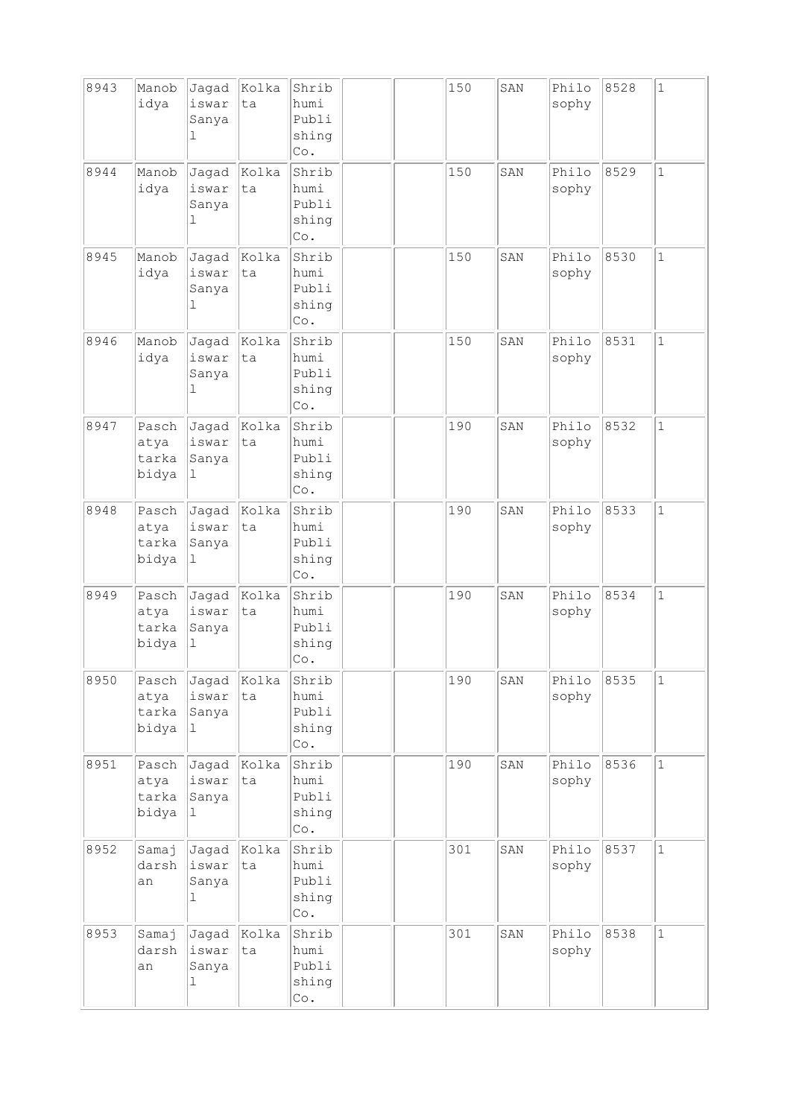| 8943 | Manob<br>idya                   | Jagad<br>iswar<br>Sanya<br>1           | Kolka<br>ta | Shrib<br>humi<br>Publi<br>shing<br>Co.                 |  | 150 | SAN | Philo<br>sophy | 8528 | $\mathbf{1}$ |
|------|---------------------------------|----------------------------------------|-------------|--------------------------------------------------------|--|-----|-----|----------------|------|--------------|
| 8944 | Manob<br>idya                   | Jagad<br>iswar<br>Sanya<br>$\mathbf 1$ | Kolka<br>ta | Shrib<br>humi<br>Publi<br>shing<br>$\mathbb{C}\circ$ . |  | 150 | SAN | Philo<br>sophy | 8529 | $\mathbf 1$  |
| 8945 | Manob<br>idya                   | Jaqad<br>iswar<br>Sanya<br>1           | Kolka<br>ta | Shrib<br>humi<br>Publi<br>shing<br>Co.                 |  | 150 | SAN | Philo<br>sophy | 8530 | $\mathbf 1$  |
| 8946 | Manob<br>idya                   | Jagad<br>iswar<br>Sanya<br>1           | Kolka<br>ta | Shrib<br>humi<br>Publi<br>shing<br>Co.                 |  | 150 | SAN | Philo<br>sophy | 8531 | $\mathbf 1$  |
| 8947 | Pasch<br>atya<br>tarka<br>bidya | Jagad<br>iswar<br>Sanya<br>1           | Kolka<br>ta | Shrib<br>humi<br>Publi<br>shing<br>Co.                 |  | 190 | SAN | Philo<br>sophy | 8532 | $\mathbf 1$  |
| 8948 | Pasch<br>atya<br>tarka<br>bidya | Jagad<br>iswar<br>Sanya<br>1           | Kolka<br>ta | Shrib<br>humi<br>Publi<br>shing<br>Co.                 |  | 190 | SAN | Philo<br>sophy | 8533 | $\mathbf 1$  |
| 8949 | Pasch<br>atya<br>tarka<br>bidya | Jagad<br>iswar<br>Sanya<br>ı           | Kolka<br>ta | Shrib<br>humi<br>Publi<br>shing<br>Co.                 |  | 190 | SAN | Philo<br>sophy | 8534 | $\mathbf 1$  |
| 8950 | Pasch<br>atya<br>tarka<br>bidya | Jagad<br>iswar<br>Sanya<br>$\mathbf 1$ | Kolka<br>ta | Shrib<br>humi<br>Publi<br>shing<br>Co.                 |  | 190 | SAN | Philo<br>sophy | 8535 | $\mathbf 1$  |
| 8951 | Pasch<br>atya<br>tarka<br>bidya | Jagad<br>iswar<br>Sanya<br>$\mathbf 1$ | Kolka<br>ta | Shrib<br>humi<br>Publi<br>shing<br>$\mathbb{C}\circ$ . |  | 190 | SAN | Philo<br>sophy | 8536 | $\mathbf{1}$ |
| 8952 | Samaj<br>darsh<br>an            | Jagad<br>iswar<br>Sanya<br>1           | Kolka<br>ta | Shrib<br>humi<br>Publi<br>shing<br>$\mathbb{C}\circ$ . |  | 301 | SAN | Philo<br>sophy | 8537 | $\mathbf 1$  |
| 8953 | Samaj<br>darsh<br>an            | Jagad<br>iswar<br>Sanya<br>ı           | Kolka<br>ta | Shrib<br>humi<br>Publi<br>shing<br>Co.                 |  | 301 | SAN | Philo<br>sophy | 8538 | $\mathbf{1}$ |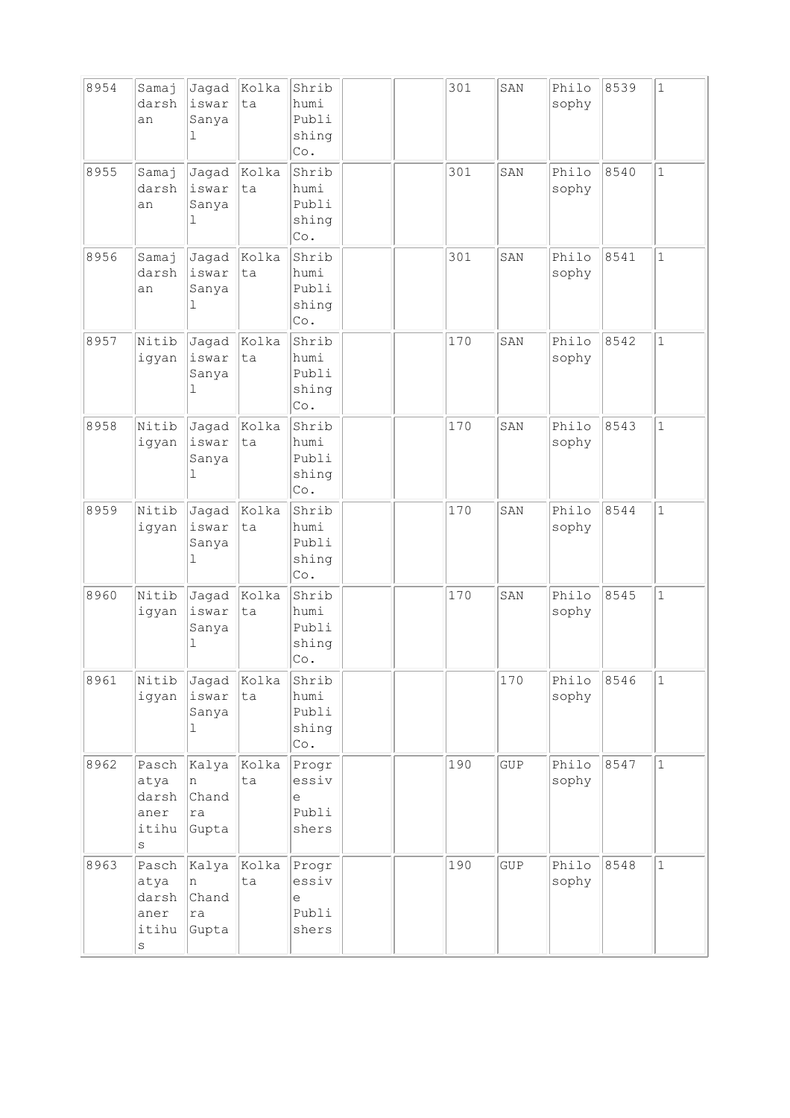| 8954 | Samaj<br>darsh<br>an                               | Jagad<br>iswar<br>Sanya<br>1           | Kolka<br>ta | Shrib<br>humi<br>Publi<br>shing<br>Co.                                       |  | 301 | SAN        | Philo<br>sophy | 8539 | $\mathbf 1$  |
|------|----------------------------------------------------|----------------------------------------|-------------|------------------------------------------------------------------------------|--|-----|------------|----------------|------|--------------|
| 8955 | Samaj<br>darsh<br>an                               | Jagad<br>iswar<br>Sanya<br>1           | Kolka<br>ta | Shrib<br>humi<br>Publi<br>shing<br>Co.                                       |  | 301 | SAN        | Philo<br>sophy | 8540 | $\mathbf 1$  |
| 8956 | Samaj<br>darsh<br>an                               | Jagad<br>iswar<br>Sanya<br>ı           | Kolka<br>ta | Shrib<br>humi<br>Publi<br>shing<br>Co.                                       |  | 301 | SAN        | Philo<br>sophy | 8541 | $\mathbf 1$  |
| 8957 | Nitib<br>igyan                                     | Jagad<br>iswar<br>Sanya<br>1           | Kolka<br>ta | Shrib<br>humi<br>Publi<br>shing<br>Co.                                       |  | 170 | SAN        | Philo<br>sophy | 8542 | $\mathbf{1}$ |
| 8958 | Nitib<br>igyan                                     | Jagad<br>iswar<br>Sanya<br>$\mathbf 1$ | Kolka<br>ta | Shrib<br>humi<br>Publi<br>shing<br>$\mathbb{C}\circ$ .                       |  | 170 | SAN        | Philo<br>sophy | 8543 | $\mathbf 1$  |
| 8959 | Nitib<br>igyan                                     | Jagad<br>iswar<br>Sanya<br>1           | Kolka<br>ta | Shrib<br>humi<br>Publi<br>shing<br>Co.                                       |  | 170 | SAN        | Philo<br>sophy | 8544 | $\mathbf 1$  |
| 8960 | Nitib<br>igyan                                     | Jagad<br>iswar<br>Sanya<br>1           | Kolka<br>ta | Shrib<br>humi<br>Publi<br>shing<br>Co.                                       |  | 170 | SAN        | Philo<br>sophy | 8545 | $\mathbf 1$  |
| 8961 | Nitib<br>igyan                                     | Jagad<br>iswar<br>Sanya<br>$\mathbf 1$ | Kolka<br>ta | Shrib<br>humi<br>Publi<br>shing<br>$\mathbb{C}\circ$ .                       |  |     | 170        | Philo<br>sophy | 8546 | $\mathbf{1}$ |
| 8962 | Pasch<br>atya<br>darsh<br>aner<br>itihu<br>S       | Kalya<br>n<br>Chand<br>ra<br>Gupta     | Kolka<br>ta | Progr<br>essiv<br>e<br>Publi<br>shers                                        |  | 190 | GUP        | Philo<br>sophy | 8547 | $\mathbf{1}$ |
| 8963 | Pasch<br>atya<br>darsh<br>aner<br>itihu<br>$\rm s$ | Kalya<br>n<br>Chand<br>ra<br>Gupta     | Kolka<br>ta | Progr<br>essiv<br>$\mathrel{\mathop{\mathrm{e}}\nolimits}$<br>Publi<br>shers |  | 190 | <b>GUP</b> | Philo<br>sophy | 8548 | $\mathbf{1}$ |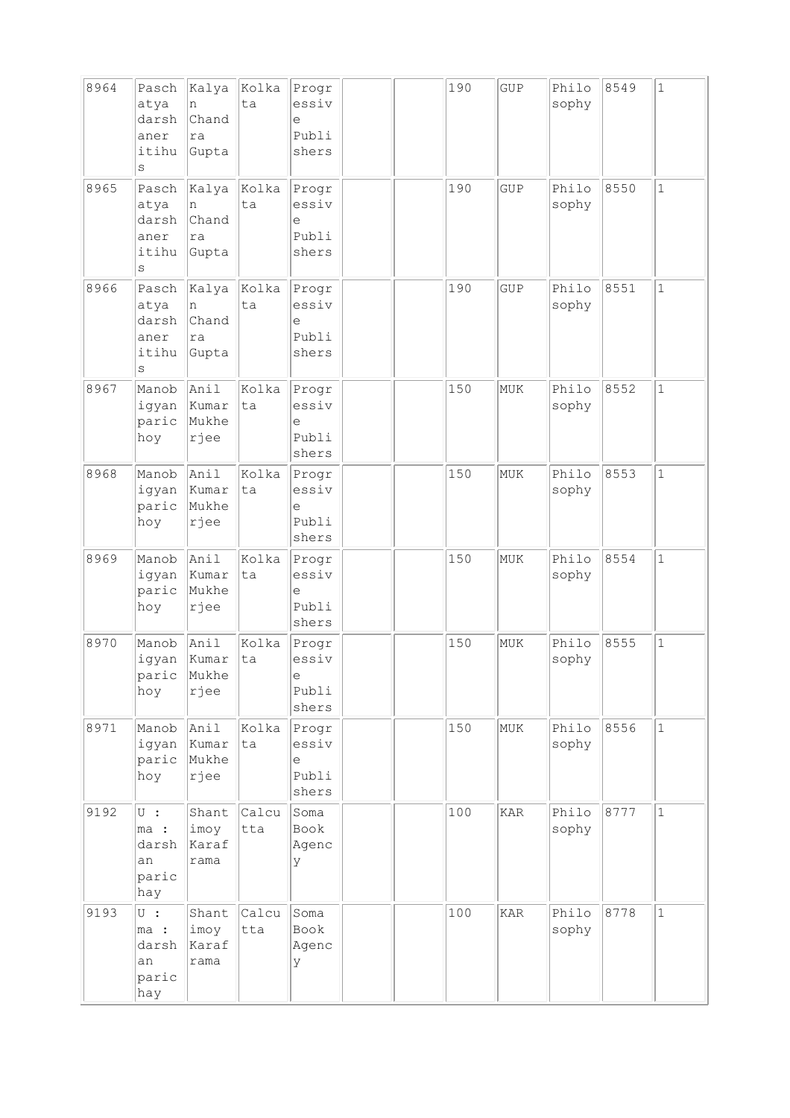| 8964 | Pasch<br>atya<br>darsh<br>aner<br>itihu<br>$\rm s$               | Kalya<br>n<br>Chand<br>ra<br>Gupta | Kolka<br>ta  | Progr<br>essiv<br>e<br>Publi<br>shers |  | 190 | <b>GUP</b> | Philo<br>sophy | 8549 | $\mathbf{1}$ |
|------|------------------------------------------------------------------|------------------------------------|--------------|---------------------------------------|--|-----|------------|----------------|------|--------------|
| 8965 | Pasch<br>atya<br>darsh<br>aner<br>itihu<br>S                     | Kalya<br>n<br>Chand<br>ra<br>Gupta | Kolka<br>ta  | Progr<br>essiv<br>е<br>Publi<br>shers |  | 190 | <b>GUP</b> | Philo<br>sophy | 8550 | $\mathbf{1}$ |
| 8966 | Pasch<br>atya<br>darsh<br>aner<br>itihu<br>S                     | Kalya<br>n<br>Chand<br>ra<br>Gupta | kolka<br>ta  | Progr<br>essiv<br>e<br>Publi<br>shers |  | 190 | <b>GUP</b> | Philo<br>sophy | 8551 | $\mathbf{1}$ |
| 8967 | Manob<br>igyan<br>paric<br>hoy                                   | Anil<br>Kumar<br>Mukhe<br>rjee     | Kolka<br>ta  | Progr<br>essiv<br>е<br>Publi<br>shers |  | 150 | MUK        | Philo<br>sophy | 8552 | $\mathbf{1}$ |
| 8968 | Manob<br>igyan<br>paric<br>hoy                                   | Anil<br>Kumar<br>Mukhe<br>rjee     | Kolka<br>ta  | Progr<br>essiv<br>е<br>Publi<br>shers |  | 150 | MUK        | Philo<br>sophy | 8553 | $\mathbf 1$  |
| 8969 | Manob<br>igyan<br>paric<br>hoy                                   | Anil<br>Kumar<br>Mukhe<br>rjee     | Kolka<br>ta  | Progr<br>essiv<br>e<br>Publi<br>shers |  | 150 | MUK        | Philo<br>sophy | 8554 | $\mathbf{1}$ |
| 8970 | Manob<br>igyan<br>parıc<br>hoy                                   | Anil<br>Kumar<br>Mukhe<br>rjee     | Kolka<br>ta  | Progr<br>essiv<br>е<br>Publi<br>shers |  | 150 | MUK        | Philo<br>sophy | 8555 | $\mathbf 1$  |
| 8971 | Manob<br>igyan<br>paric<br>hoy                                   | Anil<br>Kumar<br>Mukhe<br>rjee     | Kolka<br>ta  | Progr<br>essiv<br>e<br>Publi<br>shers |  | 150 | MUK        | Philo<br>sophy | 8556 | $\mathbf{1}$ |
| 9192 | $\cup$ :<br>ma :<br>darsh<br>an<br>paric<br>hay                  | Shant<br>imoy<br>Karaf<br>rama     | Calcu<br>tta | Soma<br>Book<br>Agenc<br>У            |  | 100 | <b>KAR</b> | Philo<br>sophy | 8777 | $\mathbf{1}$ |
| 9193 | $\overline{\mathrm{U}}$ :<br>ma :<br>darsh<br>an<br>paric<br>hay | Shant<br>imoy<br>Karaf<br>rama     | Calcu<br>tta | Soma<br>Book<br>Agenc<br>У            |  | 100 | KAR        | Philo<br>sophy | 8778 | $\mathbf{1}$ |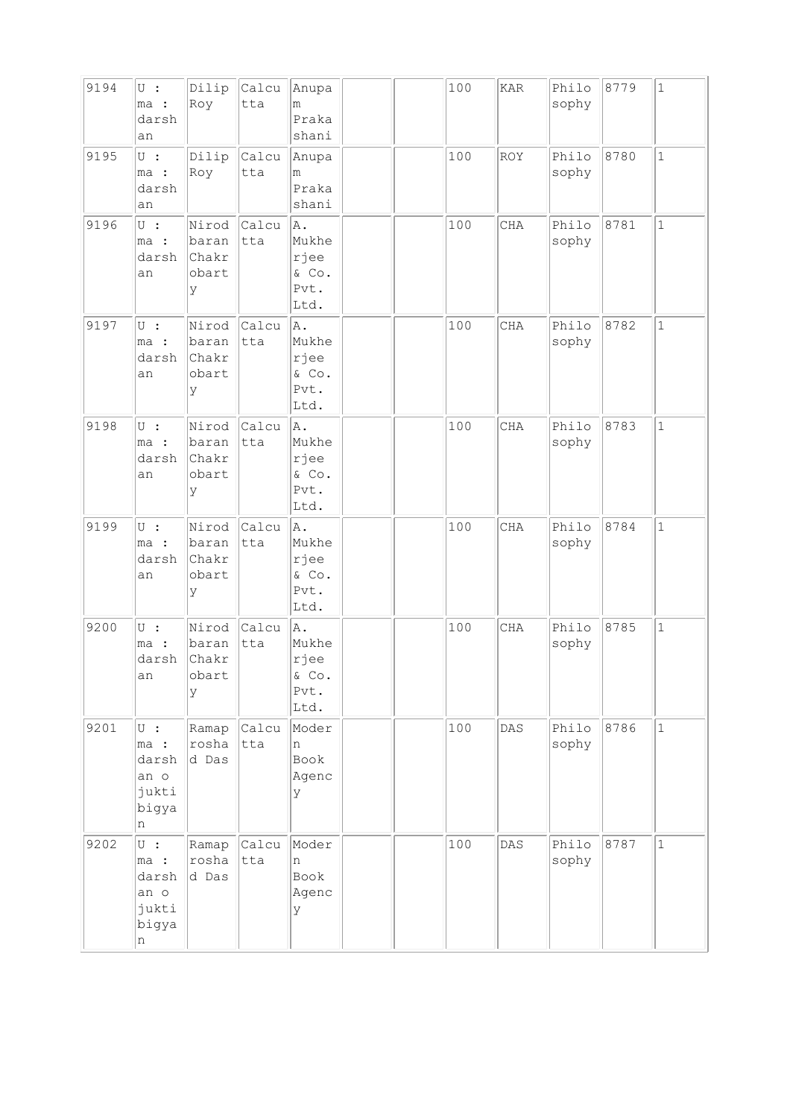| 9194 | $U$ :<br>ma :<br>darsh<br>an                             | Dilip<br>Roy                          | Calcu<br>tta | Anupa<br>m<br>Praka<br>shani                 |  | 100 | <b>KAR</b> | Philo<br>sophy | 8779 | $\mathbf{1}$ |
|------|----------------------------------------------------------|---------------------------------------|--------------|----------------------------------------------|--|-----|------------|----------------|------|--------------|
| 9195 | $U$ :<br>ma :<br>darsh<br>an                             | Dilip<br>Roy                          | Calcu<br>tta | Anupa<br>m<br>Praka<br>shani                 |  | 100 | <b>ROY</b> | Philo<br>sophy | 8780 | $\mathbf{1}$ |
| 9196 | $\cup$ :<br>ma :<br>darsh<br>an                          | Nirod<br>baran<br>Chakr<br>obart<br>У | Calcu<br>tta | A.<br>Mukhe<br>rjee<br>& Co.<br>Pvt.<br>Ltd. |  | 100 | CHA        | Philo<br>sophy | 8781 | $\mathbf{1}$ |
| 9197 | $U$ :<br>ma :<br>darsh<br>an                             | Nirod<br>baran<br>Chakr<br>obart<br>У | Calcu<br>tta | A.<br>Mukhe<br>rjee<br>& Co.<br>Pvt.<br>Ltd. |  | 100 | CHA        | Philo<br>sophy | 8782 | $\mathbf{1}$ |
| 9198 | $U$ :<br>ma :<br>darsh<br>an                             | Nirod<br>baran<br>Chakr<br>obart<br>У | Calcu<br>tta | A.<br>Mukhe<br>rjee<br>& Co.<br>Pvt.<br>Ltd. |  | 100 | <b>CHA</b> | Philo<br>sophy | 8783 | $\mathbf 1$  |
| 9199 | $U$ :<br>ma :<br>darsh<br>an                             | Nirod<br>baran<br>Chakr<br>obart<br>У | Calcu<br>tta | A.<br>Mukhe<br>rjee<br>& Co.<br>Pvt.<br>Ltd. |  | 100 | CHA        | Philo<br>sophy | 8784 | $\mathbf{1}$ |
| 9200 | $U$ :<br>ma :<br>darsh<br>an                             | Nirod<br>baran<br>Chakr<br>obart<br>У | Calcu<br>tta | A.<br>Mukhe<br>rjee<br>& Co.<br>Pvt.<br>Ltd. |  | 100 | <b>CHA</b> | Philo<br>sophy | 8785 | $\mathbf{1}$ |
| 9201 | $\cup$ :<br>ma :<br>darsh<br>an o<br>jukti<br>bigya<br>n | Ramap<br>rosha<br>d Das               | Calcu<br>tta | Moder<br>n<br>Book<br>Agenc<br>У             |  | 100 | DAS        | Philo<br>sophy | 8786 | $\mathbf{1}$ |
| 9202 | $U$ :<br>ma :<br>darsh<br>an o<br>jukti<br>bigya<br>n    | Ramap<br>rosha<br>d Das               | Calcu<br>tta | Moder<br>n<br>Book<br>Agenc<br>У             |  | 100 | DAS        | Philo<br>sophy | 8787 | $\mathbf{1}$ |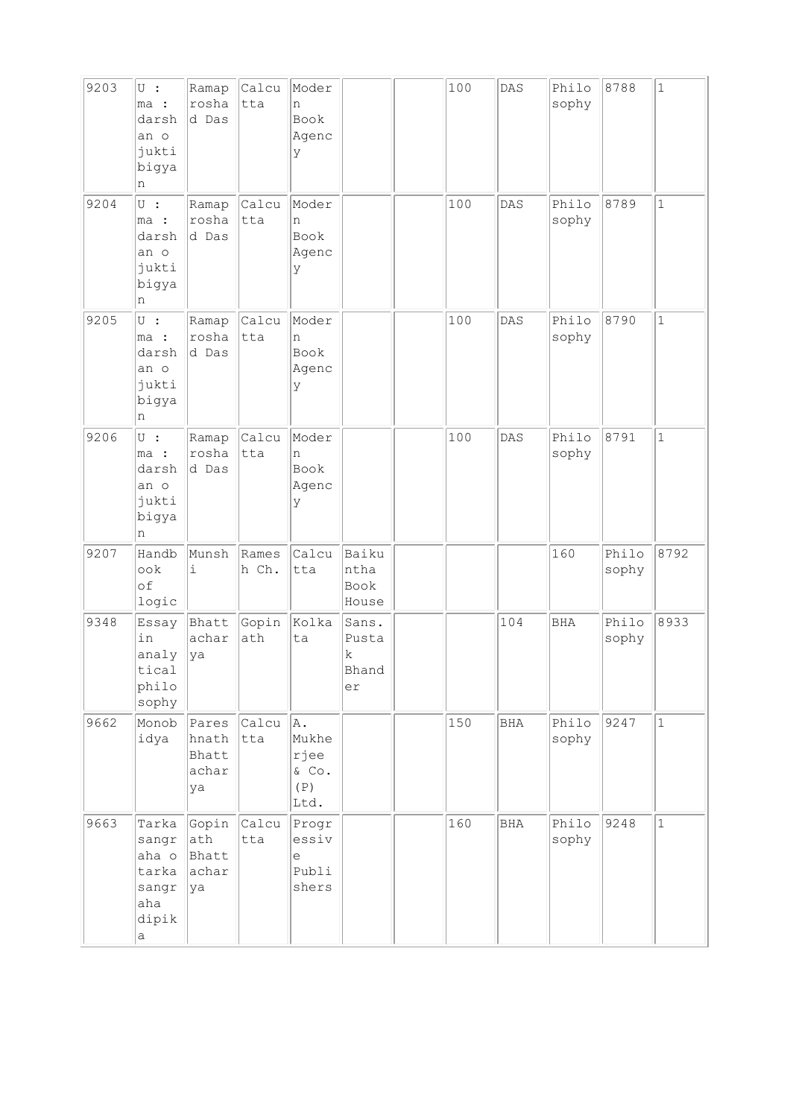| 9203 | $\cup$ :<br>ma :<br>darsh<br>an o<br>jukti<br>bigya<br>n         | Ramap<br>rosha<br>d Das                | Calcu<br>tta   | Moder<br>n<br>Book<br>Agenc<br>У            |                                    | 100 | DAS        | Philo<br>sophy | 8788           | $\mathbf 1$  |
|------|------------------------------------------------------------------|----------------------------------------|----------------|---------------------------------------------|------------------------------------|-----|------------|----------------|----------------|--------------|
| 9204 | $U$ :<br>ma :<br>darsh<br>an o<br>jukti<br>bigya<br>n            | Ramap<br>rosha<br>d Das                | Calcu<br>tta   | Moder<br>n<br>Book<br>Agenc<br>У            |                                    | 100 | DAS        | Philo<br>sophy | 8789           | $\mathbf 1$  |
| 9205 | $\overline{U}$ :<br>ma :<br>darsh<br>an o<br>jukti<br>bigya<br>n | Ramap<br>rosha<br>d Das                | Calcu<br>tta   | Moder<br>n<br>Book<br>Agenc<br>У            |                                    | 100 | DAS        | Philo<br>sophy | 8790           | $\mathbf{1}$ |
| 9206 | $\overline{U}$ :<br>ma :<br>darsh<br>an o<br>jukti<br>bigya<br>n | Ramap<br>rosha<br>d Das                | Calcu<br>tta   | Moder<br>n<br>Book<br>Agenc<br>У            |                                    | 100 | DAS        | Philo<br>sophy | 8791           | $\mathbf{1}$ |
| 9207 | Handb<br>ook<br>of<br>logic                                      | Munsh<br>i                             | Rames<br>h Ch. | Calcu<br>tta                                | Baiku<br>ntha<br>Book<br>House     |     |            | 160            | Philo<br>sophy | 8792         |
| 9348 | Essay<br>in<br>analy<br>tical<br>philo<br>sophy                  | Bhatt<br>achar<br>ya                   | Gopin<br>ath   | Kolka<br>ta                                 | Sans.<br>Pusta<br>k<br>Bhand<br>er |     | 104        | <b>BHA</b>     | Philo<br>sophy | 8933         |
| 9662 | Monob<br>idya                                                    | Pares<br>hnath<br>Bhatt<br>achar<br>ya | Calcu<br>tta   | A.<br>Mukhe<br>rjee<br>& Co.<br>(P)<br>Ltd. |                                    | 150 | <b>BHA</b> | Philo<br>sophy | 9247           | $\mathbf{1}$ |
| 9663 | Tarka<br>sangr<br>aha o<br>tarka<br>sangr<br>aha<br>dipik<br>а   | Gopin<br>ath<br>Bhatt<br>achar<br>ya   | Calcu<br>tta   | Progr<br>essiv<br>е<br>Publi<br>shers       |                                    | 160 | BHA        | Philo<br>sophy | 9248           | $\mathbf{1}$ |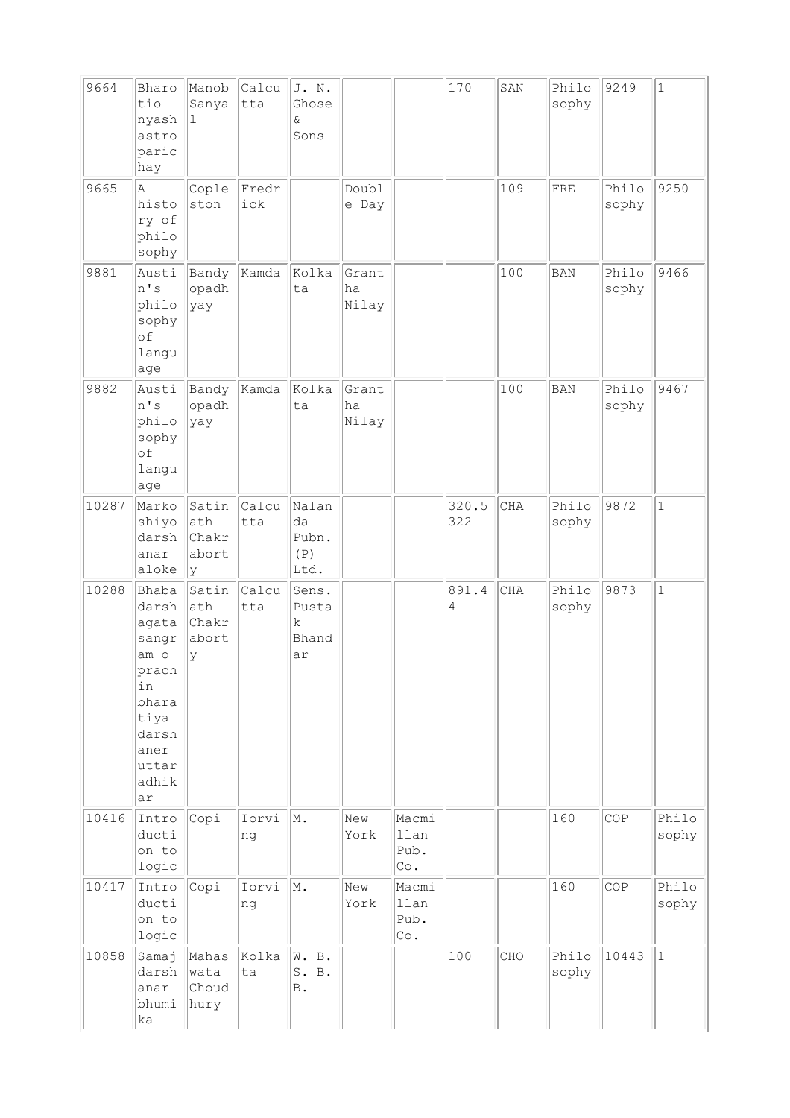| 9664  | Bharo<br>tio<br>nyash<br>astro<br>paric<br>hay                                                                    | Manob<br>Sanya<br>1                  | Calcu<br>tta | J. N.<br>Ghose<br>&<br>Sons                  |                      |                                              | 170          | SAN        | Philo<br>sophy | 9249           | $\vert$ 1      |
|-------|-------------------------------------------------------------------------------------------------------------------|--------------------------------------|--------------|----------------------------------------------|----------------------|----------------------------------------------|--------------|------------|----------------|----------------|----------------|
| 9665  | Α<br>histo<br>ry of<br>philo<br>sophy                                                                             | Cople<br>ston                        | Fredr<br>ick |                                              | Doubl<br>e Day       |                                              |              | 109        | FRE            | Philo<br>sophy | 9250           |
| 9881  | Austi<br>n's<br>philo<br>sophy<br>of<br>langu<br>age                                                              | Bandy<br>opadh<br>yay                | Kamda        | Kolka<br>ta                                  | Grant<br>ha<br>Nilay |                                              |              | 100        | <b>BAN</b>     | Philo<br>sophy | 9466           |
| 9882  | Austi<br>n's<br>philo<br>sophy<br>of<br>langu<br>age                                                              | Bandy<br>opadh<br>yay                | Kamda        | Kolka<br>ta                                  | Grant<br>ha<br>Nilay |                                              |              | 100        | <b>BAN</b>     | Philo<br>sophy | 9467           |
| 10287 | Marko<br>shiyo<br>darsh<br>anar<br>aloke                                                                          | Satin<br>ath<br>Chakr<br>abort<br>ly | Calcu<br>tta | Nalan<br>da<br>Pubn.<br>(P)<br>Ltd.          |                      |                                              | 320.5<br>322 | CHA        | Philo<br>sophy | 9872           | $\mathbf{1}$   |
| 10288 | Bhaba<br>darsh<br>agata<br>sangr<br>am o<br>prach<br>in<br>bhara<br>tiya<br>darsh<br>aner<br>uttar<br>adhik<br>ar | Satin<br>ath<br>Chakr<br>abort<br>У  | Calcu<br>tta | Sens.<br>Pusta<br>$\mathbf k$<br>Bhand<br>ar |                      |                                              | 891.4<br>4   | <b>CHA</b> | Philo<br>sophy | 9873           | $\mathbf{1}$   |
| 10416 | Intro<br>ducti<br>on to<br>logic                                                                                  | Copi                                 | Iorvi<br>ng  | M.                                           | New<br>York          | Macmi<br>llan<br>Pub.<br>Co.                 |              |            | 160            | COP            | Philo<br>sophy |
| 10417 | Intro<br>ducti<br>on to<br>logic                                                                                  | Copi                                 | Iorvi<br>ng  | M.                                           | New<br>York          | Macmi<br>llan<br>Pub.<br>$\mathbb{C}\circ$ . |              |            | 160            | COP            | Philo<br>sophy |
| 10858 | Samaj<br>darsh<br>anar<br>bhumi<br>ka                                                                             | Mahas<br>wata<br>Choud<br>hury       | Kolka<br>ta  | W. B.<br>S. B.<br>$\, {\bf B}$ .             |                      |                                              | 100          | CHO        | Philo<br>sophy | 10443          | $\vert$ 1      |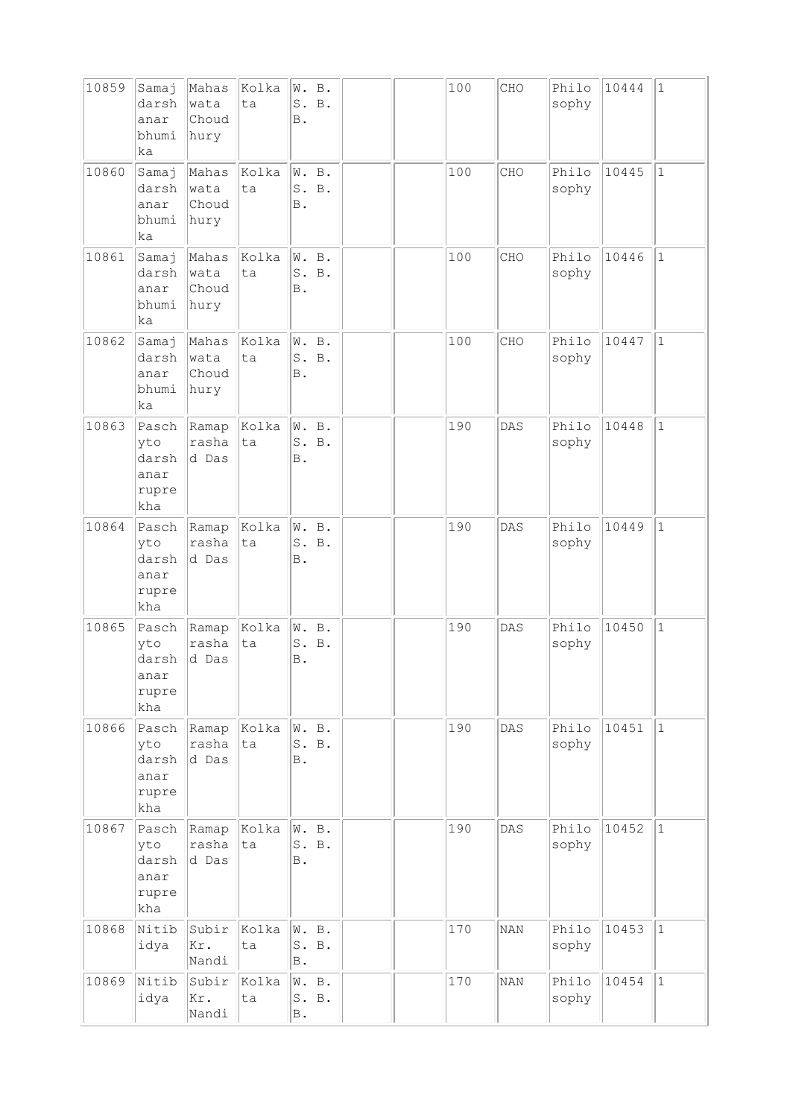| 10859 | Samaj<br>darsh<br>anar<br>bhumi<br>ka         | Mahas<br>wata<br>Choud<br>hury | Kolka<br>ta | W. B.<br><b>B</b> .     | S. B.          |  | 100 | CHO        | Philo<br>sophy | 10444 | $\vert$ 1    |
|-------|-----------------------------------------------|--------------------------------|-------------|-------------------------|----------------|--|-----|------------|----------------|-------|--------------|
| 10860 | Samaj<br>darsh<br>anar<br>bhumi<br>ka         | Mahas<br>wata<br>Choud<br>hury | Kolka<br>ta | $\mathbb B$ .           | W. B.<br>S. B. |  | 100 | CHO        | Philo<br>sophy | 10445 | $\mathbf{1}$ |
| 10861 | Samaj<br>darsh<br>anar<br>bhumi<br>ka         | Mahas<br>wata<br>Choud<br>hury | Kolka<br>ta | W. B.<br><b>B</b> .     | S. B.          |  | 100 | CHO        | Philo<br>sophy | 10446 | $\mathbf{1}$ |
| 10862 | Samaj<br>darsh<br>anar<br>bhumi<br>ka         | Mahas<br>wata<br>Choud<br>hury | Kolka<br>ta | <b>B</b> .              | W. B.<br>S. B. |  | 100 | CHO        | Philo<br>sophy | 10447 | $\mathbf{1}$ |
| 10863 | Pasch<br>yto<br>darsh<br>anar<br>rupre<br>kha | Ramap<br>rasha<br>d Das        | Kolka<br>ta | W. B.<br><b>B</b> .     | S. B.          |  | 190 | DAS        | Philo<br>sophy | 10448 | $\mathbf{1}$ |
| 10864 | Pasch<br>yto<br>darsh<br>anar<br>rupre<br>kha | Ramap<br>rasha<br>d Das        | Kolka<br>ta | W. B.<br>Β.             | S. B.          |  | 190 | DAS        | Philo<br>sophy | 10449 | $\mathbf{1}$ |
| 10865 | Pasch<br>yto<br>darsh<br>anar<br>rupre<br>kha | Ramap<br>rasha<br>d Das        | Kolka<br>ta | В.                      | W. B.<br>S. B. |  | 190 | DAS        | Philo<br>sophy | 10450 | $\mathbf{1}$ |
| 10866 | Pasch<br>yto<br>darsh<br>anar<br>rupre<br>kha | Ramap<br>rasha<br>d Das        | Kolka<br>ta | W. B.<br>Β.             | S. B.          |  | 190 | DAS        | Philo<br>sophy | 10451 | $\vert$ 1    |
| 10867 | Pasch<br>yto<br>darsh<br>anar<br>rupre<br>kha | Ramap<br>rasha<br>d Das        | Kolka<br>ta | W. B.<br>Β.             | S. B.          |  | 190 | DAS        | Philo<br>sophy | 10452 | $\vert$ 1    |
| 10868 | Nitib<br>idya                                 | Subir<br>Kr.<br>Nandi          | Kolka<br>ta | W. B.<br>$\mathbb B$ .  | S. B.          |  | 170 | <b>NAN</b> | Philo<br>sophy | 10453 | $\vert$ 1    |
| 10869 | Nitib<br>idya                                 | Subir<br>Kr.<br>Nandi          | Kolka<br>ta | W. B.<br>$\, {\bf B}$ . | S. B.          |  | 170 | <b>NAN</b> | Philo<br>sophy | 10454 | $\vert$ 1    |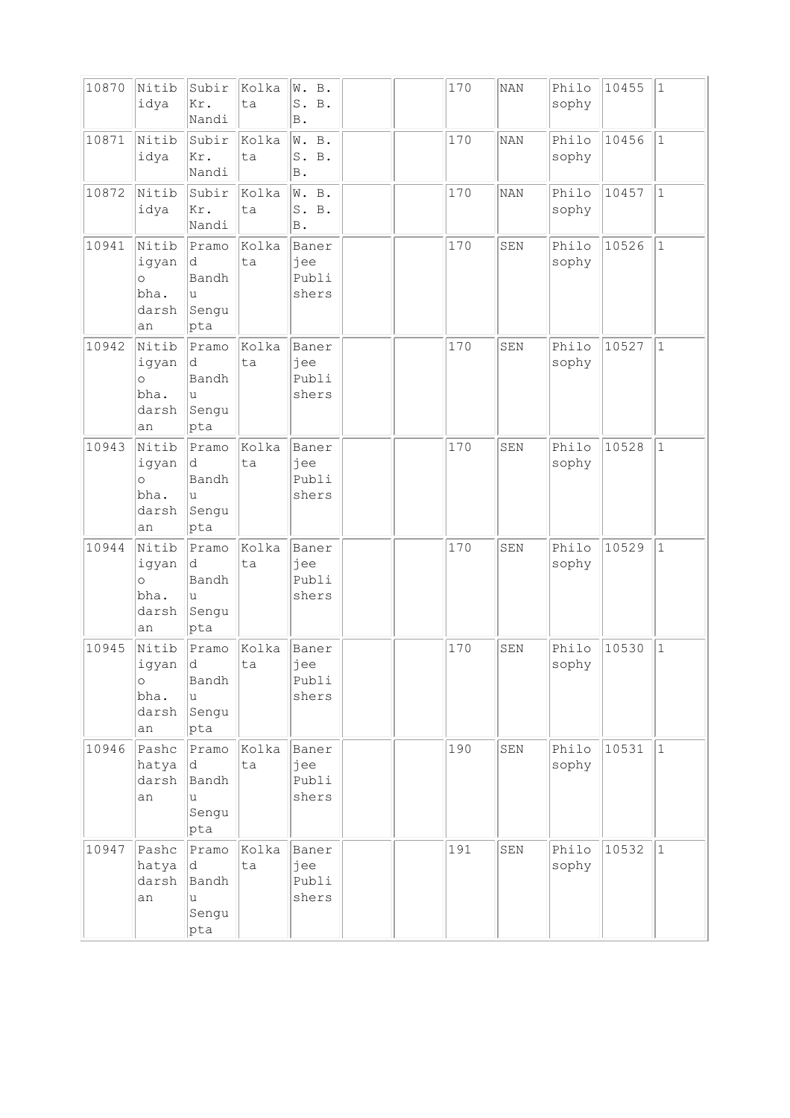| 10870 | Nitib<br>idya                                    | Subir<br>Kr.<br>Nandi                              | Kolka<br>ta | W. B.<br>S. B.<br>Β.             |  | 170 | <b>NAN</b> | Philo<br>sophy | 10455 | $\vert$ 1    |
|-------|--------------------------------------------------|----------------------------------------------------|-------------|----------------------------------|--|-----|------------|----------------|-------|--------------|
| 10871 | Nitib<br>idya                                    | Subir<br>Kr.<br>Nandi                              | Kolka<br>ta | W. B.<br>S. B.<br>$\, {\bf B}$ . |  | 170 | <b>NAN</b> | Philo<br>sophy | 10456 | $ 1\rangle$  |
| 10872 | Nitib<br>idya                                    | Subir<br>Kr.<br>Nandi                              | Kolka<br>ta | W. B.<br>S. B.<br><b>B</b> .     |  | 170 | <b>NAN</b> | Philo<br>sophy | 10457 | $\mathbf{1}$ |
| 10941 | Nitib<br>igyan<br>$\circ$<br>bha.<br>darsh<br>an | Pramo<br>d<br>Bandh<br>u<br>Sengu<br>pta           | Kolka<br>ta | Baner<br>jee<br>Publi<br>shers   |  | 170 | SEN        | Philo<br>sophy | 10526 | $\vert$ 1    |
| 10942 | Nitib<br>igyan<br>$\circ$<br>bha.<br>darsh<br>an | Pramo<br>d<br>Bandh<br>u<br>Sengu<br>pta           | Kolka<br>ta | Baner<br>jee<br>Publi<br>shers   |  | 170 | SEN        | Philo<br>sophy | 10527 | $\mathbf{1}$ |
| 10943 | Nitib<br>igyan<br>$\circ$<br>bha.<br>darsh<br>an | Pramo<br>d<br>Bandh<br>u<br>Sengu<br>$ {\rm pta} $ | Kolka<br>ta | Baner<br>jee<br>Publi<br>shers   |  | 170 | SEN        | Philo<br>sophy | 10528 | $\mathbf{1}$ |
| 10944 | Nitib<br>igyan<br>$\circ$<br>bha.<br>darsh<br>an | Pramo<br>d<br>Bandh<br>u<br>Sengu<br> pta          | Kolka<br>ta | Baner<br>jee<br>Publi<br>shers   |  | 170 | SEN        | Philo<br>sophy | 10529 | $\vert$ 1    |
| 10945 | Nitib<br>igyan<br>$\circ$<br>bha.<br>darsh<br>an | Pramo<br>d<br>Bandh<br>u<br>Sengu<br>pta           | Kolka<br>ta | Baner<br>jee<br>Publi<br>shers   |  | 170 | SEN        | Philo<br>sophy | 10530 | $\mathbf 1$  |
| 10946 | Pashc<br>hatya<br>darsh<br>an                    | Pramo<br>d<br>Bandh<br>u<br>Sengu<br> pta          | Kolka<br>ta | Baner<br>jee<br>Publi<br>shers   |  | 190 | SEN        | Philo<br>sophy | 10531 | $\vert$ 1    |
| 10947 | Pashc<br>hatya<br>darsh<br>an                    | Pramo<br>d<br>Bandh<br>u<br>Sengu<br>pta           | Kolka<br>ta | Baner<br>jee<br>Publi<br>shers   |  | 191 | SEN        | Philo<br>sophy | 10532 | $\vert$ 1    |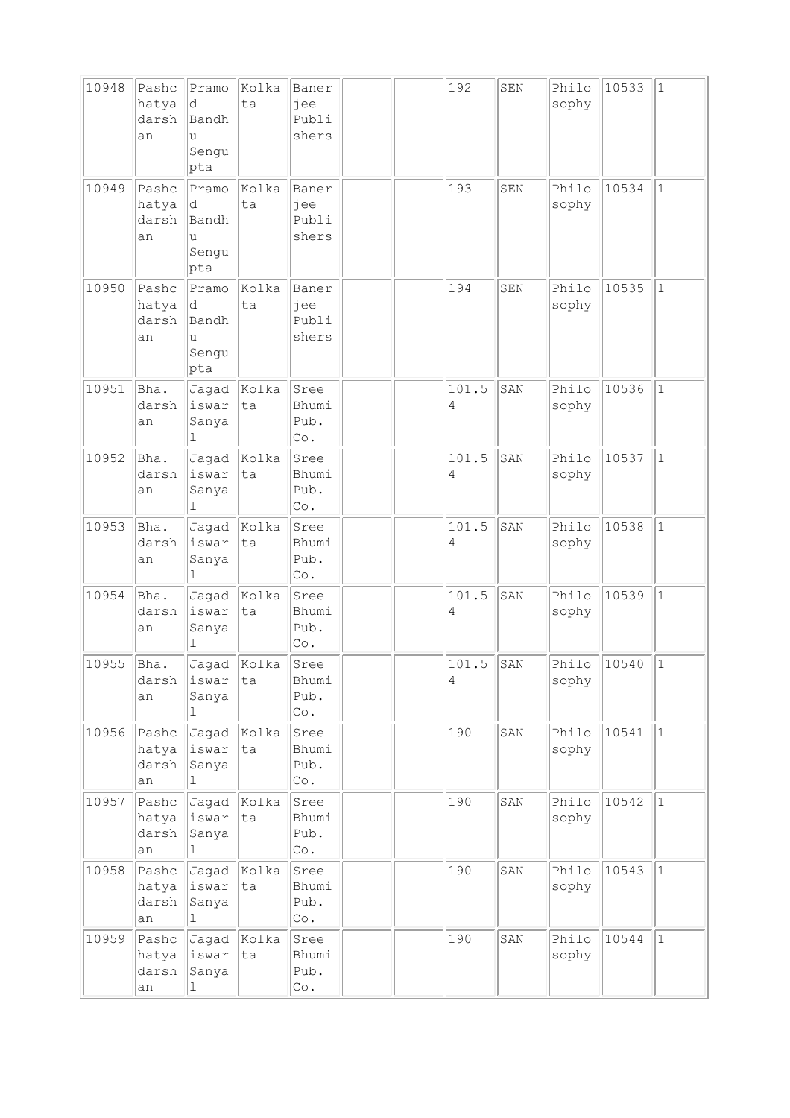| 10948 | Pashc<br>hatya<br>darsh<br>an | Pramo<br>d<br>Bandh<br>u<br>Sengu<br>pta | Kolka<br>ta | Baner<br>jee<br>Publi<br>shers               |  | 192        | SEN | Philo<br>sophy | 10533 | $\vert$ 1    |
|-------|-------------------------------|------------------------------------------|-------------|----------------------------------------------|--|------------|-----|----------------|-------|--------------|
| 10949 | Pashc<br>hatya<br>darsh<br>an | Pramo<br>d<br>Bandh<br>u<br>Sengu<br>pta | Kolka<br>ta | Baner<br>jee<br>Publi<br>shers               |  | 193        | SEN | Philo<br>sophy | 10534 | $\mathbf{1}$ |
| 10950 | Pashc<br>hatya<br>darsh<br>an | Pramo<br>d<br>Bandh<br>u<br>Sengu<br>pta | Kolka<br>ta | Baner<br>jee<br>Publi<br>shers               |  | 194        | SEN | Philo<br>sophy | 10535 | $\mathbf{1}$ |
| 10951 | Bha.<br>darsh<br>an           | Jagad<br>iswar<br>Sanya<br>ı             | Kolka<br>ta | Sree<br>Bhumi<br>Pub.<br>Co.                 |  | 101.5<br>4 | SAN | Philo<br>sophy | 10536 | $\vert$ 1    |
| 10952 | Bha.<br>darsh<br>an           | Jagad<br>iswar<br>Sanya<br>ı             | Kolka<br>ta | Sree<br>Bhumi<br>Pub.<br>Co.                 |  | 101.5<br>4 | SAN | Philo<br>sophy | 10537 | $\mathbf{1}$ |
| 10953 | Bha.<br>darsh<br>an           | Jagad<br>iswar<br>Sanya<br>1             | Kolka<br>ta | Sree<br>Bhumi<br>Pub.<br>Co.                 |  | 101.5<br>4 | SAN | Philo<br>sophy | 10538 | $\mathbf{1}$ |
| 10954 | Bha.<br>darsh<br>an           | Jagad<br>iswar<br>Sanya<br>$\bot$        | Kolka<br>ta | Sree<br>Bhumi<br>Pub.<br>Co.                 |  | 101.5<br>4 | SAN | Philo<br>sophy | 10539 | $\vert$ 1    |
| 10955 | Bha.<br>darsh<br>an           | Jagad<br>iswar<br>Sanya<br>1             | Kolka<br>ta | Sree<br>Bhumi<br>Pub.<br>$\mathbb{C}\circ$ . |  | 101.5<br>4 | SAN | Philo<br>sophy | 10540 | $\mathbf 1$  |
| 10956 | Pashc<br>hatya<br>darsh<br>an | Jagad<br>iswar<br>Sanya<br>$\mathbb{1}$  | Kolka<br>ta | Sree<br>Bhumi<br>Pub.<br>Co.                 |  | 190        | SAN | Philo<br>sophy | 10541 | $\vert$ 1    |
| 10957 | Pashc<br>hatya<br>darsh<br>an | Jagad<br>iswar<br>Sanya<br>ı             | Kolka<br>ta | Sree<br>Bhumi<br>Pub.<br>$\mathbb{C}\circ$ . |  | 190        | SAN | Philo<br>sophy | 10542 | $\vert$ 1    |
| 10958 | Pashc<br>hatya<br>darsh<br>an | Jagad<br>iswar<br>Sanya<br>1             | Kolka<br>ta | Sree<br>Bhumi<br>Pub.<br>$\mathbb{C}\circ$ . |  | 190        | SAN | Philo<br>sophy | 10543 | $\vert$ 1    |
| 10959 | Pashc<br>hatya<br>darsh<br>an | Jagad<br>iswar<br>Sanya<br>1             | Kolka<br>ta | Sree<br>Bhumi<br>Pub.<br>Co.                 |  | 190        | SAN | Philo<br>sophy | 10544 | $\mathbf{1}$ |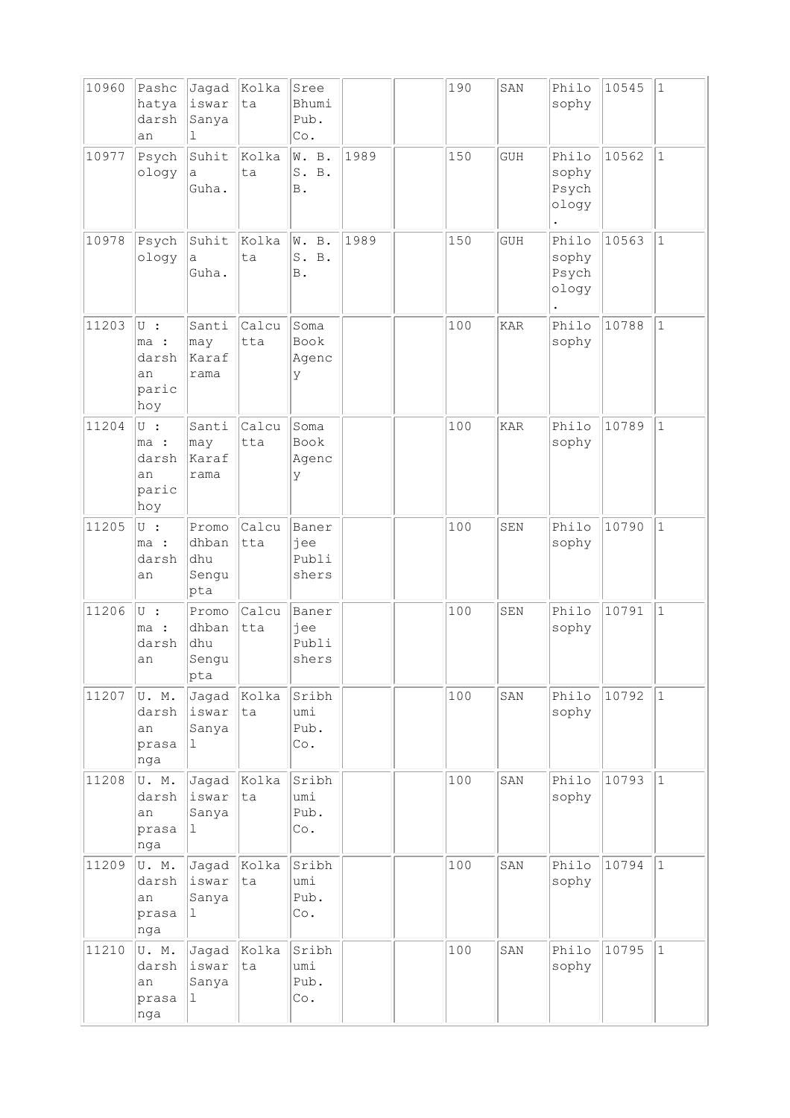| 10960 | Pashc<br>hatya<br>darsh<br>an                   | Jagad<br>iswar<br>Sanya<br>1           | Kolka<br>ta  | Sree<br>Bhumi<br>Pub.<br>Co.      |      | 190 | SAN        | Philo<br>sophy                   | 10545 | $\vert$ 1    |
|-------|-------------------------------------------------|----------------------------------------|--------------|-----------------------------------|------|-----|------------|----------------------------------|-------|--------------|
| 10977 | Psych<br>ology                                  | Suhit<br>а<br>Guha.                    | Kolka<br>ta  | W. B.<br>S. B.<br>$\, {\bf B}$ .  | 1989 | 150 | <b>GUH</b> | Philo<br>sophy<br>Psych<br>ology | 10562 | $\vert$ 1    |
| 10978 | Psych<br>ology                                  | Suhit<br>а<br>Guha.                    | Kolka<br>ta  | W. B.<br>S. B.<br><b>B</b> .      | 1989 | 150 | <b>GUH</b> | Philo<br>sophy<br>Psych<br>ology | 10563 | $\mathbf{1}$ |
| 11203 | $U$ :<br>ma :<br>darsh<br>an<br>paric<br>hoy    | Santi<br>$ $ may<br>Karaf<br>rama      | Calcu<br>tta | Soma<br>Book<br>Agenc<br>У        |      | 100 | <b>KAR</b> | Philo<br>sophy                   | 10788 | $\mathbf 1$  |
| 11204 | $\cup$ :<br>ma :<br>darsh<br>an<br>paric<br>hoy | Santi<br>may<br>Karaf<br>rama          | Calcu<br>tta | Soma<br><b>Book</b><br>Agenc<br>У |      | 100 | <b>KAR</b> | Philo<br>sophy                   | 10789 | $1\,$        |
| 11205 | $\cup$ :<br>ma :<br>darsh<br>an                 | Promo<br>dhban<br>dhu<br>Sengu<br> pta | Calcu<br>tta | Baner<br>jee<br>Publi<br>shers    |      | 100 | SEN        | Philo<br>sophy                   | 10790 | $\mathbf{1}$ |
| 11206 | U :<br>ma :<br>darsh<br>an                      | Promo<br>dhban<br>dhu<br>Sengu<br>pta  | Calcu<br>tta | Baner<br>jee<br>Publi<br>shers    |      | 100 | <b>SEN</b> | Philo<br>sophy                   | 10791 | $\mathbf 1$  |
| 11207 | U.M.<br>darsh<br>an<br>prasa<br>nga             | Jagad<br>iswar<br>Sanya<br>1           | Kolka<br>ta  | Sribh<br>umi<br>Pub.<br>Co.       |      | 100 | SAN        | Philo<br>sophy                   | 10792 | $\vert$ 1    |
| 11208 | U.M.<br>darsh<br>an<br>prasa<br>nga             | Jagad<br>iswar<br>Sanya<br>$\mathbf 1$ | Kolka<br>ta  | Sribh<br>umi<br>Pub.<br>Co.       |      | 100 | SAN        | Philo<br>sophy                   | 10793 | $\mathbf{1}$ |
| 11209 | U.M.<br>darsh<br>an<br>prasa<br>nga             | Jagad<br>iswar<br>Sanya<br>$\mathbf 1$ | Kolka<br>ta  | Sribh<br>umi<br>Pub.<br>Co.       |      | 100 | SAN        | Philo<br>sophy                   | 10794 | $\vert$ 1    |
| 11210 | U.M.<br>darsh<br>an<br>prasa<br>nga             | Jagad<br>iswar<br>Sanya<br>ı           | Kolka<br>ta  | Sribh<br>umi<br>Pub.<br>Co.       |      | 100 | SAN        | Philo<br>sophy                   | 10795 | $\vert$ 1    |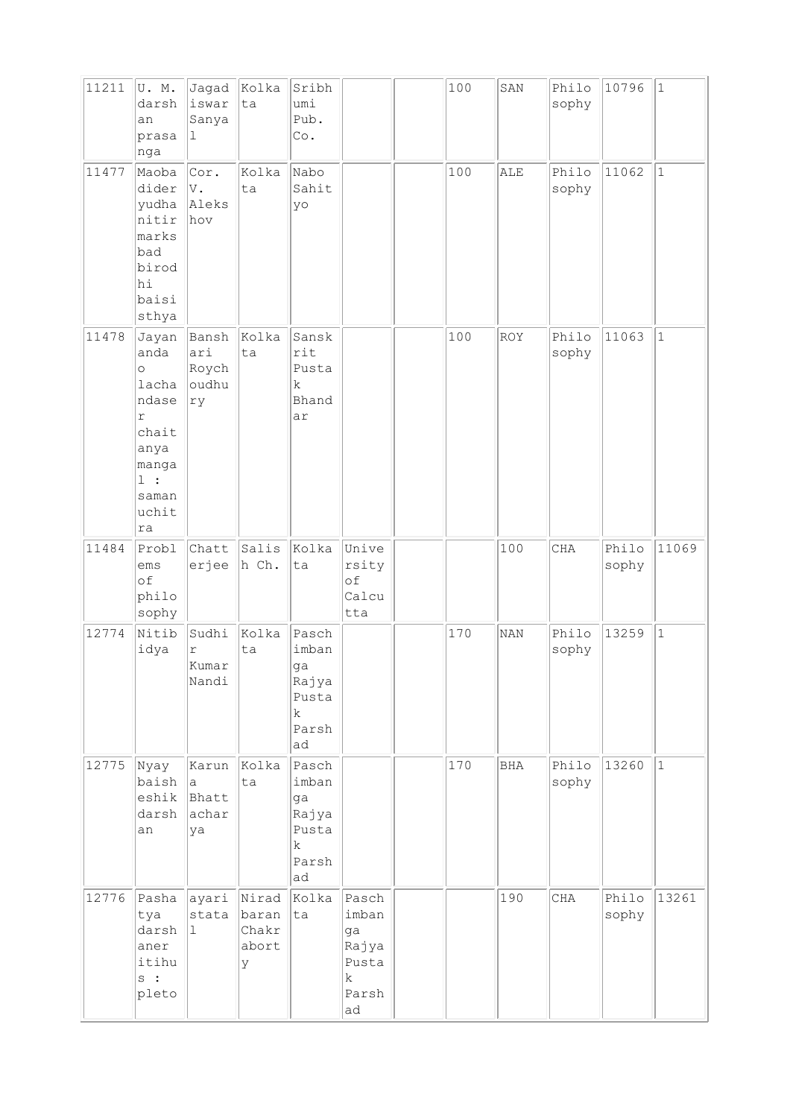| 11211 | U.M.<br>darsh<br>an<br>prasa<br>nga                                                                                 | Jagad<br>iswar<br>Sanya<br>$\mathbf 1$        | Kolka<br>ta                           | Sribh<br>umi<br>Pub.<br>Co.                                          |                                                            | 100 | SAN        | Philo<br>sophy | 10796          | $\vert$ 1   |
|-------|---------------------------------------------------------------------------------------------------------------------|-----------------------------------------------|---------------------------------------|----------------------------------------------------------------------|------------------------------------------------------------|-----|------------|----------------|----------------|-------------|
| 11477 | Maoba<br>dider<br>yudha<br>nitir<br>marks<br>bad<br>birod<br>hi<br>baisi<br>sthya                                   | Cor.<br>V.<br>Aleks<br>hov                    | Kolka<br>ta                           | Nabo<br>Sahit<br>yo                                                  |                                                            | 100 | ALE        | Philo<br>sophy | 11062          | $ 1\rangle$ |
| 11478 | Jayan<br>anda<br>$\circ$<br>lacha<br>ndase<br>$\Upsilon$<br>chait<br>anya<br>manga<br>$1$ :<br>saman<br>uchit<br>ra | Bansh<br>ari<br>Roych<br>oudhu<br>ry          | Kolka<br>ta                           | Sansk<br>rit<br>Pusta<br>$\mathbf k$<br>Bhand<br>ar                  |                                                            | 100 | ROY        | Philo<br>sophy | 11063          | $1\,$       |
| 11484 | Probl<br>ems<br>of<br>philo<br>sophy                                                                                | Chatt<br>erjee                                | Salis<br>h Ch.                        | Kolka<br>ta                                                          | Unive<br>rsity<br>of<br>Calcu<br>tta                       |     | 100        | <b>CHA</b>     | Philo<br>sophy | 11069       |
| 12774 | Nitib<br>idya                                                                                                       | Sudhi<br>r<br>Kumar<br>Nandi                  | Kolka<br>ta                           | Pasch<br>imban<br>ga<br>Rajya<br>Pusta<br>$\mathbf k$<br>Parsh<br>ad |                                                            | 170 | <b>NAN</b> | Philo<br>sophy | 13259          | $\vert$ 1   |
| 12775 | Nyay<br>baish<br>eshik<br>darsh<br>an                                                                               | Karun<br>$\mathsf{a}$<br>Bhatt<br>achar<br>ya | Kolka<br>ta                           | Pasch<br>imban<br>ga<br>Rajya<br>Pusta<br>$\mathbf k$<br>Parsh<br>ad |                                                            | 170 | <b>BHA</b> | Philo<br>sophy | 13260          | $\vert$ 1   |
| 12776 | Pasha<br>tya<br>darsh<br>aner<br>itihu<br>s :<br>pleto                                                              | ayari<br>stata<br>$\vert$ 1                   | Nirad<br>baran<br>Chakr<br>abort<br>У | Kolka<br>ta                                                          | Pasch<br>imban<br>ga<br>Rajya<br>Pusta<br>k<br>Parsh<br>ad |     | 190        | $\rm CHA$      | Philo<br>sophy | 13261       |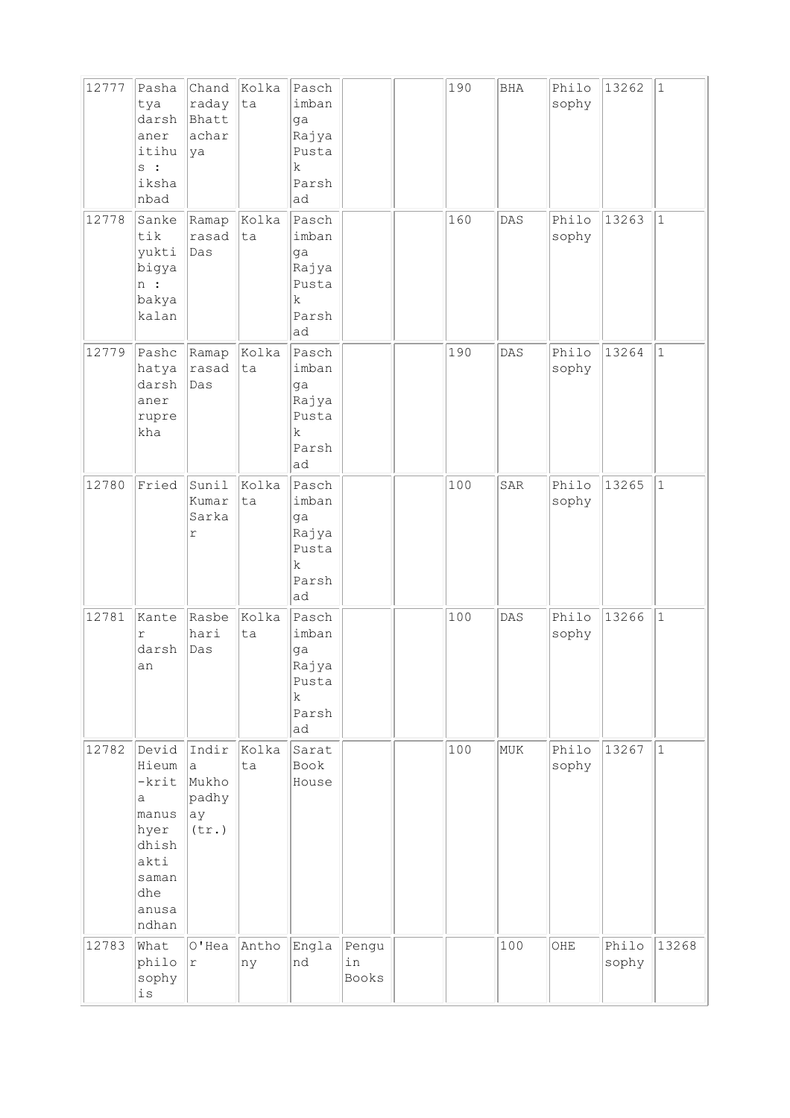| 12777 | Pasha<br>tya<br>darsh<br>aner<br>itihu<br>s :<br>iksha<br>nbad                                   | Chand<br>raday<br>Bhatt<br>achar<br>ya      | Kolka<br>ta | Pasch<br>imban<br>ga<br>Rajya<br>Pusta<br>$\mathbf k$<br>Parsh<br>ad |                      | 190 | BHA | Philo<br>sophy | 13262          | $\mathbf{1}$ |
|-------|--------------------------------------------------------------------------------------------------|---------------------------------------------|-------------|----------------------------------------------------------------------|----------------------|-----|-----|----------------|----------------|--------------|
| 12778 | Sanke<br>tik<br>yukti<br>bigya<br>$\ln$ :<br>bakya<br>kalan                                      | Ramap<br>rasad<br>Das                       | Kolka<br>ta | Pasch<br>imban<br>ga<br>Rajya<br>Pusta<br>$\rm k$<br>Parsh<br>ad     |                      | 160 | DAS | Philo<br>sophy | 13263          | $\mathbf{1}$ |
| 12779 | Pashc<br>hatya<br>darsh<br>aner<br>rupre<br>kha                                                  | Ramap<br>rasad<br>Das                       | Kolka<br>ta | Pasch<br>imban<br>ga<br>Rajya<br>Pusta<br>$\mathbf k$<br>Parsh<br>ad |                      | 190 | DAS | Philo<br>sophy | 13264          | $\mathbf{1}$ |
| 12780 | Fried                                                                                            | Sunil<br>Kumar<br>Sarka<br>$\Upsilon$       | Kolka<br>ta | Pasch<br>imban<br>ga<br>Rajya<br>Pusta<br>$\mathbf k$<br>Parsh<br>ad |                      | 100 | SAR | Philo<br>sophy | 13265          | $\mathbf{1}$ |
| 12781 | Kante<br>$\Upsilon$<br>darsh<br>an                                                               | Rasbe<br>hari<br>Das                        | Kolka<br>ta | Pasch<br>imban<br>ga<br>Rajya<br>Pusta<br>$\mathbf k$<br>Parsh<br>ad |                      | 100 | DAS | Philo<br>sophy | 13266          | $\mathbf{1}$ |
| 12782 | Devid<br>Hieum<br>-krit<br>a<br>manus<br>hyer<br>dhish<br>akti<br>saman<br>dhe<br>anusa<br>ndhan | Indir<br>a<br>Mukho<br>padhy<br>ay<br>(tr.) | Kolka<br>ta | Sarat<br>Book<br>House                                               |                      | 100 | MUK | Philo<br>sophy | 13267          | $\mathbf{1}$ |
| 12783 | What<br>philo<br>sophy<br>$\mathtt{is}$                                                          | $O'$ Hea<br>$\mathtt{r}$                    | Antho<br>ny | Engla<br>nd                                                          | Pengu<br>in<br>Books |     | 100 | OHE            | Philo<br>sophy | 13268        |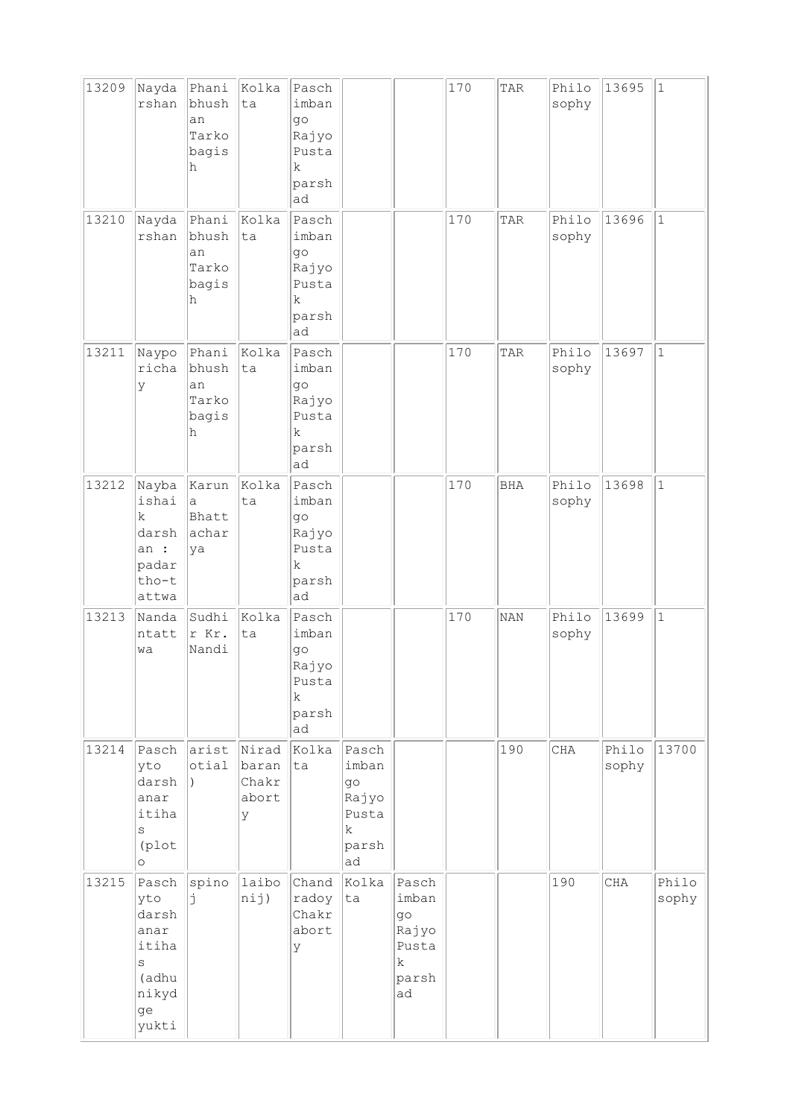| 13209 | Nayda<br>rshan                                                                     | Phani<br>bhush<br>an<br>Tarko<br>bagis<br>h | Kolka<br>ta                           | Pasch<br>imban<br>$q\circ$<br>Rajyo<br>Pusta<br>k.<br>parsh<br>ad    |                                                                      |                                                            | 170 | TAR        | Philo<br>sophy | 13695          | $\vert$ 1      |
|-------|------------------------------------------------------------------------------------|---------------------------------------------|---------------------------------------|----------------------------------------------------------------------|----------------------------------------------------------------------|------------------------------------------------------------|-----|------------|----------------|----------------|----------------|
| 13210 | Nayda<br>rshan                                                                     | Phani<br>bhush<br>an<br>Tarko<br>bagis<br>h | Kolka<br>ta                           | Pasch<br>imban<br>go<br>Rajyo<br>Pusta<br>k<br>parsh<br>ad           |                                                                      |                                                            | 170 | TAR        | Philo<br>sophy | 13696          | $\vert$ 1      |
| 13211 | Naypo<br>richa<br>У                                                                | Phani<br>bhush<br>an<br>Tarko<br>bagis<br>h | Kolka<br>ta                           | Pasch<br>imban<br>go<br>Rajyo<br>Pusta<br>k<br>parsh<br>ad           |                                                                      |                                                            | 170 | TAR        | Philo<br>sophy | 13697          | $1\,$          |
| 13212 | Nayba<br>ishai<br>$\mathbf k$<br>darsh<br>an :<br>padar<br>tho-t<br>attwa          | Karun<br>a<br>Bhatt<br>achar<br>ya          | Kolka<br>ta                           | Pasch<br>imban<br>$q\circ$<br>Rajyo<br>Pusta<br>k<br>parsh<br>ad     |                                                                      |                                                            | 170 | <b>BHA</b> | Philo<br>sophy | 13698          | $\mathbf{1}$   |
| 13213 | Nanda<br>ntatt<br>wa                                                               | Sudhi<br>r Kr.<br>Nandi                     | Kolka<br>ta                           | Pasch<br>imban<br>go<br>Rajyo<br>Pusta<br>$\mathbf k$<br>parsh<br>ad |                                                                      |                                                            | 170 | <b>NAN</b> | Philo<br>sophy | 13699          | $\vert$ 1      |
| 13214 | Pasch<br>yto<br>darsh<br>anar<br>itiha<br>S<br>(plot<br>$\circ$                    | arist<br>otial<br>$\lambda$                 | Nirad<br>baran<br>Chakr<br>abort<br>У | Kolka<br>ta                                                          | Pasch<br>imban<br>go<br>Rajyo<br>Pusta<br>$\mathbf k$<br>parsh<br>ad |                                                            |     | 190        | CHA            | Philo<br>sophy | 13700          |
| 13215 | Pasch<br>yto<br>darsh<br>anar<br>itiha<br>$\rm s$<br>(adhu<br>nikyd<br>ge<br>yukti | spino<br>Ė                                  | laibo<br>nij)                         | Chand<br>radoy<br>Chakr<br>abort<br>У                                | Kolka<br>ta                                                          | Pasch<br>imban<br>go<br>Rajyo<br>Pusta<br>k<br>parsh<br>ad |     |            | 190            | <b>CHA</b>     | Philo<br>sophy |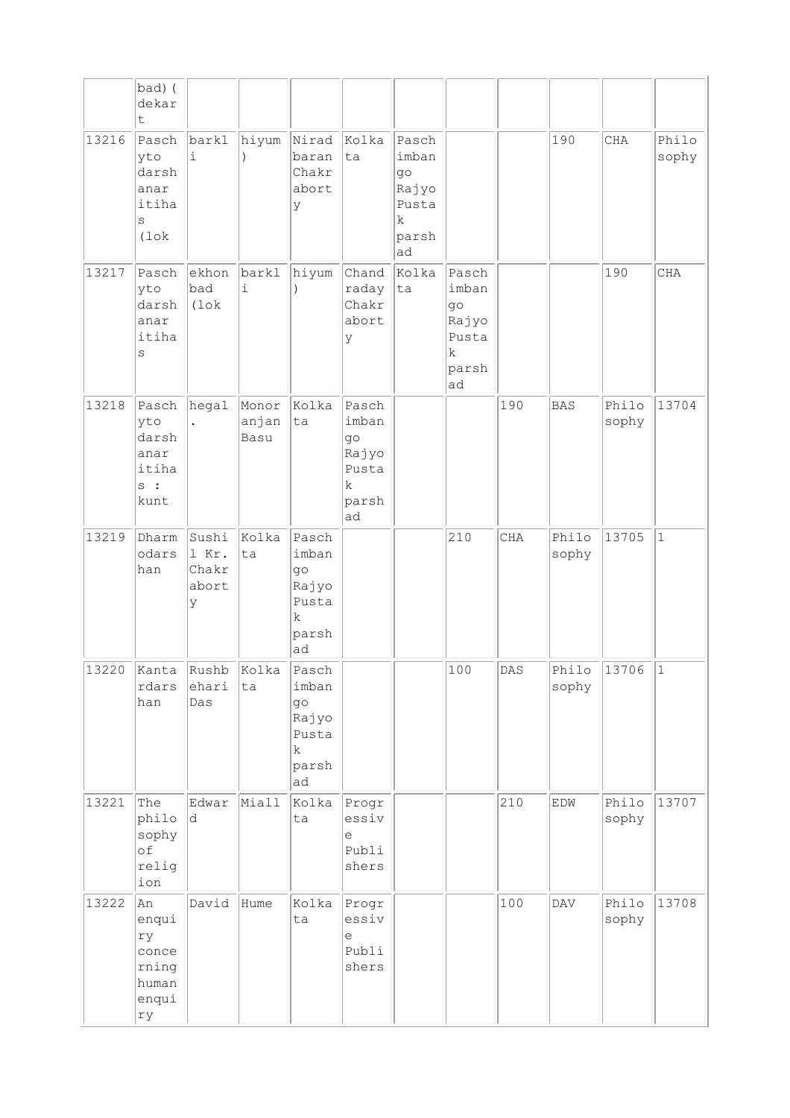|       | bad) (<br>dekar<br>t                                               |                                       |                        |                                                                            |                                                                   |                                                                    |                                                                             |     |                |                |                |
|-------|--------------------------------------------------------------------|---------------------------------------|------------------------|----------------------------------------------------------------------------|-------------------------------------------------------------------|--------------------------------------------------------------------|-----------------------------------------------------------------------------|-----|----------------|----------------|----------------|
| 13216 | Pasch<br>yto<br>darsh<br>anar<br>itiha<br>$\rm s$<br>$(1 \circ k)$ | barkl<br>i                            | hiyum                  | Nirad<br>baran<br>Chakr<br>abort<br>У                                      | Kolka<br>ta                                                       | Pasch<br>imban<br>$g \circ$<br>Rajyo<br>Pusta<br>k.<br>parsh<br>ad |                                                                             |     | 190            | CHA            | Philo<br>sophy |
| 13217 | Pasch<br>yto<br>darsh<br>anar<br>itiha<br>$\rm s$                  | ekhon<br>bad<br>$(1 \circ k)$         | barkl<br>i             | hiyum                                                                      | Chand<br>raday<br>Chakr<br>abort<br>У                             | Kolka<br>ta                                                        | Pasch<br>imban<br>$g \circ$<br>Rajyo<br>Pusta<br>$\mathbf k$<br>parsh<br>ad |     |                | 190            | CHA            |
| 13218 | Pasch<br>yto<br>darsh<br>anar<br>itiha<br>s:<br>kunt               | hegal                                 | Monor<br>anjan<br>Basu | Kolka<br>ta                                                                | Pasch<br>imban<br>$g \circ$<br>Rajyo<br>Pusta<br>k<br>parsh<br>ad |                                                                    |                                                                             | 190 | <b>BAS</b>     | Philo<br>sophy | 13704          |
| 13219 | Dharm<br>odars<br>han                                              | Sushi<br>1 Kr.<br>Chakr<br>abort<br>У | Kolka<br>ta            | Pasch<br>imban<br>$g \circ$<br>Rajyo<br>Pusta<br>$\rm k$<br>parsh<br>ad    |                                                                   |                                                                    | 210                                                                         | CHA | Philo<br>sophy | 13705          | $\mathbf{1}$   |
| 13220 | Kanta<br>rdars<br>han                                              | Rushb<br>ehari<br>Das                 | Kolka<br>ta            | Pasch<br>imban<br>$q\circ$<br>Rajyo<br>Pusta<br>$\mathbf k$<br>parsh<br>ad |                                                                   |                                                                    | 100                                                                         | DAS | Philo<br>sophy | 13706          | $ 1\rangle$    |
| 13221 | The<br>philo<br>sophy<br>of<br>relig<br>ion                        | Edwar<br>d.                           | Miall                  | Kolka<br>ta                                                                | Progr<br>essiv<br>е<br>Publi<br>shers                             |                                                                    |                                                                             | 210 | EDW            | Philo<br>sophy | 13707          |
| 13222 | An<br>enqui<br>ry<br>conce<br>rning<br>human<br>enqui<br>rу        | David                                 | Hume                   | Kolka<br>ta                                                                | Progr<br>essiv<br>е<br>Publi<br>shers                             |                                                                    |                                                                             | 100 | $\mathsf{DAV}$ | Philo<br>sophy | 13708          |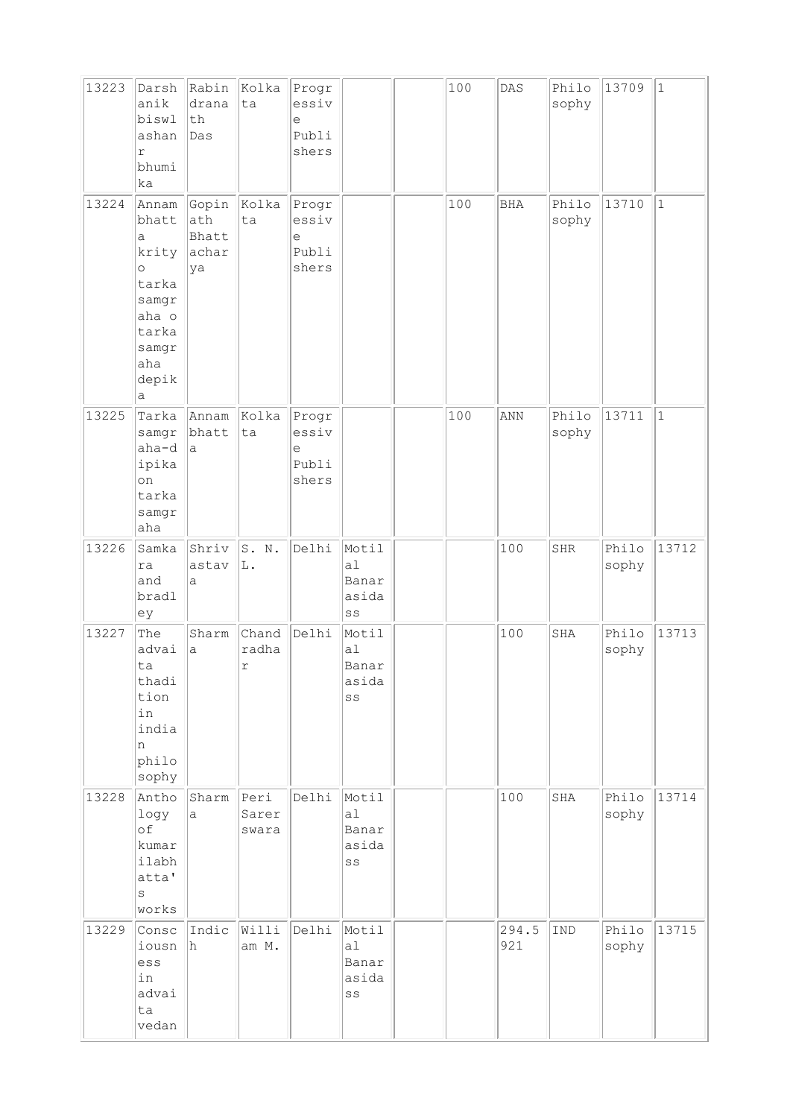| 13223 | Darsh<br>anik<br>biswl<br>ashan<br>r<br>bhumi<br>ka                                                       | Rabin<br>drana<br>th<br>Das          | Kolka<br>ta            | Progr<br>essiv<br>e<br>Publi<br>shers |                                                           | 100 | $\texttt{DAS}$ | Philo<br>sophy | 13709          | $\vert$ 1    |
|-------|-----------------------------------------------------------------------------------------------------------|--------------------------------------|------------------------|---------------------------------------|-----------------------------------------------------------|-----|----------------|----------------|----------------|--------------|
| 13224 | Annam<br>bhatt<br>а<br>krity<br>$\circ$<br>tarka<br>samgr<br>aha o<br>tarka<br>samgr<br>aha<br>depik<br>а | Gopin<br>ath<br>Bhatt<br>achar<br>ya | Kolka<br>ta            | Progr<br>essiv<br>e<br>Publi<br>shers |                                                           | 100 | <b>BHA</b>     | Philo<br>sophy | 13710          | $\mathbf{1}$ |
| 13225 | Tarka<br>samgr<br>aha-d<br>ipika<br>on<br>tarka<br>samgr<br>aha                                           | Annam<br>bhatt<br>a                  | Kolka<br>ta            | Progr<br>essiv<br>e<br>Publi<br>shers |                                                           | 100 | ANN            | Philo<br>sophy | 13711          | $\vert$ 1    |
| 13226 | Samka<br>ra<br>and<br>bradl<br>ey                                                                         | Shriv<br>astav<br>a                  | S. N.<br>L.            | Delhi                                 | Motil<br>a <sub>1</sub><br>Banar<br>asida<br>SS           |     | 100            | <b>SHR</b>     | Philo<br>sophy | 13712        |
| 13227 | The<br>advai<br>ta<br>thadi<br>tion<br>in<br>india<br>n<br>philo<br>sophy                                 | Sharm<br>a                           | Chand<br>radha<br>r    | Delhi                                 | Motil<br>a1<br>Banar<br>asida<br>SS                       |     | 100            | SHA            | Philo<br>sophy | 13713        |
| 13228 | Antho<br>logy<br>of<br>kumar<br>ilabh<br>atta'<br>S<br>works                                              | Sharm<br>a                           | Peri<br>Sarer<br>swara | Delhi                                 | Motil<br>a1<br>Banar<br>asida<br>SS                       |     | 100            | SHA            | Philo<br>sophy | 13714        |
| 13229 | Consc<br>iousn<br>ess<br>in<br>advai<br>ta<br>vedan                                                       | Indic<br>h                           | Willi<br>am M.         | Delhi                                 | Motil<br>a1<br>Banar<br>asida<br>$\mathbb{S}\,\mathbb{S}$ |     | 294.5<br>921   | IND            | Philo<br>sophy | 13715        |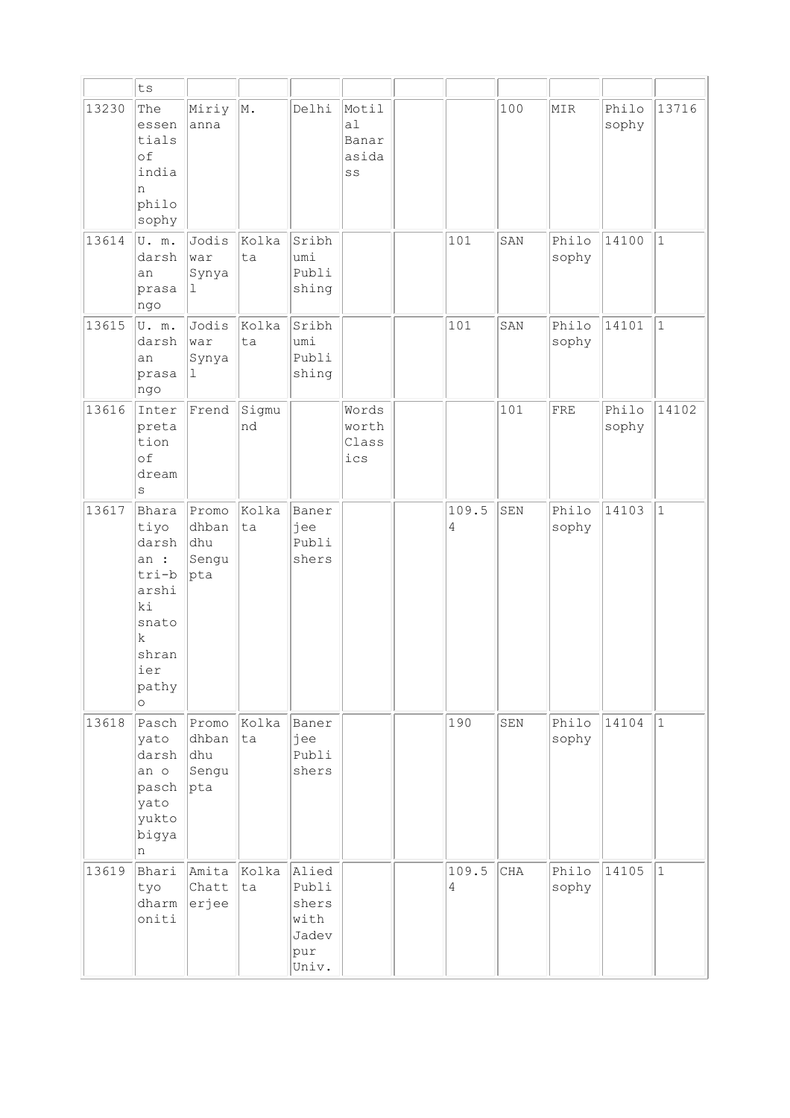|       | ${\tt ts}$                                                                                               |                                       |             |                                                          |                                                 |                         |     |                |                |              |
|-------|----------------------------------------------------------------------------------------------------------|---------------------------------------|-------------|----------------------------------------------------------|-------------------------------------------------|-------------------------|-----|----------------|----------------|--------------|
| 13230 | The<br>essen<br>tials<br>of<br>india<br>n<br>philo<br>sophy                                              | Miriy<br>anna                         | M.          | Delhi                                                    | Motil<br>a <sub>1</sub><br>Banar<br>asida<br>SS |                         | 100 | MIR            | Philo<br>sophy | 13716        |
| 13614 | U. m.<br>darsh<br>an<br>prasa<br>ngo                                                                     | Jodis<br>war<br>Synya<br>1            | Kolka<br>ta | Sribh<br>umi<br>Publi<br>shing                           |                                                 | 101                     | SAN | Philo<br>sophy | 14100          | $\mathbf{1}$ |
| 13615 | U. m.<br>darsh<br>an<br>prasa<br>ngo                                                                     | Jodis<br>war<br>Synya<br>ı            | Kolka<br>ta | Sribh<br>umi<br>Publi<br>shing                           |                                                 | 101                     | SAN | Philo<br>sophy | 14101          | $\mathbf{1}$ |
| 13616 | Inter<br>preta<br>tion<br>of<br>dream<br>S                                                               | Frend                                 | Sigmu<br>nd |                                                          | Words<br>worth<br>Class<br>ics                  |                         | 101 | FRE            | Philo<br>sophy | 14102        |
| 13617 | Bhara<br>tiyo<br>darsh<br>an :<br>tri-b<br>arshi<br>ki<br>snato<br>k<br>shran<br>ier<br>pathy<br>$\circ$ | Promo<br>dhban<br>dhu<br>Sengu<br>pta | Kolka<br>ta | Baner<br>jee<br>Publi<br>shers                           |                                                 | 109.5<br>4              | SEN | Philo<br>sophy | 14103          | $\mathbf{1}$ |
| 13618 | Pasch<br>yato<br>darsh<br>an o<br>pasch<br>yato<br>yukto<br>bigya<br>n                                   | Promo<br>dhban<br>dhu<br>Sengu<br>pta | Kolka<br>ta | Baner<br>jee<br>Publi<br>shers                           |                                                 | 190                     | SEN | Philo<br>sophy | 14104          | $\mathbf{1}$ |
| 13619 | Bhari<br>tyo<br>dharm<br>oniti                                                                           | Amita<br>Chatt<br>erjee               | Kolka<br>ta | Alied<br>Publi<br>shers<br>with<br>Jadev<br>pur<br>Univ. |                                                 | 109.5<br>$\overline{4}$ | CHA | Philo<br>sophy | 14105          | $\mathbf{1}$ |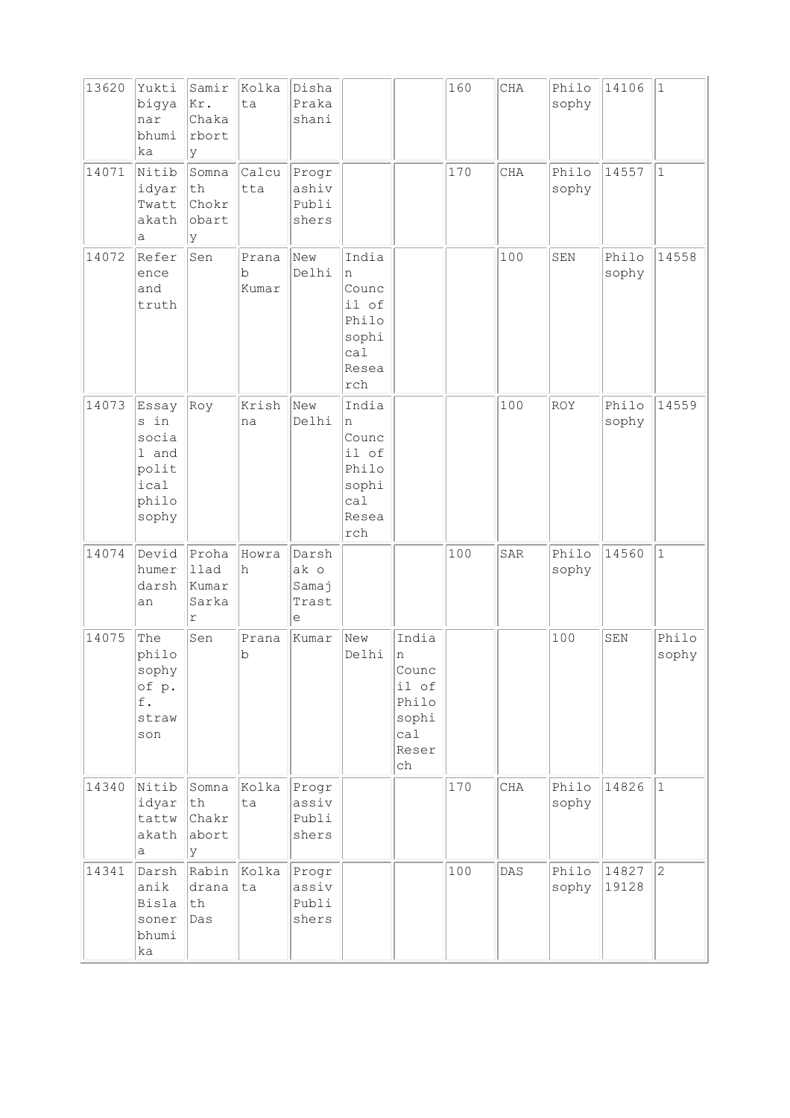| 13620 | Yukti<br>bigya<br>nar<br>bhumi<br>ka                               | Samir<br>kr.<br>Chaka<br>rbort<br>У  | Kolka<br>ta          | Disha<br>Praka<br>shani              |                                                                               |                                                                      | 160 | $\rm CHA$      | Philo<br>sophy | 14106          | $1\,$          |
|-------|--------------------------------------------------------------------|--------------------------------------|----------------------|--------------------------------------|-------------------------------------------------------------------------------|----------------------------------------------------------------------|-----|----------------|----------------|----------------|----------------|
| 14071 | Nitib<br>idyar<br>Twatt<br>akath<br>а                              | Somna<br>th<br>Chokr<br>obart<br>У   | Calcu<br>tta         | Progr<br>ashiv<br>Publi<br>shers     |                                                                               |                                                                      | 170 | CHA            | Philo<br>sophy | 14557          | $\mathbf{1}$   |
| 14072 | Refer<br>ence<br>and<br>truth                                      | Sen                                  | Prana<br>b<br>Kumar  | New<br>Delhi                         | India<br>n<br>Counc<br>il of<br>Philo<br>sophi<br>cal<br>Resea<br>${\tt rch}$ |                                                                      |     | 100            | SEN            | Philo<br>sophy | 14558          |
| 14073 | Essay<br>s in<br>socia<br>1 and<br>polit<br>ical<br>philo<br>sophy | Roy                                  | Krish<br>na          | New<br>Delhi                         | India<br>n<br>Counc<br>il of<br>Philo<br>sophi<br>ca1<br>Resea<br>${\tt rch}$ |                                                                      |     | 100            | <b>ROY</b>     | Philo<br>sophy | 14559          |
| 14074 | Devid<br>humer<br>darsh<br>an                                      | Proha<br>llad<br>Kumar<br>Sarka<br>r | Howra<br>h           | Darsh<br>ak o<br>Samaj<br>Trast<br>е |                                                                               |                                                                      | 100 | SAR            | Philo<br>sophy | 14560          | $\mathbf{1}$   |
| 14075 | The<br>philo<br>sophy<br>of p.<br>f.<br>straw<br>son               | Sen                                  | Prana<br>$\mathbf b$ | Kumar                                | New<br>Delhi                                                                  | India<br>n<br>Counc<br>il of<br>Philo<br>sophi<br>ca1<br>Reser<br>ch |     |                | 100            | SEN            | Philo<br>sophy |
| 14340 | Nitib<br>idyar<br>tattw<br>akath<br>а                              | Somna<br>th<br>Chakr<br>abort<br>lУ  | Kolka<br>ta          | Progr<br>assiv<br>Publi<br>shers     |                                                                               |                                                                      | 170 | CHA            | Philo<br>sophy | 14826          | $\mathbf{1}$   |
| 14341 | Darsh<br>anik<br>Bisla<br>soner<br>bhumi<br>ka                     | Rabin<br>drana<br>th<br>Das          | Kolka<br>ta          | Progr<br>assiv<br>Publi<br>shers     |                                                                               |                                                                      | 100 | $\mathtt{DAS}$ | Philo<br>sophy | 14827<br>19128 | $\overline{c}$ |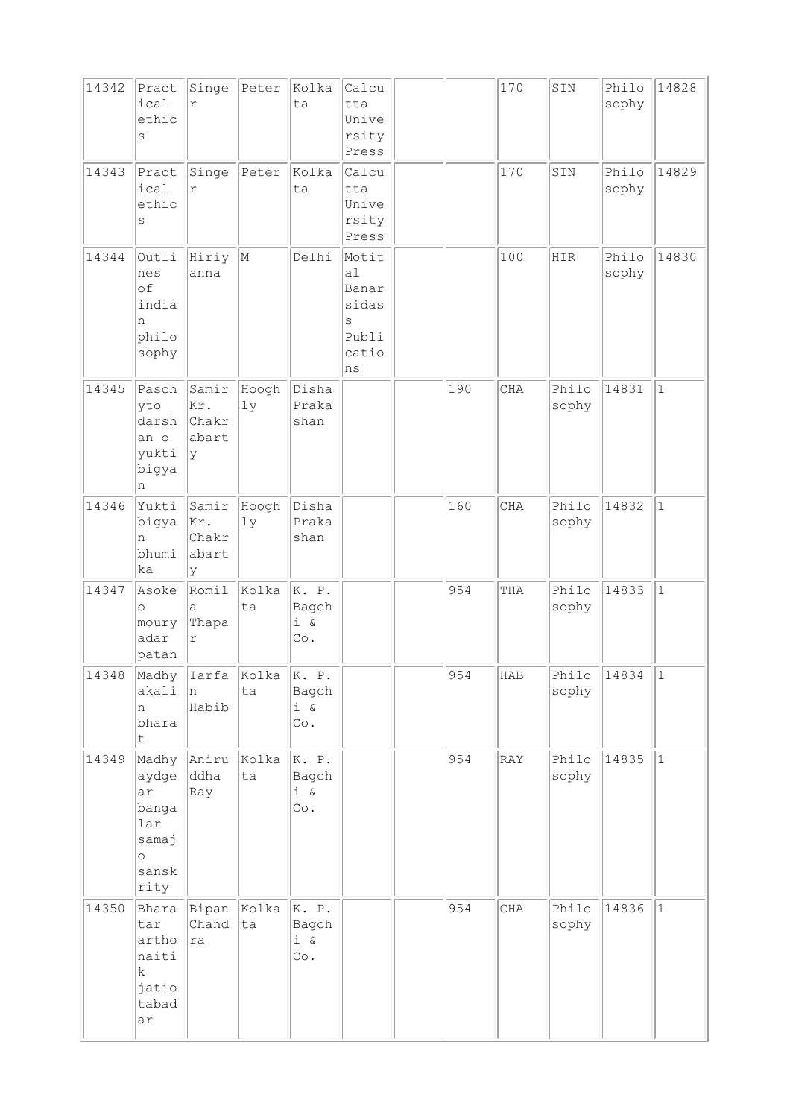| 14342 | Pract<br>ical<br>ethic<br>S                                               | Singe<br>$\Upsilon$                 | Peter       | Kolka<br>ta                                | Calcu<br>tta<br>Unive<br>rsity<br>Press                    |     | 170 | SIN            | Philo<br>sophy | 14828        |
|-------|---------------------------------------------------------------------------|-------------------------------------|-------------|--------------------------------------------|------------------------------------------------------------|-----|-----|----------------|----------------|--------------|
| 14343 | Pract<br>ical<br>ethic<br>S                                               | Singe<br>r                          | Peter       | Kolka<br>ta                                | Calcu<br>tta<br>Unive<br>rsity<br>Press                    |     | 170 | SIN            | Philo<br>sophy | 14829        |
| 14344 | Outli<br>nes<br>of<br>india<br>n<br>philo<br>sophy                        | Hiriy<br>anna                       | M           | Delhi                                      | Motit<br>a1<br>Banar<br>sidas<br>S<br>Publi<br>catio<br>ns |     | 100 | HIR            | Philo<br>sophy | 14830        |
| 14345 | Pasch<br>yto<br>darsh<br>an o<br>yukti<br>bigya<br>n                      | Samir<br>Kr.<br>Chakr<br>abart<br>У | Hoogh<br>1y | Disha<br>Praka<br>shan                     |                                                            | 190 | CHA | Philo<br>sophy | 14831          | $\mathbf{1}$ |
| 14346 | Yukti<br>bigya<br>n<br>bhumi<br>ka                                        | Samir<br>Kr.<br>Chakr<br>abart<br>У | Hoogh<br>1y | Disha<br>Praka<br>shan                     |                                                            | 160 | CHA | Philo<br>sophy | 14832          | $\vert$ 1    |
| 14347 | Asoke<br>$\circ$<br>moury<br>adar<br>patan                                | Romil<br>a<br>Thapa<br>$\Upsilon$   | Kolka<br>ta | K. P.<br>Bagch<br>$i \&$<br>Co.            |                                                            | 954 | THA | Philo<br>sophy | 14833          | $\mathbf{1}$ |
| 14348 | Madhy<br>akali<br>n<br>bhara<br>$\mathsf t$                               | Iarfa<br>n<br>Habib                 | Kolka<br>ta | K. P.<br>Bagch<br>$i \&$<br>Co.            |                                                            | 954 | HAB | Philo<br>sophy | 14834          | $\vert$ 1    |
| 14349 | Madhy<br>aydge<br>ar<br>banga<br>lar<br>samaj<br>$\circ$<br>sansk<br>rity | Aniru<br>ddha<br>Ray                | Kolka<br>ta | K. P.<br>Bagch<br>$\dot{1}$ &<br>$\circ$ . |                                                            | 954 | RAY | Philo<br>sophy | 14835          | $\vert$ 1    |
| 14350 | Bhara<br>tar<br>artho<br>naiti<br>k<br>jatio<br>tabad<br>ar               | Bipan<br>Chand<br>ra                | Kolka<br>ta | K. P.<br>Bagch<br>$i \&$<br>$\circ$ .      |                                                            | 954 | CHA | Philo<br>sophy | 14836          | $\vert$ 1    |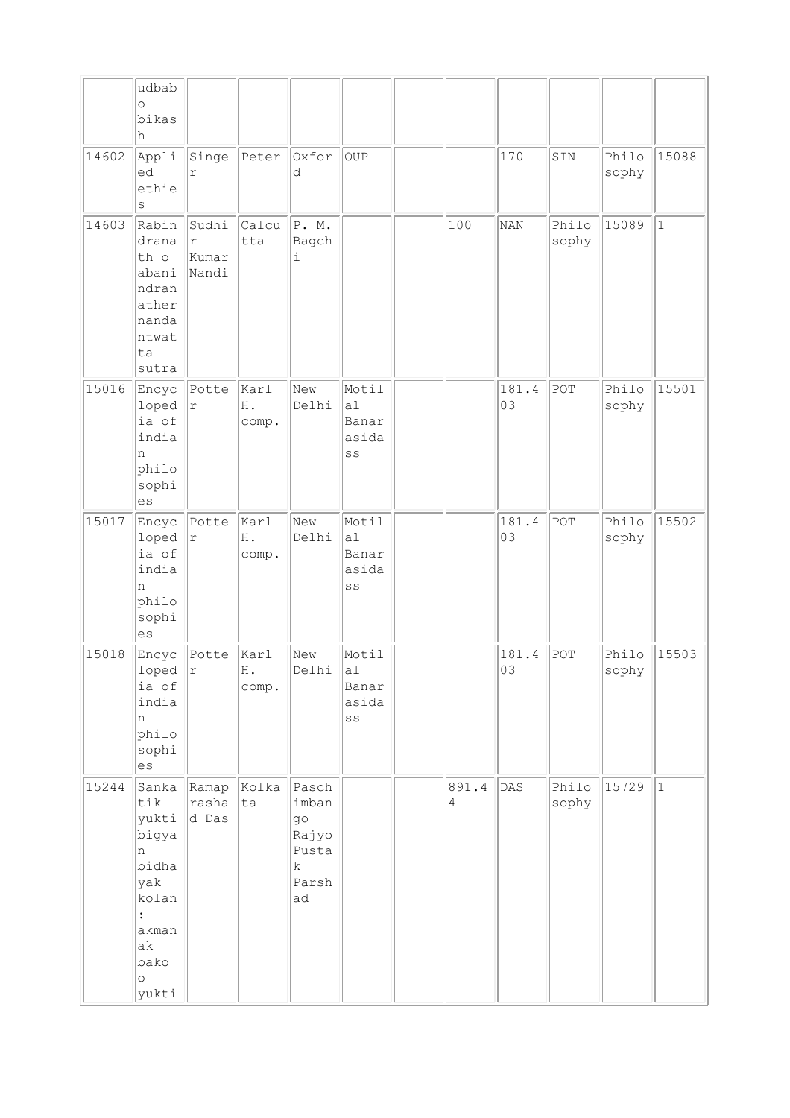|       | udbab                                                                                                   |                                         |                     |                                                                      |                                                           |            |             |                |                |           |
|-------|---------------------------------------------------------------------------------------------------------|-----------------------------------------|---------------------|----------------------------------------------------------------------|-----------------------------------------------------------|------------|-------------|----------------|----------------|-----------|
|       | $\circ$                                                                                                 |                                         |                     |                                                                      |                                                           |            |             |                |                |           |
|       | bikas<br>h                                                                                              |                                         |                     |                                                                      |                                                           |            |             |                |                |           |
| 14602 | Appli<br>ed<br>ethie<br>$\rm s$                                                                         | Singe<br>r                              | Peter               | Oxfor<br>d                                                           | OUP                                                       |            | 170         | SIN            | Philo<br>sophy | 15088     |
| 14603 | Rabin<br>drana<br>th o<br>abani<br>ndran<br>ather<br>nanda<br>ntwat<br>ta<br>sutra                      | Sudhi<br>$\mathtt{r}$<br>Kumar<br>Nandi | Calcu<br>tta        | P. M.<br>Bagch<br>$\dot{\mathtt{l}}$                                 |                                                           | 100        | <b>NAN</b>  | Philo<br>sophy | 15089          | $\vert$ 1 |
| 15016 | Encyc<br>loped<br>ia of<br>india<br>n<br>philo<br>sophi<br>es                                           | Potte<br>r                              | karl<br>H.<br>comp. | New<br>Delhi                                                         | Motil<br>a1<br>Banar<br>asida<br>SS                       |            | 181.4<br>03 | POT            | Philo<br>sophy | 15501     |
| 15017 | Encyc<br>loped<br>ia of<br>india<br>n<br>philo<br>sophi<br>es                                           | Potte<br>r                              | karl<br>H.<br>comp. | New<br>Delhi                                                         | Motil<br>al<br>Banar<br>asida<br>SS                       |            | 181.4<br>03 | POT            | Philo<br>sophy | 15502     |
| 15018 | Encyc<br>loped<br>ia of<br>india<br>n<br>philo<br>sophi<br>es                                           | Potte<br> x                             | Karl<br>Η.<br>comp. | New<br>Delhi                                                         | Motil<br>al<br>Banar<br>asida<br>$\mathbb{S}\,\mathbb{S}$ |            | 181.4<br>03 | $ $ POT        | Philo<br>sophy | 15503     |
| 15244 | Sanka<br>tik<br>yukti<br>bigya<br>n<br>bidha<br>yak<br>kolan<br>akman<br>ak<br>bako<br>$\circ$<br>yukti | Ramap<br>rasha<br>d Das                 | Kolka<br> ta        | Pasch<br>imban<br>go<br>Rajyo<br>Pusta<br>$\mathbf k$<br>Parsh<br>ad |                                                           | 891.4<br>4 | DAS         | Philo<br>sophy | 15729          | $\vert$ 1 |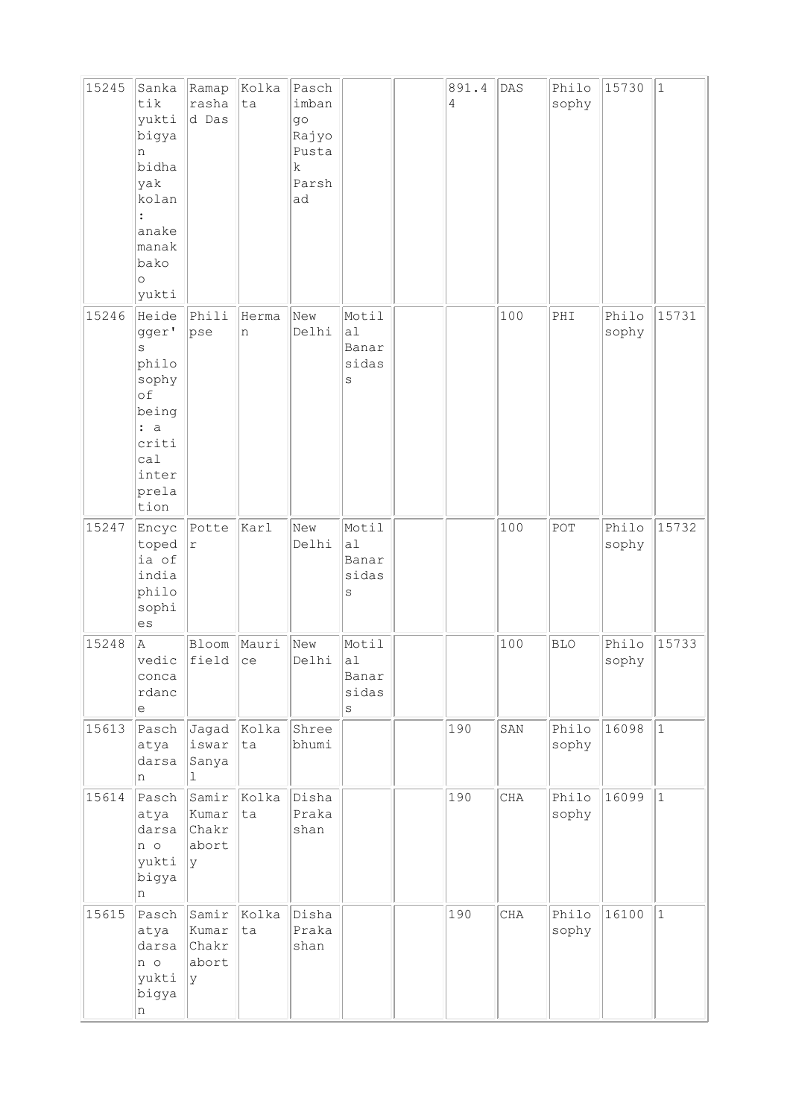| 15245 | Sanka<br>tik<br>yukti<br>bigya<br>n<br>bidha<br>yak<br>kolan<br>anake<br>manak<br>bako<br>$\circ$<br>yukti | Ramap<br>rasha<br>d Das                 | Kolka<br>ta | Pasch<br>imban<br>q <sub>O</sub><br>Rajyo<br>Pusta<br>k<br>Parsh<br>ad |                                          | 891.4<br>$\overline{4}$ | DAS | Philo<br>sophy | 15730          | $\vert$ 1   |
|-------|------------------------------------------------------------------------------------------------------------|-----------------------------------------|-------------|------------------------------------------------------------------------|------------------------------------------|-------------------------|-----|----------------|----------------|-------------|
| 15246 | Heide<br>gger'<br>S<br>philo<br>sophy<br>of<br>being<br>: a<br>criti<br>ca1<br>inter<br>prela<br>tion      | Phili<br>pse                            | Herma<br>n  | New<br>Delhi                                                           | Motil<br>a1<br>Banar<br>sidas<br>$\rm S$ |                         | 100 | PHI            | Philo<br>sophy | 15731       |
| 15247 | Encyc<br>toped<br>ia of<br>india<br>philo<br>sophi<br>es                                                   | Potte<br>$\Upsilon$                     | karl        | New<br>Delhi                                                           | Motil<br>a1<br>Banar<br>sidas<br>S       |                         | 100 | POT            | Philo<br>sophy | 15732       |
| 15248 | A<br>vedic<br>conca<br>rdanc<br>$\mathrel{\mathop{\mathrm{e}}\nolimits}$                                   | Bloom<br>field                          | Mauri<br>ce | New<br>Delhi                                                           | Motil<br>a1<br>Banar<br>sidas<br>$\rm s$ |                         | 100 | <b>BLO</b>     | Philo<br>sophy | 15733       |
| 15613 | Pasch<br>atya<br>darsa<br>n                                                                                | Jagad<br>iswar<br>Sanya<br>$\mathbf{1}$ | Kolka<br>ta | Shree<br>bhumi                                                         |                                          | 190                     | SAN | Philo<br>sophy | 16098          | $ 1\rangle$ |
| 15614 | Pasch<br>atya<br>darsa<br>n o<br>yukti<br>bigya<br>n                                                       | Samir<br>Kumar<br>Chakr<br>abort<br>ly. | Kolka<br>ta | Disha<br>Praka<br>shan                                                 |                                          | 190                     | CHA | Philo<br>sophy | 16099          | $\vert$ 1   |
| 15615 | Pasch<br>atya<br>darsa<br>n o<br>yukti<br>bigya<br>n                                                       | Samir<br>Kumar<br>Chakr<br>abort<br>Ιy  | Kolka<br>ta | Disha<br>Praka<br>shan                                                 |                                          | 190                     | CHA | Philo<br>sophy | 16100          | $\vert$ 1   |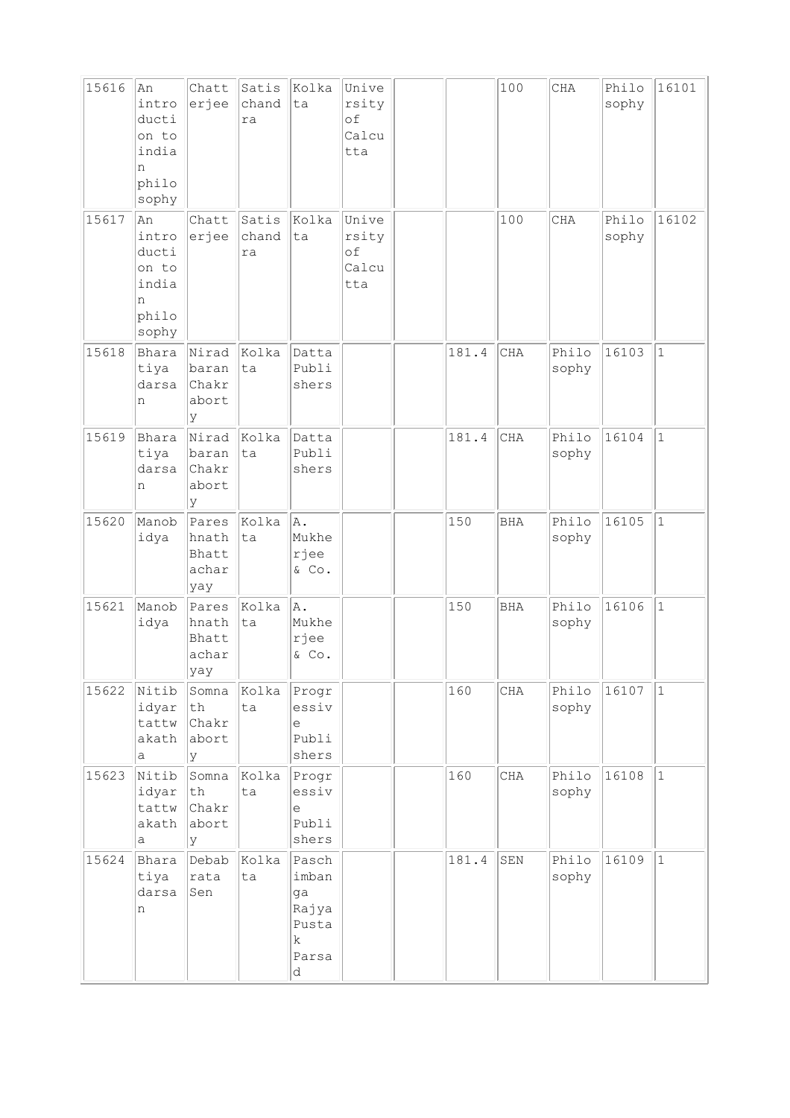| 15616 | An<br>intro<br>ducti<br>on to<br>india<br>n<br>philo<br>sophy | Chatt<br>erjee                           | Satis<br>chand<br>ra | Kolka<br>ta                                                         | Unive<br>rsity<br>οf<br>Calcu<br>tta |       | 100         | $\rm CHA$      | Philo<br>sophy | 16101        |
|-------|---------------------------------------------------------------|------------------------------------------|----------------------|---------------------------------------------------------------------|--------------------------------------|-------|-------------|----------------|----------------|--------------|
| 15617 | An<br>intro<br>ducti<br>on to<br>india<br>n<br>philo<br>sophy | Chatt<br>erjee                           | Satis<br>chand<br>ra | Kolka<br>ta                                                         | Unive<br>rsity<br>of<br>Calcu<br>tta |       | 100         | <b>CHA</b>     | Philo<br>sophy | 16102        |
| 15618 | Bhara<br>tiya<br>darsa<br>n                                   | Nirad<br>baran<br>Chakr<br>abort<br>У    | Kolka<br>lta         | Datta<br>Publi<br>shers                                             |                                      | 181.4 | <b>CHA</b>  | Philo<br>sophy | 16103          | $\mathbf{1}$ |
| 15619 | Bhara<br>tiya<br>darsa<br>n                                   | Nirad<br>baran<br>Chakr<br>abort<br>У    | kolka<br>ta          | Datta<br>Publi<br>shers                                             |                                      | 181.4 | CHA         | Philo<br>sophy | 16104          | $\mathbf{1}$ |
| 15620 | Manob<br>idya                                                 | Pares<br>hnath<br>Bhatt<br>achar<br>yay  | Kolka<br>ta          | ΙA.<br>Mukhe<br>rjee<br>& Co.                                       |                                      | 150   | <b>BHA</b>  | Philo<br>sophy | 16105          | $\mathbf{1}$ |
| 15621 | Manob<br>idya                                                 | Pares<br>hnath<br>Bhatt<br>achar<br> yay | Kolka<br>lta         | A.<br>Mukhe<br>rjee<br>& Co.                                        |                                      | 150   | <b>BHA</b>  | Philo<br>sophy | 16106          | $1\,$        |
| 15622 | Nitib<br>idyar<br>tattw<br>akath<br>а                         | Somna<br>$\tt th$<br>Chakr<br>abort<br>У | Kolka<br>ta          | Progr<br>essiv<br>е<br>Publi<br>shers                               |                                      | 160   | CHA         | Philo<br>sophy | 16107          | $\mathbf 1$  |
| 15623 | Nitib<br>idyar<br>tattw<br>akath<br>а                         | Somna<br>th<br>Chakr<br>abort<br>У       | Kolka<br>ta          | Progr<br>essiv<br>е<br>Publi<br>shers                               |                                      | 160   | CHA         | Philo<br>sophy | 16108          | $\vert$ 1    |
| 15624 | Bhara<br>tiya<br>darsa<br>n                                   | Debab<br>rata<br>Sen                     | Kolka<br>ta          | Pasch<br>imban<br>ga<br>Rajya<br>Pusta<br>$\mathbf k$<br>Parsa<br>d |                                      | 181.4 | ${\tt SEM}$ | Philo<br>sophy | 16109          | $\mathbf{1}$ |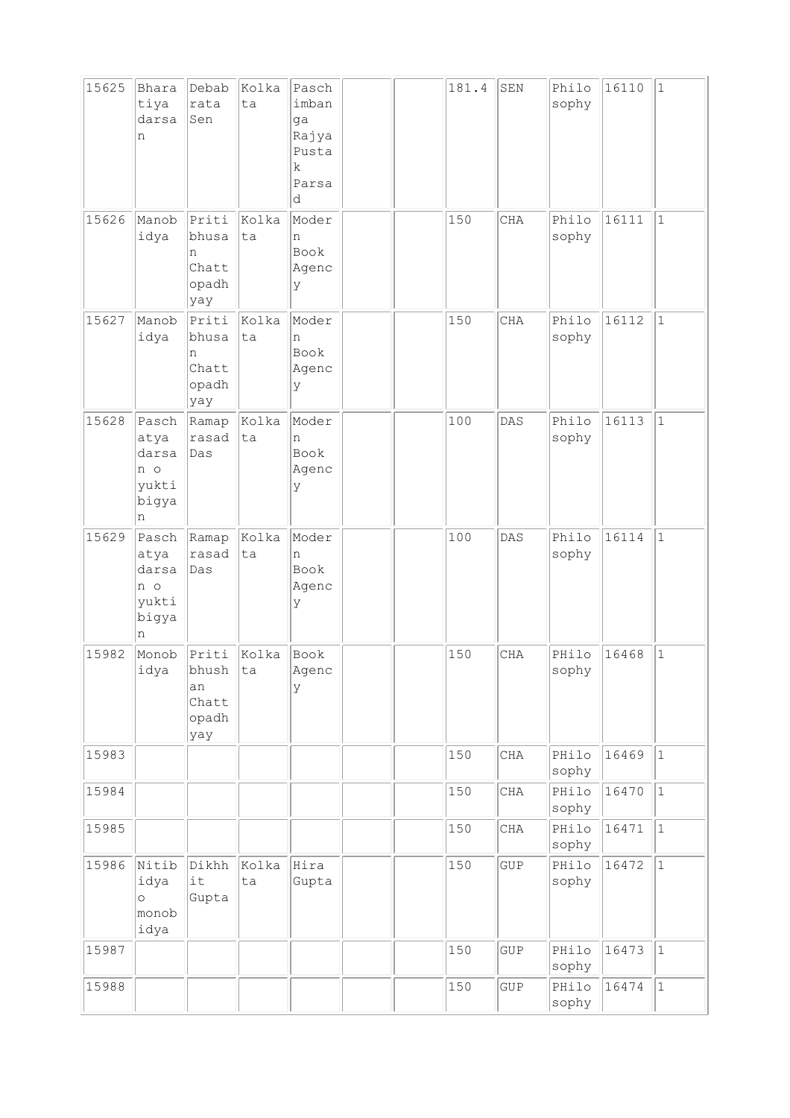| 15625 | Bhara<br>tiya<br>darsa<br>n                          | Debab<br>rata<br>Sen                          | Kolka<br>ta | Pasch<br>imban<br>ga<br>Rajya<br>Pusta<br>k.<br>Parsa<br>d |  | 181.4 | SEN        | Philo<br>sophy | 16110 | $\vert$ 1    |
|-------|------------------------------------------------------|-----------------------------------------------|-------------|------------------------------------------------------------|--|-------|------------|----------------|-------|--------------|
| 15626 | Manob<br>idya                                        | Priti<br>bhusa<br>n<br>Chatt<br>opadh<br>yay  | Kolka<br>ta | Moder<br>n<br>Book<br>Agenc<br>У                           |  | 150   | CHA        | Philo<br>sophy | 16111 | $\vert$ 1    |
| 15627 | Manob<br>idya                                        | Priti<br>bhusa<br>n<br>Chatt<br>opadh<br>yay  | Kolka<br>ta | Moder<br>n<br>Book<br>Agenc<br>У                           |  | 150   | CHA        | Philo<br>sophy | 16112 | $\vert$ 1    |
| 15628 | Pasch<br>atya<br>darsa<br>n o<br>yukti<br>bigya<br>n | Ramap<br>rasad<br>Das                         | Kolka<br>ta | Moder<br>n<br>Book<br>Agenc<br>У                           |  | 100   | DAS        | Philo<br>sophy | 16113 | $\mathbf{1}$ |
| 15629 | Pasch<br>atya<br>darsa<br>n o<br>yukti<br>bigya<br>n | Ramap<br>rasad<br>Das                         | Kolka<br>ta | Moder<br>n<br>Book<br>Agenc<br>У                           |  | 100   | DAS        | Philo<br>sophy | 16114 | $\vert$ 1    |
| 15982 | Monob<br>idya                                        | Priti<br>bhush<br>an<br>Chatt<br>opadh<br>yay | Kolka<br>ta | Book<br>Agenc<br>У                                         |  | 150   | CHA        | PHilo<br>sophy | 16468 | $\mathbf{1}$ |
| 15983 |                                                      |                                               |             |                                                            |  | 150   | <b>CHA</b> | PHilo<br>sophy | 16469 | $\vert$ 1    |
| 15984 |                                                      |                                               |             |                                                            |  | 150   | CHA        | PHilo<br>sophy | 16470 | $\vert$ 1    |
| 15985 |                                                      |                                               |             |                                                            |  | 150   | CHA        | PHilo<br>sophy | 16471 | $\vert$ 1    |
| 15986 | Nitib<br>idya<br>$\circ$<br>monob<br>idya            | Dikhh<br>it<br>Gupta                          | Kolka<br>ta | Hira<br>Gupta                                              |  | 150   | GUP        | PHilo<br>sophy | 16472 | $ 1\rangle$  |
| 15987 |                                                      |                                               |             |                                                            |  | 150   | GUP        | PHilo<br>sophy | 16473 | $\vert$ 1    |
| 15988 |                                                      |                                               |             |                                                            |  | 150   | GUP        | PHilo<br>sophy | 16474 | $\vert$ 1    |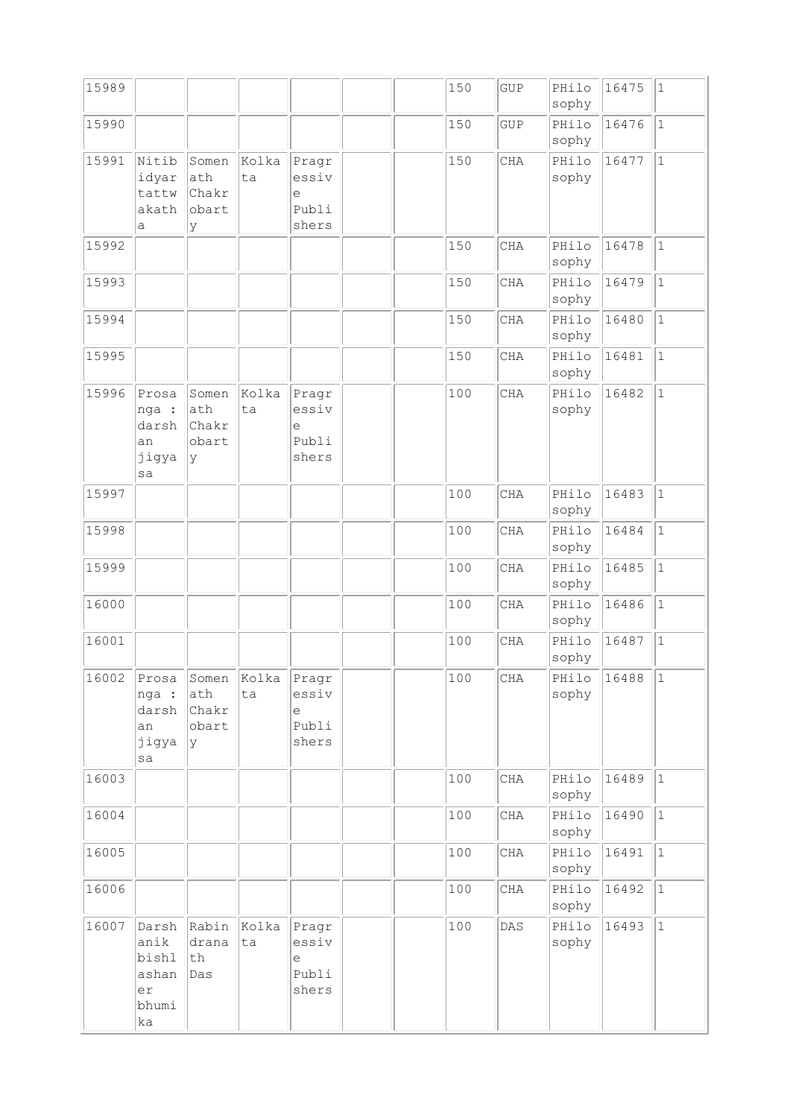| 15989 |                                                      |                                             |             |                                       |  | 150 | GUP        | PHilo<br>sophy | 16475 | $\vert$ 1    |
|-------|------------------------------------------------------|---------------------------------------------|-------------|---------------------------------------|--|-----|------------|----------------|-------|--------------|
| 15990 |                                                      |                                             |             |                                       |  | 150 | GUP        | PHilo<br>sophy | 16476 | $\vert$ 1    |
| 15991 | Nitib<br>idyar<br>tattw<br>akath<br>а                | Somen<br>ath<br>Chakr<br>obart<br>У         | Kolka<br>ta | Pragr<br>essiv<br>е<br>Publi<br>shers |  | 150 | <b>CHA</b> | PHilo<br>sophy | 16477 | $\vert$ 1    |
| 15992 |                                                      |                                             |             |                                       |  | 150 | CHA        | PHilo<br>sophy | 16478 | $\vert$ 1    |
| 15993 |                                                      |                                             |             |                                       |  | 150 | CHA        | PHilo<br>sophy | 16479 | $1\,$        |
| 15994 |                                                      |                                             |             |                                       |  | 150 | CHA        | PHilo<br>sophy | 16480 | $\vert$ 1    |
| 15995 |                                                      |                                             |             |                                       |  | 150 | CHA        | PHilo<br>sophy | 16481 | $\vert$ 1    |
| 15996 | Prosa<br>nga :<br>darsh<br>an<br>jigya<br>sa         | Somen<br>ath<br>Chakr<br>obart<br> y        | kolka<br>ta | Pragr<br>essiv<br>e<br>Publi<br>shers |  | 100 | <b>CHA</b> | PHilo<br>sophy | 16482 | $\mathbf{1}$ |
| 15997 |                                                      |                                             |             |                                       |  | 100 | CHA        | PHilo<br>sophy | 16483 | $\vert$ 1    |
| 15998 |                                                      |                                             |             |                                       |  | 100 | CHA        | PHilo<br>sophy | 16484 | $\vert$ 1    |
| 15999 |                                                      |                                             |             |                                       |  | 100 | <b>CHA</b> | PHilo<br>sophy | 16485 | $\vert$ 1    |
| 16000 |                                                      |                                             |             |                                       |  | 100 | CHA        | PHilo<br>sophy | 16486 | $\vert$ 1    |
| 16001 |                                                      |                                             |             |                                       |  | 100 | CHA        | PHilo<br>sophy | 16487 | $\mathbf{1}$ |
| 16002 | Prosa<br>nga :<br>darsh<br>an<br>jigya<br>sa         | Somen<br>ath<br><b>Chakr</b><br>obart<br> y | Kolka<br>ta | Pragr<br>essiv<br>е<br>Publi<br>shers |  | 100 | $\rm CHA$  | PHilo<br>sophy | 16488 | 1            |
| 16003 |                                                      |                                             |             |                                       |  | 100 | CHA        | PHilo<br>sophy | 16489 | $\vert$ 1    |
| 16004 |                                                      |                                             |             |                                       |  | 100 | $\rm CHA$  | PHilo<br>sophy | 16490 | $\mathbf 1$  |
| 16005 |                                                      |                                             |             |                                       |  | 100 | CHA        | PHilo<br>sophy | 16491 | $\vert$ 1    |
| 16006 |                                                      |                                             |             |                                       |  | 100 | CHA        | PHilo<br>sophy | 16492 | $\vert$ 1    |
| 16007 | Darsh<br>anik<br>bishl<br>ashan<br>er<br>bhumi<br>ka | Rabin<br>drana<br>th<br>Das                 | Kolka<br>ta | Pragr<br>essiv<br>e<br>Publi<br>shers |  | 100 | DAS        | PHilo<br>sophy | 16493 | $ 1\rangle$  |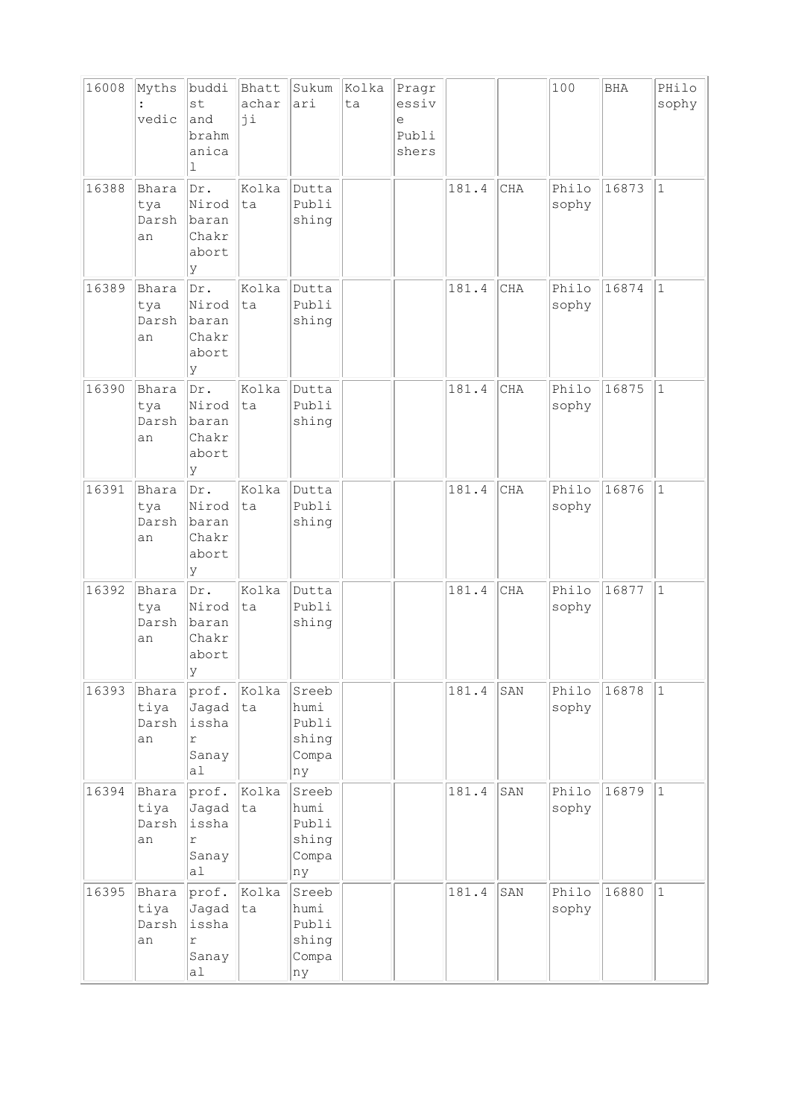| 16008 | Myths<br>vedic               | buddi<br>st<br>and<br>brahm<br>anica<br>1            | Bhatt<br>achar<br>ji | Sukum<br>ari                                   | Kolka<br>ta | Pragr<br>essiv<br>e<br>Publi<br>shers |       |            | 100            | <b>BHA</b> | PHilo<br>sophy |
|-------|------------------------------|------------------------------------------------------|----------------------|------------------------------------------------|-------------|---------------------------------------|-------|------------|----------------|------------|----------------|
| 16388 | Bhara<br>tya<br>Darsh<br>an  | Dr.<br>Nirod<br>baran<br>Chakr<br>abort<br>У         | Kolka<br>ta          | Dutta<br>Publi<br>shing                        |             |                                       | 181.4 | CHA        | Philo<br>sophy | 16873      | $\mathbf{1}$   |
| 16389 | Bhara<br>tya<br>Darsh<br>an  | Dr.<br>Nirod<br>baran<br>Chakr<br>abort<br>У         | Kolka<br>lta         | Dutta<br>Publi<br>shing                        |             |                                       | 181.4 | CHA        | Philo<br>sophy | 16874      | $\mathbf{1}$   |
| 16390 | Bhara<br>tya<br>Darsh<br>an  | Dr.<br>Nirod<br>baran<br>Chakr<br>abort<br>У         | Kolka<br>ta          | Dutta<br>Publi<br>shing                        |             |                                       | 181.4 | CHA        | Philo<br>sophy | 16875      | $\mathbf{1}$   |
| 16391 | Bhara<br>tya<br>Darsh<br>an  | Dr.<br>Nirod<br>baran<br>Chakr<br>abort<br>У         | Kolka<br>ta          | Dutta<br>Publi<br>shing                        |             |                                       | 181.4 | <b>CHA</b> | Philo<br>sophy | 16876      | $\mathbf{1}$   |
| 16392 | Bhara<br>tya<br>Darsh<br>an  | Dr.<br>Nirod<br>baran<br>Chakr<br>abort<br>lΥ        | Kolka<br>ta          | Dutta<br>Publi<br>shing                        |             |                                       | 181.4 | CHA        | Philo<br>sophy | 16877      | $\mathbf{1}$   |
| 16393 | Bhara<br>tiya<br>Darsh<br>an | prof.<br>Jagad<br>issha<br>r<br>Sanay<br>al          | Kolka<br>ta          | Sreeb<br>humi<br>Publi<br>shing<br>Compa<br>ny |             |                                       | 181.4 | SAN        | Philo<br>sophy | 16878      | $\mathbf{1}$   |
| 16394 | Bhara<br>tiya<br>Darsh<br>an | prof.<br>Jagad<br>issha<br>$\Upsilon$<br>Sanay<br>a1 | Kolka<br>ta          | Sreeb<br>humi<br>Publi<br>shing<br>Compa<br>ny |             |                                       | 181.4 | SAN        | Philo<br>sophy | 16879      | $1\,$          |
| 16395 | Bhara<br>tiya<br>Darsh<br>an | prof.<br>Jagad<br>issha<br>r<br>Sanay<br>al          | Kolka<br>ta          | Sreeb<br>humi<br>Publi<br>shing<br>Compa<br>ny |             |                                       | 181.4 | SAN        | Philo<br>sophy | 16880      | $\mathbf{1}$   |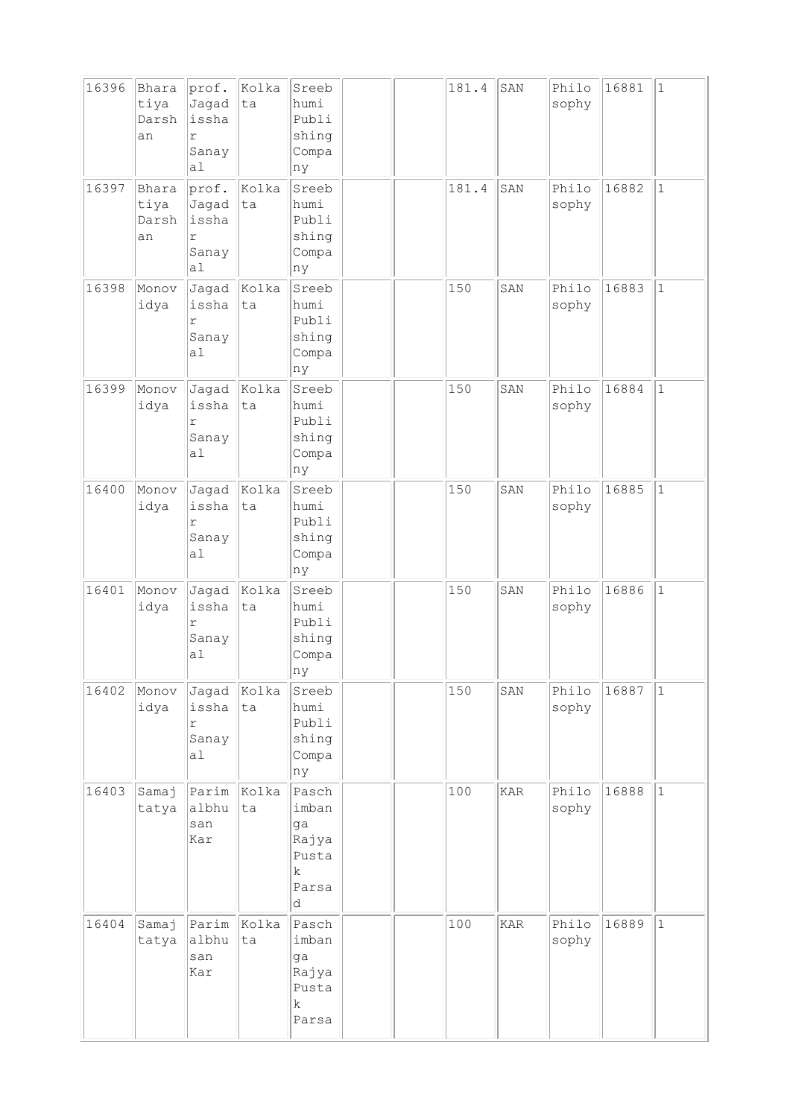| 16396 | Bhara<br>tiya<br>Darsh<br>an | prof.<br>Jagad<br>issha<br>r<br>Sanay<br>a1 | Kolka<br>ta | Sreeb<br>humi<br>Publi<br>shing<br>Compa<br>ny                  |  | 181.4 | SAN | Philo<br>sophy | 16881 | $\mathbf{1}$ |
|-------|------------------------------|---------------------------------------------|-------------|-----------------------------------------------------------------|--|-------|-----|----------------|-------|--------------|
| 16397 | Bhara<br>tiya<br>Darsh<br>an | prof.<br>Jagad<br>issha<br>r<br>Sanay<br>a1 | Kolka<br>ta | Sreeb<br>humi<br>Publi<br>shing<br>Compa<br>ny                  |  | 181.4 | SAN | Philo<br>sophy | 16882 | $\vert$ 1    |
| 16398 | Monov<br>idya                | Jagad<br>issha<br>r<br>Sanay<br>a1          | Kolka<br>ta | Sreeb<br>humi<br>Publi<br>shing<br>Compa<br>ny                  |  | 150   | SAN | Philo<br>sophy | 16883 | $\mathbf{1}$ |
| 16399 | Monov<br>idya                | Jagad<br>issha<br>r<br>Sanay<br>a1          | Kolka<br>ta | Sreeb<br>humi<br>Publi<br>shing<br>Compa<br>ny                  |  | 150   | SAN | Philo<br>sophy | 16884 | $\vert$ 1    |
| 16400 | Monov<br>idya                | Jagad<br>issha<br>r<br>Sanay<br>a1          | Kolka<br>ta | Sreeb<br>humi<br>Publi<br>shing<br>Compa<br>ny                  |  | 150   | SAN | Philo<br>sophy | 16885 | $\mathbf{1}$ |
| 16401 | Monov<br>idya                | Jagad<br>issha<br>$\Upsilon$<br>Sanay<br>a1 | kolka<br>ta | Sreeb<br>humi<br>Publi<br>shing<br>Compa<br> ny                 |  | 150   | SAN | Philo<br>sophy | 16886 | $1\,$        |
| 16402 | Monov<br>idya                | Jagad<br>issha<br>r<br>Sanay<br>a1          | Kolka<br>ta | Sreeb<br>humi<br>Publi<br>shing<br>Compa<br>ny                  |  | 150   | SAN | Philo<br>sophy | 16887 | 1            |
| 16403 | Samaj<br>tatya               | Parim<br>albhu<br>san<br>Kar                | Kolka<br>ta | Pasch<br>imban<br>ga<br>Rajya<br>Pusta<br>$\rm k$<br>Parsa<br>d |  | 100   | KAR | Philo<br>sophy | 16888 | $\vert$ 1    |
| 16404 | Samaj<br>tatya               | Parim<br>albhu<br>san<br>Kar                | Kolka<br>ta | Pasch<br>imban<br>ga<br>Rajya<br>Pusta<br>$\rm k$<br>Parsa      |  | 100   | KAR | Philo<br>sophy | 16889 | $\vert$ 1    |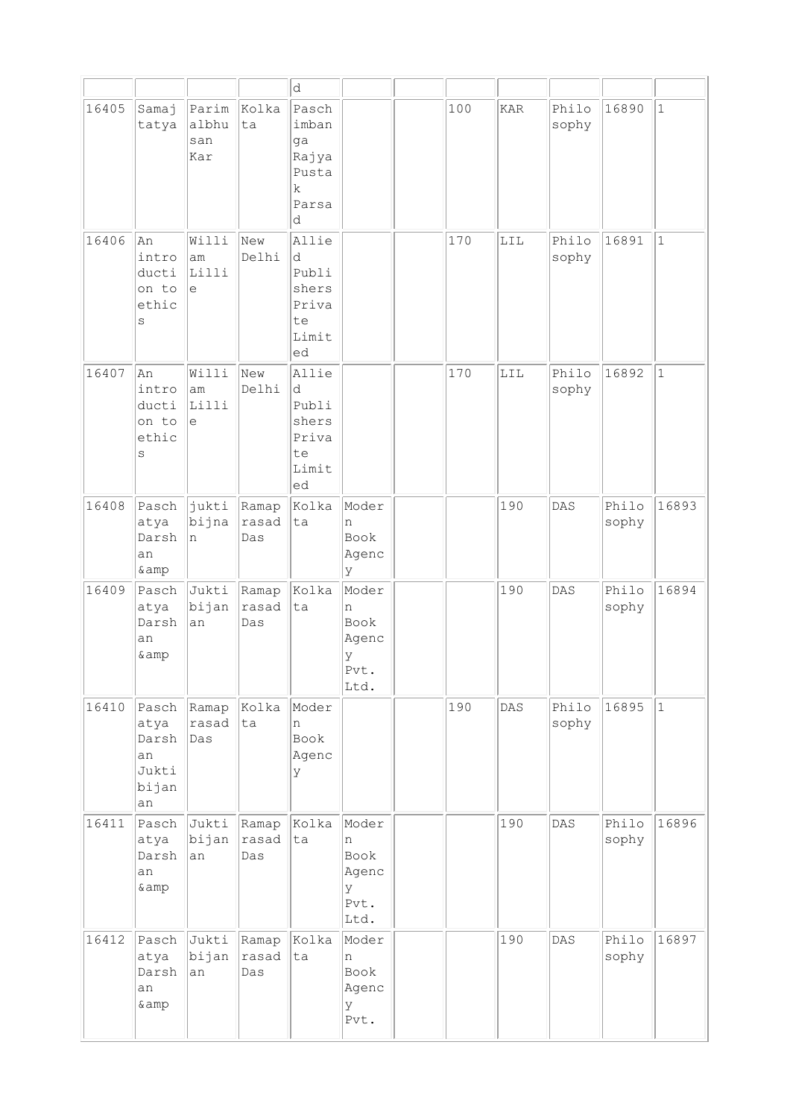|       |                                                      |                              |                       | d                                                          |                                                  |     |            |                |                |              |
|-------|------------------------------------------------------|------------------------------|-----------------------|------------------------------------------------------------|--------------------------------------------------|-----|------------|----------------|----------------|--------------|
| 16405 | Samaj<br>tatya                                       | Parim<br>albhu<br>san<br>Kar | Kolka<br>ta           | Pasch<br>imban<br>ga<br>Rajya<br>Pusta<br>k<br>Parsa<br>d  |                                                  | 100 | <b>KAR</b> | Philo<br>sophy | 16890          | $\vert$ 1    |
| 16406 | An<br>intro<br>ducti<br>on to<br>ethic<br>$\rm s$    | Willi<br>am<br>Lilli<br>e    | New<br>Delhi          | Allie<br>d<br>Publi<br>shers<br>Priva<br>te<br>Limit<br>ed |                                                  | 170 | LIL        | Philo<br>sophy | 16891          | $\vert$ 1    |
| 16407 | An<br>intro<br>ducti<br>on to<br>ethic<br>S          | Willi<br>am<br>Lilli<br>e    | New<br>Delhi          | Allie<br>d<br>Publi<br>shers<br>Priva<br>te<br>Limit<br>ed |                                                  | 170 | LIL        | Philo<br>sophy | 16892          | $\mathbf{1}$ |
| 16408 | Pasch<br>atya<br>Darsh<br>an<br>& amp                | jukti<br>bijna<br>n          | Ramap<br>rasad<br>Das | Kolka<br>ta                                                | Moder<br>n<br>Book<br>Agenc<br>lУ                |     | 190        | DAS            | Philo<br>sophy | 16893        |
| 16409 | Pasch<br>atya<br>Darsh<br>an<br>& amp                | Jukti<br>bijan<br>an         | Ramap<br>rasad<br>Das | Kolka<br>ta                                                | Moder<br>n<br>Book<br>Agenc<br>У<br>Pvt.<br>Ltd. |     | 190        | DAS            | Philo<br>sophy | 16894        |
| 16410 | Pasch<br>atya<br>Darsh<br>an<br>Jukti<br>bijan<br>an | Ramap<br>rasad<br>Das        | Kolka<br>ta           | Moder<br>n<br>Book<br>Agenc<br>У                           |                                                  | 190 | DAS        | Philo<br>sophy | 16895          | $ 1\rangle$  |
| 16411 | Pasch<br>atya<br>Darsh<br>an<br>& amp                | Jukti<br>bijan<br>an         | Ramap<br>rasad<br>Das | Kolka<br>ta                                                | Moder<br>n<br>Book<br>Agenc<br>У<br>Pvt.<br>Ltd. |     | 190        | DAS            | Philo<br>sophy | 16896        |
| 16412 | Pasch<br>atya<br>Darsh<br>an<br>& amp                | Jukti<br>bijan<br>an         | Ramap<br>rasad<br>Das | Kolka<br>ta                                                | Moder<br>n<br>Book<br>Agenc<br>У<br>Pvt.         |     | 190        | DAS            | Philo<br>sophy | 16897        |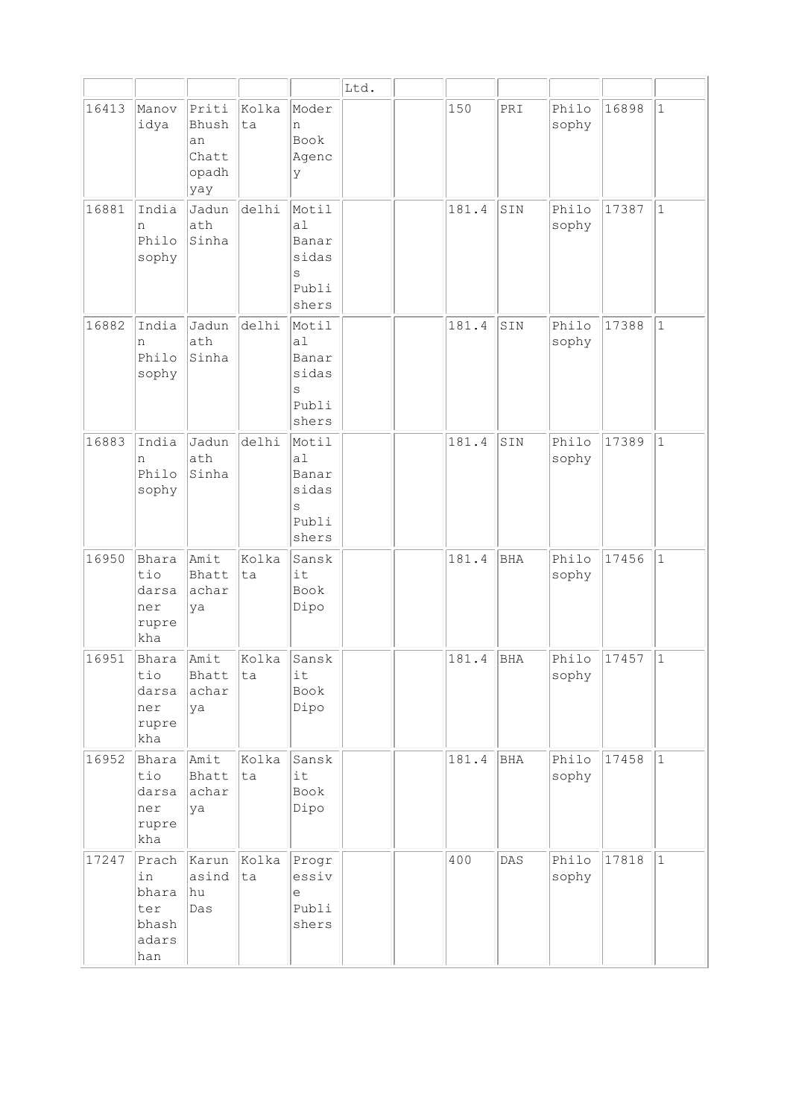|       |                                                      |                                               |             |                                                      | Ltd. |       |            |                |       |              |
|-------|------------------------------------------------------|-----------------------------------------------|-------------|------------------------------------------------------|------|-------|------------|----------------|-------|--------------|
| 16413 | Manov<br>idya                                        | Priti<br>Bhush<br>an<br>Chatt<br>opadh<br>yay | Kolka<br>ta | Moder<br>n<br>Book<br>Agenc<br>У                     |      | 150   | PRI        | Philo<br>sophy | 16898 | $\mathbf{1}$ |
| 16881 | India<br>n<br>Philo<br>sophy                         | Jadun<br>ath<br>Sinha                         | delhi       | Motil<br>a1<br>Banar<br>sidas<br>S<br>Publi<br>shers |      | 181.4 | SIN        | Philo<br>sophy | 17387 | $\mathbf{1}$ |
| 16882 | India<br>n<br>Philo<br>sophy                         | Jadun<br>ath<br>Sinha                         | delhi       | Motil<br>a1<br>Banar<br>sidas<br>S<br>Publi<br>shers |      | 181.4 | SIN        | Philo<br>sophy | 17388 | $\mathbf{1}$ |
| 16883 | India<br>n<br>Philo<br>sophy                         | Jadun<br>ath<br>Sinha                         | delhi       | Motil<br>a1<br>Banar<br>sidas<br>S<br>Publi<br>shers |      | 181.4 | SIN        | Philo<br>sophy | 17389 | $\mathbf{1}$ |
| 16950 | Bhara<br>tio<br>darsa<br>ner<br>rupre<br>kha         | Amit<br>Bhatt<br>achar<br>ya                  | Kolka<br>ta | Sansk<br>it<br>Book<br>Dipo                          |      | 181.4 | BHA        | Philo<br>sophy | 17456 | $\mathbf 1$  |
| 16951 | Bhara<br>tio<br>darsa<br>ner<br>rupre<br>kha         | Amit<br>Bhatt<br>achar<br>ya                  | Kolka<br>ta | Sansk<br>it<br>Book<br>Dipo                          |      | 181.4 | <b>BHA</b> | Philo<br>sophy | 17457 | $\mathbf{1}$ |
| 16952 | Bhara<br>tio<br>darsa<br>ner<br>rupre<br>kha         | Amit<br>Bhatt<br>achar<br>ya                  | Kolka<br>ta | Sansk<br>it<br>Book<br>Dipo                          |      | 181.4 | BHA        | Philo<br>sophy | 17458 | $\mathbf{1}$ |
| 17247 | Prach<br>in<br>bhara<br>ter<br>bhash<br>adars<br>han | Karun<br>asind<br>hu<br>Das                   | Kolka<br>ta | Progr<br>essiv<br>e<br>Publi<br>shers                |      | 400   | DAS        | Philo<br>sophy | 17818 | $\mathbf{1}$ |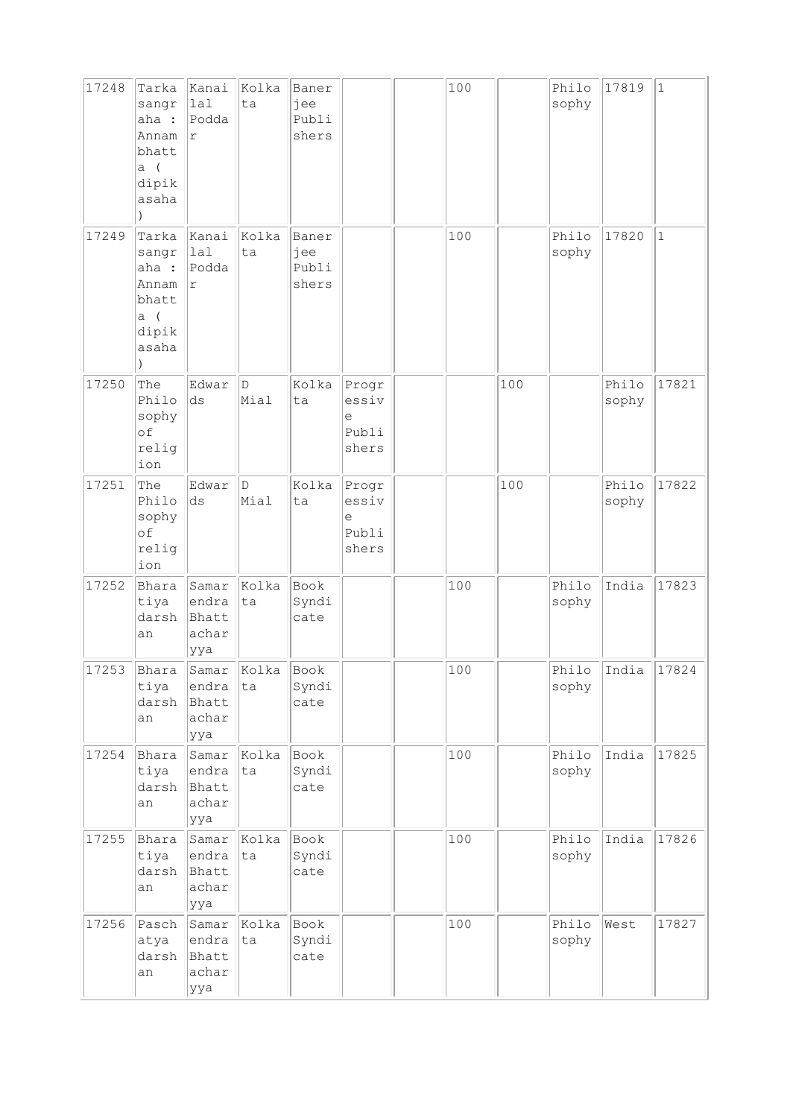| 17248 | Tarka<br>sangr<br>aha :<br>Annam<br>bhatt<br>a(<br>dipik<br>asaha    | Kanai<br>lal<br>Podda<br>$\Upsilon$           | Kolka<br>ta | Baner<br>jee<br>Publi<br>shers |                                       | 100 |     | Philo<br>sophy | 17819          | $\vert$ 1    |
|-------|----------------------------------------------------------------------|-----------------------------------------------|-------------|--------------------------------|---------------------------------------|-----|-----|----------------|----------------|--------------|
| 17249 | Tarka<br>sangr<br>aha :<br>Annam<br>bhatt<br>$a$ (<br>dipik<br>asaha | Kanai<br>lal<br>Podda<br>$\Upsilon$           | Kolka<br>ta | Baner<br>jee<br>Publi<br>shers |                                       | 100 |     | Philo<br>sophy | 17820          | $\mathbf{1}$ |
| 17250 | The<br>Philo<br>sophy<br>οf<br>relig<br>ion                          | Edwar<br>ds                                   | D<br>Mial   | Kolka<br>ta                    | Progr<br>essiv<br>е<br>Publi<br>shers |     | 100 |                | Philo<br>sophy | 17821        |
| 17251 | The<br>Philo<br>sophy<br>of<br>relig<br>ion                          | Edwar<br>ds                                   | D<br>Mial   | Kolka<br>ta                    | Progr<br>essiv<br>е<br>Publi<br>shers |     | 100 |                | Philo<br>sophy | 17822        |
| 17252 | Bhara<br>tiya<br>darsh<br>an                                         | Samar<br>endra<br>Bhatt<br>achar<br>ууа       | Kolka<br>ta | Book<br>Syndi<br>cate          |                                       | 100 |     | Philo<br>sophy | India          | 17823        |
| 17253 | Bhara<br>tiya<br>darsh<br>an                                         | Samar Kolka<br>endra<br>Bhatt<br>achar<br>ууа | ta          | Book<br>Syndi<br>cate          |                                       | 100 |     | sophy          | Philo India    | 17824        |
| 17254 | Bhara<br>tiya<br>darsh<br>an                                         | Samar<br>endra<br>Bhatt<br>achar<br>ууа       | Kolka<br>ta | Book<br>Syndi<br>cate          |                                       | 100 |     | Philo<br>sophy | India          | 17825        |
| 17255 | Bhara<br>tiya<br>darsh<br>an                                         | Samar<br>endra<br>Bhatt<br>achar<br>ууа       | Kolka<br>ta | Book<br>Syndi<br>cate          |                                       | 100 |     | Philo<br>sophy | India          | 17826        |
| 17256 | Pasch<br>atya<br>darsh<br>an                                         | Samar<br>endra<br>Bhatt<br>achar<br>ууа       | Kolka<br>ta | Book<br>Syndi<br>cate          |                                       | 100 |     | Philo<br>sophy | West           | 17827        |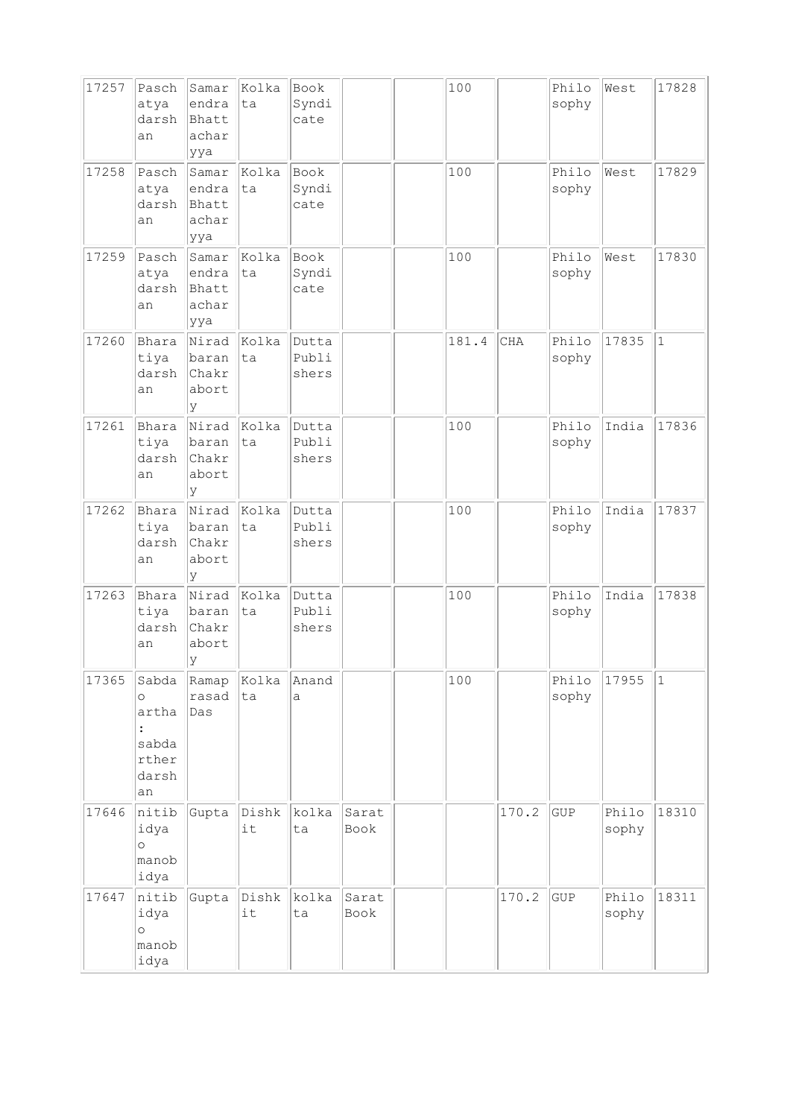| 17257 | Pasch<br>atya<br>darsh<br>an                               | Samar<br>endra<br>Bhatt<br>achar<br>ууа          | Kolka<br>ta  | Book<br>Syndi<br>cate   |               | 100   |       | Philo<br>sophy | West           | 17828        |
|-------|------------------------------------------------------------|--------------------------------------------------|--------------|-------------------------|---------------|-------|-------|----------------|----------------|--------------|
| 17258 | Pasch<br>atya<br>darsh<br>an                               | Samar<br>endra<br>Bhatt<br>achar<br>ууа          | Kolka<br>ta  | Book<br>Syndi<br>cate   |               | 100   |       | Philo<br>sophy | West           | 17829        |
| 17259 | Pasch<br>atya<br>darsh<br>an                               | Samar<br>endra<br>Bhatt<br>achar<br>ууа          | Kolka<br>ta  | Book<br>Syndi<br>cate   |               | 100   |       | Philo<br>sophy | West           | 17830        |
| 17260 | Bhara<br>tiya<br>darsh<br>an                               | Nirad<br>baran<br>Chakr<br>abort<br>У            | Kolka<br>ta  | Dutta<br>Publi<br>shers |               | 181.4 | CHA   | Philo<br>sophy | 17835          | $\mathbf{1}$ |
| 17261 | Bhara<br>tiya<br>darsh<br>an                               | Nirad<br>baran<br>Chakr<br>abort<br>У            | Kolka<br> ta | Dutta<br>Publi<br>shers |               | 100   |       | Philo<br>sophy | India          | 17836        |
| 17262 | Bhara<br>tiya<br>darsh<br>an                               | Nirad<br>baran<br>Chakr<br>abort<br><sup>y</sup> | Kolka<br>ta  | Dutta<br>Publi<br>shers |               | 100   |       | Philo<br>sophy | India          | 17837        |
| 17263 | Bhara<br>tiya<br>darsh<br>an                               | Nirad<br>baran<br>Chakr<br>abort<br>У            | Kolka<br>ta  | Dutta<br>Publi<br>shers |               | 100   |       | Philo<br>sophy | India          | 17838        |
| 17365 | Sabda<br>$\circ$<br>artha<br>sabda<br>rther<br>darsh<br>an | Ramap<br>rasad<br>Das                            | Kolka<br>ta  | Anand<br>a              |               | 100   |       | Philo<br>sophy | 17955          | $1\,$        |
| 17646 | nitib<br>idya<br>$\circ$<br>manob<br>idya                  | Gupta                                            | Dishk<br>it  | kolka<br>ta             | Sarat<br>Book |       | 170.2 | GUP            | Philo<br>sophy | 18310        |
| 17647 | nitib<br>idya<br>$\circ$<br>manob<br>idya                  | Gupta                                            | Dishk<br>it  | kolka<br>ta             | Sarat<br>Book |       | 170.2 | ${\tt GUP}$    | Philo<br>sophy | 18311        |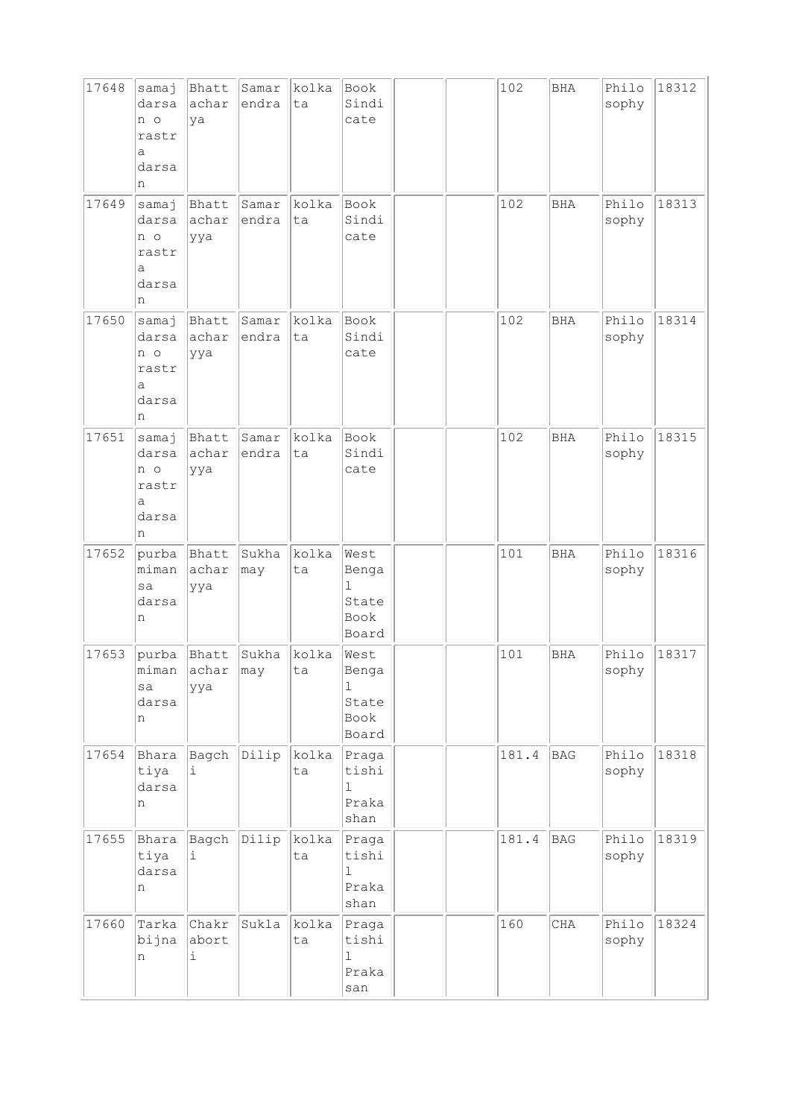| 17648 | samaj<br>darsa<br>n o<br>rastr<br>a<br>darsa<br>n           | Bhatt<br>achar<br>ya      | Samar<br>endra | kolka<br>ta | Book<br>Sindi<br>cate                                  |  | 102   | <b>BHA</b> | Philo<br>sophy | 18312 |
|-------|-------------------------------------------------------------|---------------------------|----------------|-------------|--------------------------------------------------------|--|-------|------------|----------------|-------|
| 17649 | samaj<br>darsa<br>n o<br>rastr<br>а<br>darsa<br>n           | Bhatt<br>achar<br>ууа     | Samar<br>endra | kolka<br>ta | Book<br>Sindi<br>cate                                  |  | 102   | <b>BHA</b> | Philo<br>sophy | 18313 |
| 17650 | samaj<br>darsa<br>n o<br>rastr<br>a<br>darsa<br>n           | Bhatt<br>achar<br>ууа     | Samar<br>endra | kolka<br>ta | Book<br>Sindi<br>cate                                  |  | 102   | <b>BHA</b> | Philo<br>sophy | 18314 |
| 17651 | samaj<br>darsa<br>n o<br>rastr<br>$\mathsf a$<br>darsa<br>n | Bhatt<br>achar<br>ууа     | Samar<br>endra | kolka<br>ta | Book<br>Sindi<br>cate                                  |  | 102   | <b>BHA</b> | Philo<br>sophy | 18315 |
| 17652 | purba<br>miman<br>sa<br>darsa<br>n                          | Bhatt<br>achar<br>ууа     | Sukha<br>may   | kolka<br>ta | West<br>Benga<br>$\mathbf 1$<br>State<br>Book<br>Board |  | 101   | <b>BHA</b> | Philo<br>sophy | 18316 |
| 17653 | purba<br>miman<br>sa<br>darsa<br>n                          | Bhatt<br>achar may<br>ууа | Sukha          | kolka<br>ta | West<br>Benga<br>ı<br>State<br>Book<br>Board           |  | 101   | <b>BHA</b> | Philo<br>sophy | 18317 |
| 17654 | Bhara<br>tiya<br>darsa<br>n                                 | Bagch<br>i                | Dilip          | kolka<br>ta | Praga<br>tishi<br>ı<br>Praka<br>shan                   |  | 181.4 | <b>BAG</b> | Philo<br>sophy | 18318 |
| 17655 | Bhara<br>tiya<br>darsa<br>n                                 | Bagch<br>i                | Dilip          | kolka<br>ta | Praga<br>tishi<br>ı<br>Praka<br>shan                   |  | 181.4 | BAG        | Philo<br>sophy | 18319 |
| 17660 | Tarka<br>bijna<br>n                                         | Chakr<br>abort<br>i       | Sukla          | kolka<br>ta | Praga<br>tishi<br>ı<br>Praka<br>san                    |  | 160   | CHA        | Philo<br>sophy | 18324 |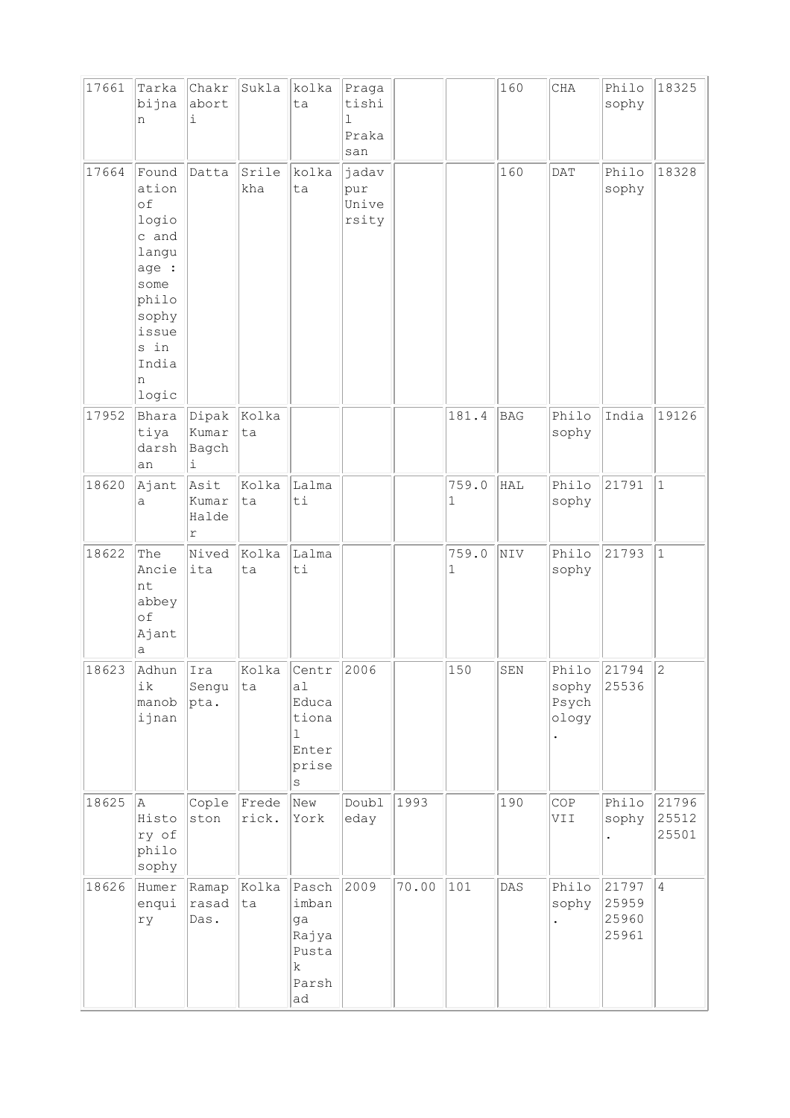| 17661 | Tarka<br>bijna<br>n                                                                                                        | Chakr<br>abort<br>i          | Sukla          | kolka<br>ta                                                                  | Praga<br>tishi<br>1<br>Praka<br>san |       |            | 160            | CHA                                    | Philo<br>sophy                   | 18325                   |
|-------|----------------------------------------------------------------------------------------------------------------------------|------------------------------|----------------|------------------------------------------------------------------------------|-------------------------------------|-------|------------|----------------|----------------------------------------|----------------------------------|-------------------------|
| 17664 | Found<br>ation<br>of<br>logio<br>c and<br>langu<br>age :<br>some<br>philo<br>sophy<br>issue<br>s in<br>India<br>n<br>logic | Datta                        | Srile<br>kha   | kolka<br>ta                                                                  | jadav<br>pur<br>Unive<br>rsity      |       |            | 160            | <b>DAT</b>                             | Philo<br>sophy                   | 18328                   |
| 17952 | Bhara<br>tiya<br>darsh<br>an                                                                                               | Dipak<br>Kumar<br>Bagch<br>i | Kolka<br>ta    |                                                                              |                                     |       | 181.4      | <b>BAG</b>     | Philo<br>sophy                         | India                            | 19126                   |
| 18620 | Ajant<br>a                                                                                                                 | Asit<br>Kumar<br>Halde<br>r  | Kolka<br>ta    | Lalma<br>ti                                                                  |                                     |       | 759.0<br>1 | HAL            | Philo<br>sophy                         | 21791                            | $\mathbf{1}$            |
| 18622 | The<br>Ancie<br>nt<br>abbey<br>of<br>Ajant<br>а                                                                            | Nived<br>ita                 | Kolka<br>ta    | Lalma<br>$\rm{ti}$                                                           |                                     |       | 759.0<br>1 | NIV            | Philo<br>sophy                         | 21793                            | $\mathbf{1}$            |
| 18623 | Adhun IIra<br>ik<br>manob<br>ijnan                                                                                         | Sengu<br>$ {\rm pta.}$       | ta             | Kolka   Centr<br>a1<br>Educa<br>tiona<br>$\mathbf{1}$<br>Enter<br>prise<br>S | 2006                                |       | 150        | SEN            | Philo 21794<br>sophy<br>Psych<br>ology | 25536                            | $\overline{c}$          |
| 18625 | A<br>Histo<br>ry of<br>philo<br>sophy                                                                                      | Cople<br>ston                | Frede<br>rick. | New<br>York                                                                  | Doubl<br>eday                       | 1993  |            | 190            | COP<br>VII                             | Philo<br>sophy                   | 21796<br>25512<br>25501 |
| 18626 | Humer<br>enqui<br>ry                                                                                                       | Ramap<br>rasad<br>Das.       | Kolka<br>ta    | Pasch<br>imban<br>ga<br>Rajya<br>Pusta<br>$\rm k$<br>Parsh<br>ad             | 2009                                | 70.00 | 101        | $\texttt{DAS}$ | Philo<br>sophy                         | 21797<br>25959<br>25960<br>25961 | $\overline{4}$          |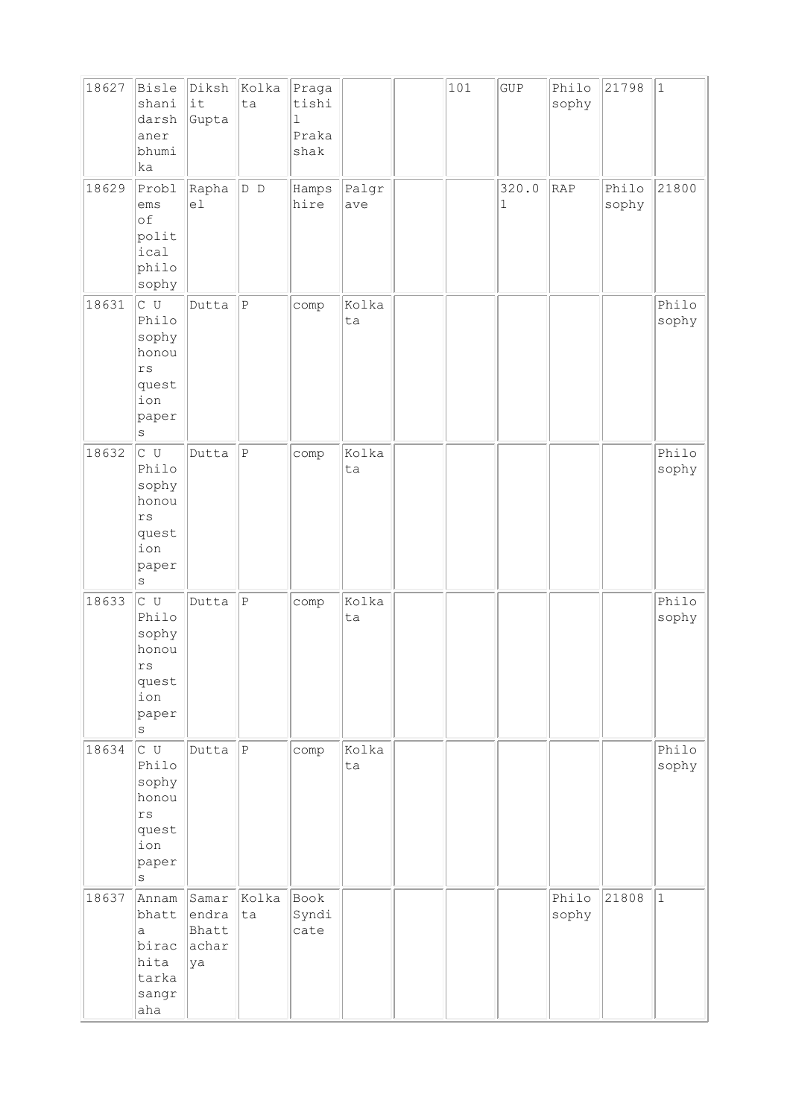| 18627 | Bisle<br>shani                                                                                   | Diksh<br>lit                           | kolka<br>ta  | Praga<br>tishi               |              | 101 | GUP                  | Philo<br>sophy | 21798          | $\vert$ 1      |
|-------|--------------------------------------------------------------------------------------------------|----------------------------------------|--------------|------------------------------|--------------|-----|----------------------|----------------|----------------|----------------|
|       | darsh<br>aner<br>bhumi<br>ka                                                                     | Gupta                                  |              | $\mathbf 1$<br>Praka<br>shak |              |     |                      |                |                |                |
| 18629 | Probl<br>ems<br>of<br>polit<br>ical<br>philo<br>sophy                                            | Rapha<br>el                            | D D          | Hamps<br>hire                | Palgr<br>ave |     | 320.0<br>$\mathbf 1$ | RAP            | Philo<br>sophy | 21800          |
| 18631 | c u<br>Philo<br>sophy<br>honou<br>rs<br>quest<br>ion<br>paper<br>S                               | Dutta                                  | $\, {\bf P}$ | comp                         | Kolka<br>ta  |     |                      |                |                | Philo<br>sophy |
| 18632 | c u<br>Philo<br>sophy<br>honou<br>rs<br>quest<br>ion<br>paper<br>s                               | Dutta                                  | $\, {\bf P}$ | comp                         | Kolka<br>ta  |     |                      |                |                | Philo<br>sophy |
| 18633 | $\overline{C}$ U<br>Philo<br>sophy<br>honou<br>$\mathtt{rs}$<br>quest<br>ion<br>paper<br>$\rm s$ | Dutta                                  | $\vert$ P    | comp                         | Kolka<br>ta  |     |                      |                |                | Philo<br>sophy |
| 18634 | c u<br>Philo<br>sophy<br>honou<br>rs<br>quest<br>ion<br>paper<br>$\rm S$                         | Dutta                                  | $ _{\rm P}$  | comp                         | Kolka<br>ta  |     |                      |                |                | Philo<br>sophy |
| 18637 | Annam<br>bhatt<br>a<br>birac<br>hita<br>tarka<br>sangr<br>aha                                    | Samar<br>endra<br>Bhatt<br>achar<br>ya | Kolka<br>ta  | Book<br>Syndi<br>cate        |              |     |                      | Philo<br>sophy | 21808          | $\mathbf{1}$   |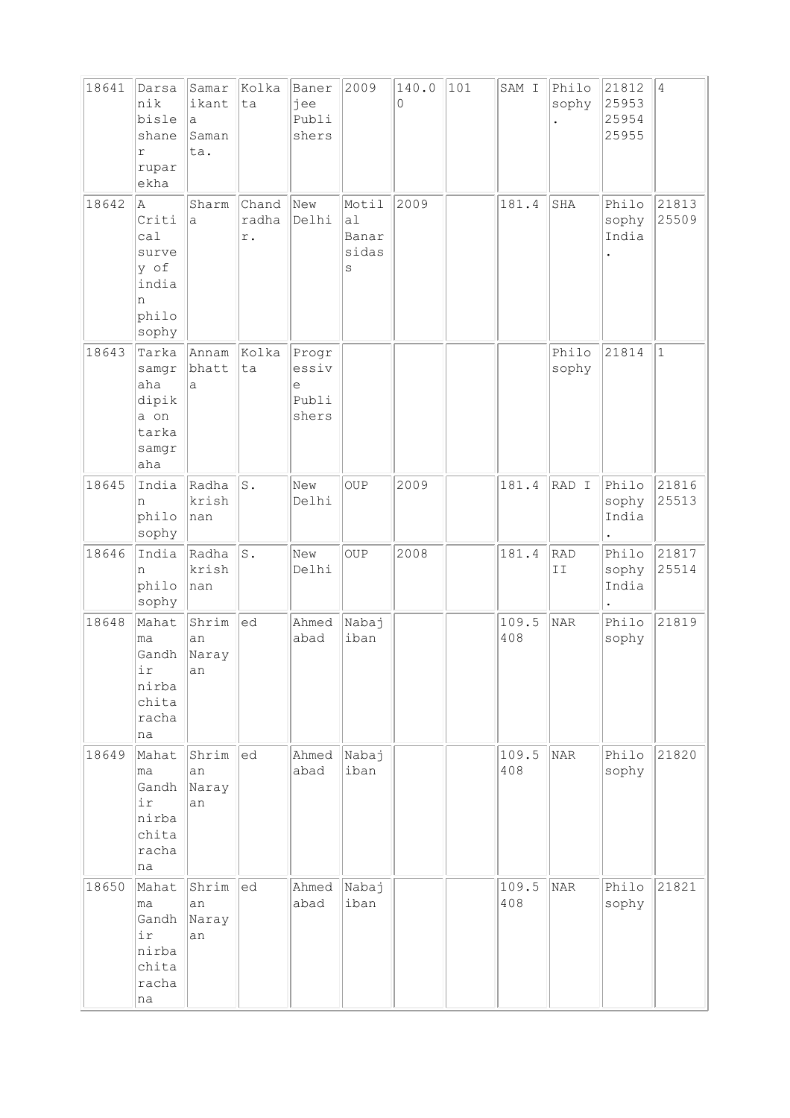| 18641 | Darsa<br>nik<br>bisle<br>shane<br>r<br>rupar<br>ekha                 | Samar<br>ikant<br>a<br>Saman<br>ta. | Kolka<br>ta          | Baner<br>jee<br>Publi<br>shers        | 2009                                     | 140.0<br>0 | 101 | SAM I        | Philo<br>sophy | 21812<br>25953<br>25954<br>25955 | $\overline{4}$ |
|-------|----------------------------------------------------------------------|-------------------------------------|----------------------|---------------------------------------|------------------------------------------|------------|-----|--------------|----------------|----------------------------------|----------------|
| 18642 | la.<br>Criti<br>ca1<br>surve<br>y of<br>india<br>n<br>philo<br>sophy | Sharm<br>a                          | Chand<br>radha<br>r. | New<br>Delhi                          | Motil<br>a1<br>Banar<br>sidas<br>$\rm s$ | 2009       |     | 181.4        | SHA            | Philo<br>sophy<br>India          | 21813<br>25509 |
| 18643 | Tarka<br>samgr<br>aha<br>dipik<br>a on<br>tarka<br>samgr<br>aha      | Annam<br>bhatt<br>a                 | Kolka<br>ta          | Progr<br>essiv<br>e<br>Publi<br>shers |                                          |            |     |              | Philo<br>sophy | 21814                            | $1\,$          |
| 18645 | India<br>n<br>philo<br>sophy                                         | Radha<br>krish<br>nan               | $\texttt{S}$ .       | New<br>Delhi                          | <b>OUP</b>                               | 2009       |     | 181.4        | RAD I          | Philo<br>sophy<br>India          | 21816<br>25513 |
| 18646 | India<br>n<br>philo<br>sophy                                         | Radha<br>krish<br>nan               | S.                   | New<br>Delhi                          | <b>OUP</b>                               | 2008       |     | 181.4        | RAD<br>II      | Philo<br>sophy<br>India          | 21817<br>25514 |
| 18648 | Mahat<br>ma<br>Gandh<br>ir<br>nirba<br>chita<br>racha<br>na          | Shrim<br>an<br>Naray<br>an          | ed                   | Ahmed<br>abad                         | Nabaj<br>iban                            |            |     | 109.5<br>408 | <b>NAR</b>     | Philo<br>sophy                   | 21819          |
| 18649 | Mahat<br>ma<br>Gandh<br>ir<br>nirba<br>chita<br>racha<br>na          | Shrim<br>an<br>Naray<br>an          | ed                   | Ahmed<br>abad                         | Nabaj<br>iban                            |            |     | 109.5<br>408 | NAR            | Philo<br>sophy                   | 21820          |
| 18650 | Mahat<br>ma<br>Gandh<br>ir<br>nirba<br>chita<br>racha<br>na          | Shrim<br>an<br>Naray<br>an          | ed                   | Ahmed<br>abad                         | Nabaj<br>iban                            |            |     | 109.5<br>408 | NAR            | Philo<br>sophy                   | 21821          |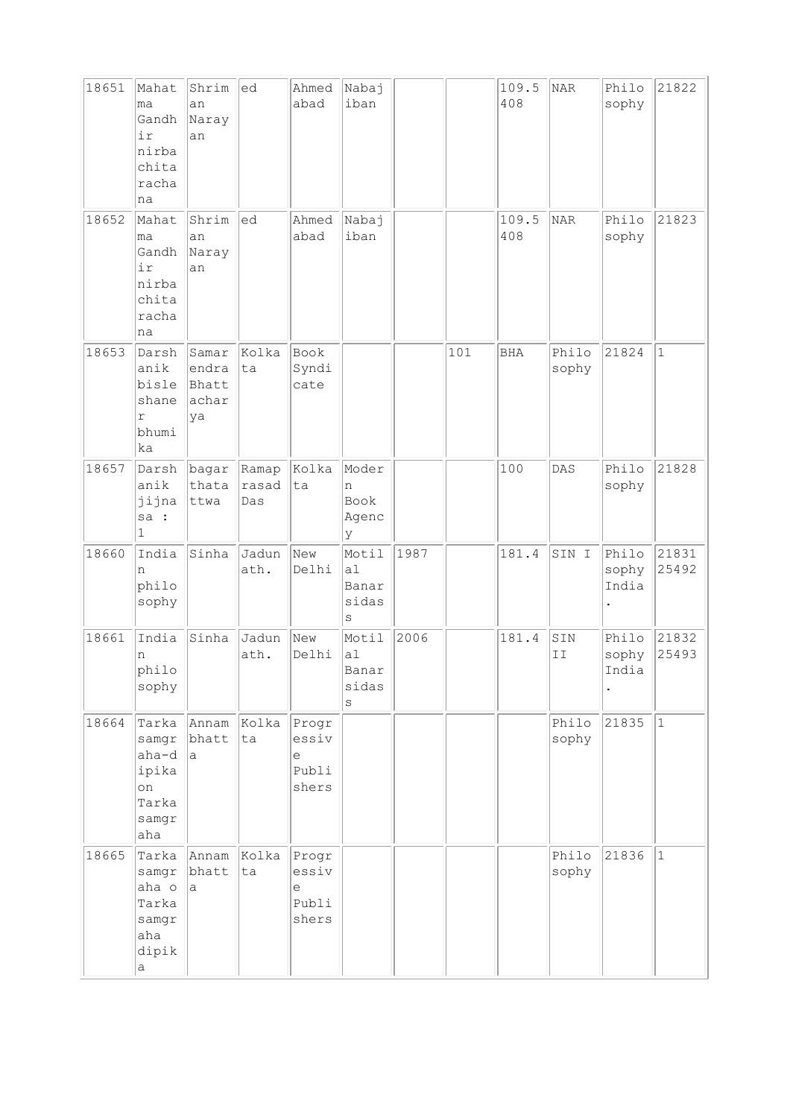| 18651 | Mahat<br>ma<br>Gandh<br>ir<br>nirba<br>chita<br>racha<br>na     | Shrim<br>an<br>Naray<br>an             | ed                    | Ahmed<br>abad                                                                | Nabaj<br>iban                      |      |     | 109.5<br>408 | NAR            | Philo<br>sophy          | 21822          |
|-------|-----------------------------------------------------------------|----------------------------------------|-----------------------|------------------------------------------------------------------------------|------------------------------------|------|-----|--------------|----------------|-------------------------|----------------|
| 18652 | Mahat<br>lma<br>Gandh<br>ir<br>nirba<br>chita<br>racha<br>na    | Shrim<br>an<br>Naray<br>an             | ed                    | Ahmed<br>abad                                                                | Nabaj<br>iban                      |      |     | 109.5<br>408 | NAR            | Philo<br>sophy          | 21823          |
| 18653 | Darsh<br>anik<br>bisle<br>shane<br>r<br>bhumi<br>ka             | Samar<br>endra<br>Bhatt<br>achar<br>ya | Kolka<br>ta           | Book<br>Syndi<br>cate                                                        |                                    |      | 101 | <b>BHA</b>   | Philo<br>sophy | 21824                   | $1\,$          |
| 18657 | Darsh<br>anik<br>jijna<br>sa :<br>1                             | bagar<br>thata<br>ttwa                 | Ramap<br>rasad<br>Das | Kolka<br>ta                                                                  | Moder<br>n<br>Book<br>Agenc<br>У   |      |     | 100          | DAS            | Philo<br>sophy          | 21828          |
| 18660 | India<br>n<br>philo<br>sophy                                    | Sinha                                  | Jadun<br>ath.         | New<br>Delhi                                                                 | Motil<br>a1<br>Banar<br>sidas<br>S | 1987 |     | 181.4        | SIN I          | Philo<br>sophy<br>India | 21831<br>25492 |
| 18661 | India<br>n<br>philo<br>sophy                                    | Sinha                                  | Jadun<br>ath.         | New<br>Delhi                                                                 | Motil<br>a1<br>Banar<br>sidas<br>S | 2006 |     | 181.4        | SIN<br>II      | Philo<br>sophy<br>India | 21832<br>25493 |
| 18664 | Tarka<br>samgr<br>aha-d<br>ipika<br>on<br>Tarka<br>samgr<br>aha | Annam<br>bhatt<br>a                    | Kolka<br>ta           | Progr<br>essiv<br>$\mathrel{\mathop{\mathrm{e}}\nolimits}$<br>Publi<br>shers |                                    |      |     |              | Philo<br>sophy | 21835                   | $\vert$ 1      |
| 18665 | Tarka<br>samgr<br>aha o<br>Tarka<br>samgr<br>aha<br>dipik<br>а  | Annam<br>bhatt<br>а                    | Kolka<br>ta           | Progr<br>essiv<br>e<br>Publi<br>shers                                        |                                    |      |     |              | Philo<br>sophy | 21836                   | $\vert$ 1      |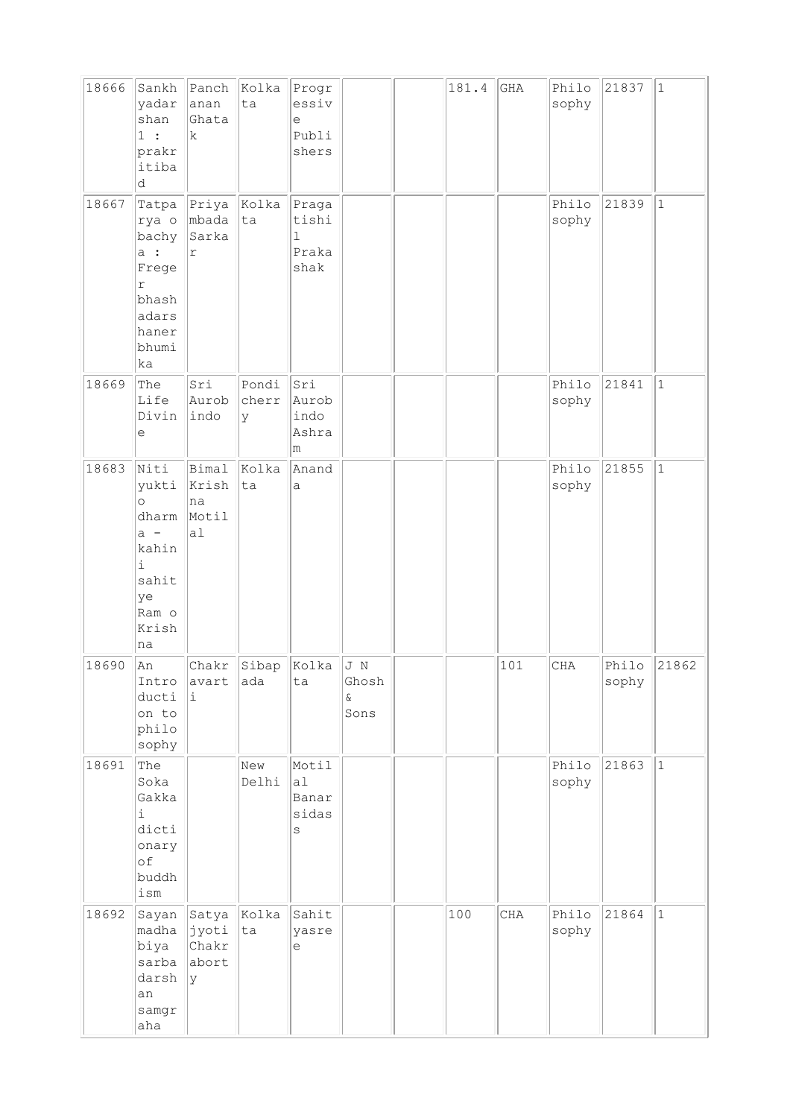| 18666 | Sankh<br>yadar<br>shan<br>1:<br>prakr<br>itiba<br>d                                             | Panch<br>anan<br>Ghata<br>$\mathbf k$ | Kolka<br>ta         | Progr<br>essiv<br>$\in$<br>Publi<br>shers      |                              | 181.4 | GHA | Philo<br>sophy | 21837          | $\mathbf 1$  |
|-------|-------------------------------------------------------------------------------------------------|---------------------------------------|---------------------|------------------------------------------------|------------------------------|-------|-----|----------------|----------------|--------------|
| 18667 | Tatpa<br>rya o<br>bachy<br>a:<br>Frege<br>r<br>bhash<br>adars<br>haner<br>bhumi<br>ka           | Priya<br>mbada<br>Sarka<br>r          | Kolka<br>ta         | Praga<br>tishi<br>$\mathbf 1$<br>Praka<br>shak |                              |       |     | Philo<br>sophy | 21839          | $\vert$ 1    |
| 18669 | The<br>Life<br>Divin<br>e                                                                       | Sri<br>Aurob<br>indo                  | Pondi<br>cherr<br>У | Sri<br>Aurob<br>indo<br>Ashra<br>m             |                              |       |     | Philo<br>sophy | 21841          | $\mathbf{1}$ |
| 18683 | Niti<br>yukti<br>$\circ$<br>dharm<br>$a -$<br>kahin<br>i<br>sahit<br>ye<br>Ram o<br>Krish<br>na | Bimal<br>Krish<br>na<br>Motil<br>a1   | Kolka<br>ta         | Anand<br>a                                     |                              |       |     | Philo<br>sophy | 21855          | $\mathbf{1}$ |
| 18690 | An<br>Intro<br>ducti<br>on to<br>philo<br>sophy                                                 | Chakr<br>avart<br>i                   | Sibap<br>ada        | Kolka<br>ta                                    | J N<br>Ghosh<br>$\&$<br>Sons |       | 101 | CHA            | Philo<br>sophy | 21862        |
| 18691 | The<br>Soka<br>Gakka<br>i<br>dicti<br>onary<br>of<br>buddh<br>ism                               |                                       | New<br>Delhi        | Motil<br>a1<br>Banar<br>sidas<br>S             |                              |       |     | Philo<br>sophy | 21863          | $1\,$        |
| 18692 | Sayan<br>madha<br>biya<br>sarba<br>darsh<br>an<br>samgr<br>aha                                  | Satya<br>jyoti<br>Chakr<br>abort<br>У | Kolka<br>ta         | Sahit<br>yasre<br>е                            |                              | 100   | CHA | Philo<br>sophy | 21864          | $\mathbf{1}$ |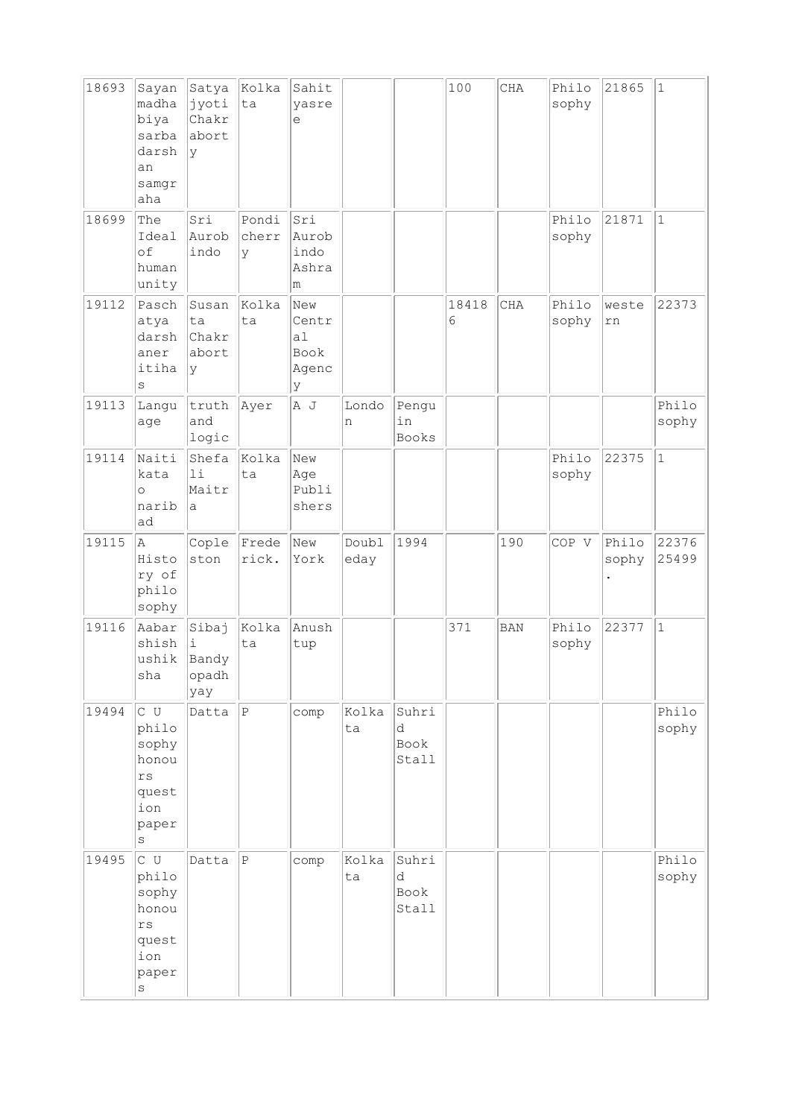| 18693 | Sayan<br>madha<br>biya<br>sarba<br>darsh<br>an<br>samgr<br>aha                        | Satya<br>jyoti<br>Chakr<br>abort<br> y | Kolka<br>ta         | Sahit<br>yasre<br>e                                  |               |                             | 100        | CHA        | Philo<br>sophy | 21865          | $\vert$ 1      |
|-------|---------------------------------------------------------------------------------------|----------------------------------------|---------------------|------------------------------------------------------|---------------|-----------------------------|------------|------------|----------------|----------------|----------------|
| 18699 | The<br>Ideal<br>of<br>human<br>unity                                                  | Sri<br>Aurob<br>indo                   | Pondi<br>cherr<br>У | Sri<br>Aurob<br>indo<br>Ashra<br>m                   |               |                             |            |            | Philo<br>sophy | 21871          | $\vert$ 1      |
| 19112 | Pasch<br>atya<br>darsh<br>aner<br>itiha<br>S                                          | Susan<br>ta<br>Chakr<br>abort<br>lУ    | Kolka<br>ta         | New<br>Centr<br>a <sub>1</sub><br>Book<br>Agenc<br>y |               |                             | 18418<br>6 | CHA        | Philo<br>sophy | weste<br>rn    | 22373          |
| 19113 | Langu<br>age                                                                          | truth<br>and<br>logic                  | Ayer                | A J                                                  | Londo<br>n    | Pengu<br>in<br>Books        |            |            |                |                | Philo<br>sophy |
| 19114 | Naiti<br>kata<br>$\circ$<br>narib<br>ad                                               | Shefa<br>11<br>Maitr<br>a              | Kolka<br>ta         | New<br>Age<br>Publi<br>shers                         |               |                             |            |            | Philo<br>sophy | 22375          | $\mathbf{1}$   |
| 19115 | A<br>Histo<br>ry of<br>philo<br>sophy                                                 | Cople<br>ston                          | Frede<br>rick.      | New<br>York                                          | Doubl<br>eday | 1994                        |            | 190        | COP V          | Philo<br>sophy | 22376<br>25499 |
| 19116 | Aabar<br>shish<br>ushik<br>sha                                                        | Sibaj<br>i<br>Bandy<br>opadh<br>yay    | Kolka<br>ta         | Anush<br>tup                                         |               |                             | 371        | <b>BAN</b> | Philo<br>sophy | 22377          | $1\,$          |
| 19494 | $C$ U<br>philo<br>sophy<br>honou<br>$\mathtt{rs}$<br>quest<br>ion<br>paper<br>$\rm s$ | Datta                                  | P                   | comp                                                 | Kolka<br>ta   | Suhri<br>d<br>Book<br>Stall |            |            |                |                | Philo<br>sophy |
| 19495 | $C$ U<br>philo<br>sophy<br>honou<br>$\mathtt{rs}$<br>quest<br>ion<br>paper<br>S       | Datta                                  | $\vert$ P           | comp                                                 | Kolka<br>ta   | Suhri<br>d<br>Book<br>Stall |            |            |                |                | Philo<br>sophy |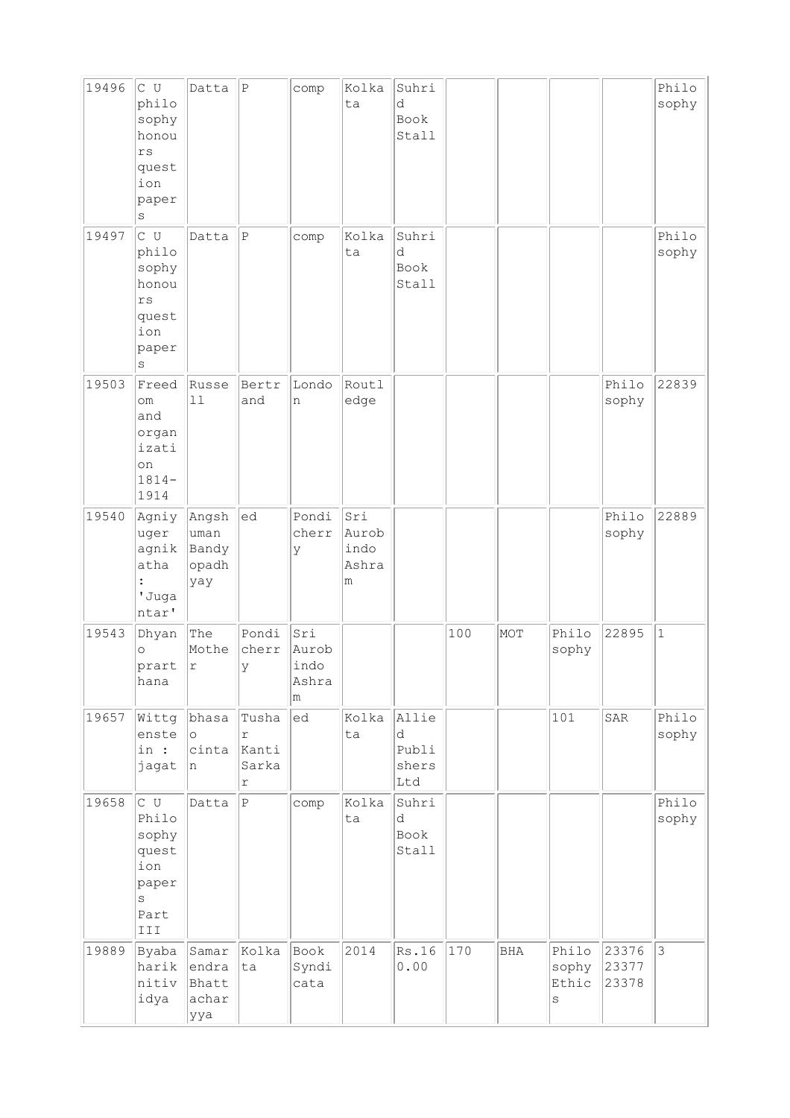| 19496 | c u<br>philo<br>sophy<br>honou<br>$r s$<br>quest<br>ion<br>paper<br>$\rm s$              | Datta                                   | $\, {\bf P}$                      | comp                               | Kolka<br>ta                        | Suhri<br>d<br>Book<br>Stall         |     |              |                              |                         | Philo<br>sophy |
|-------|------------------------------------------------------------------------------------------|-----------------------------------------|-----------------------------------|------------------------------------|------------------------------------|-------------------------------------|-----|--------------|------------------------------|-------------------------|----------------|
| 19497 | $\overline{C}$ U<br>philo<br>sophy<br>honou<br>$r s$<br>quest<br>ion<br>paper<br>$\rm s$ | Datta                                   | $\, {\bf P}$                      | comp                               | Kolka<br>ta                        | Suhri<br>d<br>Book<br>Stall         |     |              |                              |                         | Philo<br>sophy |
| 19503 | Freed<br>om<br>and<br>organ<br>izati<br>on<br>$1814-$<br>1914                            | Russe<br>11                             | Bertr<br>and                      | Londo<br>n                         | Routl<br>edge                      |                                     |     |              |                              | Philo<br>sophy          | 22839          |
| 19540 | Agniy<br>uger<br>agnik<br>atha<br>'Juga<br>ntar'                                         | Angsh<br>uman<br>Bandy<br>opadh<br>yay  | ed                                | Pondi<br>cherr<br>У                | Sri<br>Aurob<br>indo<br>Ashra<br>m |                                     |     |              |                              | Philo<br>sophy          | 22889          |
| 19543 | Dhyan<br>$\circ$<br>prart<br>hana                                                        | The<br>Mothe<br>r                       | Pondi<br>cherr<br>У               | Sri<br>Aurob<br>indo<br>Ashra<br>m |                                    |                                     | 100 | MOT          | Philo<br>sophy               | 22895                   | $\vert$ 1      |
| 19657 | Wittg<br>enste<br>in :<br>jagat                                                          | bhasa<br>$\circ$<br>cinta<br>n          | Tusha<br>r<br>Kanti<br>Sarka<br>r | ed                                 | Kolka<br>ta                        | Allie<br>d<br>Publi<br>shers<br>Ltd |     |              | 101                          | SAR                     | Philo<br>sophy |
| 19658 | c u<br>Philo<br>sophy<br>quest<br>ion<br>paper<br>$\rm s$<br>Part<br>III                 | Datta                                   | $\, {\bf P}$                      | comp                               | Kolka<br>ta                        | Suhri<br>d<br>Book<br>Stall         |     |              |                              |                         | Philo<br>sophy |
| 19889 | Byaba<br>harik<br>nitiv<br>idya                                                          | Samar<br>endra<br>Bhatt<br>achar<br>ууа | Kolka<br>ta                       | Book<br>Syndi<br>cata              | 2014                               | Rs.16<br>0.00                       | 170 | $_{\rm BHA}$ | Philo<br>sophy<br>Ethic<br>S | 23376<br>23377<br>23378 | $ 3\rangle$    |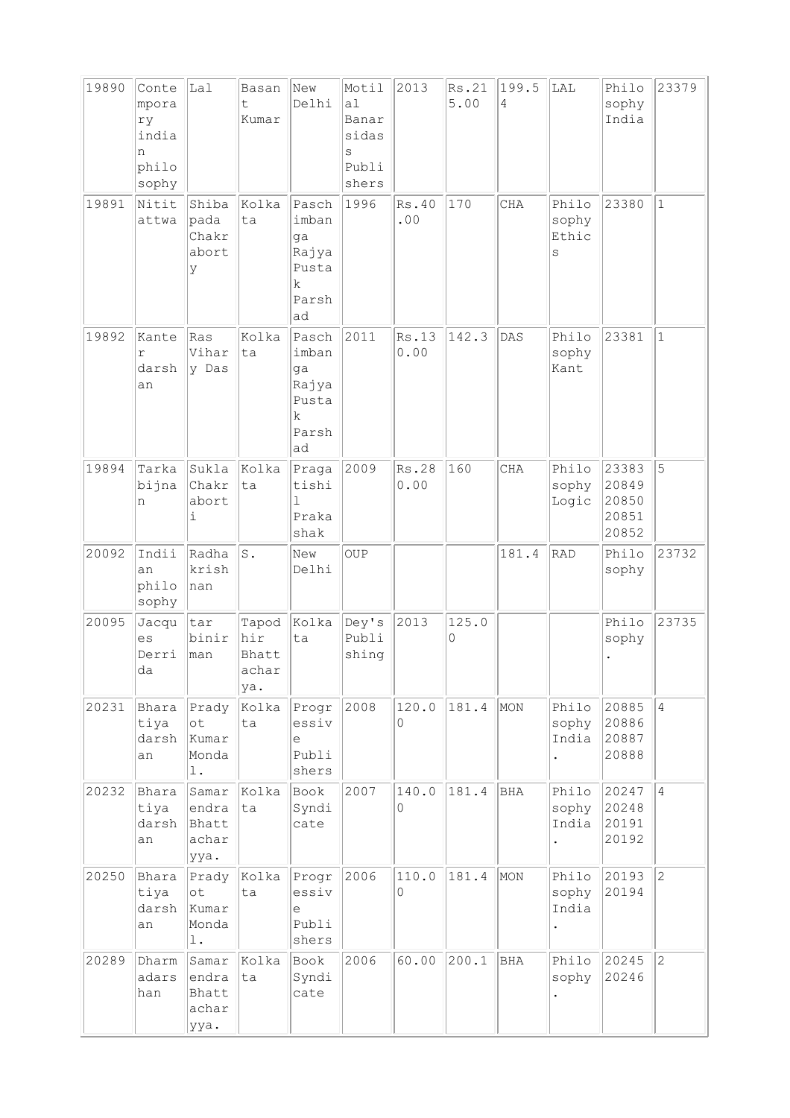| 19890 | Conte<br>mpora<br>ry<br>india<br>n<br>philo<br>sophy | Lal                                            | Basan<br>t.<br>Kumar         | New<br>Delhi                                               | Motil<br>a1<br>Banar<br>sidas<br>S<br>Publi<br>shers | 2013          | Rs.21<br>5.00 | 199.5<br>4 | LAL                          | Philo<br>sophy<br>India                   | 23379          |
|-------|------------------------------------------------------|------------------------------------------------|------------------------------|------------------------------------------------------------|------------------------------------------------------|---------------|---------------|------------|------------------------------|-------------------------------------------|----------------|
| 19891 | Nitit<br>attwa                                       | Shiba<br>pada<br>Chakr<br>abort<br>У           | Kolka<br>ta                  | Pasch<br>imban<br>ga<br>Rajya<br>Pusta<br>k<br>Parsh<br>ad | 1996                                                 | Rs.40<br>.00  | 170           | <b>CHA</b> | Philo<br>sophy<br>Ethic<br>S | 23380                                     | $\mathbf{1}$   |
| 19892 | Kante<br>r<br>darsh<br>an                            | Ras<br>Vihar<br>y Das                          | Kolka<br>ta                  | Pasch<br>imban<br>ga<br>Rajya<br>Pusta<br>k<br>Parsh<br>ad | 2011                                                 | Rs.13<br>0.00 | 142.3         | DAS        | Philo<br>sophy<br>Kant       | 23381                                     | $\vert$ 1      |
| 19894 | Tarka<br>bijna<br>n                                  | Sukla<br>Chakr<br>abort<br>i                   | Kolka<br>ta                  | Praga<br>tishi<br>1<br>Praka<br>shak                       | 2009                                                 | Rs.28<br>0.00 | 160           | CHA        | Philo<br>sophy<br>Logic      | 23383<br>20849<br>20850<br>20851<br>20852 | 5              |
| 20092 | Indii<br>an<br>philo<br>sophy                        | Radha<br>krish<br>nan                          | ls.                          | New<br>Delhi                                               | <b>OUP</b>                                           |               |               | 181.4      | RAD                          | Philo<br>sophy                            | 23732          |
| 20095 | Jacqu<br>es<br>Derri<br>da                           | tar<br>binir<br>man                            | hir<br>Bhatt<br>achar<br>ya. | Tapod Kolka<br>ta                                          | Dey's<br>Publi<br>shing                              | 2013          | 125.0<br>0    |            |                              | Philo<br>sophy                            | 23735          |
| 20231 | Bhara<br>tiya<br>darsh<br>an                         | Prady<br>ot<br>kumar<br>Monda<br>$\mathbf 1$ . | Kolka<br>ta                  | Progr<br>essiv<br>е<br>Publi<br>shers                      | 2008                                                 | 120.0<br>0    | 181.4         | MON        | Philo<br>sophy<br>India      | 20885<br>20886<br>20887<br>20888          | $\overline{4}$ |
| 20232 | Bhara<br>tiya<br>darsh<br>an                         | Samar<br>endra<br>Bhatt<br>achar<br>ууа.       | Kolka<br>ta                  | Book<br>Syndi<br>cate                                      | 2007                                                 | 140.0<br>0    | 181.4         | BHA        | Philo<br>sophy<br>India      | 20247<br>20248<br>20191<br>20192          | $\overline{4}$ |
| 20250 | Bhara<br>tiya<br>darsh<br>an                         | Prady<br>$\circ t$<br>Kumar<br>Monda<br>$1$ .  | Kolka<br>ta                  | Progr<br>essiv<br>$\in$<br>Publi<br>shers                  | 2006                                                 | 110.0<br>0    | 181.4         | MON        | Philo<br>sophy<br>India      | 20193<br>20194                            | $\overline{2}$ |
| 20289 | Dharm<br>adars<br>han                                | Samar<br>endra<br>Bhatt<br>achar<br>ууа.       | Kolka<br>ta                  | Book<br>Syndi<br>cate                                      | 2006                                                 | 60.00         | 200.1         | BHA        | Philo<br>sophy               | 20245<br>20246                            | $\overline{2}$ |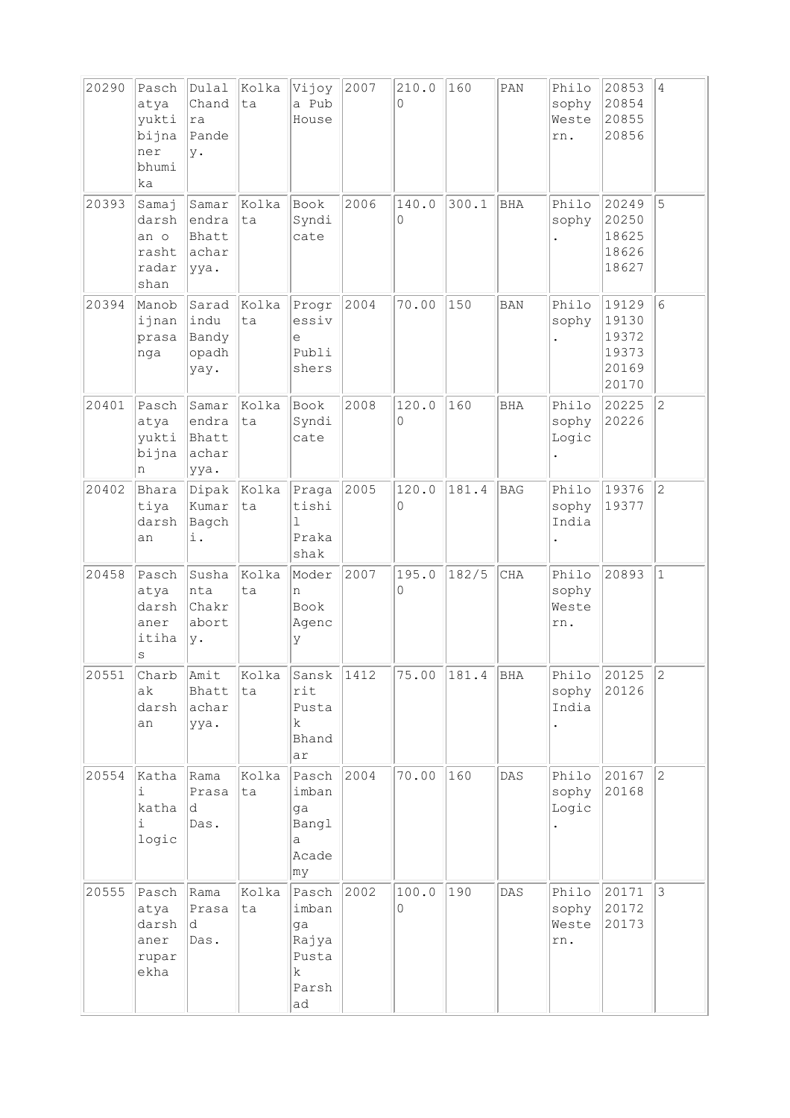| 20290 | Pasch<br>atya<br>yukti<br>bijna<br>ner<br>bhumi<br>ka | Dulal<br>Chand<br> ra<br>Pande<br>у.     | Kolka<br>ta       | Vijoy<br>a Pub<br>House                                    | 2007 | 210.0<br>0 | 160   | $\texttt{PAN}$ | Philo<br>sophy<br>Weste<br>rn. | 20853<br>20854<br>20855<br>20856                   | $\overline{4}$ |
|-------|-------------------------------------------------------|------------------------------------------|-------------------|------------------------------------------------------------|------|------------|-------|----------------|--------------------------------|----------------------------------------------------|----------------|
| 20393 | Samaj<br>darsh<br>an o<br>rasht<br>radar<br>shan      | Samar<br>endra<br>Bhatt<br>achar<br>yya. | Kolka<br>ta       | Book<br>Syndi<br>cate                                      | 2006 | 140.0<br>0 | 300.1 | BHA            | Philo<br>sophy                 | 20249<br>20250<br>18625<br>18626<br>18627          | 5              |
| 20394 | Manob<br>ijnan<br>prasa<br>nga                        | indu<br>Bandy<br>opadh<br>yay.           | Sarad Kolka<br>ta | Progr<br>essiv<br>e<br>Publi<br>shers                      | 2004 | 70.00      | 150   | <b>BAN</b>     | Philo<br>sophy                 | 19129<br>19130<br>19372<br>19373<br>20169<br>20170 | 6              |
| 20401 | Pasch<br>atya<br>yukti<br>bijna<br>n                  | Samar<br>endra<br>Bhatt<br>achar<br>yya. | Kolka<br>ta       | Book<br>Syndi<br>cate                                      | 2008 | 120.0<br>0 | 160   | <b>BHA</b>     | Philo<br>sophy<br>Logic        | 20225<br>20226                                     | $\overline{c}$ |
| 20402 | Bhara<br>tiya<br>darsh<br>an                          | Dipak Kolka<br>Kumar<br>Bagch<br>i.      | ta                | Praga<br>tishi<br>ı<br>Praka<br>shak                       | 2005 | 120.0<br>0 | 181.4 | <b>BAG</b>     | Philo<br>sophy<br>India        | 19376<br>19377                                     | $\overline{c}$ |
| 20458 | Pasch<br>atya<br>darsh<br>aner<br>itiha<br>S          | Susha<br>nta<br>Chakr<br>abort<br>lγ.    | Kolka<br>ta       | Moder<br>n<br>Book<br>Agenc<br>У                           | 2007 | 195.0<br>0 | 182/5 | CHA            | Philo<br>sophy<br>Weste<br>rn. | 20893                                              | $\mathbf{1}$   |
| 20551 | Charb<br>ak<br>darsh<br>an                            | Amit<br>Bhatt<br>achar<br>ууа.           | Kolka<br>ta       | Sansk<br>rit<br>Pusta<br>k<br>Bhand<br>ar                  | 1412 | 75.00      | 181.4 | BHA            | Philo<br>sophy<br>India        | 20125<br>20126                                     | IZ.            |
| 20554 | Katha<br>i.<br>katha<br>i<br>logic                    | Rama<br>Prasa<br>d<br>Das.               | kolka<br>ta       | Pasch<br>imban<br>ga<br>Bangl<br>a<br>Acade<br>∣my         | 2004 | 70.00      | 160   | DAS            | Philo<br>sophy<br>Logic        | 20167<br>20168                                     | $\overline{c}$ |
| 20555 | Pasch<br>atya<br>darsh<br>aner<br>rupar<br>ekha       | Rama<br>Prasa<br>d.<br>Das.              | Kolka<br>ta       | Pasch<br>imban<br>ga<br>Rajya<br>Pusta<br>k<br>Parsh<br>ad | 2002 | 100.0<br>0 | 190   | $\mathtt{DAS}$ | Philo<br>sophy<br>Weste<br>rn. | 20171<br>20172<br>20173                            | 3              |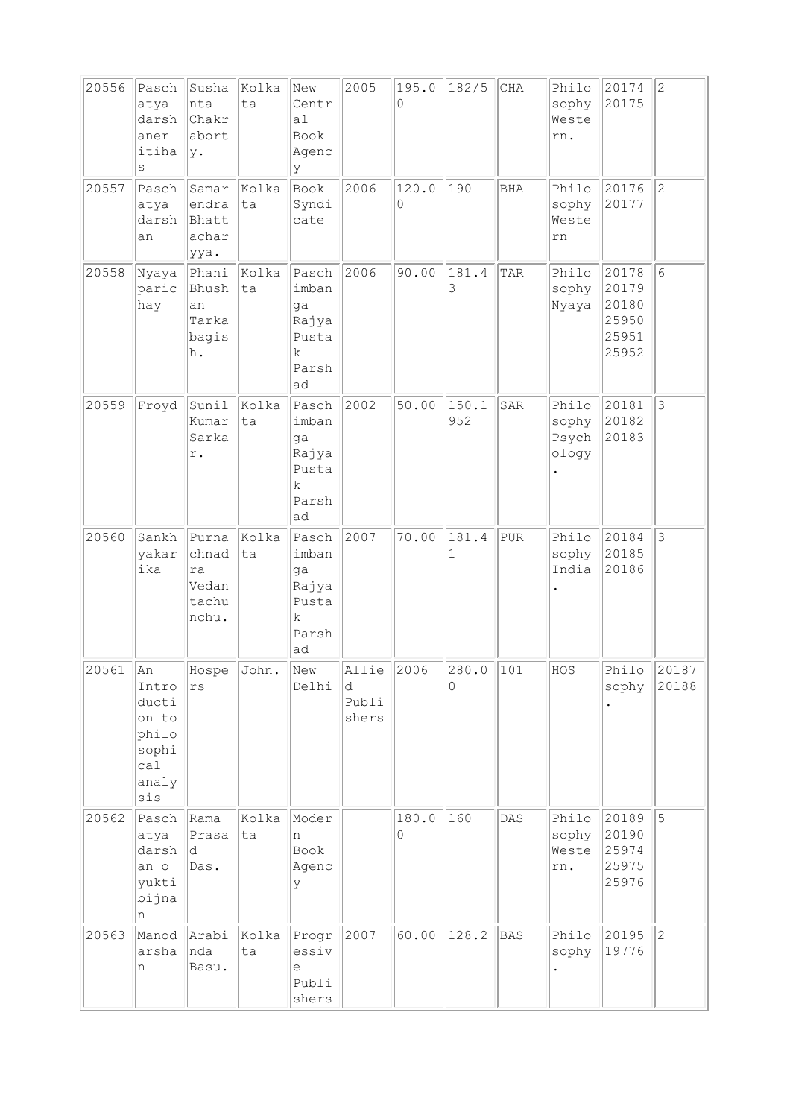| 20556 | Pasch<br>atya<br>darsh<br>aner<br>itiha<br>$\rm s$                     | Susha<br>nta<br>Chakr<br>abort<br>y.            | Kolka<br>ta | New<br>Centr<br>al<br>Book<br>Agenc<br>У                             | 2005                         | 195.0<br>0 | 182/5                | $\rm CHA$  | Philo<br>sophy<br>Weste<br>rn.   | 20174<br>20175                                     | $\overline{c}$ |
|-------|------------------------------------------------------------------------|-------------------------------------------------|-------------|----------------------------------------------------------------------|------------------------------|------------|----------------------|------------|----------------------------------|----------------------------------------------------|----------------|
| 20557 | Pasch<br>atya<br>darsh<br>an                                           | Samar<br>endra<br>Bhatt<br>achar<br>ууа.        | Kolka<br>ta | Book<br>Syndi<br>cate                                                | 2006                         | 120.0<br>0 | 190                  | <b>BHA</b> | Philo<br>sophy<br>Weste<br>rn    | 20176<br>20177                                     | $\overline{2}$ |
| 20558 | Nyaya<br>paric<br>hay                                                  | Phani<br>Bhush<br>an<br>Tarka<br>bagis<br>h.    | Kolka<br>ta | Pasch<br>imban<br>ga<br>Rajya<br>Pusta<br>k.<br>Parsh<br>ad          | 2006                         | 90.00      | 181.4<br>3           | TAR        | Philo<br>sophy<br>Nyaya          | 20178<br>20179<br>20180<br>25950<br>25951<br>25952 | 6              |
| 20559 | Froyd                                                                  | Sunil<br>Kumar<br>Sarka<br>r.                   | Kolka<br>ta | Pasch<br>imban<br>ga<br>Rajya<br>Pusta<br>k<br>Parsh<br>ad           | 2002                         | 50.00      | 150.1<br>952         | SAR        | Philo<br>sophy<br>Psych<br>ology | 20181<br>20182<br>20183                            | 3              |
| 20560 | Sankh<br>yakar<br>ika                                                  | Purna<br>chnad<br>ra<br>Vedan<br>tachu<br>nchu. | Kolka<br>ta | Pasch<br>imban<br>ga<br>Rajya<br>Pusta<br>$\mathbf k$<br>Parsh<br>ad | 2007                         | 70.00      | 181.4<br>$\mathbf 1$ | PUR        | Philo<br>sophy<br>India          | 20184<br>20185<br>20186                            | 3              |
| 20561 | An<br>Intro<br>ducti<br>on to<br>philo<br>sophi<br>ca1<br>analy<br>sis | Hospe John<br>rs                                |             | New<br>Delhi                                                         | Allie<br>d<br>Publi<br>shers | 2006       | 280.0<br>$\circ$     | 101        | HOS                              | Philo<br>sophy                                     | 20187<br>20188 |
| 20562 | Pasch<br>atya<br>darsh<br>an o<br>yukti<br>bijna<br>n                  | Rama<br>Prasa<br> d <br>Das.                    | Kolka<br>ta | Moder<br>n<br>Book<br>Agenc<br>У                                     |                              | 180.0<br>0 | 160                  | DAS        | Philo<br>sophy<br>Weste<br>rn.   | 20189<br>20190<br>25974<br>25975<br>25976          | 5              |
| 20563 | Manod<br>arsha<br>n                                                    | Arabi<br>nda<br>Basu.                           | Kolka<br>ta | Progr<br>essiv<br>е<br>Publi<br>shers                                | 2007                         | 60.00      | 128.2                | <b>BAS</b> | Philo<br>sophy                   | 20195<br>19776                                     | $ 2\rangle$    |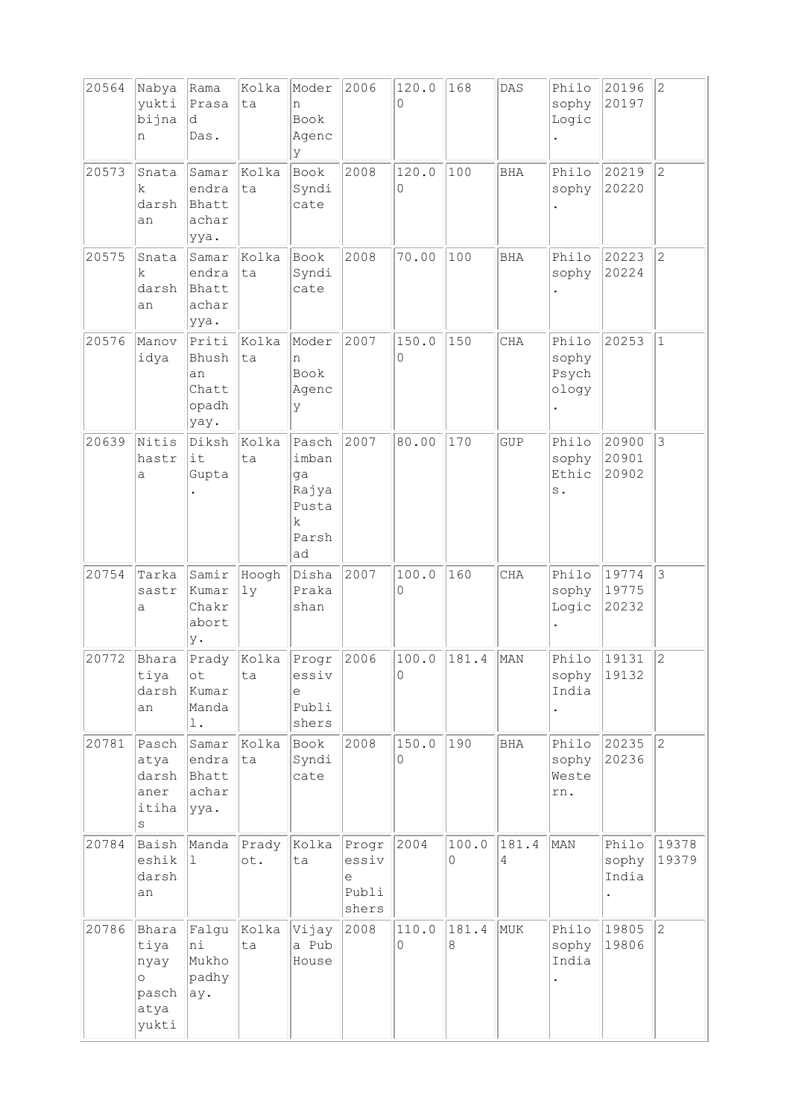| 20564 | Nabya<br>yukti<br>bijna<br>n                               | Rama<br>Prasa<br>d<br>Das.                     | Kolka<br>ta  | Moder<br>n<br>Book<br>Agenc<br>У                                     | 2006                                  | 120.0<br>0 | 168        | DAS        | Philo<br>sophy<br>Logic           | 20196<br>20197          | $\overline{2}$ |
|-------|------------------------------------------------------------|------------------------------------------------|--------------|----------------------------------------------------------------------|---------------------------------------|------------|------------|------------|-----------------------------------|-------------------------|----------------|
| 20573 | Snata<br>k<br>darsh<br>an                                  | Samar<br>endra<br>Bhatt<br>achar<br>ууа.       | Kolka<br>ta  | Book<br>Syndi<br>cate                                                | 2008                                  | 120.0<br>0 | 100        | <b>BHA</b> | Philo<br>sophy                    | 20219<br>20220          | $\overline{2}$ |
| 20575 | Snata<br>k<br>darsh<br>an                                  | Samar<br>endra<br>Bhatt<br>achar<br>ууа.       | Kolka<br>ta  | Book<br>Syndi<br>cate                                                | 2008                                  | 70.00      | 100        | <b>BHA</b> | Philo<br>sophy                    | 20223<br>20224          | $\overline{2}$ |
| 20576 | Manov<br>idya                                              | Priti<br>Bhush<br>an<br>Chatt<br>opadh<br>yay. | Kolka<br>lta | Moder<br>n<br>Book<br>Agenc<br>У                                     | 2007                                  | 150.0<br>0 | 150        | <b>CHA</b> | Philo<br>sophy<br>Psych<br>ology  | 20253                   | $\mathbf{1}$   |
| 20639 | Nitis<br>hastr<br>a                                        | Diksh<br>it<br>Gupta                           | Kolka<br>ta  | Pasch<br>imban<br>ga<br>Rajya<br>Pusta<br>$\mathbf k$<br>Parsh<br>ad | 2007                                  | 80.00      | 170        | <b>GUP</b> | Philo<br>sophy<br>Ethic<br>$\,$ . | 20900<br>20901<br>20902 | 3              |
| 20754 | Tarka<br>sastr<br>a                                        | Samir<br>Kumar<br>Chakr<br>abort<br>у.         | Hoogh<br>1y  | Disha<br>Praka<br>shan                                               | 2007                                  | 100.0<br>0 | 160        | <b>CHA</b> | Philo<br>sophy<br>Logic           | 19774<br>19775<br>20232 | 3              |
| 20772 | Bhara<br>tiya<br>darsh<br>an                               | Prady<br>οt<br>Kumar<br>Manda<br>l.            | Kolka<br>ta  | Progr<br>essiv<br>е<br>Publi<br>shers                                | 2006                                  | 100.0<br>U | 181.4      | MAN        | Philo<br>sophy<br>India           | 19131<br>19132          | $\overline{c}$ |
| 20781 | Pasch<br>atya<br>darsh<br>aner<br>itiha<br>S               | Samar<br>endra<br>Bhatt<br>achar<br>yya.       | Kolka<br>ta  | Book<br>Syndi<br>cate                                                | 2008                                  | 150.0<br>0 | 190        | BHA        | Philo<br>sophy<br>Weste<br>rn.    | 20235<br>20236          | $\overline{2}$ |
| 20784 | Baish<br>eshik<br>darsh<br>an                              | Manda<br>1                                     | Prady<br>ot. | Kolka<br>ta                                                          | Progr<br>essiv<br>e<br>Publi<br>shers | 2004       | 100.0<br>0 | 181.4<br>4 | MAN                               | Philo<br>sophy<br>India | 19378<br>19379 |
| 20786 | Bhara<br>tiya<br>nyay<br>$\circ$<br>pasch<br>atya<br>yukti | Falgu<br>hi<br>Mukho<br>padhy<br>ay.           | Kolka<br>ta  | Vijay<br>a Pub<br>House                                              | 2008                                  | 110.0<br>0 | 181.4<br>8 | MUK        | Philo<br>sophy<br>India           | 19805<br>19806          | $\overline{c}$ |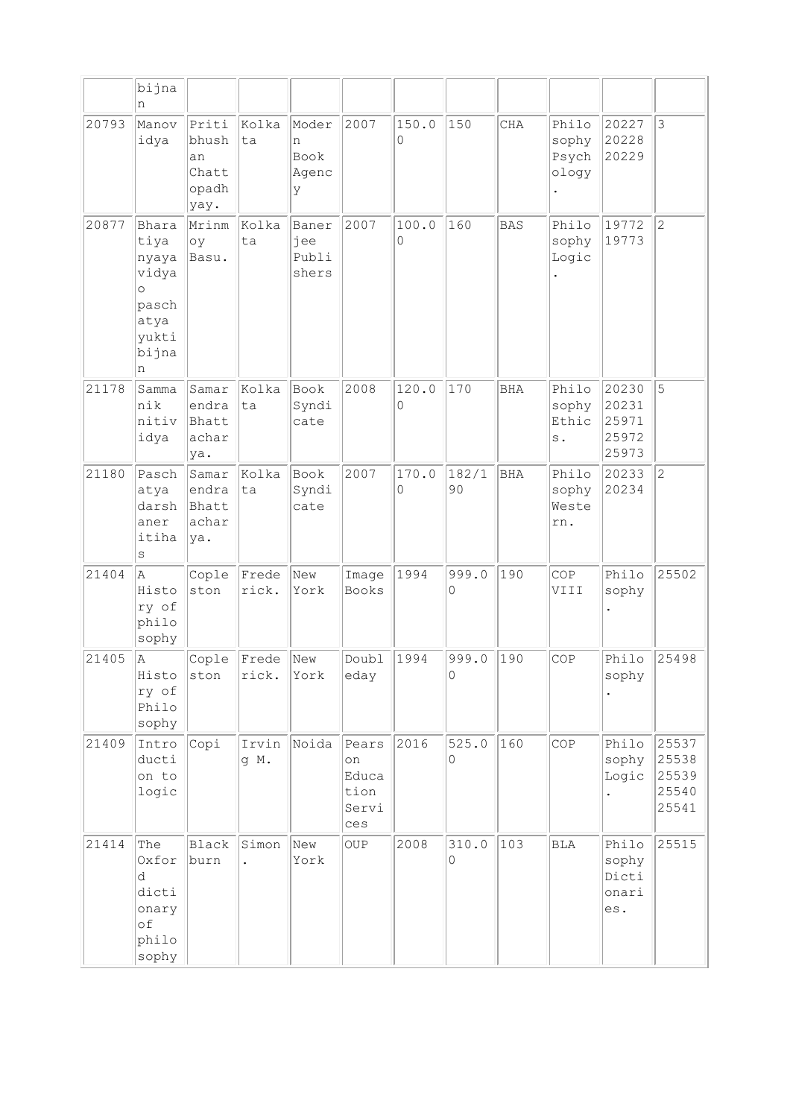|       | bijna<br>n                                                                         |                                                |                               |                                  |                                              |            |                   |            |                                          |                                           |                                           |
|-------|------------------------------------------------------------------------------------|------------------------------------------------|-------------------------------|----------------------------------|----------------------------------------------|------------|-------------------|------------|------------------------------------------|-------------------------------------------|-------------------------------------------|
| 20793 | Manov<br>idya                                                                      | Priti<br>bhush<br>an<br>Chatt<br>opadh<br>yay. | Kolka<br>ta                   | Moder<br>n<br>Book<br>Agenc<br>У | 2007                                         | 150.0<br>0 | 150               | CHA        | Philo<br>sophy<br>Psych<br>ology         | 20227<br>20228<br>20229                   | $\mathbf{3}$                              |
| 20877 | Bhara<br>tiya<br>nyaya<br>vidya<br>$\circ$<br>pasch<br>atya<br>yukti<br>bijna<br>n | Mrinm<br>oy<br>Basu.                           | Kolka<br>ta                   | Baner<br>jee<br>Publi<br>shers   | 2007                                         | 100.0<br>0 | 160               | <b>BAS</b> | Philo<br>sophy<br>Logic                  | 19772<br>19773                            | $\overline{c}$                            |
| 21178 | Samma<br>nik<br>nitiv<br>idya                                                      | Samar<br>endra<br>Bhatt<br>achar<br>ya.        | Kolka<br>ta                   | Book<br>Syndi<br>cate            | 2008                                         | 120.0<br>0 | 170               | <b>BHA</b> | Philo<br>sophy<br>Ethic<br>$\mathbf s$ . | 20230<br>20231<br>25971<br>25972<br>25973 | 5                                         |
| 21180 | Pasch<br>atya<br>darsh<br>aner<br>itiha<br>S                                       | Samar<br>endra<br>Bhatt<br>achar<br>ya.        | Kolka<br>ta                   | Book<br>Syndi<br>cate            | 2007                                         | 170.0<br>0 | 182/1<br>90       | BHA        | Philo<br>sophy<br>Weste<br>rn.           | 20233<br>20234                            | $ 2\rangle$                               |
| 21404 | Α<br>Histo<br>ry of<br>philo<br>sophy                                              | Cople<br>ston                                  | Frede<br>rick.                | New<br>York                      | Image<br><b>Books</b>                        | 1994       | 999.0<br>$\Omega$ | 190        | COP<br><b>IIIV</b>                       | Philo<br>sophy                            | 25502                                     |
| 21405 | Α<br>Histo<br>ry of<br>Philo<br>sophy                                              | Cople<br>ston                                  | Frede<br>rick.                | New<br>York                      | Doubl<br>eday                                | 1994       | 999.0<br>U        | 190        | COP                                      | Philo<br>sophy                            | 25498                                     |
| 21409 | Intro<br>ducti<br>on to<br>logic                                                   | Copi                                           | Irvin<br>g M.                 | Noida                            | Pears<br>on<br>Educa<br>tion<br>Servi<br>ces | 2016       | 525.0<br>$\circ$  | 160        | COP                                      | Philo<br>sophy<br>Logic                   | 25537<br>25538<br>25539<br>25540<br>25541 |
| 21414 | The<br>Oxfor<br>d<br>dicti<br>onary<br>of<br>philo<br>sophy                        | Black<br>burn                                  | Simon<br>$\ddot{\phantom{a}}$ | New<br>York                      | OUP                                          | 2008       | 310.0<br>$\Omega$ | 103        | <b>BLA</b>                               | Philo<br>sophy<br>Dicti<br>onari<br>es.   | 25515                                     |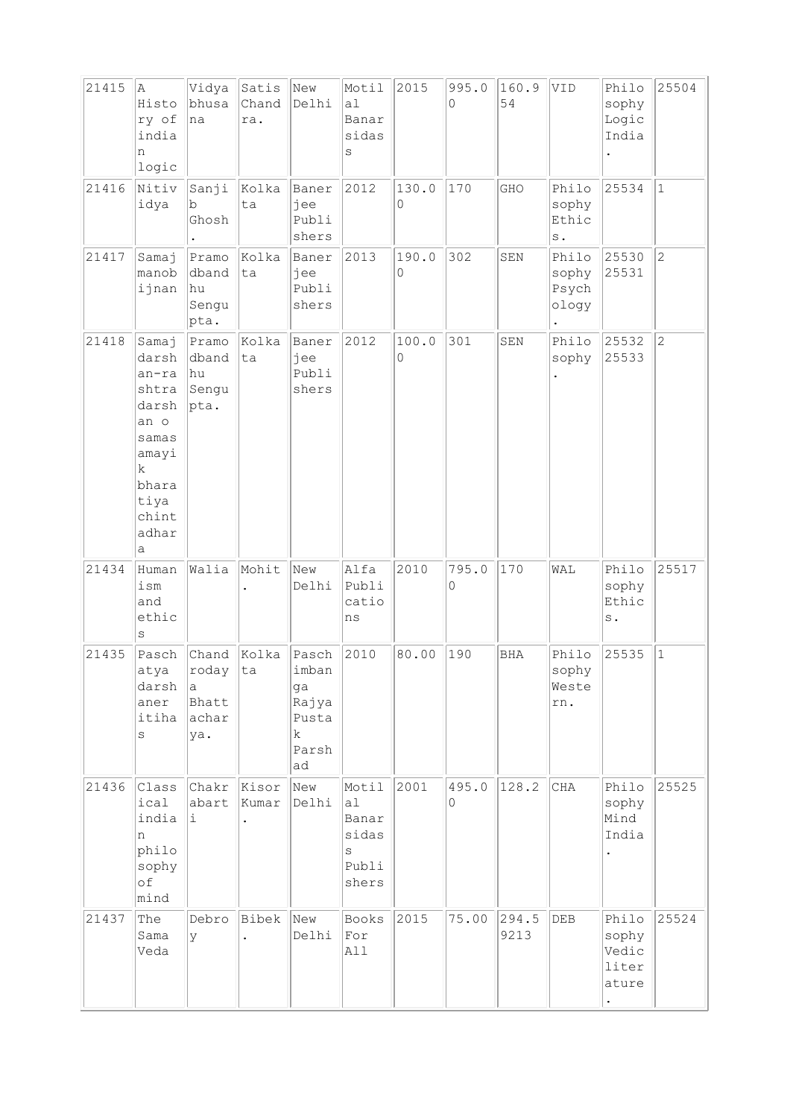| 21415 | la.<br>Histo<br>ry of<br>india<br>n<br>logic                                                                     | Vidya<br>bhusa<br>na                      | $ $ Satis $ $<br>Chand<br>ra. | New<br>Delhi                                               | Motil<br>a1<br>Banar<br>sidas<br>S                   | 2015       | 995.0<br>$\Omega$ | 160.9<br>54   | VID                                      | Philo<br>sophy<br>Logic<br>India          | 25504          |
|-------|------------------------------------------------------------------------------------------------------------------|-------------------------------------------|-------------------------------|------------------------------------------------------------|------------------------------------------------------|------------|-------------------|---------------|------------------------------------------|-------------------------------------------|----------------|
| 21416 | Nitiv<br>idya                                                                                                    | Sanji<br>b<br>Ghosh                       | Kolka<br>ta                   | Baner<br>jee<br>Publi<br>shers                             | 2012                                                 | 130.0<br>0 | 170               | GHO           | Philo<br>sophy<br>Ethic<br>$\,$ s $\,$ . | 25534                                     | $ 1\rangle$    |
| 21417 | Samaj<br>manob<br>ijnan                                                                                          | Pramo<br>dband<br>hu<br>Sengu<br>pta.     | Kolka<br>ta                   | Baner<br>jee<br>Publi<br>shers                             | 2013                                                 | 190.0<br>0 | 302               | SEN           | Philo<br>sophy<br>Psych<br>ology         | 25530<br>25531                            | 2              |
| 21418 | Samaj<br>darsh<br>an-ra<br>shtra<br>darsh<br>an o<br>samas<br>amayi<br>k<br>bhara<br>tiya<br>chint<br>adhar<br>а | Pramo<br>dband<br>hu<br>Sengu<br>pta.     | Kolka<br>ta                   | Baner<br>jee<br>Publi<br>shers                             | 2012                                                 | 100.0<br>0 | 301               | SEN           | Philo<br>sophy                           | 25532<br>25533                            | $\overline{c}$ |
| 21434 | Human<br>ism<br>and<br>ethic<br>$\rm s$                                                                          | Walia                                     | Mohit                         | New<br>Delhi                                               | Alfa<br>Publi<br>catio<br>ns                         | 2010       | 795.0<br>0        | 170           | WAL                                      | Philo<br>sophy<br>Ethic<br>s.             | 25517          |
| 21435 | Pasch<br>atya<br>darsh<br>aner<br>itiha<br>S                                                                     | roday  ta<br>la.<br>Bhatt<br>achar<br>ya. | Chand Kolka                   | Pasch<br>imban<br>ga<br>Rajya<br>Pusta<br>k<br>Parsh<br>ad | 2010                                                 | 80.00      | 190               | <b>BHA</b>    | Philo<br>sophy<br>Weste<br>m.            | 25535                                     | $\vert$ 1      |
| 21436 | Class<br>ical<br>india<br>n<br>philo<br>sophy<br>of<br>mind                                                      | Chakr<br>abart<br>i                       | Kisor<br>Kumar                | New<br>Delhi                                               | Motil<br>a1<br>Banar<br>sidas<br>S<br>Publi<br>shers | 2001       | 495.0<br>0        | 128.2         | CHA                                      | Philo<br>sophy<br>Mind<br>India           | 25525          |
| 21437 | The<br>Sama<br>Veda                                                                                              | Debro<br>У                                | Bibek                         | New<br>Delhi                                               | Books<br>${\tt For}$<br>All                          | 2015       | 75.00             | 294.5<br>9213 | DEB                                      | Philo<br>sophy<br>Vedic<br>liter<br>ature | 25524          |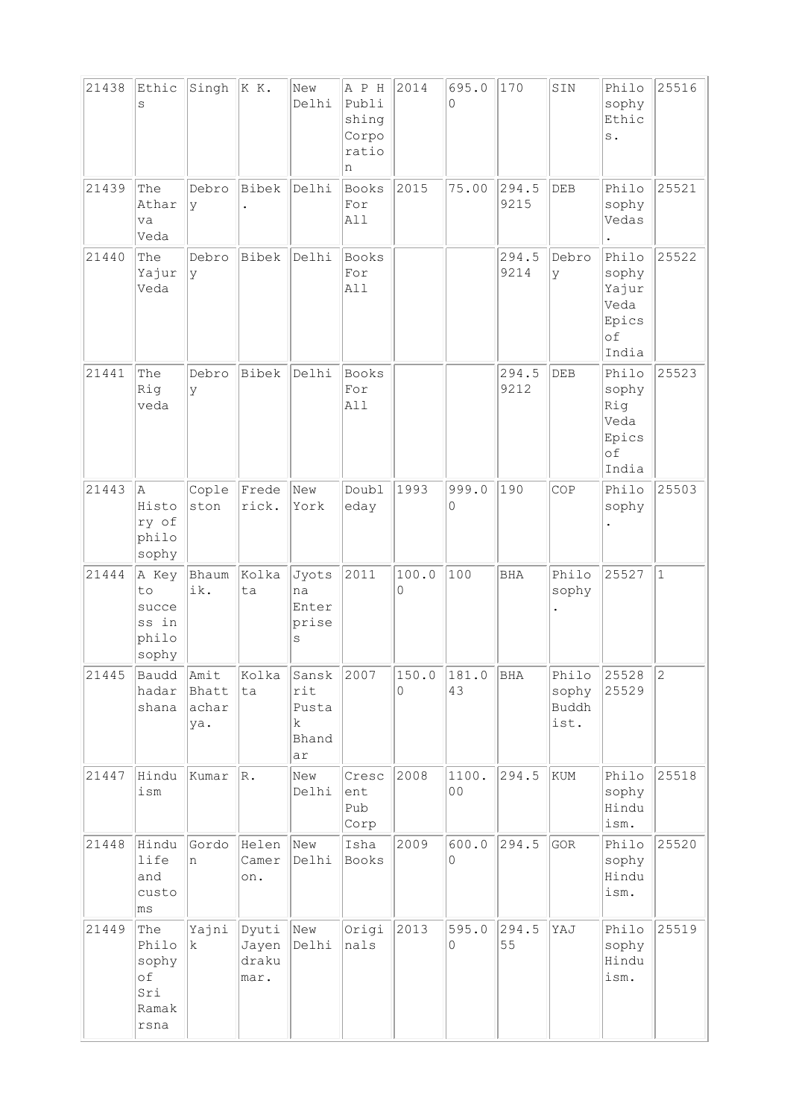| 21438 | Ethic                                               | Singh                         | KK.                             | New                                                 | A P H                                 | 2014       | 695.0       | 170           | SIN                             | Philo                                                   | 25516        |
|-------|-----------------------------------------------------|-------------------------------|---------------------------------|-----------------------------------------------------|---------------------------------------|------------|-------------|---------------|---------------------------------|---------------------------------------------------------|--------------|
|       | S                                                   |                               |                                 | Delhi                                               | Publi<br>shing<br>Corpo<br>ratio<br>n |            | 0           |               |                                 | sophy<br>Ethic<br>$\,$ s $\,$ .                         |              |
| 21439 | The<br>Athar<br>va<br>Veda                          | Debro<br><sup>y</sup>         | Bibek                           | Delhi                                               | Books<br>For<br>All                   | 2015       | 75.00       | 294.5<br>9215 | DEB                             | Philo<br>sophy<br>Vedas                                 | 25521        |
| 21440 | The<br>Yajur<br>Veda                                | Debro<br>Ιy                   | Bibek                           | Delhi                                               | Books<br>For<br>All                   |            |             | 294.5<br>9214 | Debro<br>Ιy                     | Philo<br>sophy<br>Yajur<br>Veda<br>Epics<br>of<br>India | 25522        |
| 21441 | The<br>Rig<br>veda                                  | Debro<br>l V                  | <b>Bibek</b>                    | Delhi                                               | <b>Books</b><br>For<br>All            |            |             | 294.5<br>9212 | DEB                             | Philo<br>sophy<br>Rig<br>Veda<br>Epics<br>of<br>India   | 25523        |
| 21443 | la.<br>Histo<br>ry of<br>philo<br>sophy             | Cople<br>ston                 | Frede<br>rick.                  | New<br>York                                         | Doubl<br>eday                         | 1993       | 999.0<br>0  | 190           | COP                             | Philo<br>sophy                                          | 25503        |
| 21444 | A Key<br>to<br>succe<br>ss in<br>philo<br>sophy     | Bhaum<br>ik.                  | Kolka<br>ta                     | Jyots<br>na<br>Enter<br>prise<br>S                  | 2011                                  | 100.0<br>0 | 100         | <b>BHA</b>    | Philo<br>sophy                  | 25527                                                   | $\mathbf{1}$ |
| 21445 | Baudd<br>hadar<br>shana                             | Amit<br>Bhatt<br>achar<br>ya. | Kolka<br>ta                     | Sansk<br>rit<br>Pusta<br>$\mathbf k$<br>Bhand<br>ar | 2007                                  | 150.0<br>0 | 181.0<br>43 | BHA           | Philo<br>sophy<br>Buddh<br>ist. | 25528<br>25529                                          | $ 2\rangle$  |
| 21447 | Hindu<br>ism                                        | Kumar                         | R.                              | New<br>Delhi                                        | Cresc<br>ent<br>Pub<br>Corp           | 2008       | 1100.<br>00 | 294.5         | KUM                             | Philo<br>sophy<br>Hindu<br>ism.                         | 25518        |
| 21448 | Hindu<br>life<br>and<br>custo<br>ms                 | Gordo<br>n                    | Helen<br>Camer<br>on.           | New<br>Delhi                                        | Isha<br>Books                         | 2009       | 600.0<br>0  | 294.5         | GOR                             | Philo<br>sophy<br>Hindu<br>ism.                         | 25520        |
| 21449 | The<br>Philo<br>sophy<br>of<br>Sri<br>Ramak<br>rsna | Yajni<br>k                    | Dyuti<br>Jayen<br>draku<br>mar. | New<br>Delhi                                        | Origi<br>nals                         | 2013       | 595.0<br>0  | 294.5<br>55   | YAJ                             | Philo<br>sophy<br>Hindu<br>ism.                         | 25519        |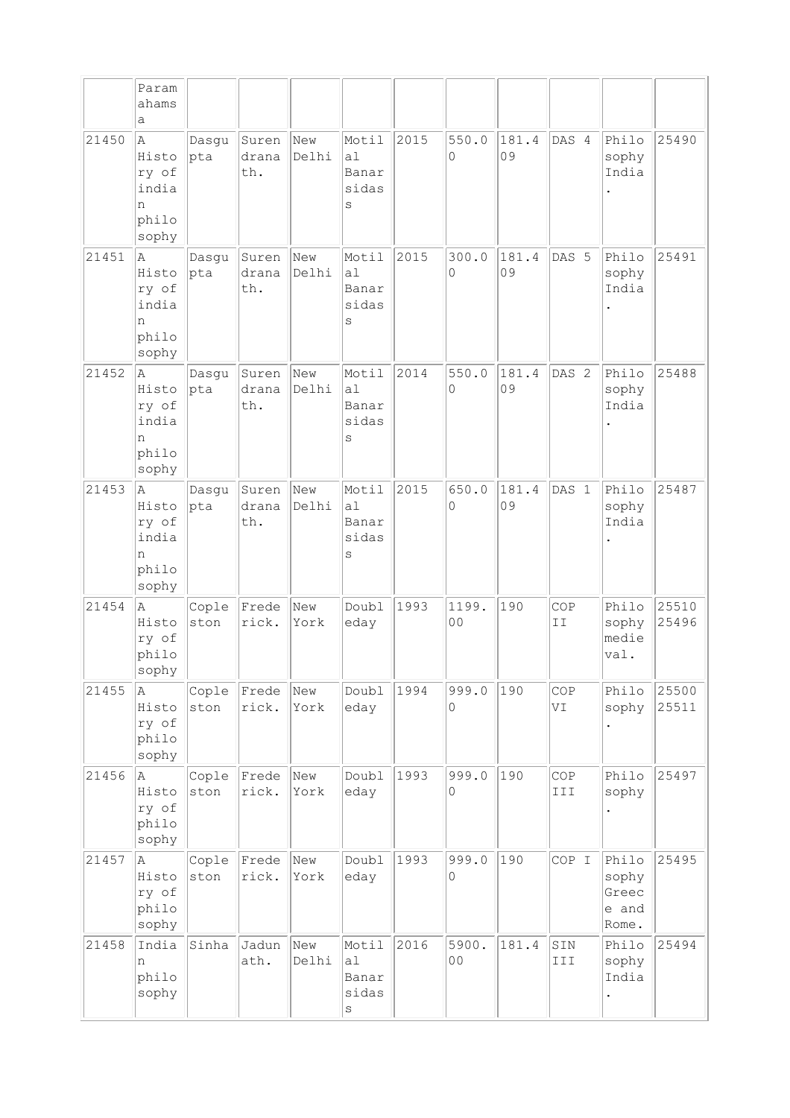|       | Param<br>ahams<br>a                                   |               |                       |              |                                          |      |                         |             |                  |                                                        |                |
|-------|-------------------------------------------------------|---------------|-----------------------|--------------|------------------------------------------|------|-------------------------|-------------|------------------|--------------------------------------------------------|----------------|
| 21450 | A<br>Histo<br>ry of<br>india<br>n<br>philo<br>sophy   | Dasgu<br> pta | Suren<br>drana<br>th. | New<br>Delhi | Motil<br>al<br>Banar<br>sidas<br>$\rm s$ | 2015 | 550.0<br>0              | 181.4<br>09 | DAS 4            | Philo<br>sophy<br>India                                | 25490          |
| 21451 | A<br>Histo<br>ry of<br>india<br>n<br>philo<br>sophy   | Dasgu<br>pta  | Suren<br>drana<br>th. | New<br>Delhi | Motil<br>al<br>Banar<br>sidas<br>$\rm s$ | 2015 | 300.0<br>0              | 181.4<br>09 | DAS 5            | Philo<br>sophy<br>India                                | 25491          |
| 21452 | ΙA.<br>Histo<br>ry of<br>india<br>n<br>philo<br>sophy | Dasqu<br>pta  | Suren<br>drana<br>th. | New<br>Delhi | Motil<br>a1<br>Banar<br>sidas<br>S       | 2014 | 550.0<br>0              | 181.4<br>09 | DAS <sub>2</sub> | Philo<br>sophy<br>India                                | 25488          |
| 21453 | A<br>Histo<br>ry of<br>india<br>n<br>philo<br>sophy   | Dasgu<br>pta  | Suren<br>drana<br>th. | New<br>Delhi | Motil<br>al<br>Banar<br>sidas<br>S       | 2015 | 650.0<br>0              | 181.4<br>09 | DAS <sub>1</sub> | Philo<br>sophy<br>India                                | 25487          |
| 21454 | la.<br>Histo<br>ry of<br>philo<br>sophy               | Cople<br>ston | Frede<br>rick.        | New<br>York  | Doubl<br>eday                            | 1993 | 1199.<br>0 <sub>0</sub> | 190         | COP<br>II        | Philo<br>sophy<br>medie<br>$\overline{\mathtt{val}}$ . | 25510<br>25496 |
| 21455 | Α<br>Histo<br>ry of<br>philo<br>sophy                 | Cople<br>ston | Frede<br>rick.        | New<br>York  | Doubl<br>eday                            | 1994 | 999.0<br>0              | 190         | COP<br>VI        | Philo<br>sophy                                         | 25500<br>25511 |
| 21456 | A<br>Histo<br>ry of<br>philo<br>sophy                 | Cople<br>ston | Frede<br>rick.        | New<br>York  | Doubl<br>eday                            | 1993 | 999.0<br>0              | 190         | COP<br>III       | Philo<br>sophy                                         | 25497          |
| 21457 | la.<br>Histo<br>ry of<br>philo<br>sophy               | Cople<br>ston | Frede<br>rick.        | New<br>York  | Doubl<br>eday                            | 1993 | 999.0<br>0              | 190         | COP I            | Philo<br>sophy<br>Greec<br>e and<br>Rome.              | 25495          |
| 21458 | India<br>n<br>philo<br>sophy                          | Sinha         | Jadun<br>ath.         | New<br>Delhi | Motil<br>a1<br>Banar<br>sidas<br>$\rm s$ | 2016 | 5900.<br>0 <sub>0</sub> | 181.4       | SIN<br>III       | Philo<br>sophy<br>India                                | 25494          |